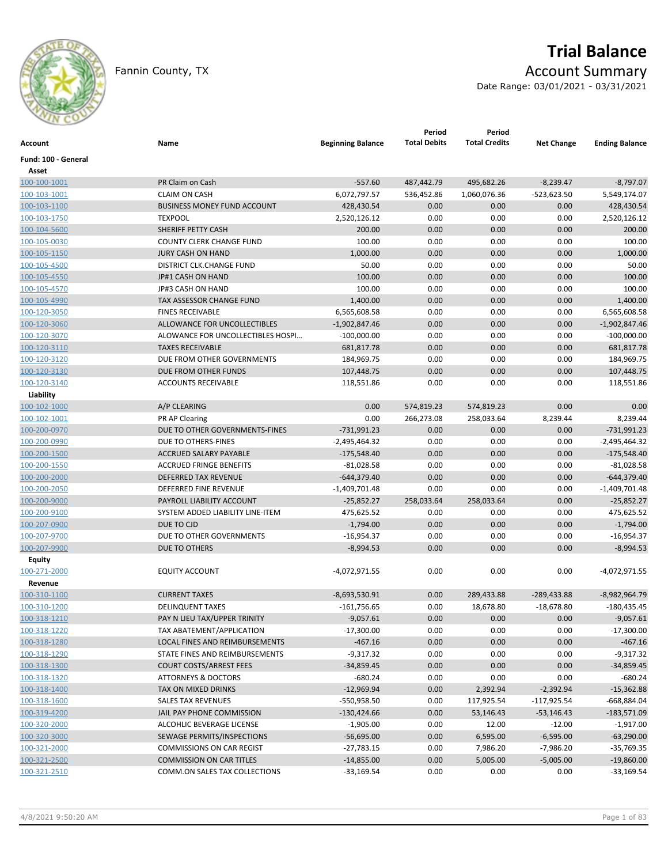

# **Trial Balance**

Fannin County, TX **Account Summary** 

Date Range: 03/01/2021 - 03/31/2021

| Account             | Name                               | <b>Beginning Balance</b> | Period<br><b>Total Debits</b> | Period<br><b>Total Credits</b> | <b>Net Change</b> | <b>Ending Balance</b> |
|---------------------|------------------------------------|--------------------------|-------------------------------|--------------------------------|-------------------|-----------------------|
| Fund: 100 - General |                                    |                          |                               |                                |                   |                       |
| Asset               |                                    |                          |                               |                                |                   |                       |
| 100-100-1001        | PR Claim on Cash                   | $-557.60$                | 487,442.79                    | 495,682.26                     | $-8,239.47$       | $-8,797.07$           |
| 100-103-1001        | <b>CLAIM ON CASH</b>               | 6,072,797.57             | 536,452.86                    | 1,060,076.36                   | $-523,623.50$     | 5,549,174.07          |
| 100-103-1100        | <b>BUSINESS MONEY FUND ACCOUNT</b> | 428,430.54               | 0.00                          | 0.00                           | 0.00              | 428,430.54            |
| 100-103-1750        | <b>TEXPOOL</b>                     | 2,520,126.12             | 0.00                          | 0.00                           | 0.00              | 2,520,126.12          |
| 100-104-5600        | SHERIFF PETTY CASH                 | 200.00                   | 0.00                          | 0.00                           | 0.00              | 200.00                |
| 100-105-0030        | <b>COUNTY CLERK CHANGE FUND</b>    | 100.00                   | 0.00                          | 0.00                           | 0.00              | 100.00                |
| 100-105-1150        | <b>JURY CASH ON HAND</b>           | 1,000.00                 | 0.00                          | 0.00                           | 0.00              | 1,000.00              |
| 100-105-4500        | DISTRICT CLK.CHANGE FUND           | 50.00                    | 0.00                          | 0.00                           | 0.00              | 50.00                 |
| 100-105-4550        | JP#1 CASH ON HAND                  | 100.00                   | 0.00                          | 0.00                           | 0.00              | 100.00                |
| 100-105-4570        | JP#3 CASH ON HAND                  | 100.00                   | 0.00                          | 0.00                           | 0.00              | 100.00                |
| 100-105-4990        | TAX ASSESSOR CHANGE FUND           | 1,400.00                 | 0.00                          | 0.00                           | 0.00              | 1,400.00              |
| 100-120-3050        | <b>FINES RECEIVABLE</b>            | 6,565,608.58             | 0.00                          | 0.00                           | 0.00              | 6,565,608.58          |
| 100-120-3060        | ALLOWANCE FOR UNCOLLECTIBLES       | $-1,902,847.46$          | 0.00                          | 0.00                           | 0.00              | $-1,902,847.46$       |
| 100-120-3070        | ALOWANCE FOR UNCOLLECTIBLES HOSPI  | $-100,000.00$            | 0.00                          | 0.00                           | 0.00              | $-100,000.00$         |
| 100-120-3110        | <b>TAXES RECEIVABLE</b>            | 681,817.78               | 0.00                          | 0.00                           | 0.00              | 681,817.78            |
| 100-120-3120        | DUE FROM OTHER GOVERNMENTS         | 184,969.75               | 0.00                          | 0.00                           | 0.00              | 184,969.75            |
| 100-120-3130        | DUE FROM OTHER FUNDS               | 107,448.75               | 0.00                          | 0.00                           | 0.00              | 107,448.75            |
| 100-120-3140        | <b>ACCOUNTS RECEIVABLE</b>         | 118,551.86               | 0.00                          | 0.00                           | 0.00              | 118,551.86            |
| Liability           |                                    |                          |                               |                                |                   |                       |
| 100-102-1000        | A/P CLEARING                       | 0.00                     | 574,819.23                    | 574,819.23                     | 0.00              | 0.00                  |
| 100-102-1001        | <b>PR AP Clearing</b>              | 0.00                     | 266,273.08                    | 258,033.64                     | 8,239.44          | 8,239.44              |
| 100-200-0970        | DUE TO OTHER GOVERNMENTS-FINES     | -731,991.23              | 0.00                          | 0.00                           | 0.00              | $-731,991.23$         |
| 100-200-0990        | DUE TO OTHERS-FINES                | -2,495,464.32            | 0.00                          | 0.00                           | 0.00              | $-2,495,464.32$       |
| 100-200-1500        | ACCRUED SALARY PAYABLE             | $-175,548.40$            | 0.00                          | 0.00                           | 0.00              | $-175,548.40$         |
| 100-200-1550        | <b>ACCRUED FRINGE BENEFITS</b>     | $-81,028.58$             | 0.00                          | 0.00                           | 0.00              | $-81,028.58$          |
| 100-200-2000        | <b>DEFERRED TAX REVENUE</b>        | $-644,379.40$            | 0.00                          | 0.00                           | 0.00              | $-644,379.40$         |
| 100-200-2050        | DEFERRED FINE REVENUE              | $-1,409,701.48$          | 0.00                          | 0.00                           | 0.00              | $-1,409,701.48$       |
| 100-200-9000        | PAYROLL LIABILITY ACCOUNT          | $-25,852.27$             | 258,033.64                    | 258,033.64                     | 0.00              | $-25,852.27$          |
| 100-200-9100        | SYSTEM ADDED LIABILITY LINE-ITEM   | 475,625.52               | 0.00                          | 0.00                           | 0.00              | 475,625.52            |
| 100-207-0900        | DUE TO CJD                         | $-1,794.00$              | 0.00                          | 0.00                           | 0.00              | $-1,794.00$           |
| 100-207-9700        | DUE TO OTHER GOVERNMENTS           | -16,954.37               | 0.00                          | 0.00                           | 0.00              | $-16,954.37$          |
| 100-207-9900        | DUE TO OTHERS                      | $-8,994.53$              | 0.00                          | 0.00                           | 0.00              | $-8,994.53$           |
| Equity              |                                    |                          |                               |                                |                   |                       |
| 100-271-2000        | <b>EQUITY ACCOUNT</b>              | $-4,072,971.55$          | 0.00                          | 0.00                           | 0.00              | -4,072,971.55         |
| Revenue             |                                    |                          |                               |                                |                   |                       |
| 100-310-1100        | <b>CURRENT TAXES</b>               | $-8,693,530.91$          | 0.00                          | 289,433.88                     | $-289,433.88$     | $-8,982,964.79$       |
| 100-310-1200        | <b>DELINQUENT TAXES</b>            | $-161,756.65$            | 0.00                          | 18,678.80                      | $-18,678.80$      | $-180,435.45$         |
| 100-318-1210        | PAY N LIEU TAX/UPPER TRINITY       | $-9,057.61$              | 0.00                          | 0.00                           | 0.00              | $-9,057.61$           |
| 100-318-1220        | TAX ABATEMENT/APPLICATION          | $-17,300.00$             | 0.00                          | 0.00                           | 0.00              | $-17,300.00$          |
| 100-318-1280        | LOCAL FINES AND REIMBURSEMENTS     | $-467.16$                | 0.00                          | 0.00                           | 0.00              | $-467.16$             |
| 100-318-1290        | STATE FINES AND REIMBURSEMENTS     | $-9,317.32$              | 0.00                          | 0.00                           | 0.00              | $-9,317.32$           |
| 100-318-1300        | <b>COURT COSTS/ARREST FEES</b>     | $-34,859.45$             | 0.00                          | 0.00                           | 0.00              | $-34,859.45$          |
| 100-318-1320        | <b>ATTORNEYS &amp; DOCTORS</b>     | $-680.24$                | 0.00                          | 0.00                           | 0.00              | $-680.24$             |
| 100-318-1400        | TAX ON MIXED DRINKS                | $-12,969.94$             | 0.00                          | 2,392.94                       | $-2,392.94$       | $-15,362.88$          |
| 100-318-1600        | SALES TAX REVENUES                 | -550,958.50              | 0.00                          | 117,925.54                     | $-117,925.54$     | -668,884.04           |
| 100-319-4200        | JAIL PAY PHONE COMMISSION          | $-130,424.66$            | 0.00                          | 53,146.43                      | $-53,146.43$      | $-183,571.09$         |
| 100-320-2000        | ALCOHLIC BEVERAGE LICENSE          | $-1,905.00$              | 0.00                          | 12.00                          | $-12.00$          | $-1,917.00$           |
| 100-320-3000        | SEWAGE PERMITS/INSPECTIONS         | $-56,695.00$             | 0.00                          | 6,595.00                       | $-6,595.00$       | $-63,290.00$          |
| 100-321-2000        | <b>COMMISSIONS ON CAR REGIST</b>   | $-27,783.15$             | 0.00                          | 7,986.20                       | $-7,986.20$       | $-35,769.35$          |
| 100-321-2500        | <b>COMMISSION ON CAR TITLES</b>    | $-14,855.00$             | 0.00                          | 5,005.00                       | $-5,005.00$       | $-19,860.00$          |
| 100-321-2510        | COMM.ON SALES TAX COLLECTIONS      | $-33,169.54$             | 0.00                          | 0.00                           | 0.00              | $-33,169.54$          |
|                     |                                    |                          |                               |                                |                   |                       |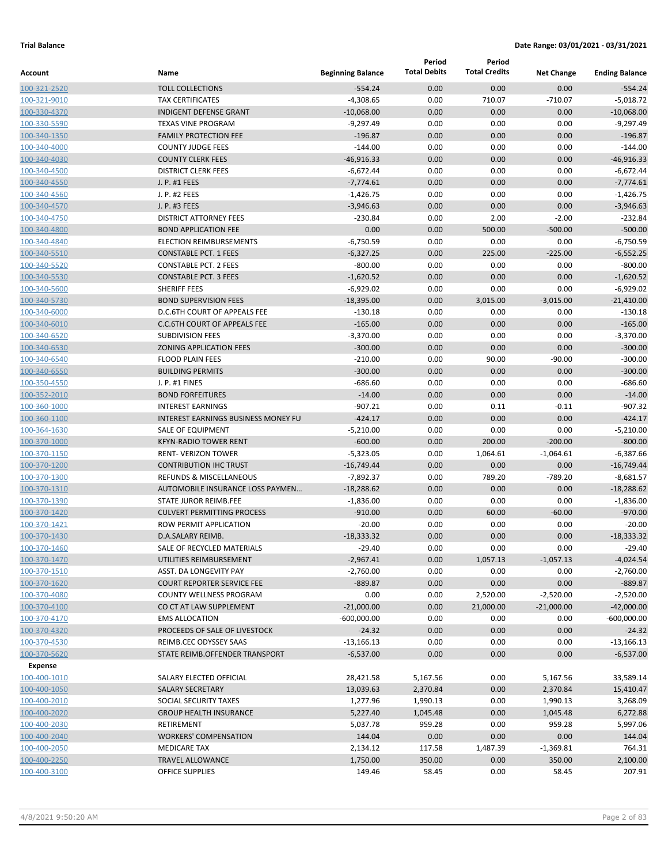|                              |                                                          |                          | Period               | Period               |                       |                       |
|------------------------------|----------------------------------------------------------|--------------------------|----------------------|----------------------|-----------------------|-----------------------|
| Account                      | Name                                                     | <b>Beginning Balance</b> | <b>Total Debits</b>  | <b>Total Credits</b> | <b>Net Change</b>     | <b>Ending Balance</b> |
| 100-321-2520                 | <b>TOLL COLLECTIONS</b>                                  | $-554.24$                | 0.00                 | 0.00                 | 0.00                  | $-554.24$             |
| 100-321-9010                 | <b>TAX CERTIFICATES</b>                                  | $-4,308.65$              | 0.00                 | 710.07               | $-710.07$             | $-5,018.72$           |
| 100-330-4370                 | <b>INDIGENT DEFENSE GRANT</b>                            | $-10,068.00$             | 0.00                 | 0.00                 | 0.00                  | $-10,068.00$          |
| 100-330-5590                 | <b>TEXAS VINE PROGRAM</b>                                | $-9,297.49$              | 0.00                 | 0.00                 | 0.00                  | $-9,297.49$           |
| 100-340-1350                 | <b>FAMILY PROTECTION FEE</b>                             | $-196.87$                | 0.00                 | 0.00                 | 0.00                  | $-196.87$             |
| 100-340-4000                 | <b>COUNTY JUDGE FEES</b>                                 | $-144.00$                | 0.00                 | 0.00                 | 0.00                  | $-144.00$             |
| 100-340-4030                 | <b>COUNTY CLERK FEES</b>                                 | $-46,916.33$             | 0.00                 | 0.00                 | 0.00                  | $-46,916.33$          |
| 100-340-4500                 | <b>DISTRICT CLERK FEES</b>                               | $-6,672.44$              | 0.00                 | 0.00                 | 0.00                  | $-6,672.44$           |
| 100-340-4550                 | J. P. #1 FEES                                            | $-7,774.61$              | 0.00                 | 0.00                 | 0.00                  | $-7,774.61$           |
| 100-340-4560                 | J. P. #2 FEES                                            | $-1,426.75$              | 0.00                 | 0.00                 | 0.00                  | $-1,426.75$           |
| 100-340-4570                 | J. P. #3 FEES                                            | $-3,946.63$              | 0.00                 | 0.00                 | 0.00                  | $-3,946.63$           |
| 100-340-4750                 | <b>DISTRICT ATTORNEY FEES</b>                            | $-230.84$                | 0.00                 | 2.00                 | $-2.00$               | $-232.84$             |
| 100-340-4800                 | <b>BOND APPLICATION FEE</b>                              | 0.00                     | 0.00                 | 500.00               | $-500.00$             | $-500.00$             |
| 100-340-4840                 | <b>ELECTION REIMBURSEMENTS</b>                           | $-6,750.59$              | 0.00                 | 0.00                 | 0.00                  | $-6,750.59$           |
| 100-340-5510                 | <b>CONSTABLE PCT. 1 FEES</b>                             | $-6,327.25$              | 0.00                 | 225.00               | $-225.00$             | $-6,552.25$           |
| 100-340-5520                 | <b>CONSTABLE PCT. 2 FEES</b>                             | $-800.00$                | 0.00                 | 0.00                 | 0.00                  | $-800.00$             |
| 100-340-5530                 | <b>CONSTABLE PCT. 3 FEES</b>                             | $-1,620.52$              | 0.00                 | 0.00                 | 0.00                  | $-1,620.52$           |
| 100-340-5600                 | SHERIFF FEES                                             | $-6,929.02$              | 0.00                 | 0.00                 | 0.00                  | $-6,929.02$           |
| 100-340-5730                 | <b>BOND SUPERVISION FEES</b>                             | $-18,395.00$             | 0.00                 | 3,015.00             | $-3,015.00$           | $-21,410.00$          |
| 100-340-6000                 | D.C.6TH COURT OF APPEALS FEE                             | $-130.18$                | 0.00                 | 0.00                 | 0.00                  | $-130.18$             |
| 100-340-6010                 | <b>C.C.6TH COURT OF APPEALS FEE</b>                      | $-165.00$                | 0.00                 | 0.00                 | 0.00                  | $-165.00$             |
| 100-340-6520                 | <b>SUBDIVISION FEES</b>                                  | $-3,370.00$              | 0.00                 | 0.00                 | 0.00                  | $-3,370.00$           |
| 100-340-6530                 | <b>ZONING APPLICATION FEES</b>                           | $-300.00$                | 0.00                 | 0.00                 | 0.00                  | $-300.00$             |
| 100-340-6540                 | <b>FLOOD PLAIN FEES</b>                                  | $-210.00$                | 0.00                 | 90.00                | $-90.00$              | $-300.00$             |
| 100-340-6550                 | <b>BUILDING PERMITS</b>                                  | $-300.00$                | 0.00                 | 0.00                 | 0.00                  | $-300.00$             |
| 100-350-4550                 | J. P. #1 FINES                                           | $-686.60$                | 0.00                 | 0.00                 | 0.00                  | $-686.60$             |
| 100-352-2010                 | <b>BOND FORFEITURES</b>                                  | $-14.00$                 | 0.00                 | 0.00                 | 0.00                  | $-14.00$              |
| 100-360-1000                 | <b>INTEREST EARNINGS</b>                                 | $-907.21$                | 0.00                 | 0.11                 | $-0.11$               | $-907.32$             |
| 100-360-1100                 | INTEREST EARNINGS BUSINESS MONEY FU                      | $-424.17$                | 0.00                 | 0.00                 | 0.00                  | $-424.17$             |
| 100-364-1630                 | SALE OF EQUIPMENT                                        | $-5,210.00$              | 0.00                 | 0.00                 | 0.00                  | $-5,210.00$           |
| 100-370-1000                 | <b>KFYN-RADIO TOWER RENT</b>                             | $-600.00$                | 0.00                 | 200.00               | $-200.00$             | $-800.00$             |
| 100-370-1150                 | <b>RENT- VERIZON TOWER</b>                               | $-5,323.05$              | 0.00                 | 1,064.61             | $-1,064.61$           | $-6,387.66$           |
| 100-370-1200                 | <b>CONTRIBUTION IHC TRUST</b>                            | $-16,749.44$             | 0.00                 | 0.00                 | 0.00                  | $-16,749.44$          |
| 100-370-1300                 | <b>REFUNDS &amp; MISCELLANEOUS</b>                       | $-7,892.37$              | 0.00                 | 789.20               | $-789.20$             | $-8,681.57$           |
| 100-370-1310                 | AUTOMOBILE INSURANCE LOSS PAYMEN                         | $-18,288.62$             | 0.00                 | 0.00                 | 0.00                  | $-18,288.62$          |
| 100-370-1390                 | STATE JUROR REIMB.FEE                                    | $-1,836.00$              | 0.00                 | 0.00                 | 0.00                  | $-1,836.00$           |
| 100-370-1420                 | <b>CULVERT PERMITTING PROCESS</b>                        | $-910.00$                | 0.00                 | 60.00                | $-60.00$              | $-970.00$             |
| 100-370-1421                 | ROW PERMIT APPLICATION                                   | $-20.00$                 | 0.00                 | 0.00                 | 0.00                  | $-20.00$              |
| 100-370-1430                 | D.A.SALARY REIMB.                                        | $-18,333.32$             | 0.00                 | 0.00                 | 0.00                  | $-18,333.32$          |
| 100-370-1460                 | SALE OF RECYCLED MATERIALS                               | $-29.40$                 | 0.00                 | 0.00                 | 0.00                  | $-29.40$              |
| 100-370-1470                 | UTILITIES REIMBURSEMENT                                  | $-2,967.41$              | 0.00                 | 1,057.13             | $-1,057.13$           | $-4,024.54$           |
| 100-370-1510                 | ASST. DA LONGEVITY PAY                                   | $-2,760.00$              | 0.00                 | 0.00                 | 0.00                  | $-2,760.00$           |
| 100-370-1620                 | <b>COURT REPORTER SERVICE FEE</b>                        | $-889.87$                | 0.00                 | 0.00                 | 0.00                  | $-889.87$             |
| 100-370-4080                 | <b>COUNTY WELLNESS PROGRAM</b>                           | 0.00                     | 0.00                 | 2,520.00             | $-2,520.00$           | $-2,520.00$           |
| 100-370-4100                 | CO CT AT LAW SUPPLEMENT                                  | $-21,000.00$             | 0.00                 | 21,000.00            | $-21,000.00$          | $-42,000.00$          |
| 100-370-4170                 | <b>EMS ALLOCATION</b>                                    | $-600,000.00$            | 0.00                 | 0.00                 | 0.00                  | $-600,000.00$         |
| 100-370-4320                 | PROCEEDS OF SALE OF LIVESTOCK                            | $-24.32$                 | 0.00                 | 0.00                 | 0.00                  | $-24.32$              |
| 100-370-4530                 | REIMB.CEC ODYSSEY SAAS<br>STATE REIMB.OFFENDER TRANSPORT | $-13,166.13$             | 0.00                 | 0.00                 | 0.00                  | $-13,166.13$          |
| 100-370-5620                 |                                                          | $-6,537.00$              | 0.00                 | 0.00                 | 0.00                  | $-6,537.00$           |
| Expense                      |                                                          |                          |                      |                      |                       |                       |
| 100-400-1010<br>100-400-1050 | SALARY ELECTED OFFICIAL                                  | 28,421.58                | 5,167.56             | 0.00                 | 5,167.56              | 33,589.14             |
| 100-400-2010                 | SALARY SECRETARY<br>SOCIAL SECURITY TAXES                | 13,039.63                | 2,370.84             | 0.00                 | 2,370.84              | 15,410.47             |
| 100-400-2020                 | <b>GROUP HEALTH INSURANCE</b>                            | 1,277.96<br>5,227.40     | 1,990.13<br>1,045.48 | 0.00<br>0.00         | 1,990.13<br>1,045.48  | 3,268.09<br>6,272.88  |
| 100-400-2030                 | <b>RETIREMENT</b>                                        | 5,037.78                 | 959.28               | 0.00                 | 959.28                | 5,997.06              |
|                              | <b>WORKERS' COMPENSATION</b>                             | 144.04                   | 0.00                 | 0.00                 | 0.00                  | 144.04                |
| 100-400-2040                 | <b>MEDICARE TAX</b>                                      |                          |                      |                      |                       |                       |
| 100-400-2050                 |                                                          | 2,134.12                 | 117.58               | 1,487.39             | $-1,369.81$<br>350.00 | 764.31                |
| 100-400-2250<br>100-400-3100 | <b>TRAVEL ALLOWANCE</b><br><b>OFFICE SUPPLIES</b>        | 1,750.00<br>149.46       | 350.00<br>58.45      | 0.00<br>0.00         | 58.45                 | 2,100.00<br>207.91    |
|                              |                                                          |                          |                      |                      |                       |                       |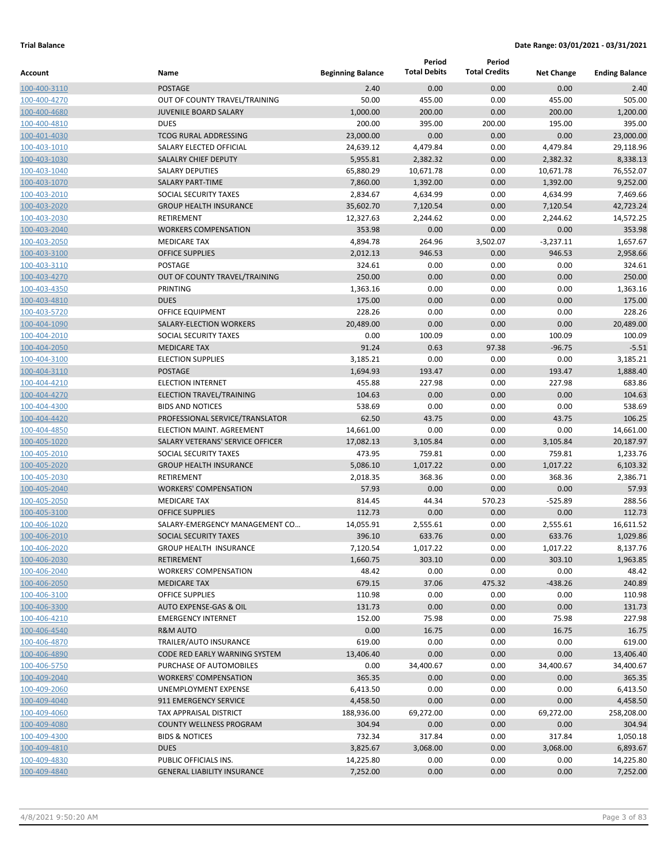| Account                      | Name                                        | <b>Beginning Balance</b> | Period<br><b>Total Debits</b> | Period<br><b>Total Credits</b> | <b>Net Change</b>  | <b>Ending Balance</b> |
|------------------------------|---------------------------------------------|--------------------------|-------------------------------|--------------------------------|--------------------|-----------------------|
| 100-400-3110                 | <b>POSTAGE</b>                              | 2.40                     | 0.00                          | 0.00                           | 0.00               | 2.40                  |
| 100-400-4270                 | OUT OF COUNTY TRAVEL/TRAINING               | 50.00                    | 455.00                        | 0.00                           | 455.00             | 505.00                |
| 100-400-4680                 | <b>JUVENILE BOARD SALARY</b>                | 1,000.00                 | 200.00                        | 0.00                           | 200.00             | 1,200.00              |
| 100-400-4810                 | <b>DUES</b>                                 | 200.00                   | 395.00                        | 200.00                         | 195.00             | 395.00                |
| 100-401-4030                 | <b>TCOG RURAL ADDRESSING</b>                | 23,000.00                | 0.00                          | 0.00                           | 0.00               | 23,000.00             |
| 100-403-1010                 | SALARY ELECTED OFFICIAL                     | 24,639.12                | 4,479.84                      | 0.00                           | 4,479.84           | 29,118.96             |
| 100-403-1030                 | SALALRY CHIEF DEPUTY                        | 5,955.81                 | 2,382.32                      | 0.00                           | 2,382.32           | 8,338.13              |
| 100-403-1040                 | <b>SALARY DEPUTIES</b>                      | 65,880.29                | 10,671.78                     | 0.00                           | 10,671.78          | 76,552.07             |
| 100-403-1070                 | <b>SALARY PART-TIME</b>                     | 7,860.00                 | 1,392.00                      | 0.00                           | 1,392.00           | 9,252.00              |
| 100-403-2010                 | SOCIAL SECURITY TAXES                       | 2,834.67                 | 4,634.99                      | 0.00                           | 4,634.99           | 7,469.66              |
| 100-403-2020                 | <b>GROUP HEALTH INSURANCE</b>               | 35,602.70                | 7,120.54                      | 0.00                           | 7,120.54           | 42,723.24             |
| 100-403-2030                 | <b>RETIREMENT</b>                           | 12,327.63                | 2,244.62                      | 0.00                           | 2,244.62           | 14,572.25             |
| 100-403-2040                 | <b>WORKERS COMPENSATION</b>                 | 353.98                   | 0.00                          | 0.00                           | 0.00               | 353.98                |
| 100-403-2050                 | <b>MEDICARE TAX</b>                         | 4,894.78                 | 264.96                        | 3,502.07                       | $-3,237.11$        | 1,657.67              |
| 100-403-3100                 | <b>OFFICE SUPPLIES</b>                      | 2,012.13                 | 946.53                        | 0.00                           | 946.53             | 2,958.66              |
| 100-403-3110                 | POSTAGE                                     | 324.61                   | 0.00                          | 0.00                           | 0.00               | 324.61                |
| 100-403-4270                 | OUT OF COUNTY TRAVEL/TRAINING               | 250.00                   | 0.00                          | 0.00                           | 0.00               | 250.00                |
| 100-403-4350                 | <b>PRINTING</b>                             | 1,363.16                 | 0.00                          | 0.00                           | 0.00               | 1,363.16              |
| 100-403-4810                 | <b>DUES</b>                                 | 175.00                   | 0.00                          | 0.00                           | 0.00               | 175.00                |
| 100-403-5720                 | OFFICE EQUIPMENT                            | 228.26                   | 0.00                          | 0.00                           | 0.00               | 228.26                |
| 100-404-1090                 | SALARY-ELECTION WORKERS                     | 20,489.00                | 0.00                          | 0.00                           | 0.00               | 20,489.00             |
| 100-404-2010                 | SOCIAL SECURITY TAXES                       | 0.00                     | 100.09                        | 0.00                           | 100.09             | 100.09                |
| 100-404-2050                 | <b>MEDICARE TAX</b>                         | 91.24                    | 0.63                          | 97.38                          | $-96.75$           | $-5.51$               |
| 100-404-3100                 | <b>ELECTION SUPPLIES</b>                    | 3,185.21                 | 0.00                          | 0.00                           | 0.00               | 3,185.21              |
| 100-404-3110                 | <b>POSTAGE</b>                              | 1,694.93                 | 193.47                        | 0.00                           | 193.47             | 1,888.40              |
| 100-404-4210                 | <b>ELECTION INTERNET</b>                    | 455.88                   | 227.98                        | 0.00                           | 227.98             | 683.86                |
| 100-404-4270                 | ELECTION TRAVEL/TRAINING                    | 104.63                   | 0.00                          | 0.00                           | 0.00               | 104.63                |
| 100-404-4300                 | <b>BIDS AND NOTICES</b>                     | 538.69                   | 0.00                          | 0.00                           | 0.00               | 538.69                |
| 100-404-4420                 | PROFESSIONAL SERVICE/TRANSLATOR             | 62.50                    | 43.75                         | 0.00                           | 43.75              | 106.25                |
| 100-404-4850                 | ELECTION MAINT. AGREEMENT                   | 14,661.00                | 0.00                          | 0.00                           | 0.00               | 14,661.00             |
| 100-405-1020                 | SALARY VETERANS' SERVICE OFFICER            | 17,082.13                | 3,105.84                      | 0.00                           | 3,105.84           | 20,187.97             |
| 100-405-2010                 | SOCIAL SECURITY TAXES                       | 473.95                   | 759.81                        | 0.00                           | 759.81             | 1,233.76              |
| 100-405-2020                 | <b>GROUP HEALTH INSURANCE</b>               | 5,086.10                 | 1,017.22                      | 0.00                           | 1,017.22           | 6,103.32              |
| 100-405-2030                 | RETIREMENT                                  | 2,018.35                 | 368.36                        | 0.00                           | 368.36             | 2,386.71              |
| 100-405-2040                 | <b>WORKERS' COMPENSATION</b>                | 57.93                    | 0.00                          | 0.00                           | 0.00               | 57.93                 |
| 100-405-2050                 | <b>MEDICARE TAX</b>                         | 814.45                   | 44.34                         | 570.23                         | $-525.89$          | 288.56                |
| 100-405-3100                 | <b>OFFICE SUPPLIES</b>                      | 112.73                   | 0.00                          | 0.00                           | 0.00               | 112.73                |
| 100-406-1020                 | SALARY-EMERGENCY MANAGEMENT CO              | 14,055.91<br>396.10      | 2,555.61<br>633.76            | 0.00<br>0.00                   | 2,555.61           | 16,611.52<br>1,029.86 |
| 100-406-2010<br>100-406-2020 | SOCIAL SECURITY TAXES                       | 7,120.54                 |                               | 0.00                           | 633.76             | 8,137.76              |
| 100-406-2030                 | <b>GROUP HEALTH INSURANCE</b><br>RETIREMENT | 1,660.75                 | 1,017.22<br>303.10            | 0.00                           | 1,017.22<br>303.10 | 1,963.85              |
| 100-406-2040                 | <b>WORKERS' COMPENSATION</b>                | 48.42                    | 0.00                          | 0.00                           | 0.00               | 48.42                 |
| 100-406-2050                 | <b>MEDICARE TAX</b>                         | 679.15                   | 37.06                         | 475.32                         | $-438.26$          | 240.89                |
| 100-406-3100                 | <b>OFFICE SUPPLIES</b>                      | 110.98                   | 0.00                          | 0.00                           | 0.00               | 110.98                |
| 100-406-3300                 | AUTO EXPENSE-GAS & OIL                      | 131.73                   | 0.00                          | 0.00                           | 0.00               | 131.73                |
| 100-406-4210                 | <b>EMERGENCY INTERNET</b>                   | 152.00                   | 75.98                         | 0.00                           | 75.98              | 227.98                |
| 100-406-4540                 | <b>R&amp;M AUTO</b>                         | 0.00                     | 16.75                         | 0.00                           | 16.75              | 16.75                 |
| 100-406-4870                 | TRAILER/AUTO INSURANCE                      | 619.00                   | 0.00                          | 0.00                           | 0.00               | 619.00                |
| 100-406-4890                 | CODE RED EARLY WARNING SYSTEM               | 13,406.40                | 0.00                          | 0.00                           | 0.00               | 13,406.40             |
| 100-406-5750                 | PURCHASE OF AUTOMOBILES                     | 0.00                     | 34,400.67                     | 0.00                           | 34,400.67          | 34,400.67             |
| 100-409-2040                 | <b>WORKERS' COMPENSATION</b>                | 365.35                   | 0.00                          | 0.00                           | 0.00               | 365.35                |
| 100-409-2060                 | UNEMPLOYMENT EXPENSE                        | 6,413.50                 | 0.00                          | 0.00                           | 0.00               | 6,413.50              |
| 100-409-4040                 | 911 EMERGENCY SERVICE                       | 4,458.50                 | 0.00                          | 0.00                           | 0.00               | 4,458.50              |
| 100-409-4060                 | TAX APPRAISAL DISTRICT                      | 188,936.00               | 69,272.00                     | 0.00                           | 69,272.00          | 258,208.00            |
| 100-409-4080                 | <b>COUNTY WELLNESS PROGRAM</b>              | 304.94                   | 0.00                          | 0.00                           | 0.00               | 304.94                |
| 100-409-4300                 | <b>BIDS &amp; NOTICES</b>                   | 732.34                   | 317.84                        | 0.00                           | 317.84             | 1,050.18              |
| 100-409-4810                 | <b>DUES</b>                                 | 3,825.67                 | 3,068.00                      | 0.00                           | 3,068.00           | 6,893.67              |
| 100-409-4830                 | PUBLIC OFFICIALS INS.                       | 14,225.80                | 0.00                          | 0.00                           | 0.00               | 14,225.80             |
| 100-409-4840                 | <b>GENERAL LIABILITY INSURANCE</b>          | 7,252.00                 | 0.00                          | 0.00                           | 0.00               | 7,252.00              |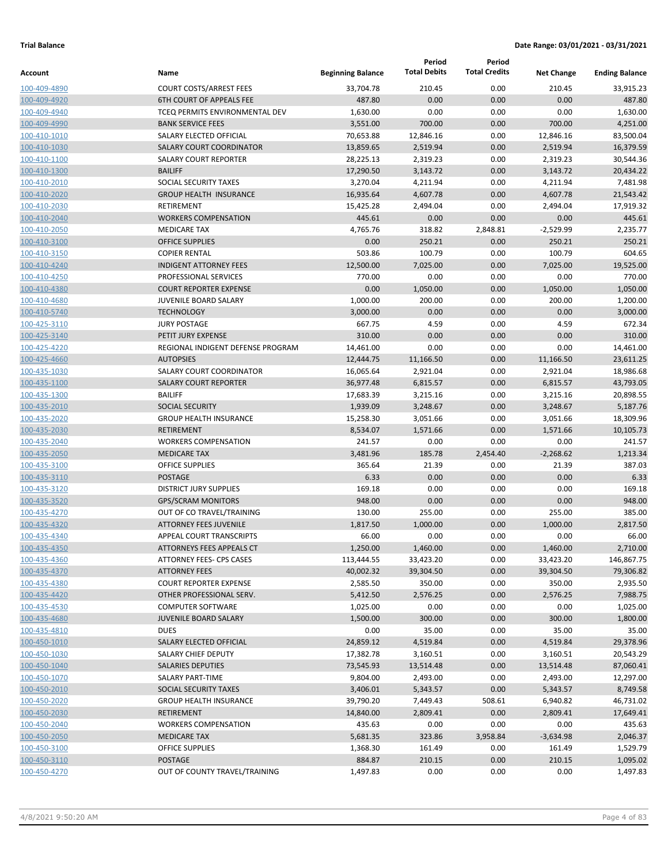|              |                                   |                          | Period              | Period               |                   |                       |
|--------------|-----------------------------------|--------------------------|---------------------|----------------------|-------------------|-----------------------|
| Account      | Name                              | <b>Beginning Balance</b> | <b>Total Debits</b> | <b>Total Credits</b> | <b>Net Change</b> | <b>Ending Balance</b> |
| 100-409-4890 | <b>COURT COSTS/ARREST FEES</b>    | 33,704.78                | 210.45              | 0.00                 | 210.45            | 33,915.23             |
| 100-409-4920 | <b>6TH COURT OF APPEALS FEE</b>   | 487.80                   | 0.00                | 0.00                 | 0.00              | 487.80                |
| 100-409-4940 | TCEQ PERMITS ENVIRONMENTAL DEV    | 1,630.00                 | 0.00                | 0.00                 | 0.00              | 1,630.00              |
| 100-409-4990 | <b>BANK SERVICE FEES</b>          | 3,551.00                 | 700.00              | 0.00                 | 700.00            | 4,251.00              |
| 100-410-1010 | SALARY ELECTED OFFICIAL           | 70,653.88                | 12,846.16           | 0.00                 | 12,846.16         | 83,500.04             |
| 100-410-1030 | <b>SALARY COURT COORDINATOR</b>   | 13,859.65                | 2,519.94            | 0.00                 | 2,519.94          | 16,379.59             |
| 100-410-1100 | <b>SALARY COURT REPORTER</b>      | 28,225.13                | 2,319.23            | 0.00                 | 2,319.23          | 30,544.36             |
| 100-410-1300 | <b>BAILIFF</b>                    | 17,290.50                | 3,143.72            | 0.00                 | 3,143.72          | 20,434.22             |
| 100-410-2010 | SOCIAL SECURITY TAXES             | 3,270.04                 | 4,211.94            | 0.00                 | 4,211.94          | 7,481.98              |
| 100-410-2020 | <b>GROUP HEALTH INSURANCE</b>     | 16,935.64                | 4,607.78            | 0.00                 | 4,607.78          | 21,543.42             |
| 100-410-2030 | RETIREMENT                        | 15,425.28                | 2,494.04            | 0.00                 | 2,494.04          | 17,919.32             |
| 100-410-2040 | <b>WORKERS COMPENSATION</b>       | 445.61                   | 0.00                | 0.00                 | 0.00              | 445.61                |
| 100-410-2050 | <b>MEDICARE TAX</b>               | 4,765.76                 | 318.82              | 2,848.81             | -2,529.99         | 2,235.77              |
| 100-410-3100 | <b>OFFICE SUPPLIES</b>            | 0.00                     | 250.21              | 0.00                 | 250.21            | 250.21                |
| 100-410-3150 | <b>COPIER RENTAL</b>              | 503.86                   | 100.79              | 0.00                 | 100.79            | 604.65                |
| 100-410-4240 | <b>INDIGENT ATTORNEY FEES</b>     | 12,500.00                | 7,025.00            | 0.00                 | 7,025.00          | 19,525.00             |
| 100-410-4250 | PROFESSIONAL SERVICES             | 770.00                   | 0.00                | 0.00                 | 0.00              | 770.00                |
| 100-410-4380 | <b>COURT REPORTER EXPENSE</b>     | 0.00                     | 1,050.00            | 0.00                 | 1,050.00          | 1,050.00              |
| 100-410-4680 | JUVENILE BOARD SALARY             | 1,000.00                 | 200.00              | 0.00                 | 200.00            | 1,200.00              |
| 100-410-5740 | <b>TECHNOLOGY</b>                 | 3,000.00                 | 0.00                | 0.00                 | 0.00              | 3,000.00              |
| 100-425-3110 | <b>JURY POSTAGE</b>               | 667.75                   | 4.59                | 0.00                 | 4.59              | 672.34                |
| 100-425-3140 | PETIT JURY EXPENSE                | 310.00                   | 0.00                | 0.00                 | 0.00              | 310.00                |
| 100-425-4220 | REGIONAL INDIGENT DEFENSE PROGRAM | 14,461.00                | 0.00                | 0.00                 | 0.00              | 14,461.00             |
| 100-425-4660 | <b>AUTOPSIES</b>                  | 12,444.75                | 11,166.50           | 0.00                 | 11,166.50         | 23,611.25             |
| 100-435-1030 | <b>SALARY COURT COORDINATOR</b>   | 16,065.64                | 2,921.04            | 0.00                 | 2,921.04          | 18,986.68             |
| 100-435-1100 | <b>SALARY COURT REPORTER</b>      | 36,977.48                | 6,815.57            | 0.00                 | 6,815.57          | 43,793.05             |
| 100-435-1300 | <b>BAILIFF</b>                    | 17,683.39                | 3,215.16            | 0.00                 | 3,215.16          | 20,898.55             |
| 100-435-2010 | <b>SOCIAL SECURITY</b>            | 1,939.09                 | 3,248.67            | 0.00                 | 3,248.67          | 5,187.76              |
| 100-435-2020 | <b>GROUP HEALTH INSURANCE</b>     | 15,258.30                | 3,051.66            | 0.00                 | 3,051.66          | 18,309.96             |
| 100-435-2030 | <b>RETIREMENT</b>                 | 8,534.07                 | 1,571.66            | 0.00                 | 1,571.66          | 10,105.73             |
| 100-435-2040 | <b>WORKERS COMPENSATION</b>       | 241.57                   | 0.00                | 0.00                 | 0.00              | 241.57                |
| 100-435-2050 | <b>MEDICARE TAX</b>               | 3,481.96                 | 185.78              | 2,454.40             | $-2,268.62$       | 1,213.34              |
| 100-435-3100 | <b>OFFICE SUPPLIES</b>            | 365.64                   | 21.39               | 0.00                 | 21.39             | 387.03                |
| 100-435-3110 | POSTAGE                           | 6.33                     | 0.00                | 0.00                 | 0.00              | 6.33                  |
| 100-435-3120 | <b>DISTRICT JURY SUPPLIES</b>     | 169.18                   | 0.00                | 0.00                 | 0.00              | 169.18                |
| 100-435-3520 | <b>GPS/SCRAM MONITORS</b>         | 948.00                   | 0.00                | 0.00                 | 0.00              | 948.00                |
| 100-435-4270 | OUT OF CO TRAVEL/TRAINING         | 130.00                   | 255.00              | 0.00                 | 255.00            | 385.00                |
| 100-435-4320 | <b>ATTORNEY FEES JUVENILE</b>     | 1,817.50                 | 1,000.00            | 0.00                 | 1,000.00          | 2,817.50              |
| 100-435-4340 | <b>APPEAL COURT TRANSCRIPTS</b>   | 66.00                    | 0.00                | 0.00                 | 0.00              | 66.00                 |
| 100-435-4350 | ATTORNEYS FEES APPEALS CT         | 1,250.00                 | 1,460.00            | 0.00                 | 1,460.00          | 2,710.00              |
| 100-435-4360 | ATTORNEY FEES- CPS CASES          | 113,444.55               | 33,423.20           | 0.00                 | 33,423.20         | 146,867.75            |
| 100-435-4370 | <b>ATTORNEY FEES</b>              | 40,002.32                | 39,304.50           | 0.00                 | 39,304.50         | 79,306.82             |
| 100-435-4380 | <b>COURT REPORTER EXPENSE</b>     | 2,585.50                 | 350.00              | 0.00                 | 350.00            | 2,935.50              |
| 100-435-4420 | OTHER PROFESSIONAL SERV.          | 5,412.50                 | 2,576.25            | 0.00                 | 2,576.25          | 7,988.75              |
| 100-435-4530 | <b>COMPUTER SOFTWARE</b>          | 1,025.00                 | 0.00                | 0.00                 | 0.00              | 1,025.00              |
| 100-435-4680 | JUVENILE BOARD SALARY             | 1,500.00                 | 300.00              | 0.00                 | 300.00            | 1,800.00              |
| 100-435-4810 | <b>DUES</b>                       | 0.00                     | 35.00               | 0.00                 | 35.00             | 35.00                 |
| 100-450-1010 | SALARY ELECTED OFFICIAL           | 24,859.12                | 4,519.84            | 0.00                 | 4,519.84          | 29,378.96             |
| 100-450-1030 | SALARY CHIEF DEPUTY               | 17,382.78                | 3,160.51            | 0.00                 | 3,160.51          | 20,543.29             |
| 100-450-1040 | <b>SALARIES DEPUTIES</b>          | 73,545.93                | 13,514.48           | 0.00                 | 13,514.48         | 87,060.41             |
| 100-450-1070 | SALARY PART-TIME                  | 9,804.00                 | 2,493.00            | 0.00                 | 2,493.00          | 12,297.00             |
| 100-450-2010 | SOCIAL SECURITY TAXES             | 3,406.01                 | 5,343.57            | 0.00                 | 5,343.57          | 8,749.58              |
| 100-450-2020 | <b>GROUP HEALTH INSURANCE</b>     | 39,790.20                | 7,449.43            | 508.61               | 6,940.82          | 46,731.02             |
| 100-450-2030 | <b>RETIREMENT</b>                 | 14,840.00                | 2,809.41            | 0.00                 | 2,809.41          | 17,649.41             |
| 100-450-2040 | <b>WORKERS COMPENSATION</b>       | 435.63                   | 0.00                | 0.00                 | 0.00              | 435.63                |
| 100-450-2050 | <b>MEDICARE TAX</b>               | 5,681.35                 | 323.86              | 3,958.84             | $-3,634.98$       | 2,046.37              |
| 100-450-3100 | <b>OFFICE SUPPLIES</b>            | 1,368.30                 | 161.49              | 0.00                 | 161.49            | 1,529.79              |
| 100-450-3110 | POSTAGE                           | 884.87                   | 210.15              | 0.00                 | 210.15            | 1,095.02              |
| 100-450-4270 | OUT OF COUNTY TRAVEL/TRAINING     | 1,497.83                 | 0.00                | 0.00                 | 0.00              | 1,497.83              |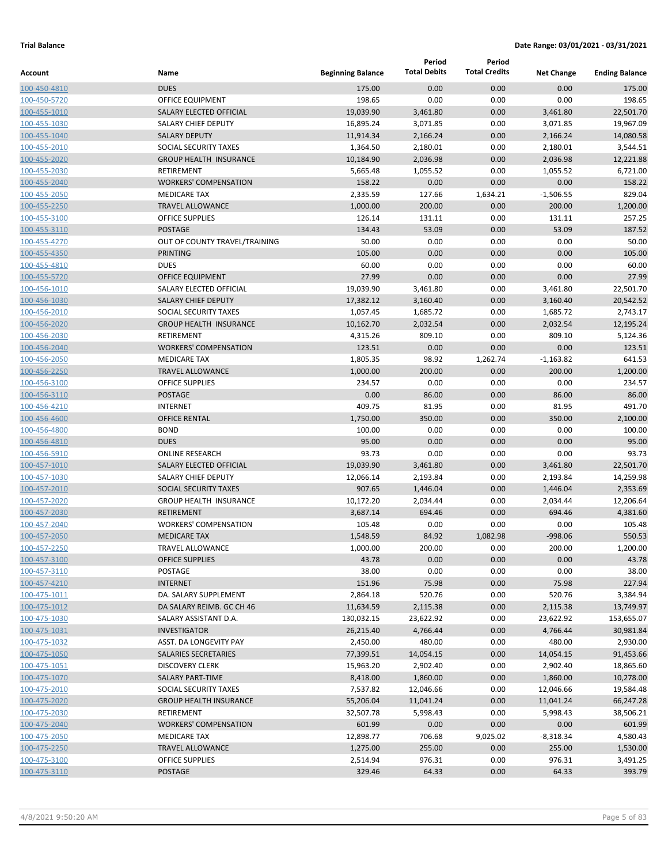| <b>Total Debits</b><br><b>Total Credits</b><br><b>Beginning Balance</b><br>Name<br><b>Net Change</b><br><b>Ending Balance</b><br><b>DUES</b><br>0.00<br>175.00<br>0.00<br>175.00<br>100-450-4810<br>0.00<br>0.00<br>OFFICE EQUIPMENT<br>198.65<br>0.00<br>0.00<br>198.65<br>100-450-5720<br>19,039.90<br>22,501.70<br>SALARY ELECTED OFFICIAL<br>3,461.80<br>0.00<br>3,461.80<br>100-455-1010<br>16,895.24<br>19,967.09<br>SALARY CHIEF DEPUTY<br>3,071.85<br>0.00<br>3,071.85<br>100-455-1030<br>0.00<br>14,080.58<br>100-455-1040<br><b>SALARY DEPUTY</b><br>11,914.34<br>2,166.24<br>2,166.24<br>3,544.51<br>SOCIAL SECURITY TAXES<br>1,364.50<br>2,180.01<br>0.00<br>2,180.01<br>100-455-2010<br><b>GROUP HEALTH INSURANCE</b><br>10,184.90<br>2,036.98<br>0.00<br>2,036.98<br>12,221.88<br>100-455-2020<br>6,721.00<br>100-455-2030<br>RETIREMENT<br>5,665.48<br>1,055.52<br>0.00<br>1,055.52<br>158.22<br>100-455-2040<br><b>WORKERS' COMPENSATION</b><br>0.00<br>0.00<br>0.00<br>158.22<br><b>MEDICARE TAX</b><br>2,335.59<br>127.66<br>$-1,506.55$<br>829.04<br>1,634.21<br>100-455-2050<br>200.00<br>200.00<br>1,200.00<br><b>TRAVEL ALLOWANCE</b><br>1,000.00<br>0.00<br>100-455-2250<br>257.25<br><b>OFFICE SUPPLIES</b><br>126.14<br>131.11<br>0.00<br>131.11<br>100-455-3100<br><b>POSTAGE</b><br>134.43<br>53.09<br>53.09<br>0.00<br>187.52<br>100-455-3110<br>0.00<br>50.00<br>OUT OF COUNTY TRAVEL/TRAINING<br>50.00<br>0.00<br>0.00<br>100-455-4270<br><b>PRINTING</b><br>105.00<br>0.00<br>0.00<br>0.00<br>105.00<br>100-455-4350<br>60.00<br>0.00<br>60.00<br><b>DUES</b><br>0.00<br>0.00<br>100-455-4810<br>27.99<br>0.00<br>27.99<br>100-455-5720<br><b>OFFICE EQUIPMENT</b><br>0.00<br>0.00<br>SALARY ELECTED OFFICIAL<br>19,039.90<br>3,461.80<br>0.00<br>3,461.80<br>22,501.70<br>100-456-1010<br>20,542.52<br>100-456-1030<br><b>SALARY CHIEF DEPUTY</b><br>17,382.12<br>3,160.40<br>0.00<br>3,160.40<br>SOCIAL SECURITY TAXES<br>0.00<br>2,743.17<br>1,057.45<br>1,685.72<br>1,685.72<br>100-456-2010<br>12,195.24<br><b>GROUP HEALTH INSURANCE</b><br>10,162.70<br>2,032.54<br>0.00<br>2,032.54<br>100-456-2020<br><b>RETIREMENT</b><br>4,315.26<br>809.10<br>0.00<br>809.10<br>5,124.36<br>100-456-2030<br>123.51<br>0.00<br>0.00<br>123.51<br><b>WORKERS' COMPENSATION</b><br>0.00<br>100-456-2040<br>98.92<br>1,262.74<br>641.53<br><b>MEDICARE TAX</b><br>1,805.35<br>$-1,163.82$<br>100-456-2050<br>200.00<br>0.00<br>200.00<br>1,200.00<br><b>TRAVEL ALLOWANCE</b><br>1,000.00<br>100-456-2250<br>0.00<br><b>OFFICE SUPPLIES</b><br>234.57<br>0.00<br>0.00<br>234.57<br>100-456-3100<br>86.00<br><b>POSTAGE</b><br>0.00<br>86.00<br>0.00<br>86.00<br>100-456-3110<br>409.75<br>491.70<br><b>INTERNET</b><br>81.95<br>0.00<br>81.95<br>100-456-4210<br>350.00<br>2,100.00<br>100-456-4600<br><b>OFFICE RENTAL</b><br>1,750.00<br>0.00<br>350.00<br><b>BOND</b><br>100.00<br>0.00<br>0.00<br>0.00<br>100.00<br>100-456-4800<br>95.00<br>0.00<br>95.00<br><b>DUES</b><br>0.00<br>0.00<br>100-456-4810<br>93.73<br>0.00<br>93.73<br><b>ONLINE RESEARCH</b><br>0.00<br>0.00<br>100-456-5910<br>22,501.70<br>SALARY ELECTED OFFICIAL<br>19,039.90<br>3,461.80<br>0.00<br>3,461.80<br>100-457-1010<br>14,259.98<br><b>SALARY CHIEF DEPUTY</b><br>12,066.14<br>2,193.84<br>0.00<br>2,193.84<br>100-457-1030<br>SOCIAL SECURITY TAXES<br>907.65<br>0.00<br>2,353.69<br>100-457-2010<br>1,446.04<br>1,446.04<br><b>GROUP HEALTH INSURANCE</b><br>10,172.20<br>0.00<br>2,034.44<br>12,206.64<br>2,034.44<br>694.46<br><b>RETIREMENT</b><br>3,687.14<br>0.00<br>694.46<br>4,381.60<br>100-457-2030<br><b>WORKERS' COMPENSATION</b><br>105.48<br>0.00<br>0.00<br>0.00<br>105.48<br>84.92<br><b>MEDICARE TAX</b><br>1,548.59<br>1,082.98<br>$-998.06$<br>550.53<br>100-457-2250<br>TRAVEL ALLOWANCE<br>1,000.00<br>200.00<br>0.00<br>200.00<br>1,200.00<br><b>OFFICE SUPPLIES</b><br>43.78<br>0.00<br>0.00<br>0.00<br>43.78<br>38.00<br>0.00<br>POSTAGE<br>0.00<br>0.00<br>38.00<br><b>INTERNET</b><br>151.96<br>75.98<br>0.00<br>75.98<br>227.94<br>DA. SALARY SUPPLEMENT<br>2,864.18<br>520.76<br>0.00<br>520.76<br>3,384.94<br>DA SALARY REIMB. GC CH 46<br>11,634.59<br>2,115.38<br>0.00<br>2,115.38<br>13,749.97<br>23,622.92<br>0.00<br>153,655.07<br>SALARY ASSISTANT D.A.<br>130,032.15<br>23,622.92<br><b>INVESTIGATOR</b><br>26,215.40<br>4,766.44<br>0.00<br>4,766.44<br>30,981.84<br>480.00<br>ASST. DA LONGEVITY PAY<br>2,450.00<br>480.00<br>0.00<br>2,930.00<br>SALARIES SECRETARIES<br>77,399.51<br>14,054.15<br>0.00<br>14,054.15<br>91,453.66<br><b>DISCOVERY CLERK</b><br>15,963.20<br>2,902.40<br>0.00<br>2,902.40<br>18,865.60<br>SALARY PART-TIME<br>8,418.00<br>1,860.00<br>0.00<br>1,860.00<br>10,278.00<br>SOCIAL SECURITY TAXES<br>7,537.82<br>12,046.66<br>0.00<br>12,046.66<br>19,584.48<br><b>GROUP HEALTH INSURANCE</b><br>55,206.04<br>11,041.24<br>0.00<br>11,041.24<br>66,247.28<br>RETIREMENT<br>32,507.78<br>5,998.43<br>0.00<br>5,998.43<br>38,506.21<br><b>WORKERS' COMPENSATION</b><br>601.99<br>0.00<br>0.00<br>0.00<br>601.99<br><b>MEDICARE TAX</b><br>12,898.77<br>706.68<br>9,025.02<br>$-8,318.34$<br>4,580.43<br>255.00<br><b>TRAVEL ALLOWANCE</b><br>1,275.00<br>255.00<br>0.00<br>1,530.00<br>OFFICE SUPPLIES<br>2,514.94<br>976.31<br>0.00<br>976.31<br>3,491.25<br>64.33<br>POSTAGE<br>329.46<br>64.33<br>0.00<br>393.79 |              |  | Period | Period |  |
|----------------------------------------------------------------------------------------------------------------------------------------------------------------------------------------------------------------------------------------------------------------------------------------------------------------------------------------------------------------------------------------------------------------------------------------------------------------------------------------------------------------------------------------------------------------------------------------------------------------------------------------------------------------------------------------------------------------------------------------------------------------------------------------------------------------------------------------------------------------------------------------------------------------------------------------------------------------------------------------------------------------------------------------------------------------------------------------------------------------------------------------------------------------------------------------------------------------------------------------------------------------------------------------------------------------------------------------------------------------------------------------------------------------------------------------------------------------------------------------------------------------------------------------------------------------------------------------------------------------------------------------------------------------------------------------------------------------------------------------------------------------------------------------------------------------------------------------------------------------------------------------------------------------------------------------------------------------------------------------------------------------------------------------------------------------------------------------------------------------------------------------------------------------------------------------------------------------------------------------------------------------------------------------------------------------------------------------------------------------------------------------------------------------------------------------------------------------------------------------------------------------------------------------------------------------------------------------------------------------------------------------------------------------------------------------------------------------------------------------------------------------------------------------------------------------------------------------------------------------------------------------------------------------------------------------------------------------------------------------------------------------------------------------------------------------------------------------------------------------------------------------------------------------------------------------------------------------------------------------------------------------------------------------------------------------------------------------------------------------------------------------------------------------------------------------------------------------------------------------------------------------------------------------------------------------------------------------------------------------------------------------------------------------------------------------------------------------------------------------------------------------------------------------------------------------------------------------------------------------------------------------------------------------------------------------------------------------------------------------------------------------------------------------------------------------------------------------------------------------------------------------------------------------------------------------------------------------------------------------------------------------------------------------------------------------------------------------------------------------------------------------------------------------------------------------------------------------------------------------------------------------------------------------------------------------------------------------------------------------------------------------------------------------------------------------------------------------------------------------------------------------------------------------------------------------------------------------------------------------------------------------------------------------------------------------------------------------------------------------------------------------------------------------------------------------------------------------------------------------------------------------------------------------------------------------------------------------------------------------------------------------------------------------------------------------------------------------------------------------------------------------------|--------------|--|--------|--------|--|
|                                                                                                                                                                                                                                                                                                                                                                                                                                                                                                                                                                                                                                                                                                                                                                                                                                                                                                                                                                                                                                                                                                                                                                                                                                                                                                                                                                                                                                                                                                                                                                                                                                                                                                                                                                                                                                                                                                                                                                                                                                                                                                                                                                                                                                                                                                                                                                                                                                                                                                                                                                                                                                                                                                                                                                                                                                                                                                                                                                                                                                                                                                                                                                                                                                                                                                                                                                                                                                                                                                                                                                                                                                                                                                                                                                                                                                                                                                                                                                                                                                                                                                                                                                                                                                                                                                                                                                                                                                                                                                                                                                                                                                                                                                                                                                                                                                                                                                                                                                                                                                                                                                                                                                                                                                                                                                                                                                                              | Account      |  |        |        |  |
|                                                                                                                                                                                                                                                                                                                                                                                                                                                                                                                                                                                                                                                                                                                                                                                                                                                                                                                                                                                                                                                                                                                                                                                                                                                                                                                                                                                                                                                                                                                                                                                                                                                                                                                                                                                                                                                                                                                                                                                                                                                                                                                                                                                                                                                                                                                                                                                                                                                                                                                                                                                                                                                                                                                                                                                                                                                                                                                                                                                                                                                                                                                                                                                                                                                                                                                                                                                                                                                                                                                                                                                                                                                                                                                                                                                                                                                                                                                                                                                                                                                                                                                                                                                                                                                                                                                                                                                                                                                                                                                                                                                                                                                                                                                                                                                                                                                                                                                                                                                                                                                                                                                                                                                                                                                                                                                                                                                              |              |  |        |        |  |
|                                                                                                                                                                                                                                                                                                                                                                                                                                                                                                                                                                                                                                                                                                                                                                                                                                                                                                                                                                                                                                                                                                                                                                                                                                                                                                                                                                                                                                                                                                                                                                                                                                                                                                                                                                                                                                                                                                                                                                                                                                                                                                                                                                                                                                                                                                                                                                                                                                                                                                                                                                                                                                                                                                                                                                                                                                                                                                                                                                                                                                                                                                                                                                                                                                                                                                                                                                                                                                                                                                                                                                                                                                                                                                                                                                                                                                                                                                                                                                                                                                                                                                                                                                                                                                                                                                                                                                                                                                                                                                                                                                                                                                                                                                                                                                                                                                                                                                                                                                                                                                                                                                                                                                                                                                                                                                                                                                                              |              |  |        |        |  |
|                                                                                                                                                                                                                                                                                                                                                                                                                                                                                                                                                                                                                                                                                                                                                                                                                                                                                                                                                                                                                                                                                                                                                                                                                                                                                                                                                                                                                                                                                                                                                                                                                                                                                                                                                                                                                                                                                                                                                                                                                                                                                                                                                                                                                                                                                                                                                                                                                                                                                                                                                                                                                                                                                                                                                                                                                                                                                                                                                                                                                                                                                                                                                                                                                                                                                                                                                                                                                                                                                                                                                                                                                                                                                                                                                                                                                                                                                                                                                                                                                                                                                                                                                                                                                                                                                                                                                                                                                                                                                                                                                                                                                                                                                                                                                                                                                                                                                                                                                                                                                                                                                                                                                                                                                                                                                                                                                                                              |              |  |        |        |  |
|                                                                                                                                                                                                                                                                                                                                                                                                                                                                                                                                                                                                                                                                                                                                                                                                                                                                                                                                                                                                                                                                                                                                                                                                                                                                                                                                                                                                                                                                                                                                                                                                                                                                                                                                                                                                                                                                                                                                                                                                                                                                                                                                                                                                                                                                                                                                                                                                                                                                                                                                                                                                                                                                                                                                                                                                                                                                                                                                                                                                                                                                                                                                                                                                                                                                                                                                                                                                                                                                                                                                                                                                                                                                                                                                                                                                                                                                                                                                                                                                                                                                                                                                                                                                                                                                                                                                                                                                                                                                                                                                                                                                                                                                                                                                                                                                                                                                                                                                                                                                                                                                                                                                                                                                                                                                                                                                                                                              |              |  |        |        |  |
|                                                                                                                                                                                                                                                                                                                                                                                                                                                                                                                                                                                                                                                                                                                                                                                                                                                                                                                                                                                                                                                                                                                                                                                                                                                                                                                                                                                                                                                                                                                                                                                                                                                                                                                                                                                                                                                                                                                                                                                                                                                                                                                                                                                                                                                                                                                                                                                                                                                                                                                                                                                                                                                                                                                                                                                                                                                                                                                                                                                                                                                                                                                                                                                                                                                                                                                                                                                                                                                                                                                                                                                                                                                                                                                                                                                                                                                                                                                                                                                                                                                                                                                                                                                                                                                                                                                                                                                                                                                                                                                                                                                                                                                                                                                                                                                                                                                                                                                                                                                                                                                                                                                                                                                                                                                                                                                                                                                              |              |  |        |        |  |
|                                                                                                                                                                                                                                                                                                                                                                                                                                                                                                                                                                                                                                                                                                                                                                                                                                                                                                                                                                                                                                                                                                                                                                                                                                                                                                                                                                                                                                                                                                                                                                                                                                                                                                                                                                                                                                                                                                                                                                                                                                                                                                                                                                                                                                                                                                                                                                                                                                                                                                                                                                                                                                                                                                                                                                                                                                                                                                                                                                                                                                                                                                                                                                                                                                                                                                                                                                                                                                                                                                                                                                                                                                                                                                                                                                                                                                                                                                                                                                                                                                                                                                                                                                                                                                                                                                                                                                                                                                                                                                                                                                                                                                                                                                                                                                                                                                                                                                                                                                                                                                                                                                                                                                                                                                                                                                                                                                                              |              |  |        |        |  |
|                                                                                                                                                                                                                                                                                                                                                                                                                                                                                                                                                                                                                                                                                                                                                                                                                                                                                                                                                                                                                                                                                                                                                                                                                                                                                                                                                                                                                                                                                                                                                                                                                                                                                                                                                                                                                                                                                                                                                                                                                                                                                                                                                                                                                                                                                                                                                                                                                                                                                                                                                                                                                                                                                                                                                                                                                                                                                                                                                                                                                                                                                                                                                                                                                                                                                                                                                                                                                                                                                                                                                                                                                                                                                                                                                                                                                                                                                                                                                                                                                                                                                                                                                                                                                                                                                                                                                                                                                                                                                                                                                                                                                                                                                                                                                                                                                                                                                                                                                                                                                                                                                                                                                                                                                                                                                                                                                                                              |              |  |        |        |  |
|                                                                                                                                                                                                                                                                                                                                                                                                                                                                                                                                                                                                                                                                                                                                                                                                                                                                                                                                                                                                                                                                                                                                                                                                                                                                                                                                                                                                                                                                                                                                                                                                                                                                                                                                                                                                                                                                                                                                                                                                                                                                                                                                                                                                                                                                                                                                                                                                                                                                                                                                                                                                                                                                                                                                                                                                                                                                                                                                                                                                                                                                                                                                                                                                                                                                                                                                                                                                                                                                                                                                                                                                                                                                                                                                                                                                                                                                                                                                                                                                                                                                                                                                                                                                                                                                                                                                                                                                                                                                                                                                                                                                                                                                                                                                                                                                                                                                                                                                                                                                                                                                                                                                                                                                                                                                                                                                                                                              |              |  |        |        |  |
|                                                                                                                                                                                                                                                                                                                                                                                                                                                                                                                                                                                                                                                                                                                                                                                                                                                                                                                                                                                                                                                                                                                                                                                                                                                                                                                                                                                                                                                                                                                                                                                                                                                                                                                                                                                                                                                                                                                                                                                                                                                                                                                                                                                                                                                                                                                                                                                                                                                                                                                                                                                                                                                                                                                                                                                                                                                                                                                                                                                                                                                                                                                                                                                                                                                                                                                                                                                                                                                                                                                                                                                                                                                                                                                                                                                                                                                                                                                                                                                                                                                                                                                                                                                                                                                                                                                                                                                                                                                                                                                                                                                                                                                                                                                                                                                                                                                                                                                                                                                                                                                                                                                                                                                                                                                                                                                                                                                              |              |  |        |        |  |
|                                                                                                                                                                                                                                                                                                                                                                                                                                                                                                                                                                                                                                                                                                                                                                                                                                                                                                                                                                                                                                                                                                                                                                                                                                                                                                                                                                                                                                                                                                                                                                                                                                                                                                                                                                                                                                                                                                                                                                                                                                                                                                                                                                                                                                                                                                                                                                                                                                                                                                                                                                                                                                                                                                                                                                                                                                                                                                                                                                                                                                                                                                                                                                                                                                                                                                                                                                                                                                                                                                                                                                                                                                                                                                                                                                                                                                                                                                                                                                                                                                                                                                                                                                                                                                                                                                                                                                                                                                                                                                                                                                                                                                                                                                                                                                                                                                                                                                                                                                                                                                                                                                                                                                                                                                                                                                                                                                                              |              |  |        |        |  |
|                                                                                                                                                                                                                                                                                                                                                                                                                                                                                                                                                                                                                                                                                                                                                                                                                                                                                                                                                                                                                                                                                                                                                                                                                                                                                                                                                                                                                                                                                                                                                                                                                                                                                                                                                                                                                                                                                                                                                                                                                                                                                                                                                                                                                                                                                                                                                                                                                                                                                                                                                                                                                                                                                                                                                                                                                                                                                                                                                                                                                                                                                                                                                                                                                                                                                                                                                                                                                                                                                                                                                                                                                                                                                                                                                                                                                                                                                                                                                                                                                                                                                                                                                                                                                                                                                                                                                                                                                                                                                                                                                                                                                                                                                                                                                                                                                                                                                                                                                                                                                                                                                                                                                                                                                                                                                                                                                                                              |              |  |        |        |  |
|                                                                                                                                                                                                                                                                                                                                                                                                                                                                                                                                                                                                                                                                                                                                                                                                                                                                                                                                                                                                                                                                                                                                                                                                                                                                                                                                                                                                                                                                                                                                                                                                                                                                                                                                                                                                                                                                                                                                                                                                                                                                                                                                                                                                                                                                                                                                                                                                                                                                                                                                                                                                                                                                                                                                                                                                                                                                                                                                                                                                                                                                                                                                                                                                                                                                                                                                                                                                                                                                                                                                                                                                                                                                                                                                                                                                                                                                                                                                                                                                                                                                                                                                                                                                                                                                                                                                                                                                                                                                                                                                                                                                                                                                                                                                                                                                                                                                                                                                                                                                                                                                                                                                                                                                                                                                                                                                                                                              |              |  |        |        |  |
|                                                                                                                                                                                                                                                                                                                                                                                                                                                                                                                                                                                                                                                                                                                                                                                                                                                                                                                                                                                                                                                                                                                                                                                                                                                                                                                                                                                                                                                                                                                                                                                                                                                                                                                                                                                                                                                                                                                                                                                                                                                                                                                                                                                                                                                                                                                                                                                                                                                                                                                                                                                                                                                                                                                                                                                                                                                                                                                                                                                                                                                                                                                                                                                                                                                                                                                                                                                                                                                                                                                                                                                                                                                                                                                                                                                                                                                                                                                                                                                                                                                                                                                                                                                                                                                                                                                                                                                                                                                                                                                                                                                                                                                                                                                                                                                                                                                                                                                                                                                                                                                                                                                                                                                                                                                                                                                                                                                              |              |  |        |        |  |
|                                                                                                                                                                                                                                                                                                                                                                                                                                                                                                                                                                                                                                                                                                                                                                                                                                                                                                                                                                                                                                                                                                                                                                                                                                                                                                                                                                                                                                                                                                                                                                                                                                                                                                                                                                                                                                                                                                                                                                                                                                                                                                                                                                                                                                                                                                                                                                                                                                                                                                                                                                                                                                                                                                                                                                                                                                                                                                                                                                                                                                                                                                                                                                                                                                                                                                                                                                                                                                                                                                                                                                                                                                                                                                                                                                                                                                                                                                                                                                                                                                                                                                                                                                                                                                                                                                                                                                                                                                                                                                                                                                                                                                                                                                                                                                                                                                                                                                                                                                                                                                                                                                                                                                                                                                                                                                                                                                                              |              |  |        |        |  |
|                                                                                                                                                                                                                                                                                                                                                                                                                                                                                                                                                                                                                                                                                                                                                                                                                                                                                                                                                                                                                                                                                                                                                                                                                                                                                                                                                                                                                                                                                                                                                                                                                                                                                                                                                                                                                                                                                                                                                                                                                                                                                                                                                                                                                                                                                                                                                                                                                                                                                                                                                                                                                                                                                                                                                                                                                                                                                                                                                                                                                                                                                                                                                                                                                                                                                                                                                                                                                                                                                                                                                                                                                                                                                                                                                                                                                                                                                                                                                                                                                                                                                                                                                                                                                                                                                                                                                                                                                                                                                                                                                                                                                                                                                                                                                                                                                                                                                                                                                                                                                                                                                                                                                                                                                                                                                                                                                                                              |              |  |        |        |  |
|                                                                                                                                                                                                                                                                                                                                                                                                                                                                                                                                                                                                                                                                                                                                                                                                                                                                                                                                                                                                                                                                                                                                                                                                                                                                                                                                                                                                                                                                                                                                                                                                                                                                                                                                                                                                                                                                                                                                                                                                                                                                                                                                                                                                                                                                                                                                                                                                                                                                                                                                                                                                                                                                                                                                                                                                                                                                                                                                                                                                                                                                                                                                                                                                                                                                                                                                                                                                                                                                                                                                                                                                                                                                                                                                                                                                                                                                                                                                                                                                                                                                                                                                                                                                                                                                                                                                                                                                                                                                                                                                                                                                                                                                                                                                                                                                                                                                                                                                                                                                                                                                                                                                                                                                                                                                                                                                                                                              |              |  |        |        |  |
|                                                                                                                                                                                                                                                                                                                                                                                                                                                                                                                                                                                                                                                                                                                                                                                                                                                                                                                                                                                                                                                                                                                                                                                                                                                                                                                                                                                                                                                                                                                                                                                                                                                                                                                                                                                                                                                                                                                                                                                                                                                                                                                                                                                                                                                                                                                                                                                                                                                                                                                                                                                                                                                                                                                                                                                                                                                                                                                                                                                                                                                                                                                                                                                                                                                                                                                                                                                                                                                                                                                                                                                                                                                                                                                                                                                                                                                                                                                                                                                                                                                                                                                                                                                                                                                                                                                                                                                                                                                                                                                                                                                                                                                                                                                                                                                                                                                                                                                                                                                                                                                                                                                                                                                                                                                                                                                                                                                              |              |  |        |        |  |
|                                                                                                                                                                                                                                                                                                                                                                                                                                                                                                                                                                                                                                                                                                                                                                                                                                                                                                                                                                                                                                                                                                                                                                                                                                                                                                                                                                                                                                                                                                                                                                                                                                                                                                                                                                                                                                                                                                                                                                                                                                                                                                                                                                                                                                                                                                                                                                                                                                                                                                                                                                                                                                                                                                                                                                                                                                                                                                                                                                                                                                                                                                                                                                                                                                                                                                                                                                                                                                                                                                                                                                                                                                                                                                                                                                                                                                                                                                                                                                                                                                                                                                                                                                                                                                                                                                                                                                                                                                                                                                                                                                                                                                                                                                                                                                                                                                                                                                                                                                                                                                                                                                                                                                                                                                                                                                                                                                                              |              |  |        |        |  |
|                                                                                                                                                                                                                                                                                                                                                                                                                                                                                                                                                                                                                                                                                                                                                                                                                                                                                                                                                                                                                                                                                                                                                                                                                                                                                                                                                                                                                                                                                                                                                                                                                                                                                                                                                                                                                                                                                                                                                                                                                                                                                                                                                                                                                                                                                                                                                                                                                                                                                                                                                                                                                                                                                                                                                                                                                                                                                                                                                                                                                                                                                                                                                                                                                                                                                                                                                                                                                                                                                                                                                                                                                                                                                                                                                                                                                                                                                                                                                                                                                                                                                                                                                                                                                                                                                                                                                                                                                                                                                                                                                                                                                                                                                                                                                                                                                                                                                                                                                                                                                                                                                                                                                                                                                                                                                                                                                                                              |              |  |        |        |  |
|                                                                                                                                                                                                                                                                                                                                                                                                                                                                                                                                                                                                                                                                                                                                                                                                                                                                                                                                                                                                                                                                                                                                                                                                                                                                                                                                                                                                                                                                                                                                                                                                                                                                                                                                                                                                                                                                                                                                                                                                                                                                                                                                                                                                                                                                                                                                                                                                                                                                                                                                                                                                                                                                                                                                                                                                                                                                                                                                                                                                                                                                                                                                                                                                                                                                                                                                                                                                                                                                                                                                                                                                                                                                                                                                                                                                                                                                                                                                                                                                                                                                                                                                                                                                                                                                                                                                                                                                                                                                                                                                                                                                                                                                                                                                                                                                                                                                                                                                                                                                                                                                                                                                                                                                                                                                                                                                                                                              |              |  |        |        |  |
|                                                                                                                                                                                                                                                                                                                                                                                                                                                                                                                                                                                                                                                                                                                                                                                                                                                                                                                                                                                                                                                                                                                                                                                                                                                                                                                                                                                                                                                                                                                                                                                                                                                                                                                                                                                                                                                                                                                                                                                                                                                                                                                                                                                                                                                                                                                                                                                                                                                                                                                                                                                                                                                                                                                                                                                                                                                                                                                                                                                                                                                                                                                                                                                                                                                                                                                                                                                                                                                                                                                                                                                                                                                                                                                                                                                                                                                                                                                                                                                                                                                                                                                                                                                                                                                                                                                                                                                                                                                                                                                                                                                                                                                                                                                                                                                                                                                                                                                                                                                                                                                                                                                                                                                                                                                                                                                                                                                              |              |  |        |        |  |
|                                                                                                                                                                                                                                                                                                                                                                                                                                                                                                                                                                                                                                                                                                                                                                                                                                                                                                                                                                                                                                                                                                                                                                                                                                                                                                                                                                                                                                                                                                                                                                                                                                                                                                                                                                                                                                                                                                                                                                                                                                                                                                                                                                                                                                                                                                                                                                                                                                                                                                                                                                                                                                                                                                                                                                                                                                                                                                                                                                                                                                                                                                                                                                                                                                                                                                                                                                                                                                                                                                                                                                                                                                                                                                                                                                                                                                                                                                                                                                                                                                                                                                                                                                                                                                                                                                                                                                                                                                                                                                                                                                                                                                                                                                                                                                                                                                                                                                                                                                                                                                                                                                                                                                                                                                                                                                                                                                                              |              |  |        |        |  |
|                                                                                                                                                                                                                                                                                                                                                                                                                                                                                                                                                                                                                                                                                                                                                                                                                                                                                                                                                                                                                                                                                                                                                                                                                                                                                                                                                                                                                                                                                                                                                                                                                                                                                                                                                                                                                                                                                                                                                                                                                                                                                                                                                                                                                                                                                                                                                                                                                                                                                                                                                                                                                                                                                                                                                                                                                                                                                                                                                                                                                                                                                                                                                                                                                                                                                                                                                                                                                                                                                                                                                                                                                                                                                                                                                                                                                                                                                                                                                                                                                                                                                                                                                                                                                                                                                                                                                                                                                                                                                                                                                                                                                                                                                                                                                                                                                                                                                                                                                                                                                                                                                                                                                                                                                                                                                                                                                                                              |              |  |        |        |  |
|                                                                                                                                                                                                                                                                                                                                                                                                                                                                                                                                                                                                                                                                                                                                                                                                                                                                                                                                                                                                                                                                                                                                                                                                                                                                                                                                                                                                                                                                                                                                                                                                                                                                                                                                                                                                                                                                                                                                                                                                                                                                                                                                                                                                                                                                                                                                                                                                                                                                                                                                                                                                                                                                                                                                                                                                                                                                                                                                                                                                                                                                                                                                                                                                                                                                                                                                                                                                                                                                                                                                                                                                                                                                                                                                                                                                                                                                                                                                                                                                                                                                                                                                                                                                                                                                                                                                                                                                                                                                                                                                                                                                                                                                                                                                                                                                                                                                                                                                                                                                                                                                                                                                                                                                                                                                                                                                                                                              |              |  |        |        |  |
|                                                                                                                                                                                                                                                                                                                                                                                                                                                                                                                                                                                                                                                                                                                                                                                                                                                                                                                                                                                                                                                                                                                                                                                                                                                                                                                                                                                                                                                                                                                                                                                                                                                                                                                                                                                                                                                                                                                                                                                                                                                                                                                                                                                                                                                                                                                                                                                                                                                                                                                                                                                                                                                                                                                                                                                                                                                                                                                                                                                                                                                                                                                                                                                                                                                                                                                                                                                                                                                                                                                                                                                                                                                                                                                                                                                                                                                                                                                                                                                                                                                                                                                                                                                                                                                                                                                                                                                                                                                                                                                                                                                                                                                                                                                                                                                                                                                                                                                                                                                                                                                                                                                                                                                                                                                                                                                                                                                              |              |  |        |        |  |
|                                                                                                                                                                                                                                                                                                                                                                                                                                                                                                                                                                                                                                                                                                                                                                                                                                                                                                                                                                                                                                                                                                                                                                                                                                                                                                                                                                                                                                                                                                                                                                                                                                                                                                                                                                                                                                                                                                                                                                                                                                                                                                                                                                                                                                                                                                                                                                                                                                                                                                                                                                                                                                                                                                                                                                                                                                                                                                                                                                                                                                                                                                                                                                                                                                                                                                                                                                                                                                                                                                                                                                                                                                                                                                                                                                                                                                                                                                                                                                                                                                                                                                                                                                                                                                                                                                                                                                                                                                                                                                                                                                                                                                                                                                                                                                                                                                                                                                                                                                                                                                                                                                                                                                                                                                                                                                                                                                                              |              |  |        |        |  |
|                                                                                                                                                                                                                                                                                                                                                                                                                                                                                                                                                                                                                                                                                                                                                                                                                                                                                                                                                                                                                                                                                                                                                                                                                                                                                                                                                                                                                                                                                                                                                                                                                                                                                                                                                                                                                                                                                                                                                                                                                                                                                                                                                                                                                                                                                                                                                                                                                                                                                                                                                                                                                                                                                                                                                                                                                                                                                                                                                                                                                                                                                                                                                                                                                                                                                                                                                                                                                                                                                                                                                                                                                                                                                                                                                                                                                                                                                                                                                                                                                                                                                                                                                                                                                                                                                                                                                                                                                                                                                                                                                                                                                                                                                                                                                                                                                                                                                                                                                                                                                                                                                                                                                                                                                                                                                                                                                                                              |              |  |        |        |  |
|                                                                                                                                                                                                                                                                                                                                                                                                                                                                                                                                                                                                                                                                                                                                                                                                                                                                                                                                                                                                                                                                                                                                                                                                                                                                                                                                                                                                                                                                                                                                                                                                                                                                                                                                                                                                                                                                                                                                                                                                                                                                                                                                                                                                                                                                                                                                                                                                                                                                                                                                                                                                                                                                                                                                                                                                                                                                                                                                                                                                                                                                                                                                                                                                                                                                                                                                                                                                                                                                                                                                                                                                                                                                                                                                                                                                                                                                                                                                                                                                                                                                                                                                                                                                                                                                                                                                                                                                                                                                                                                                                                                                                                                                                                                                                                                                                                                                                                                                                                                                                                                                                                                                                                                                                                                                                                                                                                                              |              |  |        |        |  |
|                                                                                                                                                                                                                                                                                                                                                                                                                                                                                                                                                                                                                                                                                                                                                                                                                                                                                                                                                                                                                                                                                                                                                                                                                                                                                                                                                                                                                                                                                                                                                                                                                                                                                                                                                                                                                                                                                                                                                                                                                                                                                                                                                                                                                                                                                                                                                                                                                                                                                                                                                                                                                                                                                                                                                                                                                                                                                                                                                                                                                                                                                                                                                                                                                                                                                                                                                                                                                                                                                                                                                                                                                                                                                                                                                                                                                                                                                                                                                                                                                                                                                                                                                                                                                                                                                                                                                                                                                                                                                                                                                                                                                                                                                                                                                                                                                                                                                                                                                                                                                                                                                                                                                                                                                                                                                                                                                                                              |              |  |        |        |  |
|                                                                                                                                                                                                                                                                                                                                                                                                                                                                                                                                                                                                                                                                                                                                                                                                                                                                                                                                                                                                                                                                                                                                                                                                                                                                                                                                                                                                                                                                                                                                                                                                                                                                                                                                                                                                                                                                                                                                                                                                                                                                                                                                                                                                                                                                                                                                                                                                                                                                                                                                                                                                                                                                                                                                                                                                                                                                                                                                                                                                                                                                                                                                                                                                                                                                                                                                                                                                                                                                                                                                                                                                                                                                                                                                                                                                                                                                                                                                                                                                                                                                                                                                                                                                                                                                                                                                                                                                                                                                                                                                                                                                                                                                                                                                                                                                                                                                                                                                                                                                                                                                                                                                                                                                                                                                                                                                                                                              |              |  |        |        |  |
|                                                                                                                                                                                                                                                                                                                                                                                                                                                                                                                                                                                                                                                                                                                                                                                                                                                                                                                                                                                                                                                                                                                                                                                                                                                                                                                                                                                                                                                                                                                                                                                                                                                                                                                                                                                                                                                                                                                                                                                                                                                                                                                                                                                                                                                                                                                                                                                                                                                                                                                                                                                                                                                                                                                                                                                                                                                                                                                                                                                                                                                                                                                                                                                                                                                                                                                                                                                                                                                                                                                                                                                                                                                                                                                                                                                                                                                                                                                                                                                                                                                                                                                                                                                                                                                                                                                                                                                                                                                                                                                                                                                                                                                                                                                                                                                                                                                                                                                                                                                                                                                                                                                                                                                                                                                                                                                                                                                              |              |  |        |        |  |
|                                                                                                                                                                                                                                                                                                                                                                                                                                                                                                                                                                                                                                                                                                                                                                                                                                                                                                                                                                                                                                                                                                                                                                                                                                                                                                                                                                                                                                                                                                                                                                                                                                                                                                                                                                                                                                                                                                                                                                                                                                                                                                                                                                                                                                                                                                                                                                                                                                                                                                                                                                                                                                                                                                                                                                                                                                                                                                                                                                                                                                                                                                                                                                                                                                                                                                                                                                                                                                                                                                                                                                                                                                                                                                                                                                                                                                                                                                                                                                                                                                                                                                                                                                                                                                                                                                                                                                                                                                                                                                                                                                                                                                                                                                                                                                                                                                                                                                                                                                                                                                                                                                                                                                                                                                                                                                                                                                                              |              |  |        |        |  |
|                                                                                                                                                                                                                                                                                                                                                                                                                                                                                                                                                                                                                                                                                                                                                                                                                                                                                                                                                                                                                                                                                                                                                                                                                                                                                                                                                                                                                                                                                                                                                                                                                                                                                                                                                                                                                                                                                                                                                                                                                                                                                                                                                                                                                                                                                                                                                                                                                                                                                                                                                                                                                                                                                                                                                                                                                                                                                                                                                                                                                                                                                                                                                                                                                                                                                                                                                                                                                                                                                                                                                                                                                                                                                                                                                                                                                                                                                                                                                                                                                                                                                                                                                                                                                                                                                                                                                                                                                                                                                                                                                                                                                                                                                                                                                                                                                                                                                                                                                                                                                                                                                                                                                                                                                                                                                                                                                                                              |              |  |        |        |  |
|                                                                                                                                                                                                                                                                                                                                                                                                                                                                                                                                                                                                                                                                                                                                                                                                                                                                                                                                                                                                                                                                                                                                                                                                                                                                                                                                                                                                                                                                                                                                                                                                                                                                                                                                                                                                                                                                                                                                                                                                                                                                                                                                                                                                                                                                                                                                                                                                                                                                                                                                                                                                                                                                                                                                                                                                                                                                                                                                                                                                                                                                                                                                                                                                                                                                                                                                                                                                                                                                                                                                                                                                                                                                                                                                                                                                                                                                                                                                                                                                                                                                                                                                                                                                                                                                                                                                                                                                                                                                                                                                                                                                                                                                                                                                                                                                                                                                                                                                                                                                                                                                                                                                                                                                                                                                                                                                                                                              |              |  |        |        |  |
|                                                                                                                                                                                                                                                                                                                                                                                                                                                                                                                                                                                                                                                                                                                                                                                                                                                                                                                                                                                                                                                                                                                                                                                                                                                                                                                                                                                                                                                                                                                                                                                                                                                                                                                                                                                                                                                                                                                                                                                                                                                                                                                                                                                                                                                                                                                                                                                                                                                                                                                                                                                                                                                                                                                                                                                                                                                                                                                                                                                                                                                                                                                                                                                                                                                                                                                                                                                                                                                                                                                                                                                                                                                                                                                                                                                                                                                                                                                                                                                                                                                                                                                                                                                                                                                                                                                                                                                                                                                                                                                                                                                                                                                                                                                                                                                                                                                                                                                                                                                                                                                                                                                                                                                                                                                                                                                                                                                              |              |  |        |        |  |
|                                                                                                                                                                                                                                                                                                                                                                                                                                                                                                                                                                                                                                                                                                                                                                                                                                                                                                                                                                                                                                                                                                                                                                                                                                                                                                                                                                                                                                                                                                                                                                                                                                                                                                                                                                                                                                                                                                                                                                                                                                                                                                                                                                                                                                                                                                                                                                                                                                                                                                                                                                                                                                                                                                                                                                                                                                                                                                                                                                                                                                                                                                                                                                                                                                                                                                                                                                                                                                                                                                                                                                                                                                                                                                                                                                                                                                                                                                                                                                                                                                                                                                                                                                                                                                                                                                                                                                                                                                                                                                                                                                                                                                                                                                                                                                                                                                                                                                                                                                                                                                                                                                                                                                                                                                                                                                                                                                                              | 100-457-2020 |  |        |        |  |
|                                                                                                                                                                                                                                                                                                                                                                                                                                                                                                                                                                                                                                                                                                                                                                                                                                                                                                                                                                                                                                                                                                                                                                                                                                                                                                                                                                                                                                                                                                                                                                                                                                                                                                                                                                                                                                                                                                                                                                                                                                                                                                                                                                                                                                                                                                                                                                                                                                                                                                                                                                                                                                                                                                                                                                                                                                                                                                                                                                                                                                                                                                                                                                                                                                                                                                                                                                                                                                                                                                                                                                                                                                                                                                                                                                                                                                                                                                                                                                                                                                                                                                                                                                                                                                                                                                                                                                                                                                                                                                                                                                                                                                                                                                                                                                                                                                                                                                                                                                                                                                                                                                                                                                                                                                                                                                                                                                                              |              |  |        |        |  |
|                                                                                                                                                                                                                                                                                                                                                                                                                                                                                                                                                                                                                                                                                                                                                                                                                                                                                                                                                                                                                                                                                                                                                                                                                                                                                                                                                                                                                                                                                                                                                                                                                                                                                                                                                                                                                                                                                                                                                                                                                                                                                                                                                                                                                                                                                                                                                                                                                                                                                                                                                                                                                                                                                                                                                                                                                                                                                                                                                                                                                                                                                                                                                                                                                                                                                                                                                                                                                                                                                                                                                                                                                                                                                                                                                                                                                                                                                                                                                                                                                                                                                                                                                                                                                                                                                                                                                                                                                                                                                                                                                                                                                                                                                                                                                                                                                                                                                                                                                                                                                                                                                                                                                                                                                                                                                                                                                                                              | 100-457-2040 |  |        |        |  |
|                                                                                                                                                                                                                                                                                                                                                                                                                                                                                                                                                                                                                                                                                                                                                                                                                                                                                                                                                                                                                                                                                                                                                                                                                                                                                                                                                                                                                                                                                                                                                                                                                                                                                                                                                                                                                                                                                                                                                                                                                                                                                                                                                                                                                                                                                                                                                                                                                                                                                                                                                                                                                                                                                                                                                                                                                                                                                                                                                                                                                                                                                                                                                                                                                                                                                                                                                                                                                                                                                                                                                                                                                                                                                                                                                                                                                                                                                                                                                                                                                                                                                                                                                                                                                                                                                                                                                                                                                                                                                                                                                                                                                                                                                                                                                                                                                                                                                                                                                                                                                                                                                                                                                                                                                                                                                                                                                                                              | 100-457-2050 |  |        |        |  |
|                                                                                                                                                                                                                                                                                                                                                                                                                                                                                                                                                                                                                                                                                                                                                                                                                                                                                                                                                                                                                                                                                                                                                                                                                                                                                                                                                                                                                                                                                                                                                                                                                                                                                                                                                                                                                                                                                                                                                                                                                                                                                                                                                                                                                                                                                                                                                                                                                                                                                                                                                                                                                                                                                                                                                                                                                                                                                                                                                                                                                                                                                                                                                                                                                                                                                                                                                                                                                                                                                                                                                                                                                                                                                                                                                                                                                                                                                                                                                                                                                                                                                                                                                                                                                                                                                                                                                                                                                                                                                                                                                                                                                                                                                                                                                                                                                                                                                                                                                                                                                                                                                                                                                                                                                                                                                                                                                                                              |              |  |        |        |  |
|                                                                                                                                                                                                                                                                                                                                                                                                                                                                                                                                                                                                                                                                                                                                                                                                                                                                                                                                                                                                                                                                                                                                                                                                                                                                                                                                                                                                                                                                                                                                                                                                                                                                                                                                                                                                                                                                                                                                                                                                                                                                                                                                                                                                                                                                                                                                                                                                                                                                                                                                                                                                                                                                                                                                                                                                                                                                                                                                                                                                                                                                                                                                                                                                                                                                                                                                                                                                                                                                                                                                                                                                                                                                                                                                                                                                                                                                                                                                                                                                                                                                                                                                                                                                                                                                                                                                                                                                                                                                                                                                                                                                                                                                                                                                                                                                                                                                                                                                                                                                                                                                                                                                                                                                                                                                                                                                                                                              | 100-457-3100 |  |        |        |  |
|                                                                                                                                                                                                                                                                                                                                                                                                                                                                                                                                                                                                                                                                                                                                                                                                                                                                                                                                                                                                                                                                                                                                                                                                                                                                                                                                                                                                                                                                                                                                                                                                                                                                                                                                                                                                                                                                                                                                                                                                                                                                                                                                                                                                                                                                                                                                                                                                                                                                                                                                                                                                                                                                                                                                                                                                                                                                                                                                                                                                                                                                                                                                                                                                                                                                                                                                                                                                                                                                                                                                                                                                                                                                                                                                                                                                                                                                                                                                                                                                                                                                                                                                                                                                                                                                                                                                                                                                                                                                                                                                                                                                                                                                                                                                                                                                                                                                                                                                                                                                                                                                                                                                                                                                                                                                                                                                                                                              | 100-457-3110 |  |        |        |  |
|                                                                                                                                                                                                                                                                                                                                                                                                                                                                                                                                                                                                                                                                                                                                                                                                                                                                                                                                                                                                                                                                                                                                                                                                                                                                                                                                                                                                                                                                                                                                                                                                                                                                                                                                                                                                                                                                                                                                                                                                                                                                                                                                                                                                                                                                                                                                                                                                                                                                                                                                                                                                                                                                                                                                                                                                                                                                                                                                                                                                                                                                                                                                                                                                                                                                                                                                                                                                                                                                                                                                                                                                                                                                                                                                                                                                                                                                                                                                                                                                                                                                                                                                                                                                                                                                                                                                                                                                                                                                                                                                                                                                                                                                                                                                                                                                                                                                                                                                                                                                                                                                                                                                                                                                                                                                                                                                                                                              | 100-457-4210 |  |        |        |  |
|                                                                                                                                                                                                                                                                                                                                                                                                                                                                                                                                                                                                                                                                                                                                                                                                                                                                                                                                                                                                                                                                                                                                                                                                                                                                                                                                                                                                                                                                                                                                                                                                                                                                                                                                                                                                                                                                                                                                                                                                                                                                                                                                                                                                                                                                                                                                                                                                                                                                                                                                                                                                                                                                                                                                                                                                                                                                                                                                                                                                                                                                                                                                                                                                                                                                                                                                                                                                                                                                                                                                                                                                                                                                                                                                                                                                                                                                                                                                                                                                                                                                                                                                                                                                                                                                                                                                                                                                                                                                                                                                                                                                                                                                                                                                                                                                                                                                                                                                                                                                                                                                                                                                                                                                                                                                                                                                                                                              | 100-475-1011 |  |        |        |  |
|                                                                                                                                                                                                                                                                                                                                                                                                                                                                                                                                                                                                                                                                                                                                                                                                                                                                                                                                                                                                                                                                                                                                                                                                                                                                                                                                                                                                                                                                                                                                                                                                                                                                                                                                                                                                                                                                                                                                                                                                                                                                                                                                                                                                                                                                                                                                                                                                                                                                                                                                                                                                                                                                                                                                                                                                                                                                                                                                                                                                                                                                                                                                                                                                                                                                                                                                                                                                                                                                                                                                                                                                                                                                                                                                                                                                                                                                                                                                                                                                                                                                                                                                                                                                                                                                                                                                                                                                                                                                                                                                                                                                                                                                                                                                                                                                                                                                                                                                                                                                                                                                                                                                                                                                                                                                                                                                                                                              | 100-475-1012 |  |        |        |  |
|                                                                                                                                                                                                                                                                                                                                                                                                                                                                                                                                                                                                                                                                                                                                                                                                                                                                                                                                                                                                                                                                                                                                                                                                                                                                                                                                                                                                                                                                                                                                                                                                                                                                                                                                                                                                                                                                                                                                                                                                                                                                                                                                                                                                                                                                                                                                                                                                                                                                                                                                                                                                                                                                                                                                                                                                                                                                                                                                                                                                                                                                                                                                                                                                                                                                                                                                                                                                                                                                                                                                                                                                                                                                                                                                                                                                                                                                                                                                                                                                                                                                                                                                                                                                                                                                                                                                                                                                                                                                                                                                                                                                                                                                                                                                                                                                                                                                                                                                                                                                                                                                                                                                                                                                                                                                                                                                                                                              | 100-475-1030 |  |        |        |  |
|                                                                                                                                                                                                                                                                                                                                                                                                                                                                                                                                                                                                                                                                                                                                                                                                                                                                                                                                                                                                                                                                                                                                                                                                                                                                                                                                                                                                                                                                                                                                                                                                                                                                                                                                                                                                                                                                                                                                                                                                                                                                                                                                                                                                                                                                                                                                                                                                                                                                                                                                                                                                                                                                                                                                                                                                                                                                                                                                                                                                                                                                                                                                                                                                                                                                                                                                                                                                                                                                                                                                                                                                                                                                                                                                                                                                                                                                                                                                                                                                                                                                                                                                                                                                                                                                                                                                                                                                                                                                                                                                                                                                                                                                                                                                                                                                                                                                                                                                                                                                                                                                                                                                                                                                                                                                                                                                                                                              | 100-475-1031 |  |        |        |  |
|                                                                                                                                                                                                                                                                                                                                                                                                                                                                                                                                                                                                                                                                                                                                                                                                                                                                                                                                                                                                                                                                                                                                                                                                                                                                                                                                                                                                                                                                                                                                                                                                                                                                                                                                                                                                                                                                                                                                                                                                                                                                                                                                                                                                                                                                                                                                                                                                                                                                                                                                                                                                                                                                                                                                                                                                                                                                                                                                                                                                                                                                                                                                                                                                                                                                                                                                                                                                                                                                                                                                                                                                                                                                                                                                                                                                                                                                                                                                                                                                                                                                                                                                                                                                                                                                                                                                                                                                                                                                                                                                                                                                                                                                                                                                                                                                                                                                                                                                                                                                                                                                                                                                                                                                                                                                                                                                                                                              | 100-475-1032 |  |        |        |  |
|                                                                                                                                                                                                                                                                                                                                                                                                                                                                                                                                                                                                                                                                                                                                                                                                                                                                                                                                                                                                                                                                                                                                                                                                                                                                                                                                                                                                                                                                                                                                                                                                                                                                                                                                                                                                                                                                                                                                                                                                                                                                                                                                                                                                                                                                                                                                                                                                                                                                                                                                                                                                                                                                                                                                                                                                                                                                                                                                                                                                                                                                                                                                                                                                                                                                                                                                                                                                                                                                                                                                                                                                                                                                                                                                                                                                                                                                                                                                                                                                                                                                                                                                                                                                                                                                                                                                                                                                                                                                                                                                                                                                                                                                                                                                                                                                                                                                                                                                                                                                                                                                                                                                                                                                                                                                                                                                                                                              | 100-475-1050 |  |        |        |  |
|                                                                                                                                                                                                                                                                                                                                                                                                                                                                                                                                                                                                                                                                                                                                                                                                                                                                                                                                                                                                                                                                                                                                                                                                                                                                                                                                                                                                                                                                                                                                                                                                                                                                                                                                                                                                                                                                                                                                                                                                                                                                                                                                                                                                                                                                                                                                                                                                                                                                                                                                                                                                                                                                                                                                                                                                                                                                                                                                                                                                                                                                                                                                                                                                                                                                                                                                                                                                                                                                                                                                                                                                                                                                                                                                                                                                                                                                                                                                                                                                                                                                                                                                                                                                                                                                                                                                                                                                                                                                                                                                                                                                                                                                                                                                                                                                                                                                                                                                                                                                                                                                                                                                                                                                                                                                                                                                                                                              | 100-475-1051 |  |        |        |  |
|                                                                                                                                                                                                                                                                                                                                                                                                                                                                                                                                                                                                                                                                                                                                                                                                                                                                                                                                                                                                                                                                                                                                                                                                                                                                                                                                                                                                                                                                                                                                                                                                                                                                                                                                                                                                                                                                                                                                                                                                                                                                                                                                                                                                                                                                                                                                                                                                                                                                                                                                                                                                                                                                                                                                                                                                                                                                                                                                                                                                                                                                                                                                                                                                                                                                                                                                                                                                                                                                                                                                                                                                                                                                                                                                                                                                                                                                                                                                                                                                                                                                                                                                                                                                                                                                                                                                                                                                                                                                                                                                                                                                                                                                                                                                                                                                                                                                                                                                                                                                                                                                                                                                                                                                                                                                                                                                                                                              | 100-475-1070 |  |        |        |  |
|                                                                                                                                                                                                                                                                                                                                                                                                                                                                                                                                                                                                                                                                                                                                                                                                                                                                                                                                                                                                                                                                                                                                                                                                                                                                                                                                                                                                                                                                                                                                                                                                                                                                                                                                                                                                                                                                                                                                                                                                                                                                                                                                                                                                                                                                                                                                                                                                                                                                                                                                                                                                                                                                                                                                                                                                                                                                                                                                                                                                                                                                                                                                                                                                                                                                                                                                                                                                                                                                                                                                                                                                                                                                                                                                                                                                                                                                                                                                                                                                                                                                                                                                                                                                                                                                                                                                                                                                                                                                                                                                                                                                                                                                                                                                                                                                                                                                                                                                                                                                                                                                                                                                                                                                                                                                                                                                                                                              | 100-475-2010 |  |        |        |  |
|                                                                                                                                                                                                                                                                                                                                                                                                                                                                                                                                                                                                                                                                                                                                                                                                                                                                                                                                                                                                                                                                                                                                                                                                                                                                                                                                                                                                                                                                                                                                                                                                                                                                                                                                                                                                                                                                                                                                                                                                                                                                                                                                                                                                                                                                                                                                                                                                                                                                                                                                                                                                                                                                                                                                                                                                                                                                                                                                                                                                                                                                                                                                                                                                                                                                                                                                                                                                                                                                                                                                                                                                                                                                                                                                                                                                                                                                                                                                                                                                                                                                                                                                                                                                                                                                                                                                                                                                                                                                                                                                                                                                                                                                                                                                                                                                                                                                                                                                                                                                                                                                                                                                                                                                                                                                                                                                                                                              | 100-475-2020 |  |        |        |  |
|                                                                                                                                                                                                                                                                                                                                                                                                                                                                                                                                                                                                                                                                                                                                                                                                                                                                                                                                                                                                                                                                                                                                                                                                                                                                                                                                                                                                                                                                                                                                                                                                                                                                                                                                                                                                                                                                                                                                                                                                                                                                                                                                                                                                                                                                                                                                                                                                                                                                                                                                                                                                                                                                                                                                                                                                                                                                                                                                                                                                                                                                                                                                                                                                                                                                                                                                                                                                                                                                                                                                                                                                                                                                                                                                                                                                                                                                                                                                                                                                                                                                                                                                                                                                                                                                                                                                                                                                                                                                                                                                                                                                                                                                                                                                                                                                                                                                                                                                                                                                                                                                                                                                                                                                                                                                                                                                                                                              | 100-475-2030 |  |        |        |  |
|                                                                                                                                                                                                                                                                                                                                                                                                                                                                                                                                                                                                                                                                                                                                                                                                                                                                                                                                                                                                                                                                                                                                                                                                                                                                                                                                                                                                                                                                                                                                                                                                                                                                                                                                                                                                                                                                                                                                                                                                                                                                                                                                                                                                                                                                                                                                                                                                                                                                                                                                                                                                                                                                                                                                                                                                                                                                                                                                                                                                                                                                                                                                                                                                                                                                                                                                                                                                                                                                                                                                                                                                                                                                                                                                                                                                                                                                                                                                                                                                                                                                                                                                                                                                                                                                                                                                                                                                                                                                                                                                                                                                                                                                                                                                                                                                                                                                                                                                                                                                                                                                                                                                                                                                                                                                                                                                                                                              | 100-475-2040 |  |        |        |  |
|                                                                                                                                                                                                                                                                                                                                                                                                                                                                                                                                                                                                                                                                                                                                                                                                                                                                                                                                                                                                                                                                                                                                                                                                                                                                                                                                                                                                                                                                                                                                                                                                                                                                                                                                                                                                                                                                                                                                                                                                                                                                                                                                                                                                                                                                                                                                                                                                                                                                                                                                                                                                                                                                                                                                                                                                                                                                                                                                                                                                                                                                                                                                                                                                                                                                                                                                                                                                                                                                                                                                                                                                                                                                                                                                                                                                                                                                                                                                                                                                                                                                                                                                                                                                                                                                                                                                                                                                                                                                                                                                                                                                                                                                                                                                                                                                                                                                                                                                                                                                                                                                                                                                                                                                                                                                                                                                                                                              | 100-475-2050 |  |        |        |  |
|                                                                                                                                                                                                                                                                                                                                                                                                                                                                                                                                                                                                                                                                                                                                                                                                                                                                                                                                                                                                                                                                                                                                                                                                                                                                                                                                                                                                                                                                                                                                                                                                                                                                                                                                                                                                                                                                                                                                                                                                                                                                                                                                                                                                                                                                                                                                                                                                                                                                                                                                                                                                                                                                                                                                                                                                                                                                                                                                                                                                                                                                                                                                                                                                                                                                                                                                                                                                                                                                                                                                                                                                                                                                                                                                                                                                                                                                                                                                                                                                                                                                                                                                                                                                                                                                                                                                                                                                                                                                                                                                                                                                                                                                                                                                                                                                                                                                                                                                                                                                                                                                                                                                                                                                                                                                                                                                                                                              | 100-475-2250 |  |        |        |  |
|                                                                                                                                                                                                                                                                                                                                                                                                                                                                                                                                                                                                                                                                                                                                                                                                                                                                                                                                                                                                                                                                                                                                                                                                                                                                                                                                                                                                                                                                                                                                                                                                                                                                                                                                                                                                                                                                                                                                                                                                                                                                                                                                                                                                                                                                                                                                                                                                                                                                                                                                                                                                                                                                                                                                                                                                                                                                                                                                                                                                                                                                                                                                                                                                                                                                                                                                                                                                                                                                                                                                                                                                                                                                                                                                                                                                                                                                                                                                                                                                                                                                                                                                                                                                                                                                                                                                                                                                                                                                                                                                                                                                                                                                                                                                                                                                                                                                                                                                                                                                                                                                                                                                                                                                                                                                                                                                                                                              | 100-475-3100 |  |        |        |  |
|                                                                                                                                                                                                                                                                                                                                                                                                                                                                                                                                                                                                                                                                                                                                                                                                                                                                                                                                                                                                                                                                                                                                                                                                                                                                                                                                                                                                                                                                                                                                                                                                                                                                                                                                                                                                                                                                                                                                                                                                                                                                                                                                                                                                                                                                                                                                                                                                                                                                                                                                                                                                                                                                                                                                                                                                                                                                                                                                                                                                                                                                                                                                                                                                                                                                                                                                                                                                                                                                                                                                                                                                                                                                                                                                                                                                                                                                                                                                                                                                                                                                                                                                                                                                                                                                                                                                                                                                                                                                                                                                                                                                                                                                                                                                                                                                                                                                                                                                                                                                                                                                                                                                                                                                                                                                                                                                                                                              | 100-475-3110 |  |        |        |  |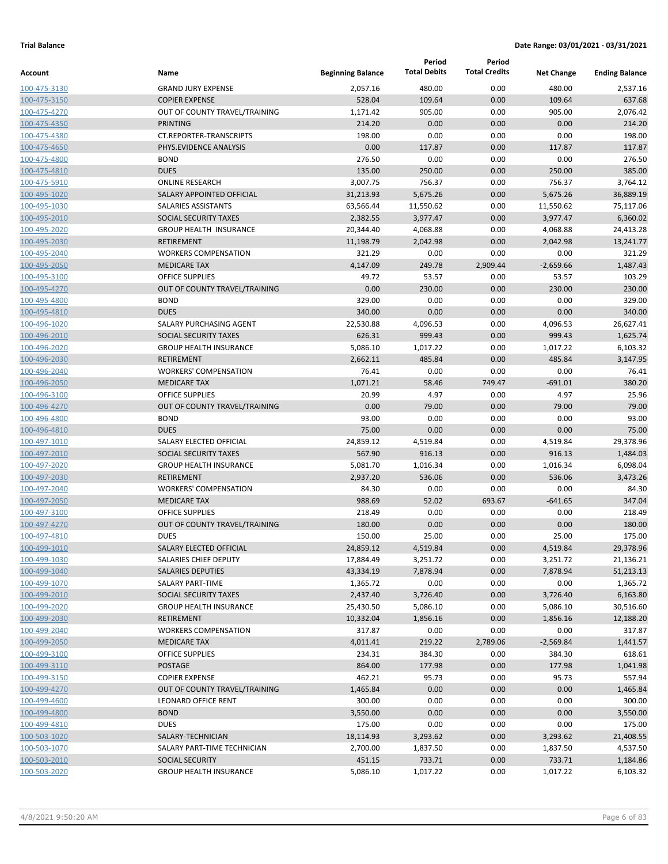|                              |                                                    |                          | Period              | Period               |                    |                       |
|------------------------------|----------------------------------------------------|--------------------------|---------------------|----------------------|--------------------|-----------------------|
| Account                      | Name                                               | <b>Beginning Balance</b> | <b>Total Debits</b> | <b>Total Credits</b> | <b>Net Change</b>  | <b>Ending Balance</b> |
| 100-475-3130                 | <b>GRAND JURY EXPENSE</b>                          | 2,057.16                 | 480.00              | 0.00                 | 480.00             | 2,537.16              |
| 100-475-3150                 | <b>COPIER EXPENSE</b>                              | 528.04                   | 109.64              | 0.00                 | 109.64             | 637.68                |
| 100-475-4270                 | OUT OF COUNTY TRAVEL/TRAINING                      | 1,171.42                 | 905.00              | 0.00                 | 905.00             | 2,076.42              |
| 100-475-4350                 | PRINTING                                           | 214.20                   | 0.00                | 0.00                 | 0.00               | 214.20                |
| 100-475-4380                 | CT.REPORTER-TRANSCRIPTS                            | 198.00                   | 0.00                | 0.00                 | 0.00               | 198.00                |
| 100-475-4650                 | PHYS.EVIDENCE ANALYSIS                             | 0.00                     | 117.87              | 0.00                 | 117.87             | 117.87                |
| 100-475-4800                 | <b>BOND</b>                                        | 276.50                   | 0.00                | 0.00                 | 0.00               | 276.50                |
| 100-475-4810                 | <b>DUES</b>                                        | 135.00                   | 250.00              | 0.00                 | 250.00             | 385.00                |
| 100-475-5910                 | <b>ONLINE RESEARCH</b>                             | 3,007.75                 | 756.37              | 0.00                 | 756.37             | 3,764.12              |
| 100-495-1020                 | SALARY APPOINTED OFFICIAL                          | 31,213.93                | 5,675.26            | 0.00                 | 5,675.26           | 36,889.19             |
| 100-495-1030                 | SALARIES ASSISTANTS                                | 63,566.44                | 11,550.62           | 0.00                 | 11,550.62          | 75,117.06             |
| 100-495-2010                 | SOCIAL SECURITY TAXES                              | 2,382.55                 | 3,977.47            | 0.00                 | 3,977.47           | 6,360.02              |
| 100-495-2020                 | <b>GROUP HEALTH INSURANCE</b>                      | 20,344.40                | 4,068.88            | 0.00                 | 4,068.88           | 24,413.28             |
| 100-495-2030                 | <b>RETIREMENT</b>                                  | 11,198.79                | 2,042.98            | 0.00                 | 2,042.98           | 13,241.77             |
| 100-495-2040                 | <b>WORKERS COMPENSATION</b>                        | 321.29                   | 0.00                | 0.00                 | 0.00               | 321.29                |
| 100-495-2050                 | <b>MEDICARE TAX</b>                                | 4,147.09                 | 249.78              | 2,909.44             | $-2,659.66$        | 1,487.43              |
| 100-495-3100                 | <b>OFFICE SUPPLIES</b>                             | 49.72                    | 53.57               | 0.00                 | 53.57              | 103.29                |
| 100-495-4270                 | OUT OF COUNTY TRAVEL/TRAINING                      | 0.00                     | 230.00              | 0.00                 | 230.00             | 230.00                |
| 100-495-4800                 | <b>BOND</b>                                        | 329.00                   | 0.00                | 0.00                 | 0.00               | 329.00                |
| 100-495-4810                 | <b>DUES</b>                                        | 340.00                   | 0.00                | 0.00                 | 0.00               | 340.00                |
| 100-496-1020                 | SALARY PURCHASING AGENT                            | 22,530.88                | 4,096.53            | 0.00                 | 4,096.53           | 26,627.41             |
| 100-496-2010                 | SOCIAL SECURITY TAXES                              | 626.31                   | 999.43              | 0.00                 | 999.43             | 1,625.74              |
| 100-496-2020                 | <b>GROUP HEALTH INSURANCE</b>                      | 5,086.10                 | 1,017.22            | 0.00                 | 1,017.22           | 6,103.32              |
| 100-496-2030                 | <b>RETIREMENT</b>                                  | 2,662.11                 | 485.84              | 0.00                 | 485.84             | 3,147.95              |
| 100-496-2040                 | <b>WORKERS' COMPENSATION</b>                       | 76.41                    | 0.00                | 0.00                 | 0.00               | 76.41                 |
| 100-496-2050                 | <b>MEDICARE TAX</b>                                | 1,071.21                 | 58.46               | 749.47               | $-691.01$          | 380.20                |
| 100-496-3100                 | <b>OFFICE SUPPLIES</b>                             | 20.99                    | 4.97                | 0.00                 | 4.97               | 25.96                 |
| 100-496-4270                 | OUT OF COUNTY TRAVEL/TRAINING                      | 0.00                     | 79.00               | 0.00                 | 79.00              | 79.00                 |
| 100-496-4800                 | <b>BOND</b>                                        | 93.00                    | 0.00                | 0.00                 | 0.00               | 93.00                 |
| 100-496-4810                 | <b>DUES</b>                                        | 75.00                    | 0.00                | 0.00                 | 0.00               | 75.00                 |
| 100-497-1010                 | SALARY ELECTED OFFICIAL                            | 24,859.12                | 4,519.84            | 0.00                 | 4,519.84           | 29,378.96             |
| 100-497-2010                 | SOCIAL SECURITY TAXES                              | 567.90                   | 916.13              | 0.00                 | 916.13             | 1,484.03              |
| 100-497-2020<br>100-497-2030 | <b>GROUP HEALTH INSURANCE</b><br><b>RETIREMENT</b> | 5,081.70<br>2,937.20     | 1,016.34            | 0.00                 | 1,016.34<br>536.06 | 6,098.04<br>3,473.26  |
| 100-497-2040                 | <b>WORKERS' COMPENSATION</b>                       | 84.30                    | 536.06<br>0.00      | 0.00<br>0.00         | 0.00               | 84.30                 |
| 100-497-2050                 | <b>MEDICARE TAX</b>                                | 988.69                   | 52.02               | 693.67               | $-641.65$          | 347.04                |
| 100-497-3100                 | <b>OFFICE SUPPLIES</b>                             | 218.49                   | 0.00                | 0.00                 | 0.00               | 218.49                |
| 100-497-4270                 | OUT OF COUNTY TRAVEL/TRAINING                      | 180.00                   | 0.00                | 0.00                 | 0.00               | 180.00                |
| 100-497-4810                 | <b>DUES</b>                                        | 150.00                   | 25.00               | 0.00                 | 25.00              | 175.00                |
| 100-499-1010                 | SALARY ELECTED OFFICIAL                            | 24,859.12                | 4,519.84            | 0.00                 | 4,519.84           | 29,378.96             |
| 100-499-1030                 | SALARIES CHIEF DEPUTY                              | 17,884.49                | 3,251.72            | 0.00                 | 3,251.72           | 21,136.21             |
| 100-499-1040                 | <b>SALARIES DEPUTIES</b>                           | 43,334.19                | 7,878.94            | 0.00                 | 7,878.94           | 51,213.13             |
| 100-499-1070                 | SALARY PART-TIME                                   | 1,365.72                 | 0.00                | 0.00                 | 0.00               | 1,365.72              |
| 100-499-2010                 | SOCIAL SECURITY TAXES                              | 2,437.40                 | 3,726.40            | 0.00                 | 3,726.40           | 6,163.80              |
| 100-499-2020                 | <b>GROUP HEALTH INSURANCE</b>                      | 25,430.50                | 5,086.10            | 0.00                 | 5,086.10           | 30,516.60             |
| 100-499-2030                 | <b>RETIREMENT</b>                                  | 10,332.04                | 1,856.16            | 0.00                 | 1,856.16           | 12,188.20             |
| 100-499-2040                 | <b>WORKERS COMPENSATION</b>                        | 317.87                   | 0.00                | 0.00                 | 0.00               | 317.87                |
| 100-499-2050                 | <b>MEDICARE TAX</b>                                | 4,011.41                 | 219.22              | 2,789.06             | $-2,569.84$        | 1,441.57              |
| 100-499-3100                 | OFFICE SUPPLIES                                    | 234.31                   | 384.30              | 0.00                 | 384.30             | 618.61                |
| 100-499-3110                 | <b>POSTAGE</b>                                     | 864.00                   | 177.98              | 0.00                 | 177.98             | 1,041.98              |
| 100-499-3150                 | <b>COPIER EXPENSE</b>                              | 462.21                   | 95.73               | 0.00                 | 95.73              | 557.94                |
| 100-499-4270                 | OUT OF COUNTY TRAVEL/TRAINING                      | 1,465.84                 | 0.00                | 0.00                 | 0.00               | 1,465.84              |
| 100-499-4600                 | <b>LEONARD OFFICE RENT</b>                         | 300.00                   | 0.00                | 0.00                 | 0.00               | 300.00                |
| 100-499-4800                 | <b>BOND</b>                                        | 3,550.00                 | 0.00                | 0.00                 | 0.00               | 3,550.00              |
| 100-499-4810                 | <b>DUES</b>                                        | 175.00                   | 0.00                | 0.00                 | 0.00               | 175.00                |
| 100-503-1020                 | SALARY-TECHNICIAN                                  | 18,114.93                | 3,293.62            | 0.00                 | 3,293.62           | 21,408.55             |
| 100-503-1070                 | SALARY PART-TIME TECHNICIAN                        | 2,700.00                 | 1,837.50            | 0.00                 | 1,837.50           | 4,537.50              |
| 100-503-2010                 | <b>SOCIAL SECURITY</b>                             | 451.15                   | 733.71              | 0.00                 | 733.71             | 1,184.86              |
| 100-503-2020                 | <b>GROUP HEALTH INSURANCE</b>                      | 5,086.10                 | 1,017.22            | 0.00                 | 1,017.22           | 6,103.32              |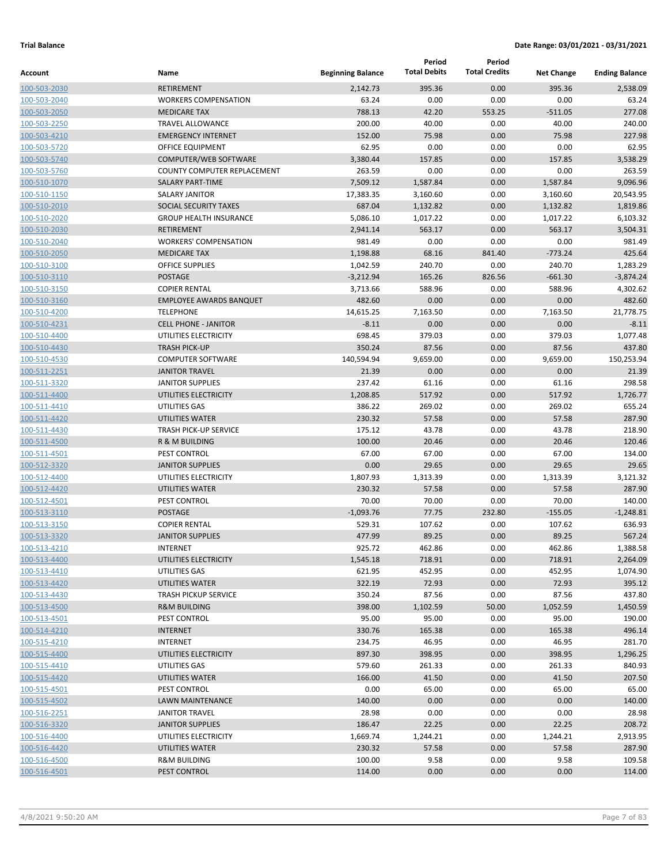|                              |                                           |                          | Period              | Period               |                   |                       |
|------------------------------|-------------------------------------------|--------------------------|---------------------|----------------------|-------------------|-----------------------|
| Account                      | Name                                      | <b>Beginning Balance</b> | <b>Total Debits</b> | <b>Total Credits</b> | <b>Net Change</b> | <b>Ending Balance</b> |
| 100-503-2030                 | <b>RETIREMENT</b>                         | 2,142.73                 | 395.36              | 0.00                 | 395.36            | 2,538.09              |
| 100-503-2040                 | <b>WORKERS COMPENSATION</b>               | 63.24                    | 0.00                | 0.00                 | 0.00              | 63.24                 |
| 100-503-2050                 | <b>MEDICARE TAX</b>                       | 788.13                   | 42.20               | 553.25               | $-511.05$         | 277.08                |
| 100-503-2250                 | <b>TRAVEL ALLOWANCE</b>                   | 200.00                   | 40.00               | 0.00                 | 40.00             | 240.00                |
| 100-503-4210                 | <b>EMERGENCY INTERNET</b>                 | 152.00                   | 75.98               | 0.00                 | 75.98             | 227.98                |
| 100-503-5720                 | OFFICE EQUIPMENT                          | 62.95                    | 0.00                | 0.00                 | 0.00              | 62.95                 |
| 100-503-5740                 | COMPUTER/WEB SOFTWARE                     | 3,380.44                 | 157.85              | 0.00                 | 157.85            | 3,538.29              |
| 100-503-5760                 | <b>COUNTY COMPUTER REPLACEMENT</b>        | 263.59                   | 0.00                | 0.00                 | 0.00              | 263.59                |
| 100-510-1070                 | <b>SALARY PART-TIME</b>                   | 7,509.12                 | 1,587.84            | 0.00                 | 1,587.84          | 9,096.96              |
| 100-510-1150                 | <b>SALARY JANITOR</b>                     | 17,383.35                | 3,160.60            | 0.00                 | 3,160.60          | 20,543.95             |
| 100-510-2010                 | SOCIAL SECURITY TAXES                     | 687.04                   | 1,132.82            | 0.00                 | 1,132.82          | 1,819.86              |
| 100-510-2020                 | <b>GROUP HEALTH INSURANCE</b>             | 5,086.10                 | 1,017.22            | 0.00                 | 1,017.22          | 6,103.32              |
| 100-510-2030                 | <b>RETIREMENT</b>                         | 2,941.14                 | 563.17              | 0.00                 | 563.17            | 3,504.31              |
| 100-510-2040                 | <b>WORKERS' COMPENSATION</b>              | 981.49                   | 0.00                | 0.00                 | 0.00              | 981.49                |
| 100-510-2050                 | <b>MEDICARE TAX</b>                       | 1,198.88                 | 68.16               | 841.40               | $-773.24$         | 425.64                |
| 100-510-3100                 | <b>OFFICE SUPPLIES</b>                    | 1,042.59                 | 240.70              | 0.00                 | 240.70            | 1,283.29              |
| 100-510-3110                 | <b>POSTAGE</b>                            | $-3,212.94$              | 165.26              | 826.56               | $-661.30$         | $-3,874.24$           |
| 100-510-3150                 | <b>COPIER RENTAL</b>                      | 3,713.66                 | 588.96              | 0.00                 | 588.96            | 4,302.62              |
| 100-510-3160                 | <b>EMPLOYEE AWARDS BANQUET</b>            | 482.60                   | 0.00                | 0.00                 | 0.00              | 482.60                |
| 100-510-4200                 | <b>TELEPHONE</b>                          | 14,615.25                | 7,163.50            | 0.00                 | 7,163.50          | 21,778.75             |
| 100-510-4231                 | <b>CELL PHONE - JANITOR</b>               | $-8.11$                  | 0.00                | 0.00                 | 0.00              | $-8.11$               |
| 100-510-4400                 | UTILITIES ELECTRICITY                     | 698.45                   | 379.03              | 0.00                 | 379.03            | 1,077.48              |
| 100-510-4430                 | <b>TRASH PICK-UP</b>                      | 350.24                   | 87.56               | 0.00                 | 87.56             | 437.80                |
| 100-510-4530                 | <b>COMPUTER SOFTWARE</b>                  | 140,594.94               | 9,659.00            | 0.00                 | 9,659.00          | 150,253.94            |
| 100-511-2251                 | <b>JANITOR TRAVEL</b>                     | 21.39                    | 0.00                | 0.00                 | 0.00              | 21.39                 |
| 100-511-3320                 | <b>JANITOR SUPPLIES</b>                   | 237.42                   | 61.16               | 0.00                 | 61.16             | 298.58                |
| 100-511-4400                 | UTILITIES ELECTRICITY                     | 1,208.85                 | 517.92              | 0.00                 | 517.92            | 1,726.77              |
| 100-511-4410                 | UTILITIES GAS                             | 386.22                   | 269.02              | 0.00                 | 269.02            | 655.24                |
| 100-511-4420                 | UTILITIES WATER                           | 230.32                   | 57.58               | 0.00                 | 57.58             | 287.90                |
| 100-511-4430                 | <b>TRASH PICK-UP SERVICE</b>              | 175.12                   | 43.78               | 0.00                 | 43.78             | 218.90                |
| 100-511-4500                 | R & M BUILDING                            | 100.00                   | 20.46               | 0.00                 | 20.46             | 120.46                |
| 100-511-4501                 | PEST CONTROL                              | 67.00                    | 67.00               | 0.00                 | 67.00             | 134.00                |
| 100-512-3320                 | <b>JANITOR SUPPLIES</b>                   | 0.00                     | 29.65               | 0.00                 | 29.65             | 29.65                 |
| 100-512-4400                 | UTILITIES ELECTRICITY                     | 1,807.93                 | 1,313.39            | 0.00                 | 1,313.39          | 3,121.32              |
| 100-512-4420                 | UTILITIES WATER                           | 230.32                   | 57.58               | 0.00                 | 57.58             | 287.90                |
| 100-512-4501                 | PEST CONTROL                              | 70.00                    | 70.00               | 0.00                 | 70.00             | 140.00                |
| 100-513-3110                 | <b>POSTAGE</b>                            | $-1,093.76$              | 77.75               | 232.80               | $-155.05$         | $-1,248.81$           |
| 100-513-3150                 | <b>COPIER RENTAL</b>                      | 529.31                   | 107.62              | 0.00                 | 107.62            | 636.93                |
| 100-513-3320                 | <b>JANITOR SUPPLIES</b>                   | 477.99                   | 89.25               | 0.00                 | 89.25             | 567.24                |
| 100-513-4210                 | INTERNET                                  | 925.72                   | 462.86              | 0.00                 | 462.86            | 1,388.58              |
| 100-513-4400                 | UTILITIES ELECTRICITY                     | 1,545.18                 | 718.91              | 0.00                 | 718.91            | 2,264.09              |
| 100-513-4410                 | UTILITIES GAS                             | 621.95                   | 452.95              | 0.00                 | 452.95            | 1,074.90              |
| 100-513-4420                 | UTILITIES WATER                           | 322.19                   | 72.93               | 0.00                 | 72.93             | 395.12                |
| 100-513-4430                 | <b>TRASH PICKUP SERVICE</b>               | 350.24                   | 87.56               | 0.00                 | 87.56             | 437.80                |
| 100-513-4500                 | <b>R&amp;M BUILDING</b>                   | 398.00                   | 1,102.59            | 50.00                | 1,052.59          | 1,450.59              |
| 100-513-4501                 | PEST CONTROL                              | 95.00                    | 95.00               | 0.00                 | 95.00             | 190.00                |
| 100-514-4210                 | <b>INTERNET</b>                           | 330.76                   | 165.38              | 0.00                 | 165.38            | 496.14                |
| 100-515-4210                 | INTERNET<br>UTILITIES ELECTRICITY         | 234.75<br>897.30         | 46.95               | 0.00                 | 46.95             | 281.70                |
| 100-515-4400                 | UTILITIES GAS                             | 579.60                   | 398.95              | 0.00                 | 398.95            | 1,296.25<br>840.93    |
| 100-515-4410                 |                                           |                          | 261.33              | 0.00                 | 261.33            |                       |
| 100-515-4420                 | UTILITIES WATER<br>PEST CONTROL           | 166.00                   | 41.50               | 0.00                 | 41.50             | 207.50                |
| 100-515-4501                 |                                           | 0.00                     | 65.00               | 0.00                 | 65.00             | 65.00                 |
| 100-515-4502                 | LAWN MAINTENANCE<br><b>JANITOR TRAVEL</b> | 140.00<br>28.98          | 0.00<br>0.00        | 0.00<br>0.00         | 0.00<br>0.00      | 140.00<br>28.98       |
| 100-516-2251                 | <b>JANITOR SUPPLIES</b>                   | 186.47                   | 22.25               | 0.00                 | 22.25             | 208.72                |
| 100-516-3320                 | UTILITIES ELECTRICITY                     |                          |                     | 0.00                 |                   |                       |
| 100-516-4400                 | UTILITIES WATER                           | 1,669.74                 | 1,244.21            |                      | 1,244.21          | 2,913.95              |
| 100-516-4420<br>100-516-4500 |                                           | 230.32                   | 57.58               | 0.00                 | 57.58             | 287.90                |
| 100-516-4501                 | <b>R&amp;M BUILDING</b><br>PEST CONTROL   | 100.00<br>114.00         | 9.58<br>0.00        | 0.00<br>0.00         | 9.58<br>0.00      | 109.58<br>114.00      |
|                              |                                           |                          |                     |                      |                   |                       |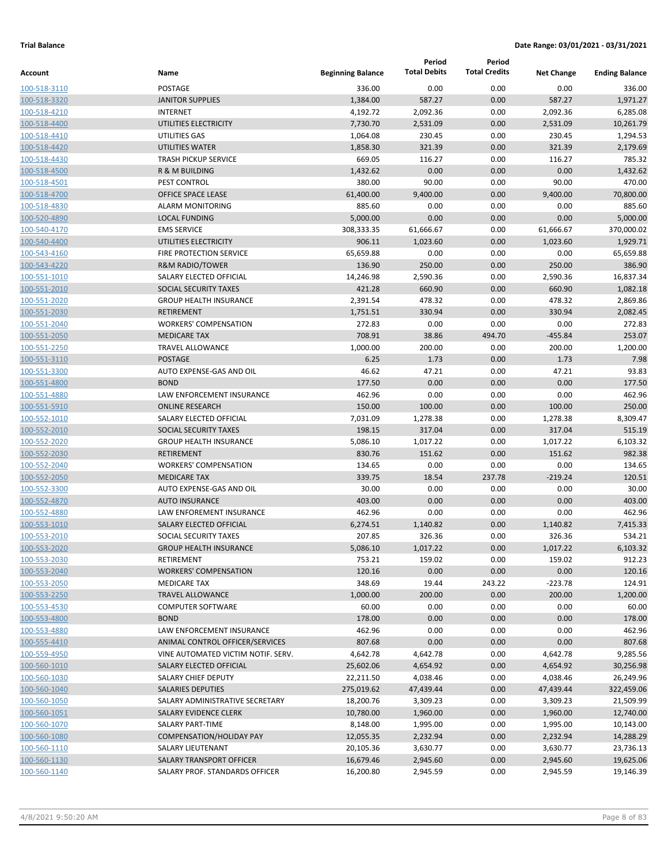|                              |                                                  |                          | Period              | Period               |                    |                       |
|------------------------------|--------------------------------------------------|--------------------------|---------------------|----------------------|--------------------|-----------------------|
| Account                      | Name                                             | <b>Beginning Balance</b> | <b>Total Debits</b> | <b>Total Credits</b> | <b>Net Change</b>  | <b>Ending Balance</b> |
| 100-518-3110                 | <b>POSTAGE</b>                                   | 336.00                   | 0.00                | 0.00                 | 0.00               | 336.00                |
| 100-518-3320                 | <b>JANITOR SUPPLIES</b>                          | 1,384.00                 | 587.27              | 0.00                 | 587.27             | 1,971.27              |
| 100-518-4210                 | <b>INTERNET</b>                                  | 4,192.72                 | 2,092.36            | 0.00                 | 2,092.36           | 6,285.08              |
| 100-518-4400                 | UTILITIES ELECTRICITY                            | 7,730.70                 | 2,531.09            | 0.00                 | 2,531.09           | 10,261.79             |
| 100-518-4410                 | UTILITIES GAS                                    | 1,064.08                 | 230.45              | 0.00                 | 230.45             | 1,294.53              |
| 100-518-4420                 | UTILITIES WATER                                  | 1,858.30                 | 321.39              | 0.00                 | 321.39             | 2,179.69              |
| 100-518-4430                 | <b>TRASH PICKUP SERVICE</b>                      | 669.05                   | 116.27              | 0.00                 | 116.27             | 785.32                |
| 100-518-4500                 | R & M BUILDING                                   | 1,432.62                 | 0.00                | 0.00                 | 0.00               | 1,432.62              |
| 100-518-4501                 | PEST CONTROL                                     | 380.00                   | 90.00               | 0.00                 | 90.00              | 470.00                |
| 100-518-4700                 | <b>OFFICE SPACE LEASE</b>                        | 61,400.00                | 9,400.00            | 0.00                 | 9,400.00           | 70,800.00             |
| 100-518-4830                 | <b>ALARM MONITORING</b>                          | 885.60                   | 0.00                | 0.00                 | 0.00               | 885.60                |
| 100-520-4890                 | <b>LOCAL FUNDING</b>                             | 5,000.00                 | 0.00                | 0.00                 | 0.00               | 5,000.00              |
| 100-540-4170                 | <b>EMS SERVICE</b>                               | 308,333.35               | 61,666.67           | 0.00                 | 61,666.67          | 370,000.02            |
| 100-540-4400                 | UTILITIES ELECTRICITY                            | 906.11                   | 1,023.60            | 0.00                 | 1,023.60           | 1,929.71              |
| 100-543-4160                 | FIRE PROTECTION SERVICE                          | 65,659.88                | 0.00                | 0.00                 | 0.00               | 65,659.88             |
| 100-543-4220                 | <b>R&amp;M RADIO/TOWER</b>                       | 136.90                   | 250.00              | 0.00                 | 250.00             | 386.90                |
| 100-551-1010                 | SALARY ELECTED OFFICIAL                          | 14,246.98                | 2,590.36            | 0.00                 | 2,590.36           | 16,837.34             |
| 100-551-2010                 | SOCIAL SECURITY TAXES                            | 421.28                   | 660.90              | 0.00                 | 660.90             | 1,082.18              |
| 100-551-2020                 | <b>GROUP HEALTH INSURANCE</b>                    | 2,391.54                 | 478.32              | 0.00                 | 478.32             | 2,869.86              |
| 100-551-2030                 | <b>RETIREMENT</b>                                | 1,751.51                 | 330.94              | 0.00                 | 330.94             | 2,082.45              |
| 100-551-2040                 | <b>WORKERS' COMPENSATION</b>                     | 272.83                   | 0.00                | 0.00                 | 0.00               | 272.83                |
| 100-551-2050                 | <b>MEDICARE TAX</b>                              | 708.91                   | 38.86               | 494.70               | $-455.84$          | 253.07                |
| 100-551-2250                 | <b>TRAVEL ALLOWANCE</b>                          | 1,000.00                 | 200.00              | 0.00                 | 200.00             | 1,200.00              |
| 100-551-3110                 | <b>POSTAGE</b>                                   | 6.25                     | 1.73                | 0.00                 | 1.73               | 7.98                  |
| 100-551-3300                 | AUTO EXPENSE-GAS AND OIL                         | 46.62                    | 47.21               | 0.00                 | 47.21              | 93.83                 |
| 100-551-4800                 | <b>BOND</b>                                      | 177.50                   | 0.00                | 0.00                 | 0.00               | 177.50                |
| 100-551-4880                 | <b>LAW ENFORCEMENT INSURANCE</b>                 | 462.96                   | 0.00                | 0.00                 | 0.00               | 462.96                |
| 100-551-5910                 | <b>ONLINE RESEARCH</b>                           | 150.00                   | 100.00              | 0.00                 | 100.00             | 250.00                |
| 100-552-1010<br>100-552-2010 | SALARY ELECTED OFFICIAL<br>SOCIAL SECURITY TAXES | 7,031.09<br>198.15       | 1,278.38<br>317.04  | 0.00<br>0.00         | 1,278.38<br>317.04 | 8,309.47<br>515.19    |
| 100-552-2020                 | <b>GROUP HEALTH INSURANCE</b>                    | 5,086.10                 | 1,017.22            | 0.00                 | 1,017.22           | 6,103.32              |
| 100-552-2030                 | <b>RETIREMENT</b>                                | 830.76                   | 151.62              | 0.00                 | 151.62             | 982.38                |
| 100-552-2040                 | <b>WORKERS' COMPENSATION</b>                     | 134.65                   | 0.00                | 0.00                 | 0.00               | 134.65                |
| 100-552-2050                 | <b>MEDICARE TAX</b>                              | 339.75                   | 18.54               | 237.78               | $-219.24$          | 120.51                |
| 100-552-3300                 | AUTO EXPENSE-GAS AND OIL                         | 30.00                    | 0.00                | 0.00                 | 0.00               | 30.00                 |
| 100-552-4870                 | <b>AUTO INSURANCE</b>                            | 403.00                   | 0.00                | 0.00                 | 0.00               | 403.00                |
| 100-552-4880                 | <b>LAW ENFOREMENT INSURANCE</b>                  | 462.96                   | 0.00                | 0.00                 | 0.00               | 462.96                |
| 100-553-1010                 | <b>SALARY ELECTED OFFICIAL</b>                   | 6,274.51                 | 1,140.82            | 0.00                 | 1,140.82           | 7,415.33              |
| 100-553-2010                 | SOCIAL SECURITY TAXES                            | 207.85                   | 326.36              | 0.00                 | 326.36             | 534.21                |
| 100-553-2020                 | <b>GROUP HEALTH INSURANCE</b>                    | 5,086.10                 | 1,017.22            | 0.00                 | 1,017.22           | 6,103.32              |
| 100-553-2030                 | <b>RETIREMENT</b>                                | 753.21                   | 159.02              | 0.00                 | 159.02             | 912.23                |
| 100-553-2040                 | <b>WORKERS' COMPENSATION</b>                     | 120.16                   | 0.00                | 0.00                 | 0.00               | 120.16                |
| 100-553-2050                 | <b>MEDICARE TAX</b>                              | 348.69                   | 19.44               | 243.22               | $-223.78$          | 124.91                |
| 100-553-2250                 | <b>TRAVEL ALLOWANCE</b>                          | 1,000.00                 | 200.00              | 0.00                 | 200.00             | 1,200.00              |
| 100-553-4530                 | <b>COMPUTER SOFTWARE</b>                         | 60.00                    | 0.00                | 0.00                 | 0.00               | 60.00                 |
| 100-553-4800                 | <b>BOND</b>                                      | 178.00                   | 0.00                | 0.00                 | 0.00               | 178.00                |
| 100-553-4880                 | LAW ENFORCEMENT INSURANCE                        | 462.96                   | 0.00                | 0.00                 | 0.00               | 462.96                |
| 100-555-4410                 | ANIMAL CONTROL OFFICER/SERVICES                  | 807.68                   | 0.00                | 0.00                 | 0.00               | 807.68                |
| 100-559-4950                 | VINE AUTOMATED VICTIM NOTIF. SERV.               | 4,642.78                 | 4,642.78            | 0.00                 | 4,642.78           | 9,285.56              |
| 100-560-1010                 | SALARY ELECTED OFFICIAL                          | 25,602.06                | 4,654.92            | 0.00                 | 4,654.92           | 30,256.98             |
| 100-560-1030                 | SALARY CHIEF DEPUTY                              | 22,211.50                | 4,038.46            | 0.00                 | 4,038.46           | 26,249.96             |
| 100-560-1040                 | <b>SALARIES DEPUTIES</b>                         | 275,019.62               | 47,439.44           | 0.00                 | 47,439.44          | 322,459.06            |
| 100-560-1050                 | SALARY ADMINISTRATIVE SECRETARY                  | 18,200.76                | 3,309.23            | 0.00                 | 3,309.23           | 21,509.99             |
| 100-560-1051                 | SALARY EVIDENCE CLERK                            | 10,780.00                | 1,960.00            | 0.00                 | 1,960.00           | 12,740.00             |
| 100-560-1070                 | SALARY PART-TIME                                 | 8,148.00                 | 1,995.00            | 0.00                 | 1,995.00           | 10,143.00             |
| 100-560-1080                 | <b>COMPENSATION/HOLIDAY PAY</b>                  | 12,055.35                | 2,232.94            | 0.00                 | 2,232.94           | 14,288.29             |
| 100-560-1110                 | SALARY LIEUTENANT                                | 20,105.36                | 3,630.77            | 0.00                 | 3,630.77           | 23,736.13             |
| 100-560-1130                 | SALARY TRANSPORT OFFICER                         | 16,679.46                | 2,945.60            | 0.00                 | 2,945.60           | 19,625.06             |
| 100-560-1140                 | SALARY PROF. STANDARDS OFFICER                   | 16,200.80                | 2,945.59            | 0.00                 | 2,945.59           | 19,146.39             |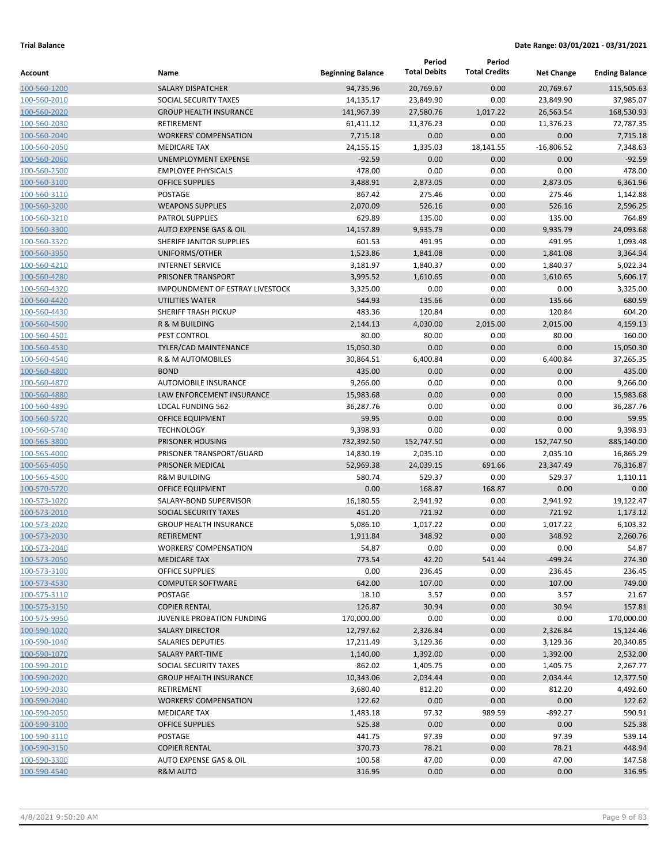|                              |                                     |                          | Period              | Period               |                   |                       |
|------------------------------|-------------------------------------|--------------------------|---------------------|----------------------|-------------------|-----------------------|
| Account                      | Name                                | <b>Beginning Balance</b> | <b>Total Debits</b> | <b>Total Credits</b> | <b>Net Change</b> | <b>Ending Balance</b> |
| 100-560-1200                 | <b>SALARY DISPATCHER</b>            | 94,735.96                | 20,769.67           | 0.00                 | 20,769.67         | 115,505.63            |
| 100-560-2010                 | SOCIAL SECURITY TAXES               | 14,135.17                | 23,849.90           | 0.00                 | 23,849.90         | 37,985.07             |
| 100-560-2020                 | <b>GROUP HEALTH INSURANCE</b>       | 141,967.39               | 27,580.76           | 1,017.22             | 26,563.54         | 168,530.93            |
| 100-560-2030                 | <b>RETIREMENT</b>                   | 61,411.12                | 11,376.23           | 0.00                 | 11,376.23         | 72,787.35             |
| 100-560-2040                 | <b>WORKERS' COMPENSATION</b>        | 7,715.18                 | 0.00                | 0.00                 | 0.00              | 7,715.18              |
| 100-560-2050                 | <b>MEDICARE TAX</b>                 | 24,155.15                | 1,335.03            | 18,141.55            | $-16,806.52$      | 7,348.63              |
| 100-560-2060                 | UNEMPLOYMENT EXPENSE                | $-92.59$                 | 0.00                | 0.00                 | 0.00              | $-92.59$              |
| 100-560-2500                 | <b>EMPLOYEE PHYSICALS</b>           | 478.00                   | 0.00                | 0.00                 | 0.00              | 478.00                |
| 100-560-3100                 | <b>OFFICE SUPPLIES</b>              | 3,488.91                 | 2,873.05            | 0.00                 | 2,873.05          | 6,361.96              |
| 100-560-3110                 | <b>POSTAGE</b>                      | 867.42                   | 275.46              | 0.00                 | 275.46            | 1,142.88              |
| 100-560-3200                 | <b>WEAPONS SUPPLIES</b>             | 2,070.09                 | 526.16              | 0.00                 | 526.16            | 2,596.25              |
| 100-560-3210                 | <b>PATROL SUPPLIES</b>              | 629.89                   | 135.00              | 0.00                 | 135.00            | 764.89                |
| 100-560-3300                 | <b>AUTO EXPENSE GAS &amp; OIL</b>   | 14,157.89                | 9,935.79            | 0.00                 | 9,935.79          | 24,093.68             |
| 100-560-3320                 | SHERIFF JANITOR SUPPLIES            | 601.53                   | 491.95              | 0.00                 | 491.95            | 1,093.48              |
| 100-560-3950                 | UNIFORMS/OTHER                      | 1,523.86                 | 1,841.08            | 0.00                 | 1,841.08          | 3,364.94              |
| 100-560-4210                 | <b>INTERNET SERVICE</b>             | 3,181.97                 | 1,840.37            | 0.00                 | 1,840.37          | 5,022.34              |
| 100-560-4280                 | PRISONER TRANSPORT                  | 3,995.52                 | 1,610.65            | 0.00                 | 1,610.65          | 5,606.17              |
| 100-560-4320                 | IMPOUNDMENT OF ESTRAY LIVESTOCK     | 3,325.00                 | 0.00                | 0.00                 | 0.00              | 3,325.00              |
| 100-560-4420                 | <b>UTILITIES WATER</b>              | 544.93                   | 135.66              | 0.00                 | 135.66            | 680.59                |
| 100-560-4430                 | <b>SHERIFF TRASH PICKUP</b>         | 483.36                   | 120.84              | 0.00                 | 120.84            | 604.20                |
| 100-560-4500                 | <b>R &amp; M BUILDING</b>           | 2,144.13                 | 4,030.00            | 2,015.00             | 2,015.00          | 4,159.13              |
| 100-560-4501                 | PEST CONTROL                        | 80.00                    | 80.00               | 0.00                 | 80.00             | 160.00                |
| 100-560-4530                 | <b>TYLER/CAD MAINTENANCE</b>        | 15,050.30                | 0.00                | 0.00                 | 0.00              | 15,050.30             |
| 100-560-4540                 | R & M AUTOMOBILES                   | 30,864.51                | 6,400.84            | 0.00                 | 6,400.84          | 37,265.35             |
| 100-560-4800                 | <b>BOND</b>                         | 435.00                   | 0.00                | 0.00                 | 0.00              | 435.00                |
| 100-560-4870                 | <b>AUTOMOBILE INSURANCE</b>         | 9,266.00                 | 0.00                | 0.00                 | 0.00              | 9,266.00              |
| 100-560-4880                 | LAW ENFORCEMENT INSURANCE           | 15,983.68                | 0.00                | 0.00                 | 0.00              | 15,983.68             |
| 100-560-4890                 | <b>LOCAL FUNDING 562</b>            | 36,287.76                | 0.00                | 0.00                 | 0.00              | 36,287.76             |
| 100-560-5720                 | <b>OFFICE EQUIPMENT</b>             | 59.95                    | 0.00                | 0.00                 | 0.00              | 59.95                 |
| 100-560-5740                 | <b>TECHNOLOGY</b>                   | 9,398.93                 | 0.00                | 0.00                 | 0.00              | 9,398.93              |
| 100-565-3800                 | PRISONER HOUSING                    | 732,392.50               | 152,747.50          | 0.00                 | 152,747.50        | 885,140.00            |
| 100-565-4000                 | PRISONER TRANSPORT/GUARD            | 14,830.19                | 2,035.10            | 0.00                 | 2,035.10          | 16,865.29             |
| 100-565-4050                 | PRISONER MEDICAL                    | 52,969.38                | 24,039.15           | 691.66               | 23,347.49         | 76,316.87             |
| 100-565-4500                 | <b>R&amp;M BUILDING</b>             | 580.74                   | 529.37              | 0.00                 | 529.37            | 1,110.11              |
| 100-570-5720                 | <b>OFFICE EQUIPMENT</b>             | 0.00                     | 168.87              | 168.87               | 0.00              | 0.00                  |
| 100-573-1020                 | SALARY-BOND SUPERVISOR              | 16,180.55                | 2,941.92            | 0.00                 | 2,941.92          | 19,122.47             |
| 100-573-2010                 | SOCIAL SECURITY TAXES               | 451.20                   | 721.92              | 0.00                 | 721.92            | 1,173.12              |
| 100-573-2020                 | <b>GROUP HEALTH INSURANCE</b>       | 5,086.10                 | 1,017.22            | 0.00                 | 1,017.22          | 6,103.32              |
| 100-573-2030                 | <b>RETIREMENT</b>                   | 1,911.84                 | 348.92              | 0.00                 | 348.92            | 2,260.76              |
| 100-573-2040                 | <b>WORKERS' COMPENSATION</b>        | 54.87                    | 0.00                | 0.00                 | 0.00              | 54.87                 |
| 100-573-2050                 | <b>MEDICARE TAX</b>                 | 773.54                   | 42.20               | 541.44               | $-499.24$         | 274.30                |
| 100-573-3100                 | <b>OFFICE SUPPLIES</b>              | 0.00                     | 236.45              | 0.00                 | 236.45            | 236.45                |
| 100-573-4530<br>100-575-3110 | <b>COMPUTER SOFTWARE</b><br>POSTAGE | 642.00<br>18.10          | 107.00<br>3.57      | 0.00<br>0.00         | 107.00<br>3.57    | 749.00<br>21.67       |
| 100-575-3150                 | <b>COPIER RENTAL</b>                | 126.87                   | 30.94               | 0.00                 | 30.94             | 157.81                |
| 100-575-9950                 | JUVENILE PROBATION FUNDING          | 170,000.00               | 0.00                | 0.00                 | 0.00              | 170,000.00            |
| 100-590-1020                 | <b>SALARY DIRECTOR</b>              | 12,797.62                | 2,326.84            | 0.00                 | 2,326.84          | 15,124.46             |
| 100-590-1040                 | <b>SALARIES DEPUTIES</b>            | 17,211.49                | 3,129.36            | 0.00                 | 3,129.36          | 20,340.85             |
| 100-590-1070                 | <b>SALARY PART-TIME</b>             | 1,140.00                 | 1,392.00            | 0.00                 | 1,392.00          | 2,532.00              |
| 100-590-2010                 | SOCIAL SECURITY TAXES               | 862.02                   | 1,405.75            | 0.00                 | 1,405.75          | 2,267.77              |
| 100-590-2020                 | <b>GROUP HEALTH INSURANCE</b>       | 10,343.06                | 2,034.44            | 0.00                 | 2,034.44          | 12,377.50             |
| 100-590-2030                 | RETIREMENT                          | 3,680.40                 | 812.20              | 0.00                 | 812.20            | 4,492.60              |
| 100-590-2040                 | <b>WORKERS' COMPENSATION</b>        | 122.62                   | 0.00                | 0.00                 | 0.00              | 122.62                |
| 100-590-2050                 | MEDICARE TAX                        | 1,483.18                 | 97.32               | 989.59               | $-892.27$         | 590.91                |
| 100-590-3100                 | <b>OFFICE SUPPLIES</b>              | 525.38                   | 0.00                | 0.00                 | 0.00              | 525.38                |
| 100-590-3110                 | POSTAGE                             | 441.75                   | 97.39               | 0.00                 | 97.39             | 539.14                |
| 100-590-3150                 | <b>COPIER RENTAL</b>                | 370.73                   | 78.21               | 0.00                 | 78.21             | 448.94                |
| 100-590-3300                 | AUTO EXPENSE GAS & OIL              | 100.58                   | 47.00               | 0.00                 | 47.00             | 147.58                |
| 100-590-4540                 | R&M AUTO                            | 316.95                   | 0.00                | 0.00                 | 0.00              | 316.95                |
|                              |                                     |                          |                     |                      |                   |                       |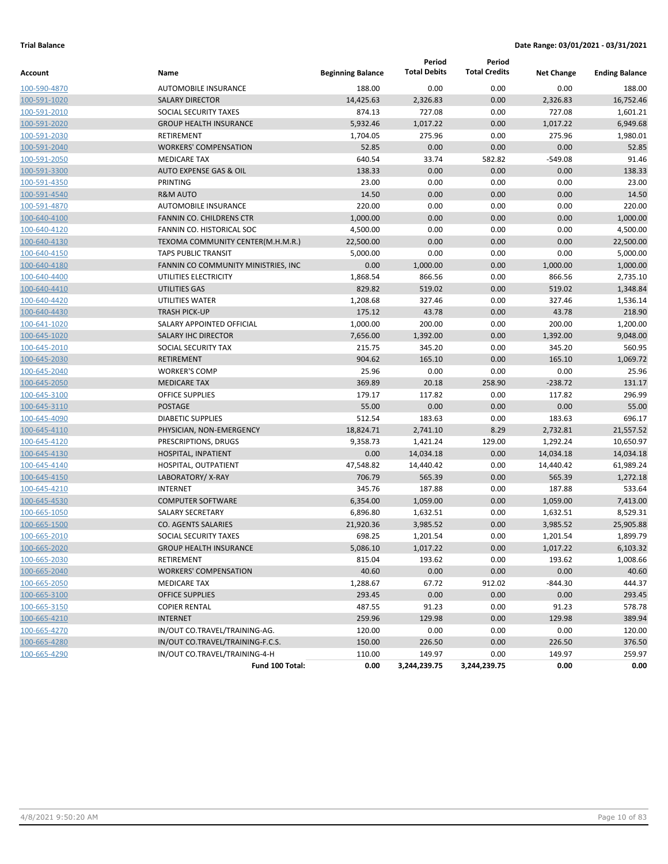|                     |                                     |                          | Period              | Period               |                   |                       |
|---------------------|-------------------------------------|--------------------------|---------------------|----------------------|-------------------|-----------------------|
| Account             | Name                                | <b>Beginning Balance</b> | <b>Total Debits</b> | <b>Total Credits</b> | <b>Net Change</b> | <b>Ending Balance</b> |
| 100-590-4870        | <b>AUTOMOBILE INSURANCE</b>         | 188.00                   | 0.00                | 0.00                 | 0.00              | 188.00                |
| 100-591-1020        | <b>SALARY DIRECTOR</b>              | 14,425.63                | 2,326.83            | 0.00                 | 2,326.83          | 16,752.46             |
| 100-591-2010        | SOCIAL SECURITY TAXES               | 874.13                   | 727.08              | 0.00                 | 727.08            | 1,601.21              |
| 100-591-2020        | <b>GROUP HEALTH INSURANCE</b>       | 5,932.46                 | 1,017.22            | 0.00                 | 1,017.22          | 6,949.68              |
| 100-591-2030        | RETIREMENT                          | 1,704.05                 | 275.96              | 0.00                 | 275.96            | 1,980.01              |
| 100-591-2040        | <b>WORKERS' COMPENSATION</b>        | 52.85                    | 0.00                | 0.00                 | 0.00              | 52.85                 |
| 100-591-2050        | <b>MEDICARE TAX</b>                 | 640.54                   | 33.74               | 582.82               | $-549.08$         | 91.46                 |
| 100-591-3300        | <b>AUTO EXPENSE GAS &amp; OIL</b>   | 138.33                   | 0.00                | 0.00                 | 0.00              | 138.33                |
| 100-591-4350        | PRINTING                            | 23.00                    | 0.00                | 0.00                 | 0.00              | 23.00                 |
| 100-591-4540        | <b>R&amp;M AUTO</b>                 | 14.50                    | 0.00                | 0.00                 | 0.00              | 14.50                 |
| 100-591-4870        | <b>AUTOMOBILE INSURANCE</b>         | 220.00                   | 0.00                | 0.00                 | 0.00              | 220.00                |
| 100-640-4100        | <b>FANNIN CO. CHILDRENS CTR</b>     | 1,000.00                 | 0.00                | 0.00                 | 0.00              | 1,000.00              |
| 100-640-4120        | FANNIN CO. HISTORICAL SOC           | 4,500.00                 | 0.00                | 0.00                 | 0.00              | 4,500.00              |
| 100-640-4130        | TEXOMA COMMUNITY CENTER(M.H.M.R.)   | 22,500.00                | 0.00                | 0.00                 | 0.00              | 22,500.00             |
| 100-640-4150        | <b>TAPS PUBLIC TRANSIT</b>          | 5,000.00                 | 0.00                | 0.00                 | 0.00              | 5,000.00              |
| 100-640-4180        | FANNIN CO COMMUNITY MINISTRIES, INC | 0.00                     | 1,000.00            | 0.00                 | 1,000.00          | 1,000.00              |
| 100-640-4400        | UTILITIES ELECTRICITY               | 1,868.54                 | 866.56              | 0.00                 | 866.56            | 2,735.10              |
| 100-640-4410        | <b>UTILITIES GAS</b>                | 829.82                   | 519.02              | 0.00                 | 519.02            | 1,348.84              |
| 100-640-4420        | UTILITIES WATER                     | 1,208.68                 | 327.46              | 0.00                 | 327.46            | 1,536.14              |
| 100-640-4430        | <b>TRASH PICK-UP</b>                | 175.12                   | 43.78               | 0.00                 | 43.78             | 218.90                |
| 100-641-1020        | SALARY APPOINTED OFFICIAL           | 1,000.00                 | 200.00              | 0.00                 | 200.00            | 1,200.00              |
| 100-645-1020        | <b>SALARY IHC DIRECTOR</b>          | 7,656.00                 | 1,392.00            | 0.00                 | 1,392.00          | 9,048.00              |
| 100-645-2010        | SOCIAL SECURITY TAX                 | 215.75                   | 345.20              | 0.00                 | 345.20            | 560.95                |
| 100-645-2030        | <b>RETIREMENT</b>                   | 904.62                   | 165.10              | 0.00                 | 165.10            | 1,069.72              |
| 100-645-2040        | <b>WORKER'S COMP</b>                | 25.96                    | 0.00                | 0.00                 | 0.00              | 25.96                 |
| 100-645-2050        | <b>MEDICARE TAX</b>                 | 369.89                   | 20.18               | 258.90               | $-238.72$         | 131.17                |
| 100-645-3100        | <b>OFFICE SUPPLIES</b>              | 179.17                   | 117.82              | 0.00                 | 117.82            | 296.99                |
| 100-645-3110        | <b>POSTAGE</b>                      | 55.00                    | 0.00                | 0.00                 | 0.00              | 55.00                 |
| 100-645-4090        | <b>DIABETIC SUPPLIES</b>            | 512.54                   | 183.63              | 0.00                 | 183.63            | 696.17                |
| 100-645-4110        | PHYSICIAN, NON-EMERGENCY            | 18,824.71                | 2,741.10            | 8.29                 | 2,732.81          | 21,557.52             |
| 100-645-4120        | PRESCRIPTIONS, DRUGS                | 9,358.73                 | 1,421.24            | 129.00               | 1,292.24          | 10,650.97             |
| 100-645-4130        | HOSPITAL, INPATIENT                 | 0.00                     | 14,034.18           | 0.00                 | 14,034.18         | 14,034.18             |
| 100-645-4140        | HOSPITAL, OUTPATIENT                | 47,548.82                | 14,440.42           | 0.00                 | 14,440.42         | 61,989.24             |
| 100-645-4150        | LABORATORY/X-RAY                    | 706.79                   | 565.39              | 0.00                 | 565.39            | 1,272.18              |
| 100-645-4210        | <b>INTERNET</b>                     | 345.76                   | 187.88              | 0.00                 | 187.88            | 533.64                |
| 100-645-4530        | <b>COMPUTER SOFTWARE</b>            | 6,354.00                 | 1,059.00            | 0.00                 | 1,059.00          | 7,413.00              |
| 100-665-1050        | <b>SALARY SECRETARY</b>             | 6,896.80                 | 1,632.51            | 0.00                 | 1,632.51          | 8,529.31              |
| 100-665-1500        | <b>CO. AGENTS SALARIES</b>          | 21,920.36                | 3,985.52            | 0.00                 | 3,985.52          | 25,905.88             |
| 100-665-2010        | SOCIAL SECURITY TAXES               | 698.25                   | 1,201.54            | 0.00                 | 1,201.54          | 1,899.79              |
| <u>100-665-2020</u> | <b>GROUP HEALTH INSURANCE</b>       | 5,086.10                 | 1,017.22            | 0.00                 | 1,017.22          | 6,103.32              |
| 100-665-2030        | RETIREMENT                          | 815.04                   | 193.62              | 0.00                 | 193.62            | 1,008.66              |
| 100-665-2040        | <b>WORKERS' COMPENSATION</b>        | 40.60                    | 0.00                | 0.00                 | 0.00              | 40.60                 |
| 100-665-2050        | MEDICARE TAX                        | 1,288.67                 | 67.72               | 912.02               | $-844.30$         | 444.37                |
| 100-665-3100        | OFFICE SUPPLIES                     | 293.45                   | 0.00                | 0.00                 | 0.00              | 293.45                |
| 100-665-3150        | <b>COPIER RENTAL</b>                | 487.55                   | 91.23               | 0.00                 | 91.23             | 578.78                |
| 100-665-4210        | <b>INTERNET</b>                     | 259.96                   | 129.98              | 0.00                 | 129.98            | 389.94                |
| 100-665-4270        | IN/OUT CO.TRAVEL/TRAINING-AG.       | 120.00                   | 0.00                | 0.00                 | 0.00              | 120.00                |
| 100-665-4280        | IN/OUT CO.TRAVEL/TRAINING-F.C.S.    | 150.00                   | 226.50              | 0.00                 | 226.50            | 376.50                |
| 100-665-4290        | IN/OUT CO.TRAVEL/TRAINING-4-H       | 110.00                   | 149.97              | 0.00                 | 149.97            | 259.97                |
|                     | Fund 100 Total:                     | 0.00                     | 3,244,239.75        | 3,244,239.75         | 0.00              | 0.00                  |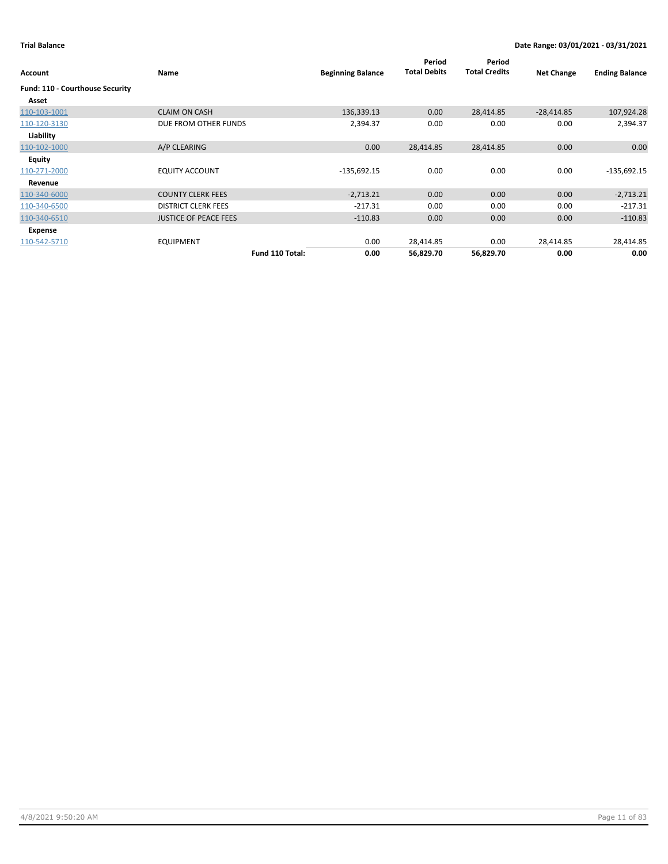| Account                         | Name                         | <b>Beginning Balance</b> | Period<br><b>Total Debits</b> | Period<br><b>Total Credits</b> | <b>Net Change</b> | <b>Ending Balance</b> |
|---------------------------------|------------------------------|--------------------------|-------------------------------|--------------------------------|-------------------|-----------------------|
| Fund: 110 - Courthouse Security |                              |                          |                               |                                |                   |                       |
| Asset                           |                              |                          |                               |                                |                   |                       |
| 110-103-1001                    | <b>CLAIM ON CASH</b>         | 136,339.13               | 0.00                          | 28,414.85                      | $-28,414.85$      | 107,924.28            |
| 110-120-3130                    | DUE FROM OTHER FUNDS         | 2,394.37                 | 0.00                          | 0.00                           | 0.00              | 2,394.37              |
| Liability                       |                              |                          |                               |                                |                   |                       |
| 110-102-1000                    | A/P CLEARING                 | 0.00                     | 28,414.85                     | 28,414.85                      | 0.00              | 0.00                  |
| <b>Equity</b>                   |                              |                          |                               |                                |                   |                       |
| 110-271-2000                    | <b>EQUITY ACCOUNT</b>        | $-135,692.15$            | 0.00                          | 0.00                           | 0.00              | $-135,692.15$         |
| Revenue                         |                              |                          |                               |                                |                   |                       |
| 110-340-6000                    | <b>COUNTY CLERK FEES</b>     | $-2,713.21$              | 0.00                          | 0.00                           | 0.00              | $-2,713.21$           |
| 110-340-6500                    | <b>DISTRICT CLERK FEES</b>   | $-217.31$                | 0.00                          | 0.00                           | 0.00              | $-217.31$             |
| 110-340-6510                    | <b>JUSTICE OF PEACE FEES</b> | $-110.83$                | 0.00                          | 0.00                           | 0.00              | $-110.83$             |
| Expense                         |                              |                          |                               |                                |                   |                       |
| 110-542-5710                    | <b>EQUIPMENT</b>             | 0.00                     | 28,414.85                     | 0.00                           | 28,414.85         | 28,414.85             |
|                                 | Fund 110 Total:              | 0.00                     | 56,829.70                     | 56,829.70                      | 0.00              | 0.00                  |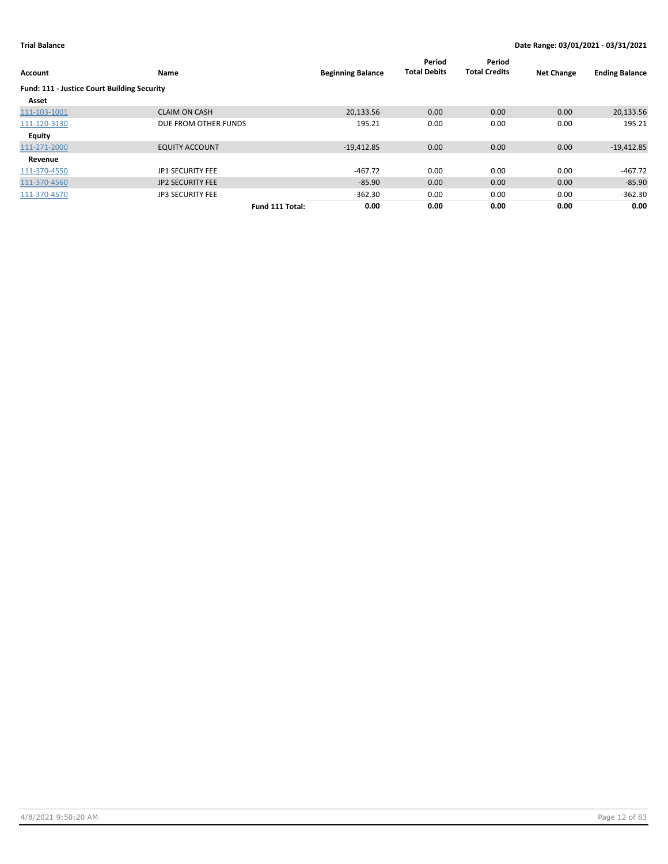| Account                                     | Name                    |                 | <b>Beginning Balance</b> | Period<br><b>Total Debits</b> | Period<br><b>Total Credits</b> | <b>Net Change</b> | <b>Ending Balance</b> |
|---------------------------------------------|-------------------------|-----------------|--------------------------|-------------------------------|--------------------------------|-------------------|-----------------------|
| Fund: 111 - Justice Court Building Security |                         |                 |                          |                               |                                |                   |                       |
| Asset                                       |                         |                 |                          |                               |                                |                   |                       |
| 111-103-1001                                | <b>CLAIM ON CASH</b>    |                 | 20.133.56                | 0.00                          | 0.00                           | 0.00              | 20,133.56             |
| 111-120-3130                                | DUE FROM OTHER FUNDS    |                 | 195.21                   | 0.00                          | 0.00                           | 0.00              | 195.21                |
| <b>Equity</b>                               |                         |                 |                          |                               |                                |                   |                       |
| 111-271-2000                                | <b>EQUITY ACCOUNT</b>   |                 | $-19,412.85$             | 0.00                          | 0.00                           | 0.00              | $-19,412.85$          |
| Revenue                                     |                         |                 |                          |                               |                                |                   |                       |
| 111-370-4550                                | JP1 SECURITY FEE        |                 | $-467.72$                | 0.00                          | 0.00                           | 0.00              | $-467.72$             |
| 111-370-4560                                | <b>JP2 SECURITY FEE</b> |                 | $-85.90$                 | 0.00                          | 0.00                           | 0.00              | $-85.90$              |
| 111-370-4570                                | <b>JP3 SECURITY FEE</b> |                 | $-362.30$                | 0.00                          | 0.00                           | 0.00              | $-362.30$             |
|                                             |                         | Fund 111 Total: | 0.00                     | 0.00                          | 0.00                           | 0.00              | 0.00                  |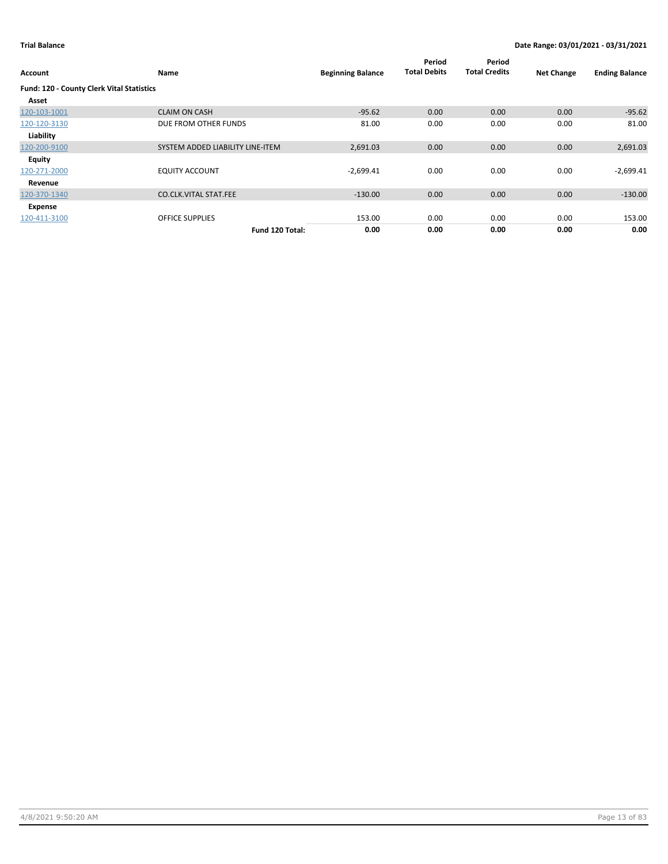| Account                                          | Name                             | <b>Beginning Balance</b> | Period<br><b>Total Debits</b> | Period<br><b>Total Credits</b> | <b>Net Change</b> | <b>Ending Balance</b> |
|--------------------------------------------------|----------------------------------|--------------------------|-------------------------------|--------------------------------|-------------------|-----------------------|
| <b>Fund: 120 - County Clerk Vital Statistics</b> |                                  |                          |                               |                                |                   |                       |
| Asset                                            |                                  |                          |                               |                                |                   |                       |
| 120-103-1001                                     | <b>CLAIM ON CASH</b>             | $-95.62$                 | 0.00                          | 0.00                           | 0.00              | $-95.62$              |
| 120-120-3130                                     | DUE FROM OTHER FUNDS             | 81.00                    | 0.00                          | 0.00                           | 0.00              | 81.00                 |
| Liability                                        |                                  |                          |                               |                                |                   |                       |
| 120-200-9100                                     | SYSTEM ADDED LIABILITY LINE-ITEM | 2,691.03                 | 0.00                          | 0.00                           | 0.00              | 2,691.03              |
| Equity                                           |                                  |                          |                               |                                |                   |                       |
| 120-271-2000                                     | <b>EQUITY ACCOUNT</b>            | $-2,699.41$              | 0.00                          | 0.00                           | 0.00              | $-2,699.41$           |
| Revenue                                          |                                  |                          |                               |                                |                   |                       |
| 120-370-1340                                     | <b>CO.CLK.VITAL STAT.FEE</b>     | $-130.00$                | 0.00                          | 0.00                           | 0.00              | $-130.00$             |
| Expense                                          |                                  |                          |                               |                                |                   |                       |
| 120-411-3100                                     | <b>OFFICE SUPPLIES</b>           | 153.00                   | 0.00                          | 0.00                           | 0.00              | 153.00                |
|                                                  | Fund 120 Total:                  | 0.00                     | 0.00                          | 0.00                           | 0.00              | 0.00                  |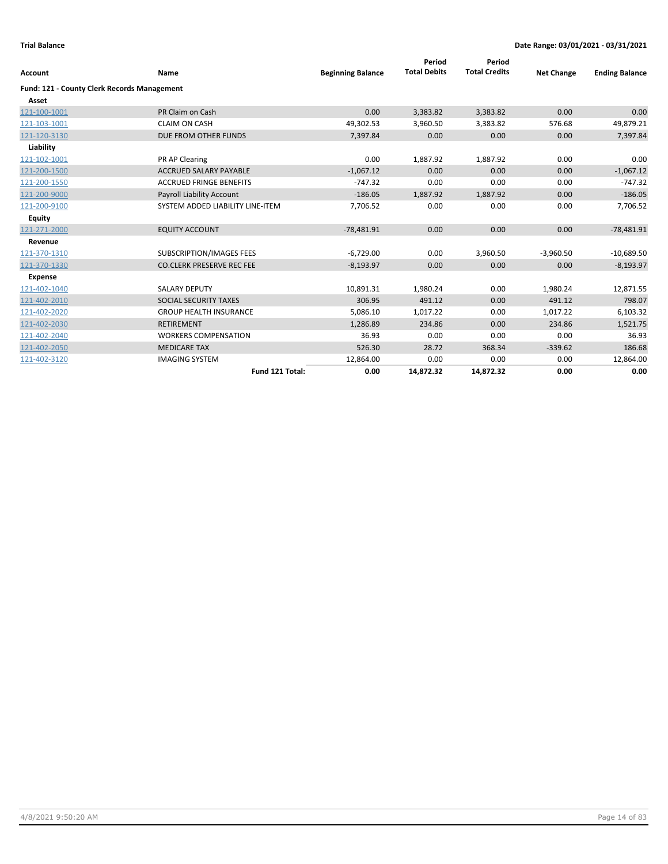| <b>Account</b>                              | Name                             |                          | Period<br><b>Total Debits</b> | Period<br><b>Total Credits</b> | <b>Net Change</b> |                       |
|---------------------------------------------|----------------------------------|--------------------------|-------------------------------|--------------------------------|-------------------|-----------------------|
|                                             |                                  | <b>Beginning Balance</b> |                               |                                |                   | <b>Ending Balance</b> |
| Fund: 121 - County Clerk Records Management |                                  |                          |                               |                                |                   |                       |
| Asset                                       |                                  |                          |                               |                                |                   |                       |
| 121-100-1001                                | PR Claim on Cash                 | 0.00                     | 3,383.82                      | 3,383.82                       | 0.00              | 0.00                  |
| 121-103-1001                                | <b>CLAIM ON CASH</b>             | 49,302.53                | 3,960.50                      | 3,383.82                       | 576.68            | 49,879.21             |
| 121-120-3130                                | DUE FROM OTHER FUNDS             | 7,397.84                 | 0.00                          | 0.00                           | 0.00              | 7,397.84              |
| Liability                                   |                                  |                          |                               |                                |                   |                       |
| 121-102-1001                                | PR AP Clearing                   | 0.00                     | 1,887.92                      | 1,887.92                       | 0.00              | 0.00                  |
| 121-200-1500                                | <b>ACCRUED SALARY PAYABLE</b>    | $-1.067.12$              | 0.00                          | 0.00                           | 0.00              | $-1,067.12$           |
| 121-200-1550                                | <b>ACCRUED FRINGE BENEFITS</b>   | $-747.32$                | 0.00                          | 0.00                           | 0.00              | $-747.32$             |
| 121-200-9000                                | <b>Payroll Liability Account</b> | $-186.05$                | 1,887.92                      | 1,887.92                       | 0.00              | $-186.05$             |
| 121-200-9100                                | SYSTEM ADDED LIABILITY LINE-ITEM | 7,706.52                 | 0.00                          | 0.00                           | 0.00              | 7,706.52              |
| <b>Equity</b>                               |                                  |                          |                               |                                |                   |                       |
| 121-271-2000                                | <b>EQUITY ACCOUNT</b>            | $-78,481.91$             | 0.00                          | 0.00                           | 0.00              | $-78,481.91$          |
| Revenue                                     |                                  |                          |                               |                                |                   |                       |
| 121-370-1310                                | <b>SUBSCRIPTION/IMAGES FEES</b>  | $-6,729.00$              | 0.00                          | 3,960.50                       | $-3,960.50$       | $-10,689.50$          |
| 121-370-1330                                | <b>CO.CLERK PRESERVE REC FEE</b> | $-8,193.97$              | 0.00                          | 0.00                           | 0.00              | $-8,193.97$           |
| <b>Expense</b>                              |                                  |                          |                               |                                |                   |                       |
| 121-402-1040                                | <b>SALARY DEPUTY</b>             | 10,891.31                | 1,980.24                      | 0.00                           | 1,980.24          | 12,871.55             |
| 121-402-2010                                | SOCIAL SECURITY TAXES            | 306.95                   | 491.12                        | 0.00                           | 491.12            | 798.07                |
| 121-402-2020                                | <b>GROUP HEALTH INSURANCE</b>    | 5,086.10                 | 1,017.22                      | 0.00                           | 1,017.22          | 6,103.32              |
| 121-402-2030                                | <b>RETIREMENT</b>                | 1,286.89                 | 234.86                        | 0.00                           | 234.86            | 1,521.75              |
| 121-402-2040                                | <b>WORKERS COMPENSATION</b>      | 36.93                    | 0.00                          | 0.00                           | 0.00              | 36.93                 |
| 121-402-2050                                | <b>MEDICARE TAX</b>              | 526.30                   | 28.72                         | 368.34                         | $-339.62$         | 186.68                |
| 121-402-3120                                | <b>IMAGING SYSTEM</b>            | 12,864.00                | 0.00                          | 0.00                           | 0.00              | 12,864.00             |
|                                             | Fund 121 Total:                  | 0.00                     | 14,872.32                     | 14,872.32                      | 0.00              | 0.00                  |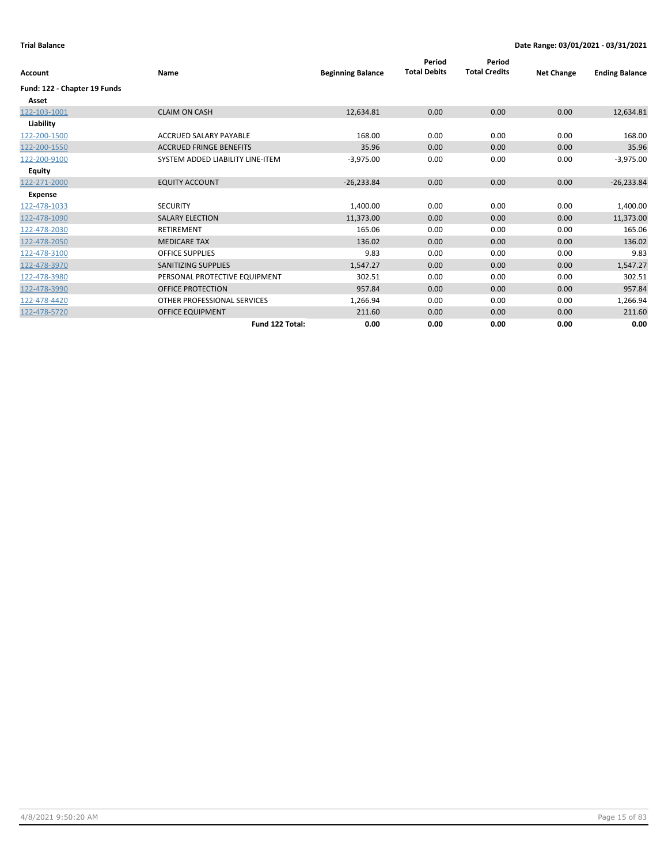| Account                      | Name                             | <b>Beginning Balance</b> | Period<br><b>Total Debits</b> | Period<br><b>Total Credits</b> | <b>Net Change</b> | <b>Ending Balance</b> |
|------------------------------|----------------------------------|--------------------------|-------------------------------|--------------------------------|-------------------|-----------------------|
| Fund: 122 - Chapter 19 Funds |                                  |                          |                               |                                |                   |                       |
| Asset                        |                                  |                          |                               |                                |                   |                       |
| 122-103-1001                 | <b>CLAIM ON CASH</b>             | 12,634.81                | 0.00                          | 0.00                           | 0.00              | 12,634.81             |
| Liability                    |                                  |                          |                               |                                |                   |                       |
| 122-200-1500                 | ACCRUED SALARY PAYABLE           | 168.00                   | 0.00                          | 0.00                           | 0.00              | 168.00                |
| 122-200-1550                 | <b>ACCRUED FRINGE BENEFITS</b>   | 35.96                    | 0.00                          | 0.00                           | 0.00              | 35.96                 |
| 122-200-9100                 | SYSTEM ADDED LIABILITY LINE-ITEM | $-3,975.00$              | 0.00                          | 0.00                           | 0.00              | $-3,975.00$           |
| <b>Equity</b>                |                                  |                          |                               |                                |                   |                       |
| 122-271-2000                 | <b>EQUITY ACCOUNT</b>            | $-26,233.84$             | 0.00                          | 0.00                           | 0.00              | $-26,233.84$          |
| <b>Expense</b>               |                                  |                          |                               |                                |                   |                       |
| 122-478-1033                 | <b>SECURITY</b>                  | 1,400.00                 | 0.00                          | 0.00                           | 0.00              | 1,400.00              |
| 122-478-1090                 | <b>SALARY ELECTION</b>           | 11,373.00                | 0.00                          | 0.00                           | 0.00              | 11,373.00             |
| 122-478-2030                 | <b>RETIREMENT</b>                | 165.06                   | 0.00                          | 0.00                           | 0.00              | 165.06                |
| 122-478-2050                 | <b>MEDICARE TAX</b>              | 136.02                   | 0.00                          | 0.00                           | 0.00              | 136.02                |
| 122-478-3100                 | <b>OFFICE SUPPLIES</b>           | 9.83                     | 0.00                          | 0.00                           | 0.00              | 9.83                  |
| 122-478-3970                 | <b>SANITIZING SUPPLIES</b>       | 1,547.27                 | 0.00                          | 0.00                           | 0.00              | 1,547.27              |
| 122-478-3980                 | PERSONAL PROTECTIVE EQUIPMENT    | 302.51                   | 0.00                          | 0.00                           | 0.00              | 302.51                |
| 122-478-3990                 | <b>OFFICE PROTECTION</b>         | 957.84                   | 0.00                          | 0.00                           | 0.00              | 957.84                |
| 122-478-4420                 | OTHER PROFESSIONAL SERVICES      | 1,266.94                 | 0.00                          | 0.00                           | 0.00              | 1,266.94              |
| 122-478-5720                 | <b>OFFICE EQUIPMENT</b>          | 211.60                   | 0.00                          | 0.00                           | 0.00              | 211.60                |
|                              | Fund 122 Total:                  | 0.00                     | 0.00                          | 0.00                           | 0.00              | 0.00                  |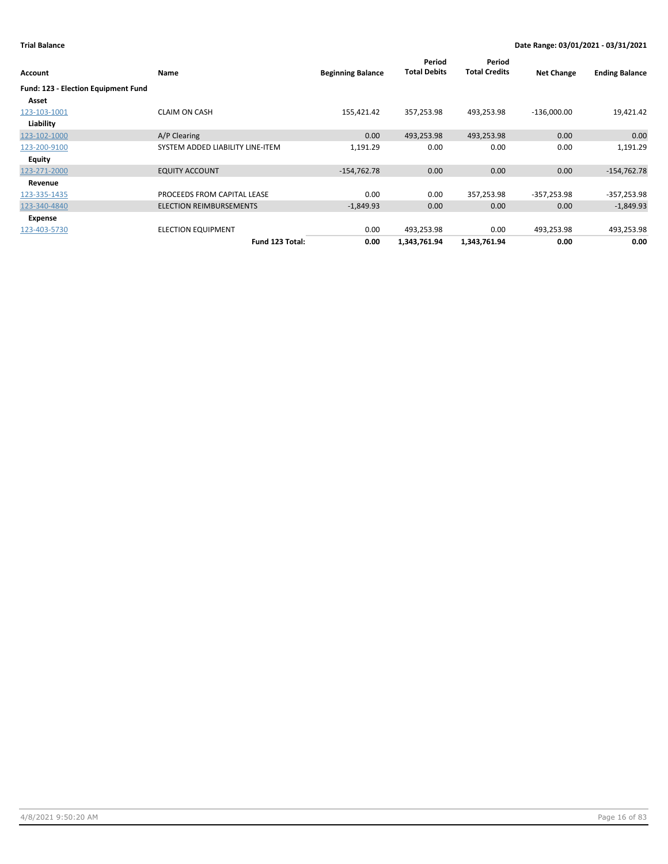|                                     |                                  |                          | Period              | Period               |                   |                       |
|-------------------------------------|----------------------------------|--------------------------|---------------------|----------------------|-------------------|-----------------------|
| Account                             | Name                             | <b>Beginning Balance</b> | <b>Total Debits</b> | <b>Total Credits</b> | <b>Net Change</b> | <b>Ending Balance</b> |
| Fund: 123 - Election Equipment Fund |                                  |                          |                     |                      |                   |                       |
| Asset                               |                                  |                          |                     |                      |                   |                       |
| 123-103-1001                        | <b>CLAIM ON CASH</b>             | 155,421.42               | 357,253.98          | 493,253.98           | $-136,000.00$     | 19,421.42             |
| Liability                           |                                  |                          |                     |                      |                   |                       |
| 123-102-1000                        | A/P Clearing                     | 0.00                     | 493,253.98          | 493,253.98           | 0.00              | 0.00                  |
| 123-200-9100                        | SYSTEM ADDED LIABILITY LINE-ITEM | 1,191.29                 | 0.00                | 0.00                 | 0.00              | 1,191.29              |
| Equity                              |                                  |                          |                     |                      |                   |                       |
| 123-271-2000                        | <b>EQUITY ACCOUNT</b>            | $-154,762.78$            | 0.00                | 0.00                 | 0.00              | $-154,762.78$         |
| Revenue                             |                                  |                          |                     |                      |                   |                       |
| 123-335-1435                        | PROCEEDS FROM CAPITAL LEASE      | 0.00                     | 0.00                | 357,253.98           | $-357,253.98$     | $-357,253.98$         |
| 123-340-4840                        | <b>ELECTION REIMBURSEMENTS</b>   | $-1,849.93$              | 0.00                | 0.00                 | 0.00              | $-1,849.93$           |
| Expense                             |                                  |                          |                     |                      |                   |                       |
| 123-403-5730                        | <b>ELECTION EQUIPMENT</b>        | 0.00                     | 493,253.98          | 0.00                 | 493,253.98        | 493,253.98            |
|                                     | Fund 123 Total:                  | 0.00                     | 1,343,761.94        | 1,343,761.94         | 0.00              | 0.00                  |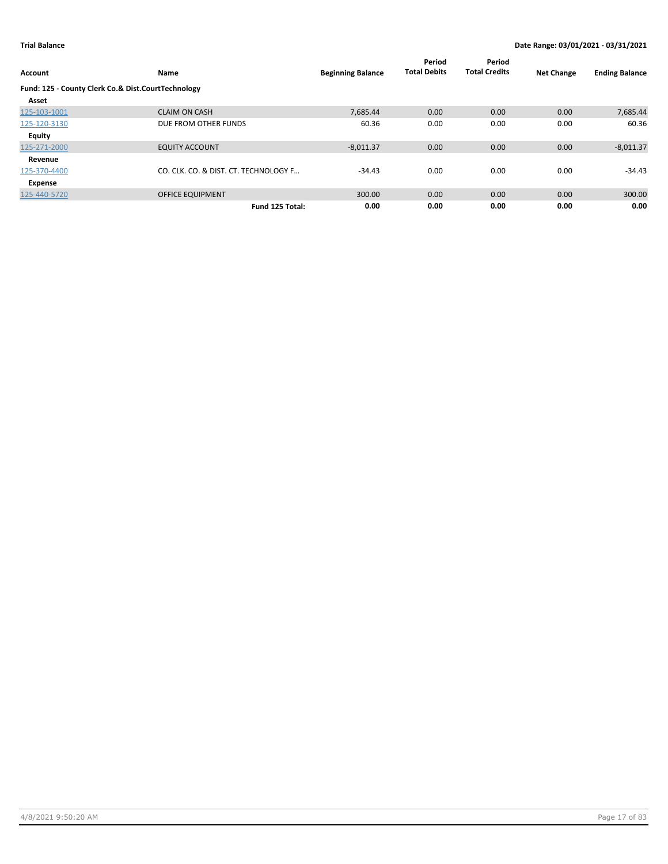| Account                                            | Name                                  | <b>Beginning Balance</b> | Period<br><b>Total Debits</b> | Period<br><b>Total Credits</b> | <b>Net Change</b> | <b>Ending Balance</b> |
|----------------------------------------------------|---------------------------------------|--------------------------|-------------------------------|--------------------------------|-------------------|-----------------------|
| Fund: 125 - County Clerk Co.& Dist.CourtTechnology |                                       |                          |                               |                                |                   |                       |
| Asset                                              |                                       |                          |                               |                                |                   |                       |
| 125-103-1001                                       | <b>CLAIM ON CASH</b>                  | 7.685.44                 | 0.00                          | 0.00                           | 0.00              | 7,685.44              |
| 125-120-3130                                       | DUE FROM OTHER FUNDS                  | 60.36                    | 0.00                          | 0.00                           | 0.00              | 60.36                 |
| Equity                                             |                                       |                          |                               |                                |                   |                       |
| 125-271-2000                                       | <b>EQUITY ACCOUNT</b>                 | $-8,011.37$              | 0.00                          | 0.00                           | 0.00              | $-8,011.37$           |
| Revenue                                            |                                       |                          |                               |                                |                   |                       |
| 125-370-4400                                       | CO. CLK. CO. & DIST. CT. TECHNOLOGY F | $-34.43$                 | 0.00                          | 0.00                           | 0.00              | $-34.43$              |
| Expense                                            |                                       |                          |                               |                                |                   |                       |
| 125-440-5720                                       | <b>OFFICE EQUIPMENT</b>               | 300.00                   | 0.00                          | 0.00                           | 0.00              | 300.00                |
|                                                    | Fund 125 Total:                       | 0.00                     | 0.00                          | 0.00                           | 0.00              | 0.00                  |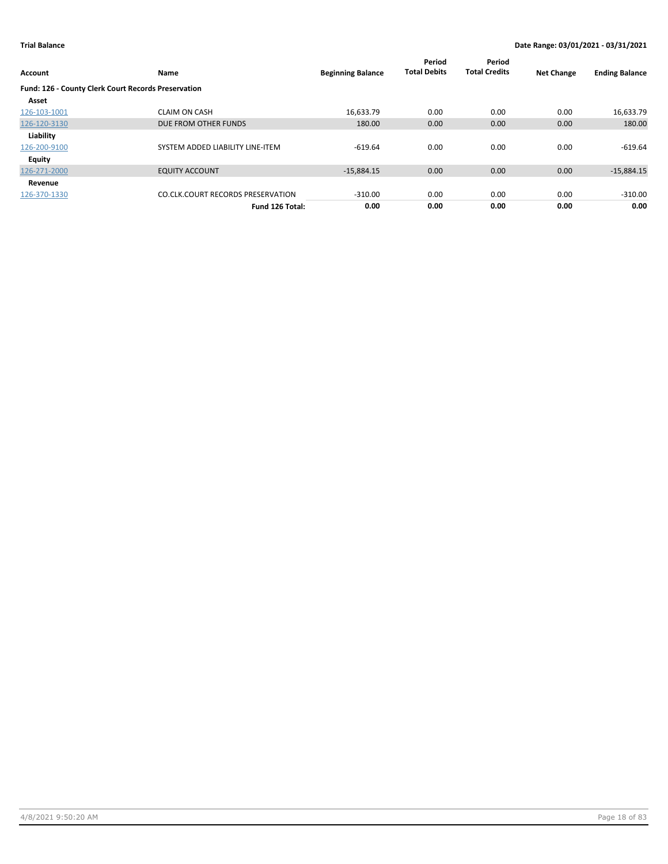| Account                                             | Name                                     | <b>Beginning Balance</b> | Period<br><b>Total Debits</b> | Period<br><b>Total Credits</b> | <b>Net Change</b> | <b>Ending Balance</b> |
|-----------------------------------------------------|------------------------------------------|--------------------------|-------------------------------|--------------------------------|-------------------|-----------------------|
| Fund: 126 - County Clerk Court Records Preservation |                                          |                          |                               |                                |                   |                       |
| Asset                                               |                                          |                          |                               |                                |                   |                       |
| 126-103-1001                                        | <b>CLAIM ON CASH</b>                     | 16,633.79                | 0.00                          | 0.00                           | 0.00              | 16,633.79             |
| 126-120-3130                                        | DUE FROM OTHER FUNDS                     | 180.00                   | 0.00                          | 0.00                           | 0.00              | 180.00                |
| Liability                                           |                                          |                          |                               |                                |                   |                       |
| 126-200-9100                                        | SYSTEM ADDED LIABILITY LINE-ITEM         | $-619.64$                | 0.00                          | 0.00                           | 0.00              | $-619.64$             |
| Equity                                              |                                          |                          |                               |                                |                   |                       |
| 126-271-2000                                        | <b>EQUITY ACCOUNT</b>                    | $-15,884.15$             | 0.00                          | 0.00                           | 0.00              | $-15,884.15$          |
| Revenue                                             |                                          |                          |                               |                                |                   |                       |
| 126-370-1330                                        | <b>CO.CLK.COURT RECORDS PRESERVATION</b> | $-310.00$                | 0.00                          | 0.00                           | 0.00              | $-310.00$             |
|                                                     | Fund 126 Total:                          | 0.00                     | 0.00                          | 0.00                           | 0.00              | 0.00                  |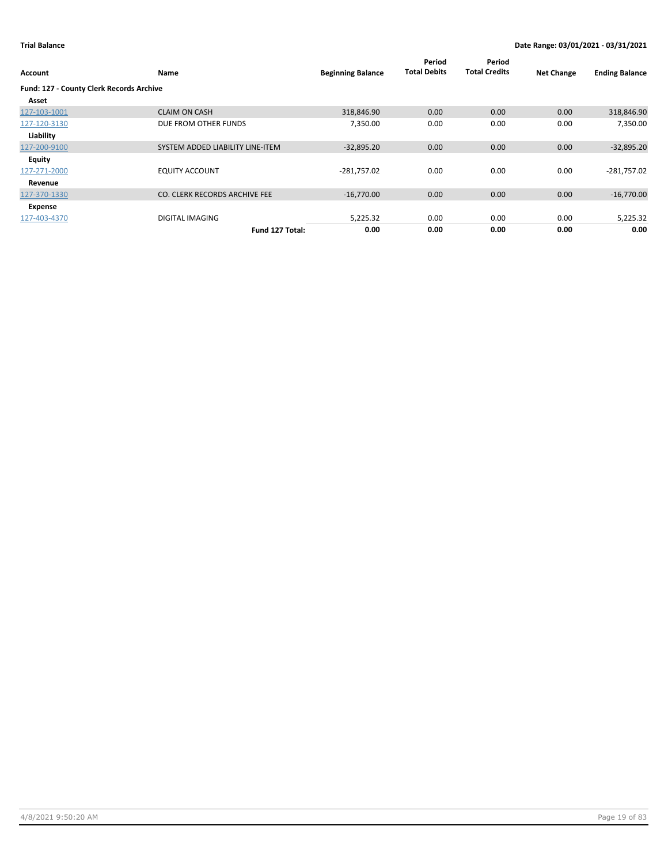| Account                                  | Name                             | <b>Beginning Balance</b> | Period<br><b>Total Debits</b> | Period<br><b>Total Credits</b> | <b>Net Change</b> | <b>Ending Balance</b> |
|------------------------------------------|----------------------------------|--------------------------|-------------------------------|--------------------------------|-------------------|-----------------------|
| Fund: 127 - County Clerk Records Archive |                                  |                          |                               |                                |                   |                       |
| Asset                                    |                                  |                          |                               |                                |                   |                       |
| 127-103-1001                             | <b>CLAIM ON CASH</b>             | 318,846.90               | 0.00                          | 0.00                           | 0.00              | 318,846.90            |
| 127-120-3130                             | DUE FROM OTHER FUNDS             | 7,350.00                 | 0.00                          | 0.00                           | 0.00              | 7,350.00              |
| Liability                                |                                  |                          |                               |                                |                   |                       |
| 127-200-9100                             | SYSTEM ADDED LIABILITY LINE-ITEM | $-32,895.20$             | 0.00                          | 0.00                           | 0.00              | $-32,895.20$          |
| <b>Equity</b>                            |                                  |                          |                               |                                |                   |                       |
| 127-271-2000                             | <b>EQUITY ACCOUNT</b>            | $-281,757.02$            | 0.00                          | 0.00                           | 0.00              | $-281,757.02$         |
| Revenue                                  |                                  |                          |                               |                                |                   |                       |
| 127-370-1330                             | CO. CLERK RECORDS ARCHIVE FEE    | $-16,770.00$             | 0.00                          | 0.00                           | 0.00              | $-16,770.00$          |
| Expense                                  |                                  |                          |                               |                                |                   |                       |
| 127-403-4370                             | <b>DIGITAL IMAGING</b>           | 5,225.32                 | 0.00                          | 0.00                           | 0.00              | 5,225.32              |
|                                          | Fund 127 Total:                  | 0.00                     | 0.00                          | 0.00                           | 0.00              | 0.00                  |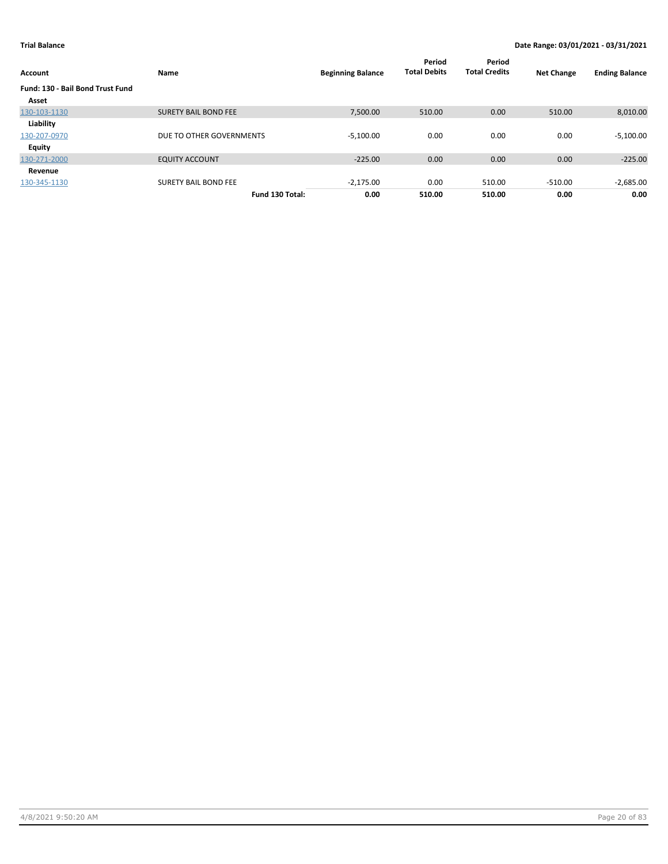| Account                          | Name                        | <b>Beginning Balance</b> | Period<br><b>Total Debits</b> | Period<br><b>Total Credits</b> | <b>Net Change</b> | <b>Ending Balance</b> |
|----------------------------------|-----------------------------|--------------------------|-------------------------------|--------------------------------|-------------------|-----------------------|
| Fund: 130 - Bail Bond Trust Fund |                             |                          |                               |                                |                   |                       |
| Asset                            |                             |                          |                               |                                |                   |                       |
| 130-103-1130                     | <b>SURETY BAIL BOND FEE</b> | 7,500.00                 | 510.00                        | 0.00                           | 510.00            | 8,010.00              |
| Liability                        |                             |                          |                               |                                |                   |                       |
| 130-207-0970                     | DUE TO OTHER GOVERNMENTS    | $-5,100.00$              | 0.00                          | 0.00                           | 0.00              | $-5,100.00$           |
| <b>Equity</b>                    |                             |                          |                               |                                |                   |                       |
| 130-271-2000                     | <b>EQUITY ACCOUNT</b>       | $-225.00$                | 0.00                          | 0.00                           | 0.00              | $-225.00$             |
| Revenue                          |                             |                          |                               |                                |                   |                       |
| 130-345-1130                     | <b>SURETY BAIL BOND FEE</b> | $-2.175.00$              | 0.00                          | 510.00                         | $-510.00$         | $-2,685.00$           |
|                                  | Fund 130 Total:             | 0.00                     | 510.00                        | 510.00                         | 0.00              | 0.00                  |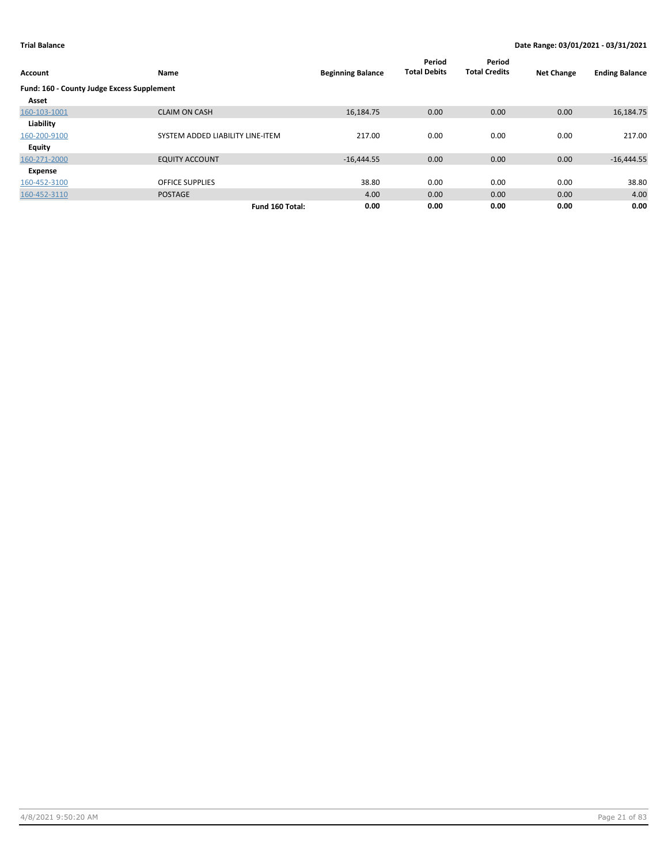| Account                                    | Name                             | <b>Beginning Balance</b> | Period<br><b>Total Debits</b> | Period<br><b>Total Credits</b> | <b>Net Change</b> | <b>Ending Balance</b> |
|--------------------------------------------|----------------------------------|--------------------------|-------------------------------|--------------------------------|-------------------|-----------------------|
| Fund: 160 - County Judge Excess Supplement |                                  |                          |                               |                                |                   |                       |
| Asset                                      |                                  |                          |                               |                                |                   |                       |
| 160-103-1001                               | <b>CLAIM ON CASH</b>             | 16,184.75                | 0.00                          | 0.00                           | 0.00              | 16,184.75             |
| Liability                                  |                                  |                          |                               |                                |                   |                       |
| 160-200-9100                               | SYSTEM ADDED LIABILITY LINE-ITEM | 217.00                   | 0.00                          | 0.00                           | 0.00              | 217.00                |
| Equity                                     |                                  |                          |                               |                                |                   |                       |
| 160-271-2000                               | <b>EQUITY ACCOUNT</b>            | $-16,444.55$             | 0.00                          | 0.00                           | 0.00              | $-16,444.55$          |
| Expense                                    |                                  |                          |                               |                                |                   |                       |
| 160-452-3100                               | <b>OFFICE SUPPLIES</b>           | 38.80                    | 0.00                          | 0.00                           | 0.00              | 38.80                 |
| 160-452-3110                               | <b>POSTAGE</b>                   | 4.00                     | 0.00                          | 0.00                           | 0.00              | 4.00                  |
|                                            | Fund 160 Total:                  | 0.00                     | 0.00                          | 0.00                           | 0.00              | 0.00                  |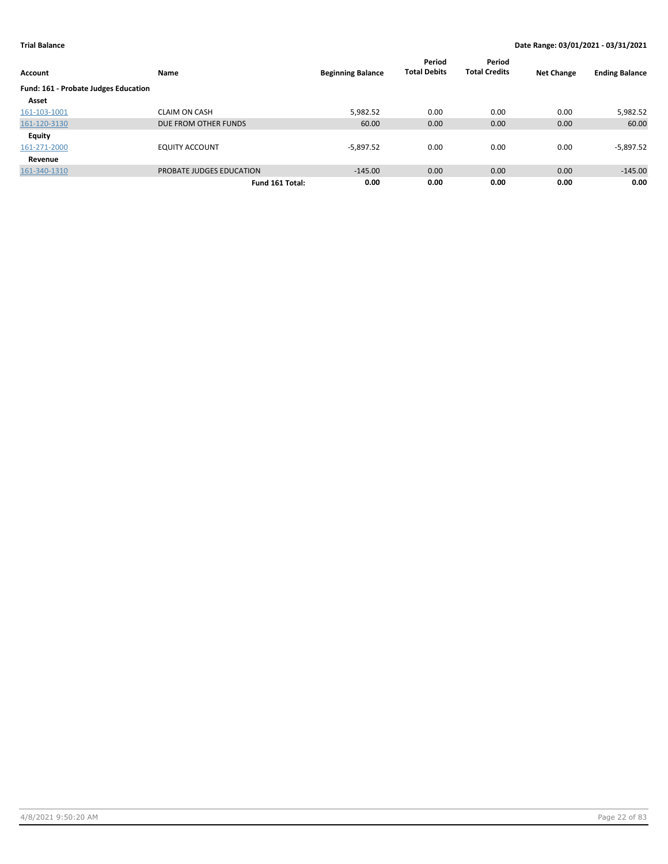| Account                              | Name                     | <b>Beginning Balance</b> | Period<br><b>Total Debits</b> | Period<br><b>Total Credits</b> | <b>Net Change</b> | <b>Ending Balance</b> |
|--------------------------------------|--------------------------|--------------------------|-------------------------------|--------------------------------|-------------------|-----------------------|
| Fund: 161 - Probate Judges Education |                          |                          |                               |                                |                   |                       |
| Asset                                |                          |                          |                               |                                |                   |                       |
| 161-103-1001                         | <b>CLAIM ON CASH</b>     | 5,982.52                 | 0.00                          | 0.00                           | 0.00              | 5,982.52              |
| 161-120-3130                         | DUE FROM OTHER FUNDS     | 60.00                    | 0.00                          | 0.00                           | 0.00              | 60.00                 |
| Equity                               |                          |                          |                               |                                |                   |                       |
| 161-271-2000                         | <b>EQUITY ACCOUNT</b>    | $-5,897.52$              | 0.00                          | 0.00                           | 0.00              | -5,897.52             |
| Revenue                              |                          |                          |                               |                                |                   |                       |
| 161-340-1310                         | PROBATE JUDGES EDUCATION | $-145.00$                | 0.00                          | 0.00                           | 0.00              | $-145.00$             |
|                                      | Fund 161 Total:          | 0.00                     | 0.00                          | 0.00                           | 0.00              | 0.00                  |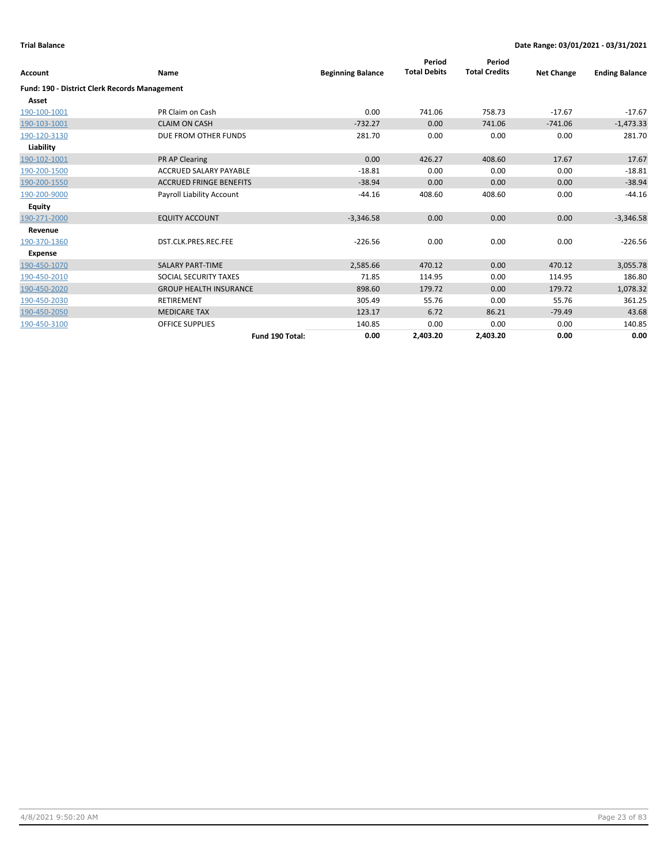| Account                                              | <b>Name</b>                    | <b>Beginning Balance</b> | Period<br><b>Total Debits</b> | Period<br><b>Total Credits</b> | <b>Net Change</b> | <b>Ending Balance</b> |
|------------------------------------------------------|--------------------------------|--------------------------|-------------------------------|--------------------------------|-------------------|-----------------------|
| <b>Fund: 190 - District Clerk Records Management</b> |                                |                          |                               |                                |                   |                       |
| Asset                                                |                                |                          |                               |                                |                   |                       |
| 190-100-1001                                         | PR Claim on Cash               | 0.00                     | 741.06                        | 758.73                         | $-17.67$          | $-17.67$              |
| 190-103-1001                                         | <b>CLAIM ON CASH</b>           | $-732.27$                | 0.00                          | 741.06                         | $-741.06$         | $-1,473.33$           |
| 190-120-3130                                         | DUE FROM OTHER FUNDS           | 281.70                   | 0.00                          | 0.00                           | 0.00              | 281.70                |
| Liability                                            |                                |                          |                               |                                |                   |                       |
| 190-102-1001                                         | <b>PR AP Clearing</b>          | 0.00                     | 426.27                        | 408.60                         | 17.67             | 17.67                 |
| 190-200-1500                                         | <b>ACCRUED SALARY PAYABLE</b>  | $-18.81$                 | 0.00                          | 0.00                           | 0.00              | $-18.81$              |
| 190-200-1550                                         | <b>ACCRUED FRINGE BENEFITS</b> | $-38.94$                 | 0.00                          | 0.00                           | 0.00              | $-38.94$              |
| 190-200-9000                                         | Payroll Liability Account      | $-44.16$                 | 408.60                        | 408.60                         | 0.00              | $-44.16$              |
| Equity                                               |                                |                          |                               |                                |                   |                       |
| 190-271-2000                                         | <b>EQUITY ACCOUNT</b>          | $-3,346.58$              | 0.00                          | 0.00                           | 0.00              | $-3,346.58$           |
| Revenue                                              |                                |                          |                               |                                |                   |                       |
| 190-370-1360                                         | DST.CLK.PRES.REC.FEE           | $-226.56$                | 0.00                          | 0.00                           | 0.00              | $-226.56$             |
| <b>Expense</b>                                       |                                |                          |                               |                                |                   |                       |
| 190-450-1070                                         | <b>SALARY PART-TIME</b>        | 2,585.66                 | 470.12                        | 0.00                           | 470.12            | 3,055.78              |
| 190-450-2010                                         | SOCIAL SECURITY TAXES          | 71.85                    | 114.95                        | 0.00                           | 114.95            | 186.80                |
| 190-450-2020                                         | <b>GROUP HEALTH INSURANCE</b>  | 898.60                   | 179.72                        | 0.00                           | 179.72            | 1,078.32              |
| 190-450-2030                                         | <b>RETIREMENT</b>              | 305.49                   | 55.76                         | 0.00                           | 55.76             | 361.25                |
| 190-450-2050                                         | <b>MEDICARE TAX</b>            | 123.17                   | 6.72                          | 86.21                          | $-79.49$          | 43.68                 |
| 190-450-3100                                         | <b>OFFICE SUPPLIES</b>         | 140.85                   | 0.00                          | 0.00                           | 0.00              | 140.85                |
|                                                      | Fund 190 Total:                | 0.00                     | 2.403.20                      | 2,403.20                       | 0.00              | 0.00                  |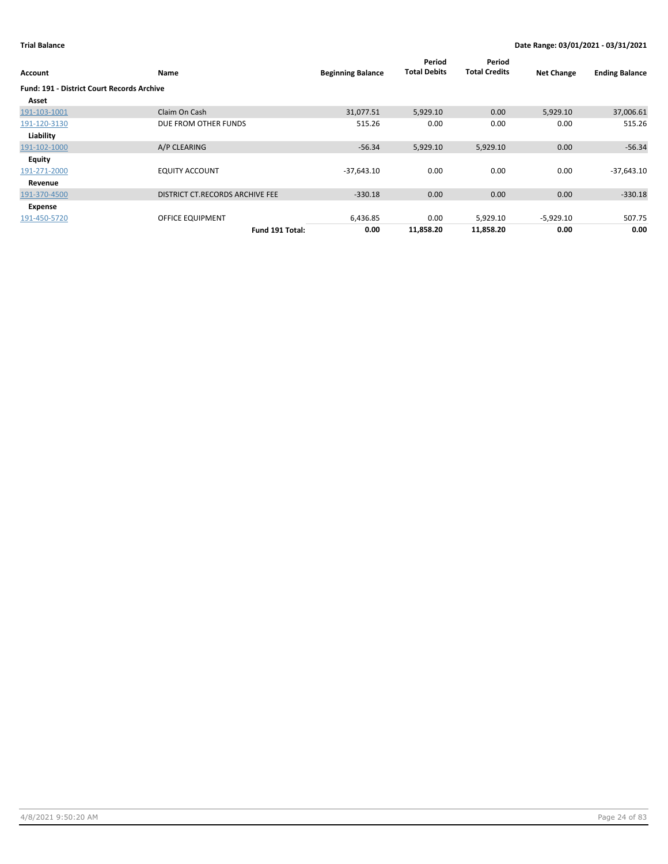| Account                                    | Name                            | <b>Beginning Balance</b> | Period<br><b>Total Debits</b> | Period<br><b>Total Credits</b> | <b>Net Change</b> | <b>Ending Balance</b> |
|--------------------------------------------|---------------------------------|--------------------------|-------------------------------|--------------------------------|-------------------|-----------------------|
| Fund: 191 - District Court Records Archive |                                 |                          |                               |                                |                   |                       |
| Asset                                      |                                 |                          |                               |                                |                   |                       |
| 191-103-1001                               | Claim On Cash                   | 31,077.51                | 5,929.10                      | 0.00                           | 5,929.10          | 37,006.61             |
| 191-120-3130                               | DUE FROM OTHER FUNDS            | 515.26                   | 0.00                          | 0.00                           | 0.00              | 515.26                |
| Liability                                  |                                 |                          |                               |                                |                   |                       |
| 191-102-1000                               | A/P CLEARING                    | $-56.34$                 | 5,929.10                      | 5,929.10                       | 0.00              | $-56.34$              |
| <b>Equity</b>                              |                                 |                          |                               |                                |                   |                       |
| 191-271-2000                               | <b>EQUITY ACCOUNT</b>           | $-37,643.10$             | 0.00                          | 0.00                           | 0.00              | $-37,643.10$          |
| Revenue                                    |                                 |                          |                               |                                |                   |                       |
| 191-370-4500                               | DISTRICT CT.RECORDS ARCHIVE FEE | $-330.18$                | 0.00                          | 0.00                           | 0.00              | $-330.18$             |
| Expense                                    |                                 |                          |                               |                                |                   |                       |
| 191-450-5720                               | OFFICE EQUIPMENT                | 6,436.85                 | 0.00                          | 5,929.10                       | $-5,929.10$       | 507.75                |
|                                            | Fund 191 Total:                 | 0.00                     | 11,858.20                     | 11,858.20                      | 0.00              | 0.00                  |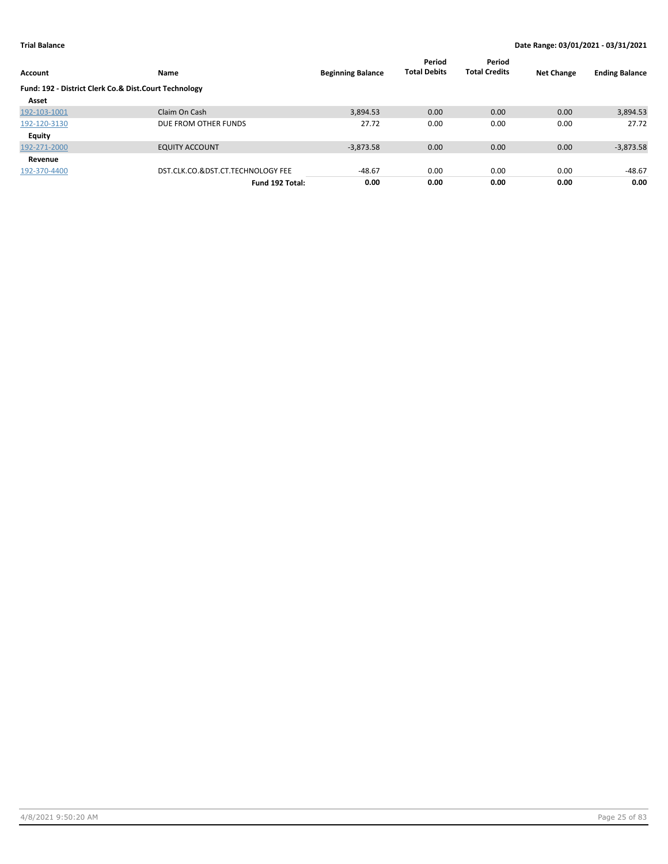| Account                                               | Name                              | <b>Beginning Balance</b> | Period<br><b>Total Debits</b> | Period<br><b>Total Credits</b> | <b>Net Change</b> | <b>Ending Balance</b> |
|-------------------------------------------------------|-----------------------------------|--------------------------|-------------------------------|--------------------------------|-------------------|-----------------------|
| Fund: 192 - District Clerk Co.& Dist.Court Technology |                                   |                          |                               |                                |                   |                       |
| Asset                                                 |                                   |                          |                               |                                |                   |                       |
| 192-103-1001                                          | Claim On Cash                     | 3.894.53                 | 0.00                          | 0.00                           | 0.00              | 3,894.53              |
| 192-120-3130                                          | DUE FROM OTHER FUNDS              | 27.72                    | 0.00                          | 0.00                           | 0.00              | 27.72                 |
| Equity                                                |                                   |                          |                               |                                |                   |                       |
| 192-271-2000                                          | <b>EQUITY ACCOUNT</b>             | $-3,873.58$              | 0.00                          | 0.00                           | 0.00              | $-3,873.58$           |
| Revenue                                               |                                   |                          |                               |                                |                   |                       |
| 192-370-4400                                          | DST.CLK.CO.&DST.CT.TECHNOLOGY FEE | $-48.67$                 | 0.00                          | 0.00                           | 0.00              | $-48.67$              |
|                                                       | Fund 192 Total:                   | 0.00                     | 0.00                          | 0.00                           | 0.00              | 0.00                  |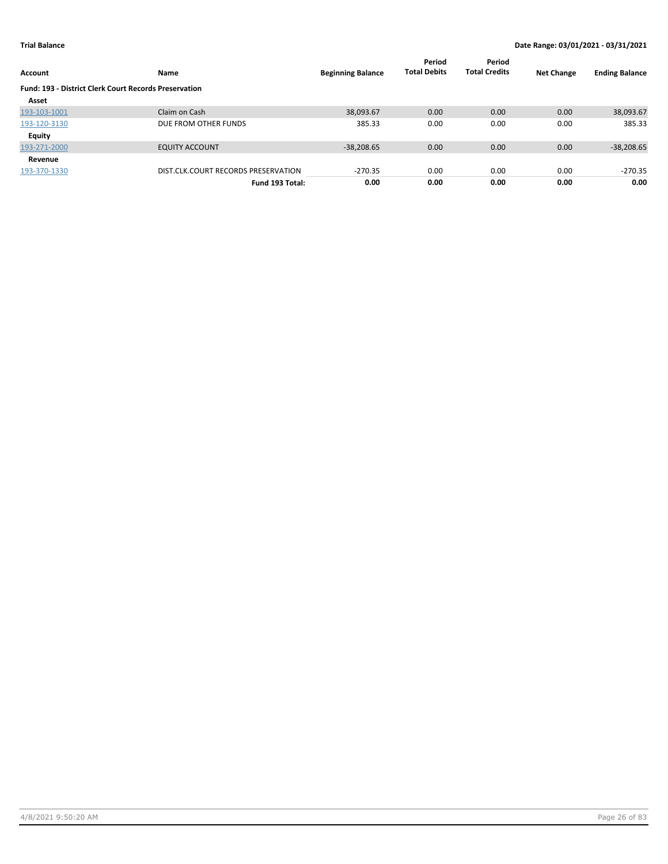| Account                                                      | Name                                | <b>Beginning Balance</b> | Period<br><b>Total Debits</b> | Period<br><b>Total Credits</b> | <b>Net Change</b> | <b>Ending Balance</b> |
|--------------------------------------------------------------|-------------------------------------|--------------------------|-------------------------------|--------------------------------|-------------------|-----------------------|
| <b>Fund: 193 - District Clerk Court Records Preservation</b> |                                     |                          |                               |                                |                   |                       |
| Asset                                                        |                                     |                          |                               |                                |                   |                       |
| 193-103-1001                                                 | Claim on Cash                       | 38,093.67                | 0.00                          | 0.00                           | 0.00              | 38,093.67             |
| 193-120-3130                                                 | DUE FROM OTHER FUNDS                | 385.33                   | 0.00                          | 0.00                           | 0.00              | 385.33                |
| <b>Equity</b>                                                |                                     |                          |                               |                                |                   |                       |
| 193-271-2000                                                 | <b>EQUITY ACCOUNT</b>               | $-38,208.65$             | 0.00                          | 0.00                           | 0.00              | $-38,208.65$          |
| Revenue                                                      |                                     |                          |                               |                                |                   |                       |
| 193-370-1330                                                 | DIST.CLK.COURT RECORDS PRESERVATION | $-270.35$                | 0.00                          | 0.00                           | 0.00              | $-270.35$             |
|                                                              | Fund 193 Total:                     | 0.00                     | 0.00                          | 0.00                           | 0.00              | 0.00                  |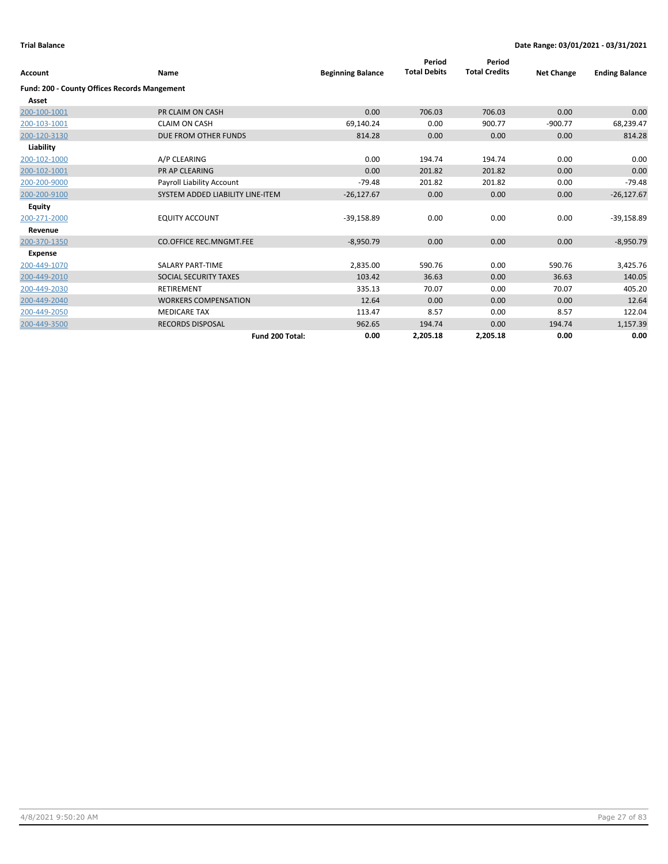| <b>Account</b>                               | Name                             | <b>Beginning Balance</b> | Period<br><b>Total Debits</b> | Period<br><b>Total Credits</b> | <b>Net Change</b> | <b>Ending Balance</b> |
|----------------------------------------------|----------------------------------|--------------------------|-------------------------------|--------------------------------|-------------------|-----------------------|
| Fund: 200 - County Offices Records Mangement |                                  |                          |                               |                                |                   |                       |
| Asset                                        |                                  |                          |                               |                                |                   |                       |
| 200-100-1001                                 | PR CLAIM ON CASH                 | 0.00                     | 706.03                        | 706.03                         | 0.00              | 0.00                  |
| 200-103-1001                                 | <b>CLAIM ON CASH</b>             | 69,140.24                | 0.00                          | 900.77                         | $-900.77$         | 68,239.47             |
| 200-120-3130                                 | DUE FROM OTHER FUNDS             | 814.28                   | 0.00                          | 0.00                           | 0.00              | 814.28                |
| Liability                                    |                                  |                          |                               |                                |                   |                       |
| 200-102-1000                                 | A/P CLEARING                     | 0.00                     | 194.74                        | 194.74                         | 0.00              | 0.00                  |
| 200-102-1001                                 | <b>PR AP CLEARING</b>            | 0.00                     | 201.82                        | 201.82                         | 0.00              | 0.00                  |
| 200-200-9000                                 | Payroll Liability Account        | $-79.48$                 | 201.82                        | 201.82                         | 0.00              | $-79.48$              |
| 200-200-9100                                 | SYSTEM ADDED LIABILITY LINE-ITEM | $-26,127.67$             | 0.00                          | 0.00                           | 0.00              | $-26,127.67$          |
| Equity                                       |                                  |                          |                               |                                |                   |                       |
| 200-271-2000                                 | <b>EQUITY ACCOUNT</b>            | $-39,158.89$             | 0.00                          | 0.00                           | 0.00              | $-39,158.89$          |
| Revenue                                      |                                  |                          |                               |                                |                   |                       |
| 200-370-1350                                 | <b>CO.OFFICE REC.MNGMT.FEE</b>   | $-8,950.79$              | 0.00                          | 0.00                           | 0.00              | $-8,950.79$           |
| <b>Expense</b>                               |                                  |                          |                               |                                |                   |                       |
| 200-449-1070                                 | <b>SALARY PART-TIME</b>          | 2,835.00                 | 590.76                        | 0.00                           | 590.76            | 3,425.76              |
| 200-449-2010                                 | SOCIAL SECURITY TAXES            | 103.42                   | 36.63                         | 0.00                           | 36.63             | 140.05                |
| 200-449-2030                                 | <b>RETIREMENT</b>                | 335.13                   | 70.07                         | 0.00                           | 70.07             | 405.20                |
| 200-449-2040                                 | <b>WORKERS COMPENSATION</b>      | 12.64                    | 0.00                          | 0.00                           | 0.00              | 12.64                 |
| 200-449-2050                                 | <b>MEDICARE TAX</b>              | 113.47                   | 8.57                          | 0.00                           | 8.57              | 122.04                |
| 200-449-3500                                 | <b>RECORDS DISPOSAL</b>          | 962.65                   | 194.74                        | 0.00                           | 194.74            | 1,157.39              |
|                                              | Fund 200 Total:                  | 0.00                     | 2,205.18                      | 2,205.18                       | 0.00              | 0.00                  |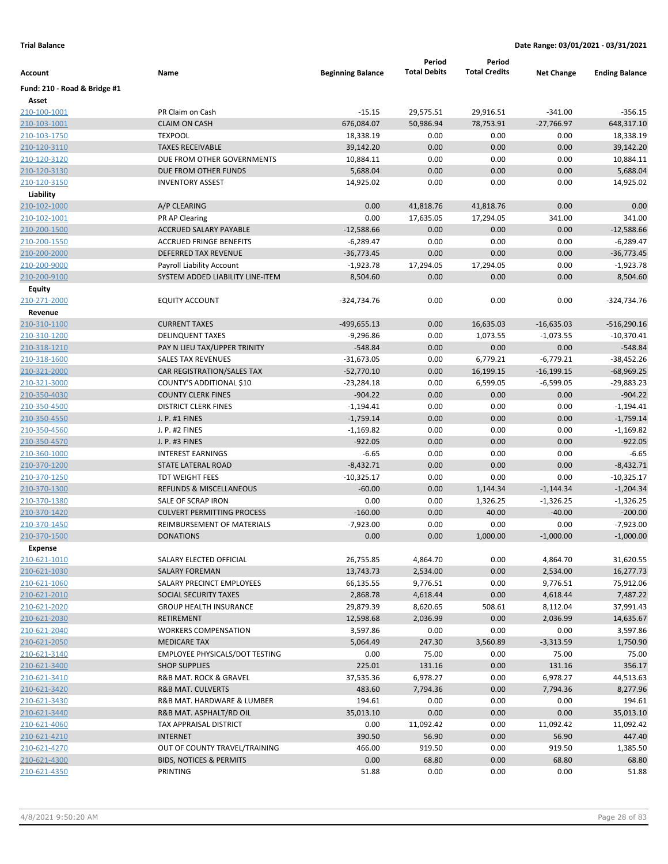|                              |                                       |                          | Period              | Period               |                   |                       |
|------------------------------|---------------------------------------|--------------------------|---------------------|----------------------|-------------------|-----------------------|
| Account                      | Name                                  | <b>Beginning Balance</b> | <b>Total Debits</b> | <b>Total Credits</b> | <b>Net Change</b> | <b>Ending Balance</b> |
| Fund: 210 - Road & Bridge #1 |                                       |                          |                     |                      |                   |                       |
| Asset                        |                                       |                          |                     |                      |                   |                       |
| 210-100-1001                 | PR Claim on Cash                      | $-15.15$                 | 29,575.51           | 29,916.51            | $-341.00$         | $-356.15$             |
| 210-103-1001                 | <b>CLAIM ON CASH</b>                  | 676,084.07               | 50,986.94           | 78,753.91            | $-27,766.97$      | 648,317.10            |
| 210-103-1750                 | <b>TEXPOOL</b>                        | 18,338.19                | 0.00                | 0.00                 | 0.00              | 18,338.19             |
| 210-120-3110                 | <b>TAXES RECEIVABLE</b>               | 39,142.20                | 0.00                | 0.00                 | 0.00              | 39,142.20             |
| 210-120-3120                 | DUE FROM OTHER GOVERNMENTS            | 10,884.11                | 0.00                | 0.00                 | 0.00              | 10,884.11             |
| 210-120-3130                 | DUE FROM OTHER FUNDS                  | 5,688.04                 | 0.00                | 0.00                 | 0.00              | 5,688.04              |
| 210-120-3150                 | <b>INVENTORY ASSEST</b>               | 14,925.02                | 0.00                | 0.00                 | 0.00              | 14,925.02             |
| Liability                    |                                       |                          |                     |                      |                   |                       |
| 210-102-1000                 | A/P CLEARING                          | 0.00                     | 41,818.76           | 41,818.76            | 0.00              | 0.00                  |
| 210-102-1001                 | PR AP Clearing                        | 0.00                     | 17,635.05           | 17,294.05            | 341.00            | 341.00                |
| 210-200-1500                 | ACCRUED SALARY PAYABLE                | $-12,588.66$             | 0.00                | 0.00                 | 0.00              | $-12,588.66$          |
| 210-200-1550                 | <b>ACCRUED FRINGE BENEFITS</b>        | $-6,289.47$              | 0.00                | 0.00                 | 0.00              | $-6,289.47$           |
| 210-200-2000                 | <b>DEFERRED TAX REVENUE</b>           | $-36,773.45$             | 0.00                | 0.00                 | 0.00              | $-36,773.45$          |
| 210-200-9000                 | Payroll Liability Account             | $-1,923.78$              | 17,294.05           | 17,294.05            | 0.00              | -1,923.78             |
| 210-200-9100                 | SYSTEM ADDED LIABILITY LINE-ITEM      | 8,504.60                 | 0.00                | 0.00                 | 0.00              | 8,504.60              |
| <b>Equity</b>                |                                       |                          |                     |                      |                   |                       |
| 210-271-2000                 | <b>EQUITY ACCOUNT</b>                 | -324,734.76              | 0.00                | 0.00                 | 0.00              | -324,734.76           |
| Revenue                      |                                       |                          |                     |                      |                   |                       |
| 210-310-1100                 | <b>CURRENT TAXES</b>                  | $-499,655.13$            | 0.00                | 16,635.03            | $-16,635.03$      | $-516,290.16$         |
| 210-310-1200                 | <b>DELINQUENT TAXES</b>               | $-9,296.86$              | 0.00                | 1,073.55             | $-1,073.55$       | $-10,370.41$          |
| <u>210-318-1210</u>          | PAY N LIEU TAX/UPPER TRINITY          | $-548.84$                | 0.00                | 0.00                 | 0.00              | $-548.84$             |
| 210-318-1600                 | <b>SALES TAX REVENUES</b>             | $-31,673.05$             | 0.00                | 6,779.21             | $-6,779.21$       | $-38,452.26$          |
| 210-321-2000                 | CAR REGISTRATION/SALES TAX            | $-52,770.10$             | 0.00                | 16,199.15            | $-16,199.15$      | $-68,969.25$          |
| 210-321-3000                 | COUNTY'S ADDITIONAL \$10              | $-23,284.18$             | 0.00                | 6,599.05             | $-6,599.05$       | $-29,883.23$          |
| 210-350-4030                 | <b>COUNTY CLERK FINES</b>             | $-904.22$                | 0.00                | 0.00                 | 0.00              | $-904.22$             |
| 210-350-4500                 | <b>DISTRICT CLERK FINES</b>           | $-1,194.41$              | 0.00                | 0.00                 | 0.00              | $-1,194.41$           |
| 210-350-4550                 | J. P. #1 FINES                        | $-1,759.14$              | 0.00                | 0.00                 | 0.00              | $-1,759.14$           |
| 210-350-4560                 | J. P. #2 FINES                        | $-1,169.82$              | 0.00                | 0.00                 | 0.00              | $-1,169.82$           |
| 210-350-4570                 | J. P. #3 FINES                        | $-922.05$                | 0.00                | 0.00                 | 0.00              | $-922.05$             |
| 210-360-1000                 | <b>INTEREST EARNINGS</b>              | $-6.65$                  | 0.00                | 0.00                 | 0.00              | $-6.65$               |
| 210-370-1200                 | STATE LATERAL ROAD                    | $-8,432.71$              | 0.00                | 0.00                 | 0.00              | $-8,432.71$           |
| 210-370-1250                 | <b>TDT WEIGHT FEES</b>                | $-10,325.17$             | 0.00                | 0.00                 | 0.00              | $-10,325.17$          |
| 210-370-1300                 | REFUNDS & MISCELLANEOUS               | $-60.00$                 | 0.00                | 1,144.34             | $-1,144.34$       | $-1,204.34$           |
| 210-370-1380                 | SALE OF SCRAP IRON                    | 0.00                     | 0.00                | 1,326.25             | $-1,326.25$       | $-1,326.25$           |
| 210-370-1420                 | <b>CULVERT PERMITTING PROCESS</b>     | $-160.00$                | 0.00                | 40.00                | $-40.00$          | $-200.00$             |
| 210-370-1450                 | REIMBURSEMENT OF MATERIALS            | $-7,923.00$              | 0.00                | 0.00                 | 0.00              | $-7,923.00$           |
| 210-370-1500                 | <b>DONATIONS</b>                      | 0.00                     | 0.00                | 1,000.00             | $-1,000.00$       | $-1,000.00$           |
| <b>Expense</b>               |                                       |                          |                     |                      |                   |                       |
| 210-621-1010                 | SALARY ELECTED OFFICIAL               | 26,755.85                | 4,864.70            | 0.00                 | 4,864.70          | 31,620.55             |
| 210-621-1030                 | <b>SALARY FOREMAN</b>                 | 13,743.73                | 2,534.00            | 0.00                 | 2,534.00          | 16,277.73             |
| 210-621-1060                 | SALARY PRECINCT EMPLOYEES             | 66,135.55                | 9,776.51            | 0.00                 | 9,776.51          | 75,912.06             |
| 210-621-2010                 | SOCIAL SECURITY TAXES                 | 2,868.78                 | 4,618.44            | 0.00                 | 4,618.44          | 7,487.22              |
| 210-621-2020                 | <b>GROUP HEALTH INSURANCE</b>         | 29,879.39                | 8,620.65            | 508.61               | 8,112.04          | 37,991.43             |
| 210-621-2030                 | RETIREMENT                            | 12,598.68                | 2,036.99            | 0.00                 | 2,036.99          | 14,635.67             |
| 210-621-2040                 | <b>WORKERS COMPENSATION</b>           | 3,597.86                 | 0.00                | 0.00                 | 0.00              | 3,597.86              |
| 210-621-2050                 | <b>MEDICARE TAX</b>                   | 5,064.49                 | 247.30              | 3,560.89             | $-3,313.59$       | 1,750.90              |
| 210-621-3140                 | <b>EMPLOYEE PHYSICALS/DOT TESTING</b> | 0.00                     | 75.00               | 0.00                 | 75.00             | 75.00                 |
| 210-621-3400                 | <b>SHOP SUPPLIES</b>                  | 225.01                   | 131.16              | 0.00                 | 131.16            | 356.17                |
| 210-621-3410                 | R&B MAT. ROCK & GRAVEL                | 37,535.36                | 6,978.27            | 0.00                 | 6,978.27          | 44,513.63             |
| 210-621-3420                 | <b>R&amp;B MAT. CULVERTS</b>          | 483.60                   | 7,794.36            | 0.00                 | 7,794.36          | 8,277.96              |
| 210-621-3430                 | R&B MAT. HARDWARE & LUMBER            | 194.61                   | 0.00                | 0.00                 | 0.00              | 194.61                |
| 210-621-3440                 | R&B MAT. ASPHALT/RD OIL               | 35,013.10                | 0.00                | 0.00                 | 0.00              | 35,013.10             |
| 210-621-4060                 | TAX APPRAISAL DISTRICT                | 0.00                     | 11,092.42           | 0.00                 | 11,092.42         | 11,092.42             |
| 210-621-4210                 | <b>INTERNET</b>                       | 390.50                   | 56.90               | 0.00                 | 56.90             | 447.40                |
| 210-621-4270                 | OUT OF COUNTY TRAVEL/TRAINING         | 466.00                   | 919.50              | 0.00                 | 919.50            | 1,385.50              |
| 210-621-4300                 | <b>BIDS, NOTICES &amp; PERMITS</b>    | 0.00                     | 68.80               | 0.00                 | 68.80             | 68.80                 |
| 210-621-4350                 | PRINTING                              | 51.88                    | 0.00                | 0.00                 | 0.00              | 51.88                 |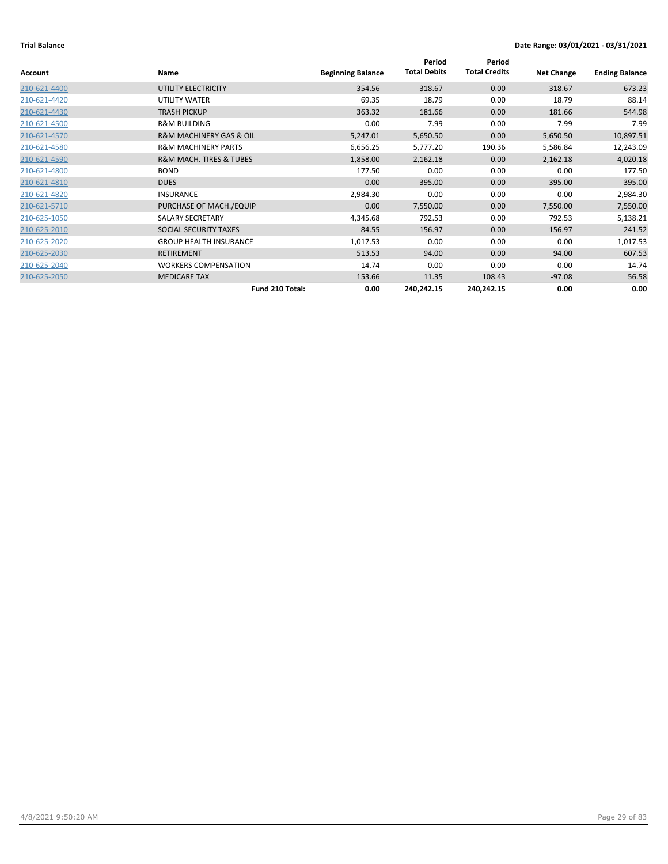|                |                                        |                          | Period              | Period               |                   |                       |
|----------------|----------------------------------------|--------------------------|---------------------|----------------------|-------------------|-----------------------|
| <b>Account</b> | <b>Name</b>                            | <b>Beginning Balance</b> | <b>Total Debits</b> | <b>Total Credits</b> | <b>Net Change</b> | <b>Ending Balance</b> |
| 210-621-4400   | UTILITY ELECTRICITY                    | 354.56                   | 318.67              | 0.00                 | 318.67            | 673.23                |
| 210-621-4420   | UTILITY WATER                          | 69.35                    | 18.79               | 0.00                 | 18.79             | 88.14                 |
| 210-621-4430   | <b>TRASH PICKUP</b>                    | 363.32                   | 181.66              | 0.00                 | 181.66            | 544.98                |
| 210-621-4500   | <b>R&amp;M BUILDING</b>                | 0.00                     | 7.99                | 0.00                 | 7.99              | 7.99                  |
| 210-621-4570   | <b>R&amp;M MACHINERY GAS &amp; OIL</b> | 5,247.01                 | 5,650.50            | 0.00                 | 5,650.50          | 10,897.51             |
| 210-621-4580   | <b>R&amp;M MACHINERY PARTS</b>         | 6,656.25                 | 5,777.20            | 190.36               | 5,586.84          | 12,243.09             |
| 210-621-4590   | <b>R&amp;M MACH. TIRES &amp; TUBES</b> | 1,858.00                 | 2,162.18            | 0.00                 | 2,162.18          | 4,020.18              |
| 210-621-4800   | <b>BOND</b>                            | 177.50                   | 0.00                | 0.00                 | 0.00              | 177.50                |
| 210-621-4810   | <b>DUES</b>                            | 0.00                     | 395.00              | 0.00                 | 395.00            | 395.00                |
| 210-621-4820   | <b>INSURANCE</b>                       | 2,984.30                 | 0.00                | 0.00                 | 0.00              | 2,984.30              |
| 210-621-5710   | PURCHASE OF MACH./EQUIP                | 0.00                     | 7,550.00            | 0.00                 | 7,550.00          | 7,550.00              |
| 210-625-1050   | <b>SALARY SECRETARY</b>                | 4,345.68                 | 792.53              | 0.00                 | 792.53            | 5,138.21              |
| 210-625-2010   | SOCIAL SECURITY TAXES                  | 84.55                    | 156.97              | 0.00                 | 156.97            | 241.52                |
| 210-625-2020   | <b>GROUP HEALTH INSURANCE</b>          | 1,017.53                 | 0.00                | 0.00                 | 0.00              | 1,017.53              |
| 210-625-2030   | <b>RETIREMENT</b>                      | 513.53                   | 94.00               | 0.00                 | 94.00             | 607.53                |
| 210-625-2040   | <b>WORKERS COMPENSATION</b>            | 14.74                    | 0.00                | 0.00                 | 0.00              | 14.74                 |
| 210-625-2050   | <b>MEDICARE TAX</b>                    | 153.66                   | 11.35               | 108.43               | $-97.08$          | 56.58                 |
|                | Fund 210 Total:                        | 0.00                     | 240,242.15          | 240,242.15           | 0.00              | 0.00                  |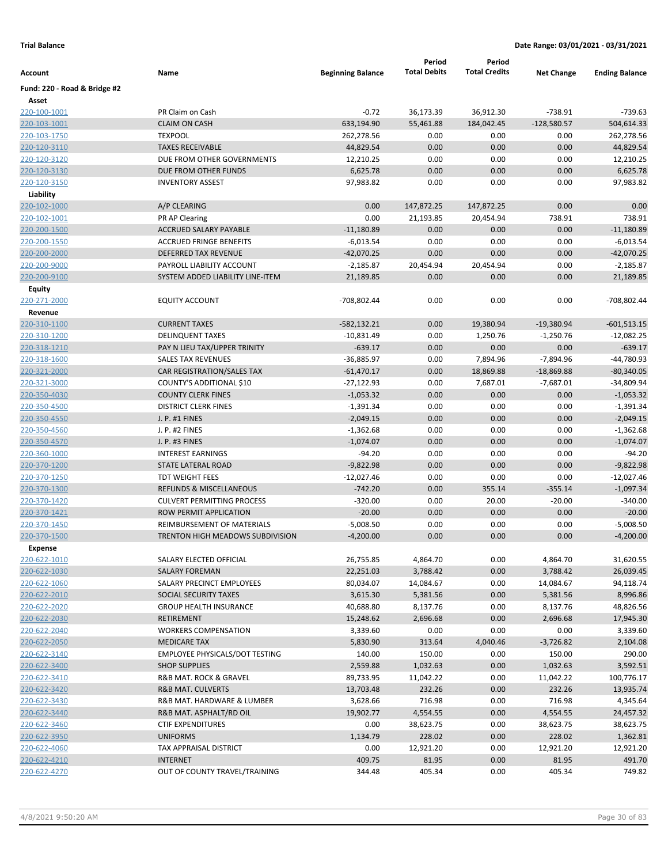|                              |                                                       |                            | Period              | Period               |                   |                            |
|------------------------------|-------------------------------------------------------|----------------------------|---------------------|----------------------|-------------------|----------------------------|
| Account                      | Name                                                  | <b>Beginning Balance</b>   | <b>Total Debits</b> | <b>Total Credits</b> | <b>Net Change</b> | <b>Ending Balance</b>      |
| Fund: 220 - Road & Bridge #2 |                                                       |                            |                     |                      |                   |                            |
| Asset                        |                                                       |                            |                     |                      |                   |                            |
| 220-100-1001                 | PR Claim on Cash                                      | $-0.72$                    | 36,173.39           | 36,912.30            | $-738.91$         | $-739.63$                  |
| 220-103-1001                 | <b>CLAIM ON CASH</b>                                  | 633,194.90                 | 55,461.88           | 184,042.45           | $-128,580.57$     | 504,614.33                 |
| 220-103-1750                 | <b>TEXPOOL</b>                                        | 262,278.56                 | 0.00                | 0.00                 | 0.00              | 262,278.56                 |
| 220-120-3110                 | <b>TAXES RECEIVABLE</b>                               | 44,829.54                  | 0.00                | 0.00                 | 0.00              | 44,829.54                  |
| 220-120-3120                 | DUE FROM OTHER GOVERNMENTS                            | 12,210.25                  | 0.00                | 0.00                 | 0.00              | 12,210.25                  |
| 220-120-3130                 | DUE FROM OTHER FUNDS                                  | 6,625.78                   | 0.00                | 0.00                 | 0.00              | 6,625.78                   |
| 220-120-3150                 | <b>INVENTORY ASSEST</b>                               | 97,983.82                  | 0.00                | 0.00                 | 0.00              | 97,983.82                  |
| Liability                    |                                                       |                            |                     |                      |                   |                            |
| 220-102-1000                 | A/P CLEARING                                          | 0.00                       | 147,872.25          | 147,872.25           | 0.00              | 0.00                       |
| 220-102-1001                 | PR AP Clearing                                        | 0.00                       | 21,193.85           | 20,454.94            | 738.91            | 738.91                     |
| 220-200-1500                 | <b>ACCRUED SALARY PAYABLE</b>                         | $-11,180.89$               | 0.00                | 0.00                 | 0.00              | $-11,180.89$               |
| 220-200-1550                 | <b>ACCRUED FRINGE BENEFITS</b>                        | $-6,013.54$                | 0.00                | 0.00                 | 0.00              | $-6,013.54$                |
| 220-200-2000                 | DEFERRED TAX REVENUE                                  | $-42,070.25$               | 0.00                | 0.00                 | 0.00              | $-42,070.25$               |
| 220-200-9000                 | PAYROLL LIABILITY ACCOUNT                             | $-2,185.87$                | 20,454.94           | 20,454.94            | 0.00              | $-2,185.87$                |
| 220-200-9100                 | SYSTEM ADDED LIABILITY LINE-ITEM                      | 21,189.85                  | 0.00                | 0.00                 | 0.00              | 21,189.85                  |
| Equity                       |                                                       |                            |                     |                      |                   |                            |
| 220-271-2000                 | <b>EQUITY ACCOUNT</b>                                 | -708,802.44                | 0.00                | 0.00                 | 0.00              | -708,802.44                |
| Revenue                      |                                                       |                            |                     |                      |                   |                            |
| 220-310-1100                 | <b>CURRENT TAXES</b>                                  | $-582,132.21$              | 0.00                | 19,380.94            | $-19,380.94$      | $-601,513.15$              |
| 220-310-1200                 | <b>DELINQUENT TAXES</b>                               | $-10,831.49$               | 0.00                | 1,250.76             | $-1,250.76$       | $-12,082.25$               |
| 220-318-1210                 | PAY N LIEU TAX/UPPER TRINITY                          | $-639.17$                  | 0.00                | 0.00                 | 0.00              | $-639.17$                  |
| 220-318-1600                 | <b>SALES TAX REVENUES</b>                             | $-36,885.97$               | 0.00                | 7,894.96             | $-7,894.96$       | -44,780.93                 |
| 220-321-2000                 | CAR REGISTRATION/SALES TAX                            | $-61,470.17$               | 0.00<br>0.00        | 18,869.88            | $-18,869.88$      | $-80,340.05$<br>-34,809.94 |
| 220-321-3000                 | COUNTY'S ADDITIONAL \$10<br><b>COUNTY CLERK FINES</b> | $-27,122.93$               | 0.00                | 7,687.01             | $-7,687.01$       |                            |
| 220-350-4030                 |                                                       | $-1,053.32$                | 0.00                | 0.00                 | 0.00              | $-1,053.32$                |
| 220-350-4500<br>220-350-4550 | <b>DISTRICT CLERK FINES</b><br>J. P. #1 FINES         | $-1,391.34$<br>$-2,049.15$ | 0.00                | 0.00<br>0.00         | 0.00<br>0.00      | $-1,391.34$<br>$-2,049.15$ |
| 220-350-4560                 | J. P. #2 FINES                                        | $-1,362.68$                | 0.00                | 0.00                 | 0.00              | $-1,362.68$                |
| 220-350-4570                 | J. P. #3 FINES                                        | $-1,074.07$                | 0.00                | 0.00                 | 0.00              | $-1,074.07$                |
| 220-360-1000                 | <b>INTEREST EARNINGS</b>                              | $-94.20$                   | 0.00                | 0.00                 | 0.00              | $-94.20$                   |
| 220-370-1200                 | STATE LATERAL ROAD                                    | $-9,822.98$                | 0.00                | 0.00                 | 0.00              | $-9,822.98$                |
| 220-370-1250                 | <b>TDT WEIGHT FEES</b>                                | $-12,027.46$               | 0.00                | 0.00                 | 0.00              | $-12,027.46$               |
| 220-370-1300                 | REFUNDS & MISCELLANEOUS                               | $-742.20$                  | 0.00                | 355.14               | $-355.14$         | $-1,097.34$                |
| 220-370-1420                 | <b>CULVERT PERMITTING PROCESS</b>                     | $-320.00$                  | 0.00                | 20.00                | $-20.00$          | $-340.00$                  |
| 220-370-1421                 | ROW PERMIT APPLICATION                                | $-20.00$                   | 0.00                | 0.00                 | 0.00              | $-20.00$                   |
| 220-370-1450                 | REIMBURSEMENT OF MATERIALS                            | $-5,008.50$                | 0.00                | 0.00                 | 0.00              | $-5,008.50$                |
| 220-370-1500                 | <b>TRENTON HIGH MEADOWS SUBDIVISION</b>               | $-4,200.00$                | 0.00                | 0.00                 | 0.00              | $-4,200.00$                |
| <b>Expense</b>               |                                                       |                            |                     |                      |                   |                            |
| 220-622-1010                 | SALARY ELECTED OFFICIAL                               | 26,755.85                  | 4,864.70            | 0.00                 | 4,864.70          | 31,620.55                  |
| 220-622-1030                 | <b>SALARY FOREMAN</b>                                 | 22,251.03                  | 3,788.42            | 0.00                 | 3,788.42          | 26,039.45                  |
| 220-622-1060                 | SALARY PRECINCT EMPLOYEES                             | 80,034.07                  | 14,084.67           | 0.00                 | 14,084.67         | 94,118.74                  |
| 220-622-2010                 | SOCIAL SECURITY TAXES                                 | 3,615.30                   | 5,381.56            | 0.00                 | 5,381.56          | 8,996.86                   |
| 220-622-2020                 | <b>GROUP HEALTH INSURANCE</b>                         | 40,688.80                  | 8,137.76            | 0.00                 | 8,137.76          | 48,826.56                  |
| 220-622-2030                 | RETIREMENT                                            | 15,248.62                  | 2,696.68            | 0.00                 | 2,696.68          | 17,945.30                  |
| 220-622-2040                 | <b>WORKERS COMPENSATION</b>                           | 3,339.60                   | 0.00                | 0.00                 | 0.00              | 3,339.60                   |
| 220-622-2050                 | <b>MEDICARE TAX</b>                                   | 5,830.90                   | 313.64              | 4,040.46             | $-3,726.82$       | 2,104.08                   |
| 220-622-3140                 | <b>EMPLOYEE PHYSICALS/DOT TESTING</b>                 | 140.00                     | 150.00              | 0.00                 | 150.00            | 290.00                     |
| 220-622-3400                 | <b>SHOP SUPPLIES</b>                                  | 2,559.88                   | 1,032.63            | 0.00                 | 1,032.63          | 3,592.51                   |
| 220-622-3410                 | R&B MAT. ROCK & GRAVEL                                | 89,733.95                  | 11,042.22           | 0.00                 | 11,042.22         | 100,776.17                 |
| 220-622-3420                 | R&B MAT. CULVERTS                                     | 13,703.48                  | 232.26              | 0.00                 | 232.26            | 13,935.74                  |
| 220-622-3430                 | R&B MAT. HARDWARE & LUMBER                            | 3,628.66                   | 716.98              | 0.00                 | 716.98            | 4,345.64                   |
| 220-622-3440                 | R&B MAT. ASPHALT/RD OIL                               | 19,902.77                  | 4,554.55            | 0.00                 | 4,554.55          | 24,457.32                  |
| 220-622-3460                 | <b>CTIF EXPENDITURES</b>                              | 0.00                       | 38,623.75           | 0.00                 | 38,623.75         | 38,623.75                  |
| 220-622-3950                 | <b>UNIFORMS</b>                                       | 1,134.79                   | 228.02              | 0.00                 | 228.02            | 1,362.81                   |
| 220-622-4060                 | TAX APPRAISAL DISTRICT                                | 0.00                       | 12,921.20           | 0.00                 | 12,921.20         | 12,921.20                  |
| 220-622-4210                 | <b>INTERNET</b>                                       | 409.75                     | 81.95               | 0.00                 | 81.95             | 491.70                     |
| 220-622-4270                 | OUT OF COUNTY TRAVEL/TRAINING                         | 344.48                     | 405.34              | 0.00                 | 405.34            | 749.82                     |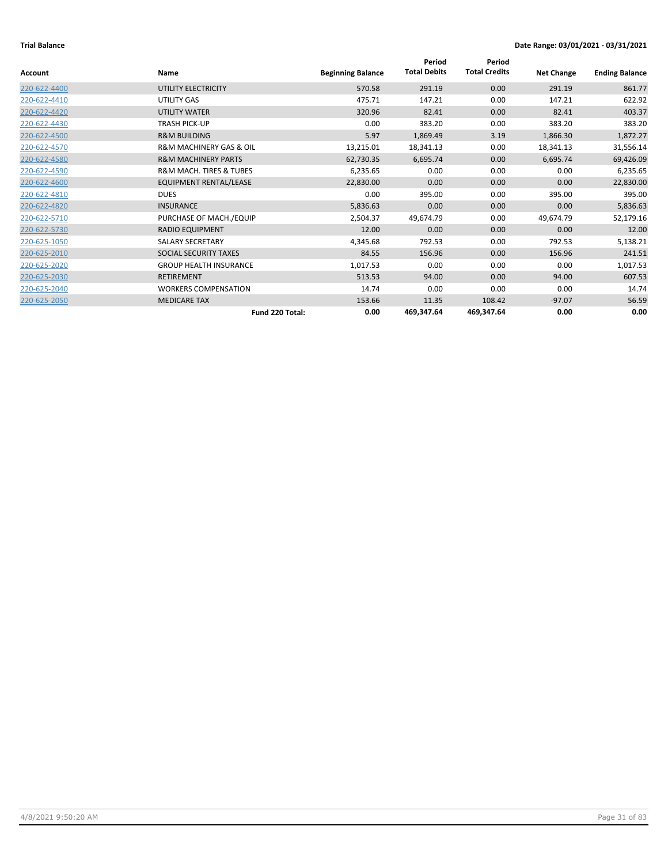|                |                                        |                          | Period              | Period               |                   |                       |
|----------------|----------------------------------------|--------------------------|---------------------|----------------------|-------------------|-----------------------|
| <b>Account</b> | <b>Name</b>                            | <b>Beginning Balance</b> | <b>Total Debits</b> | <b>Total Credits</b> | <b>Net Change</b> | <b>Ending Balance</b> |
| 220-622-4400   | UTILITY ELECTRICITY                    | 570.58                   | 291.19              | 0.00                 | 291.19            | 861.77                |
| 220-622-4410   | <b>UTILITY GAS</b>                     | 475.71                   | 147.21              | 0.00                 | 147.21            | 622.92                |
| 220-622-4420   | UTILITY WATER                          | 320.96                   | 82.41               | 0.00                 | 82.41             | 403.37                |
| 220-622-4430   | TRASH PICK-UP                          | 0.00                     | 383.20              | 0.00                 | 383.20            | 383.20                |
| 220-622-4500   | <b>R&amp;M BUILDING</b>                | 5.97                     | 1,869.49            | 3.19                 | 1,866.30          | 1,872.27              |
| 220-622-4570   | <b>R&amp;M MACHINERY GAS &amp; OIL</b> | 13,215.01                | 18,341.13           | 0.00                 | 18,341.13         | 31,556.14             |
| 220-622-4580   | <b>R&amp;M MACHINERY PARTS</b>         | 62,730.35                | 6,695.74            | 0.00                 | 6,695.74          | 69,426.09             |
| 220-622-4590   | <b>R&amp;M MACH. TIRES &amp; TUBES</b> | 6,235.65                 | 0.00                | 0.00                 | 0.00              | 6,235.65              |
| 220-622-4600   | <b>EQUIPMENT RENTAL/LEASE</b>          | 22,830.00                | 0.00                | 0.00                 | 0.00              | 22,830.00             |
| 220-622-4810   | <b>DUES</b>                            | 0.00                     | 395.00              | 0.00                 | 395.00            | 395.00                |
| 220-622-4820   | <b>INSURANCE</b>                       | 5,836.63                 | 0.00                | 0.00                 | 0.00              | 5,836.63              |
| 220-622-5710   | PURCHASE OF MACH./EQUIP                | 2,504.37                 | 49,674.79           | 0.00                 | 49,674.79         | 52,179.16             |
| 220-622-5730   | <b>RADIO EQUIPMENT</b>                 | 12.00                    | 0.00                | 0.00                 | 0.00              | 12.00                 |
| 220-625-1050   | <b>SALARY SECRETARY</b>                | 4,345.68                 | 792.53              | 0.00                 | 792.53            | 5,138.21              |
| 220-625-2010   | SOCIAL SECURITY TAXES                  | 84.55                    | 156.96              | 0.00                 | 156.96            | 241.51                |
| 220-625-2020   | <b>GROUP HEALTH INSURANCE</b>          | 1,017.53                 | 0.00                | 0.00                 | 0.00              | 1,017.53              |
| 220-625-2030   | <b>RETIREMENT</b>                      | 513.53                   | 94.00               | 0.00                 | 94.00             | 607.53                |
| 220-625-2040   | <b>WORKERS COMPENSATION</b>            | 14.74                    | 0.00                | 0.00                 | 0.00              | 14.74                 |
| 220-625-2050   | <b>MEDICARE TAX</b>                    | 153.66                   | 11.35               | 108.42               | $-97.07$          | 56.59                 |
|                | Fund 220 Total:                        | 0.00                     | 469,347.64          | 469,347.64           | 0.00              | 0.00                  |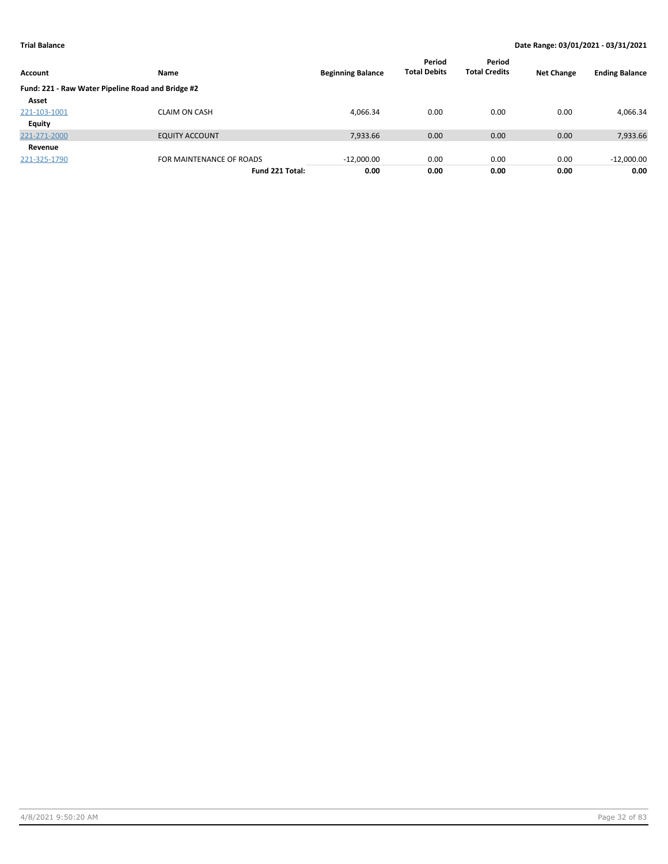| Account                                           | Name                     | <b>Beginning Balance</b> | Period<br><b>Total Debits</b> | Period<br><b>Total Credits</b> | <b>Net Change</b> | <b>Ending Balance</b> |
|---------------------------------------------------|--------------------------|--------------------------|-------------------------------|--------------------------------|-------------------|-----------------------|
| Fund: 221 - Raw Water Pipeline Road and Bridge #2 |                          |                          |                               |                                |                   |                       |
| Asset                                             |                          |                          |                               |                                |                   |                       |
| 221-103-1001                                      | <b>CLAIM ON CASH</b>     | 4,066.34                 | 0.00                          | 0.00                           | 0.00              | 4,066.34              |
| <b>Equity</b>                                     |                          |                          |                               |                                |                   |                       |
| 221-271-2000                                      | <b>EQUITY ACCOUNT</b>    | 7,933.66                 | 0.00                          | 0.00                           | 0.00              | 7,933.66              |
| Revenue                                           |                          |                          |                               |                                |                   |                       |
| 221-325-1790                                      | FOR MAINTENANCE OF ROADS | $-12,000.00$             | 0.00                          | 0.00                           | 0.00              | $-12,000.00$          |
|                                                   | Fund 221 Total:          | 0.00                     | 0.00                          | 0.00                           | 0.00              | 0.00                  |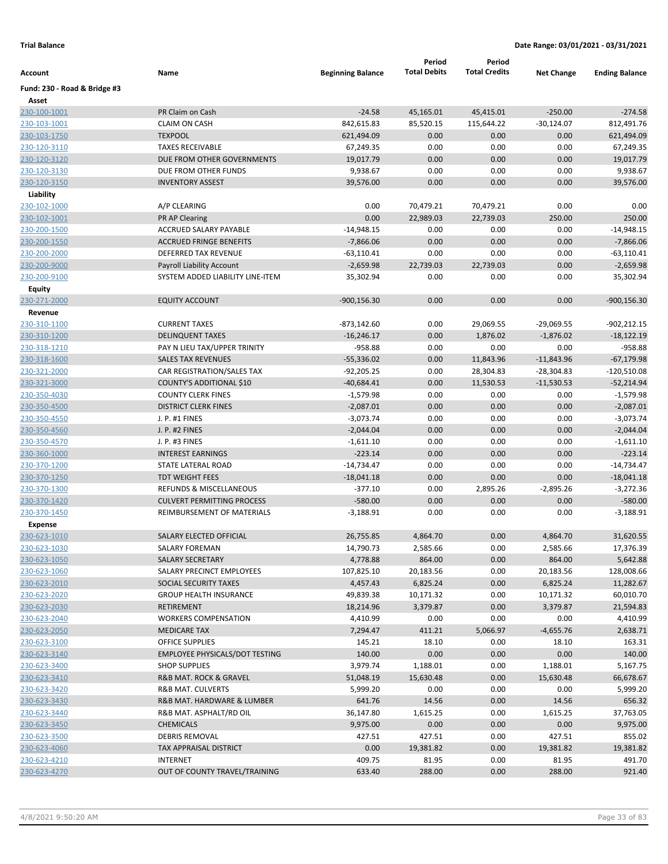|                              |                                       |                          | Period              | Period               |                   |                       |
|------------------------------|---------------------------------------|--------------------------|---------------------|----------------------|-------------------|-----------------------|
| Account                      | Name                                  | <b>Beginning Balance</b> | <b>Total Debits</b> | <b>Total Credits</b> | <b>Net Change</b> | <b>Ending Balance</b> |
| Fund: 230 - Road & Bridge #3 |                                       |                          |                     |                      |                   |                       |
| Asset                        |                                       |                          |                     |                      |                   |                       |
| 230-100-1001                 | PR Claim on Cash                      | $-24.58$                 | 45,165.01           | 45,415.01            | $-250.00$         | $-274.58$             |
| 230-103-1001                 | <b>CLAIM ON CASH</b>                  | 842,615.83               | 85,520.15           | 115,644.22           | $-30,124.07$      | 812,491.76            |
| 230-103-1750                 | <b>TEXPOOL</b>                        | 621,494.09               | 0.00                | 0.00                 | 0.00              | 621,494.09            |
| 230-120-3110                 | <b>TAXES RECEIVABLE</b>               | 67,249.35                | 0.00                | 0.00                 | 0.00              | 67,249.35             |
| 230-120-3120                 | DUE FROM OTHER GOVERNMENTS            | 19,017.79                | 0.00                | 0.00                 | 0.00              | 19,017.79             |
| 230-120-3130                 | DUE FROM OTHER FUNDS                  | 9,938.67                 | 0.00                | 0.00                 | 0.00              | 9,938.67              |
| 230-120-3150                 | <b>INVENTORY ASSEST</b>               | 39,576.00                | 0.00                | 0.00                 | 0.00              | 39,576.00             |
| Liability                    |                                       |                          |                     |                      |                   |                       |
| 230-102-1000                 | A/P CLEARING                          | 0.00                     | 70,479.21           | 70,479.21            | 0.00              | 0.00                  |
| 230-102-1001                 | PR AP Clearing                        | 0.00                     | 22,989.03           | 22,739.03            | 250.00            | 250.00                |
| 230-200-1500                 | ACCRUED SALARY PAYABLE                | $-14,948.15$             | 0.00                | 0.00                 | 0.00              | -14,948.15            |
| 230-200-1550                 | <b>ACCRUED FRINGE BENEFITS</b>        | $-7,866.06$              | 0.00                | 0.00                 | 0.00              | $-7,866.06$           |
| 230-200-2000                 | DEFERRED TAX REVENUE                  | $-63,110.41$             | 0.00                | 0.00                 | 0.00              | $-63,110.41$          |
| 230-200-9000                 | Payroll Liability Account             | $-2,659.98$              | 22,739.03           | 22,739.03            | 0.00              | $-2,659.98$           |
| 230-200-9100                 | SYSTEM ADDED LIABILITY LINE-ITEM      | 35,302.94                | 0.00                | 0.00                 | 0.00              | 35,302.94             |
| <b>Equity</b>                |                                       |                          |                     |                      |                   |                       |
| 230-271-2000                 | <b>EQUITY ACCOUNT</b>                 | $-900, 156.30$           | 0.00                | 0.00                 | 0.00              | $-900, 156.30$        |
| Revenue                      |                                       |                          |                     |                      |                   |                       |
| 230-310-1100                 | <b>CURRENT TAXES</b>                  | $-873,142.60$            | 0.00                | 29,069.55            | $-29,069.55$      | $-902,212.15$         |
| 230-310-1200                 | <b>DELINQUENT TAXES</b>               | $-16,246.17$             | 0.00                | 1,876.02             | $-1,876.02$       | $-18,122.19$          |
| 230-318-1210                 | PAY N LIEU TAX/UPPER TRINITY          | $-958.88$                | 0.00                | 0.00                 | 0.00              | -958.88               |
| 230-318-1600                 | <b>SALES TAX REVENUES</b>             | $-55,336.02$             | 0.00                | 11,843.96            | $-11,843.96$      | $-67,179.98$          |
| 230-321-2000                 | CAR REGISTRATION/SALES TAX            | $-92,205.25$             | 0.00                | 28,304.83            | $-28,304.83$      | $-120,510.08$         |
| 230-321-3000                 | COUNTY'S ADDITIONAL \$10              | $-40,684.41$             | 0.00                | 11,530.53            | $-11,530.53$      | $-52,214.94$          |
| 230-350-4030                 | <b>COUNTY CLERK FINES</b>             | $-1,579.98$              | 0.00                | 0.00                 | 0.00              | $-1,579.98$           |
| 230-350-4500                 | <b>DISTRICT CLERK FINES</b>           | $-2,087.01$              | 0.00                | 0.00                 | 0.00              | $-2,087.01$           |
| 230-350-4550                 | J. P. #1 FINES                        | $-3,073.74$              | 0.00                | 0.00                 | 0.00              | $-3,073.74$           |
| 230-350-4560                 | J. P. #2 FINES                        | $-2,044.04$              | 0.00                | 0.00                 | 0.00              | $-2,044.04$           |
| 230-350-4570                 | J. P. #3 FINES                        | $-1,611.10$              | 0.00                | 0.00                 | 0.00              | $-1,611.10$           |
| 230-360-1000                 | <b>INTEREST EARNINGS</b>              | $-223.14$                | 0.00                | 0.00                 | 0.00              | $-223.14$             |
| 230-370-1200                 | STATE LATERAL ROAD                    | $-14,734.47$             | 0.00                | 0.00                 | 0.00              | $-14,734.47$          |
| 230-370-1250                 | <b>TDT WEIGHT FEES</b>                | $-18,041.18$             | 0.00                | 0.00                 | 0.00              | $-18,041.18$          |
| 230-370-1300                 | REFUNDS & MISCELLANEOUS               | $-377.10$                | 0.00                | 2,895.26             | $-2,895.26$       | $-3,272.36$           |
| 230-370-1420                 | <b>CULVERT PERMITTING PROCESS</b>     | $-580.00$                | 0.00                | 0.00                 | 0.00              | $-580.00$             |
| 230-370-1450                 | REIMBURSEMENT OF MATERIALS            | $-3,188.91$              | 0.00                | 0.00                 | 0.00              | $-3,188.91$           |
| <b>Expense</b>               |                                       |                          |                     |                      |                   |                       |
| 230-623-1010                 | <b>SALARY ELECTED OFFICIAL</b>        | 26,755.85                | 4,864.70            | 0.00                 | 4,864.70          | 31,620.55             |
| 230-623-1030                 | SALARY FOREMAN                        | 14,790.73                | 2,585.66            | 0.00                 | 2,585.66          | 17,376.39             |
| 230-623-1050                 | <b>SALARY SECRETARY</b>               | 4,778.88                 | 864.00              | 0.00                 | 864.00            | 5,642.88              |
| 230-623-1060                 | SALARY PRECINCT EMPLOYEES             | 107,825.10               | 20,183.56           | 0.00                 | 20,183.56         | 128,008.66            |
| 230-623-2010                 | SOCIAL SECURITY TAXES                 | 4,457.43                 | 6,825.24            | 0.00                 | 6,825.24          | 11,282.67             |
| 230-623-2020                 | <b>GROUP HEALTH INSURANCE</b>         | 49,839.38                | 10,171.32           | 0.00                 | 10,171.32         | 60,010.70             |
| 230-623-2030                 | RETIREMENT                            | 18,214.96                | 3,379.87            | 0.00                 | 3,379.87          | 21,594.83             |
| 230-623-2040                 | <b>WORKERS COMPENSATION</b>           | 4,410.99                 | 0.00                | 0.00                 | 0.00              | 4,410.99              |
| 230-623-2050                 | <b>MEDICARE TAX</b>                   | 7,294.47                 | 411.21              | 5,066.97             | $-4,655.76$       | 2,638.71              |
| 230-623-3100                 | OFFICE SUPPLIES                       | 145.21                   | 18.10               | 0.00                 | 18.10             | 163.31                |
| 230-623-3140                 | <b>EMPLOYEE PHYSICALS/DOT TESTING</b> | 140.00                   | 0.00                | 0.00                 | 0.00              | 140.00                |
| 230-623-3400                 | <b>SHOP SUPPLIES</b>                  | 3,979.74                 | 1,188.01            | 0.00                 | 1,188.01          | 5,167.75              |
| 230-623-3410                 | R&B MAT. ROCK & GRAVEL                | 51,048.19                | 15,630.48           | 0.00                 | 15,630.48         | 66,678.67             |
| 230-623-3420                 | <b>R&amp;B MAT. CULVERTS</b>          | 5,999.20                 | 0.00                | 0.00                 | 0.00              | 5,999.20              |
| 230-623-3430                 | R&B MAT. HARDWARE & LUMBER            | 641.76                   | 14.56               | 0.00                 | 14.56             | 656.32                |
| 230-623-3440                 | R&B MAT. ASPHALT/RD OIL               | 36,147.80                | 1,615.25            | 0.00                 | 1,615.25          | 37,763.05             |
| 230-623-3450                 | <b>CHEMICALS</b>                      | 9,975.00                 | 0.00                | 0.00                 | 0.00              | 9,975.00              |
| 230-623-3500                 | <b>DEBRIS REMOVAL</b>                 | 427.51                   | 427.51              | 0.00                 | 427.51            | 855.02                |
| 230-623-4060                 | <b>TAX APPRAISAL DISTRICT</b>         | 0.00                     | 19,381.82           | 0.00                 | 19,381.82         | 19,381.82             |
| 230-623-4210                 | <b>INTERNET</b>                       | 409.75                   | 81.95               | 0.00                 | 81.95             | 491.70                |
| 230-623-4270                 | OUT OF COUNTY TRAVEL/TRAINING         | 633.40                   | 288.00              | 0.00                 | 288.00            | 921.40                |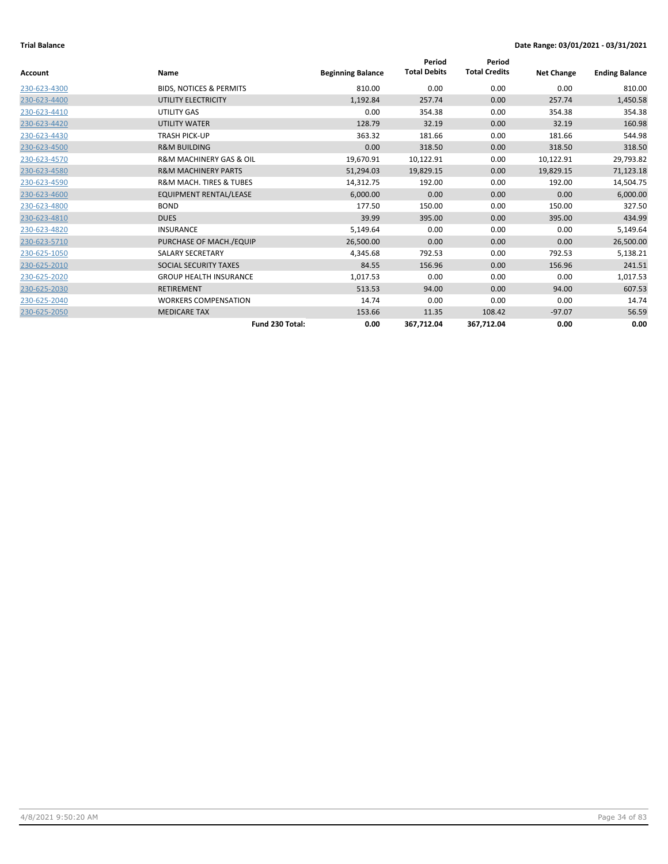|              |                                        |                          | Period              | Period               |                   |                       |
|--------------|----------------------------------------|--------------------------|---------------------|----------------------|-------------------|-----------------------|
| Account      | Name                                   | <b>Beginning Balance</b> | <b>Total Debits</b> | <b>Total Credits</b> | <b>Net Change</b> | <b>Ending Balance</b> |
| 230-623-4300 | <b>BIDS, NOTICES &amp; PERMITS</b>     | 810.00                   | 0.00                | 0.00                 | 0.00              | 810.00                |
| 230-623-4400 | UTILITY ELECTRICITY                    | 1,192.84                 | 257.74              | 0.00                 | 257.74            | 1,450.58              |
| 230-623-4410 | UTILITY GAS                            | 0.00                     | 354.38              | 0.00                 | 354.38            | 354.38                |
| 230-623-4420 | <b>UTILITY WATER</b>                   | 128.79                   | 32.19               | 0.00                 | 32.19             | 160.98                |
| 230-623-4430 | <b>TRASH PICK-UP</b>                   | 363.32                   | 181.66              | 0.00                 | 181.66            | 544.98                |
| 230-623-4500 | <b>R&amp;M BUILDING</b>                | 0.00                     | 318.50              | 0.00                 | 318.50            | 318.50                |
| 230-623-4570 | <b>R&amp;M MACHINERY GAS &amp; OIL</b> | 19,670.91                | 10,122.91           | 0.00                 | 10,122.91         | 29,793.82             |
| 230-623-4580 | <b>R&amp;M MACHINERY PARTS</b>         | 51,294.03                | 19,829.15           | 0.00                 | 19,829.15         | 71,123.18             |
| 230-623-4590 | <b>R&amp;M MACH. TIRES &amp; TUBES</b> | 14,312.75                | 192.00              | 0.00                 | 192.00            | 14,504.75             |
| 230-623-4600 | <b>EQUIPMENT RENTAL/LEASE</b>          | 6,000.00                 | 0.00                | 0.00                 | 0.00              | 6,000.00              |
| 230-623-4800 | <b>BOND</b>                            | 177.50                   | 150.00              | 0.00                 | 150.00            | 327.50                |
| 230-623-4810 | <b>DUES</b>                            | 39.99                    | 395.00              | 0.00                 | 395.00            | 434.99                |
| 230-623-4820 | <b>INSURANCE</b>                       | 5,149.64                 | 0.00                | 0.00                 | 0.00              | 5,149.64              |
| 230-623-5710 | PURCHASE OF MACH./EQUIP                | 26,500.00                | 0.00                | 0.00                 | 0.00              | 26,500.00             |
| 230-625-1050 | <b>SALARY SECRETARY</b>                | 4,345.68                 | 792.53              | 0.00                 | 792.53            | 5,138.21              |
| 230-625-2010 | SOCIAL SECURITY TAXES                  | 84.55                    | 156.96              | 0.00                 | 156.96            | 241.51                |
| 230-625-2020 | <b>GROUP HEALTH INSURANCE</b>          | 1,017.53                 | 0.00                | 0.00                 | 0.00              | 1,017.53              |
| 230-625-2030 | <b>RETIREMENT</b>                      | 513.53                   | 94.00               | 0.00                 | 94.00             | 607.53                |
| 230-625-2040 | <b>WORKERS COMPENSATION</b>            | 14.74                    | 0.00                | 0.00                 | 0.00              | 14.74                 |
| 230-625-2050 | <b>MEDICARE TAX</b>                    | 153.66                   | 11.35               | 108.42               | $-97.07$          | 56.59                 |
|              | Fund 230 Total:                        | 0.00                     | 367,712.04          | 367,712.04           | 0.00              | 0.00                  |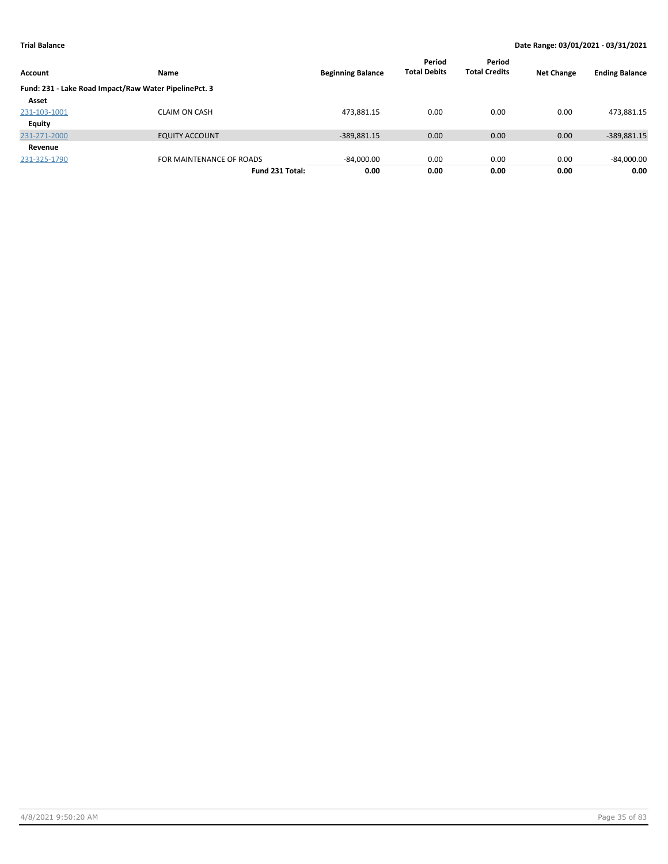| Account      | <b>Name</b>                                           | <b>Beginning Balance</b> | Period<br><b>Total Debits</b> | Period<br><b>Total Credits</b> | <b>Net Change</b> | <b>Ending Balance</b> |
|--------------|-------------------------------------------------------|--------------------------|-------------------------------|--------------------------------|-------------------|-----------------------|
|              | Fund: 231 - Lake Road Impact/Raw Water PipelinePct. 3 |                          |                               |                                |                   |                       |
| Asset        |                                                       |                          |                               |                                |                   |                       |
| 231-103-1001 | <b>CLAIM ON CASH</b>                                  | 473,881.15               | 0.00                          | 0.00                           | 0.00              | 473,881.15            |
| Equity       |                                                       |                          |                               |                                |                   |                       |
| 231-271-2000 | <b>EQUITY ACCOUNT</b>                                 | $-389,881.15$            | 0.00                          | 0.00                           | 0.00              | -389,881.15           |
| Revenue      |                                                       |                          |                               |                                |                   |                       |
| 231-325-1790 | FOR MAINTENANCE OF ROADS                              | $-84,000.00$             | 0.00                          | 0.00                           | 0.00              | $-84,000.00$          |
|              | Fund 231 Total:                                       | 0.00                     | 0.00                          | 0.00                           | 0.00              | 0.00                  |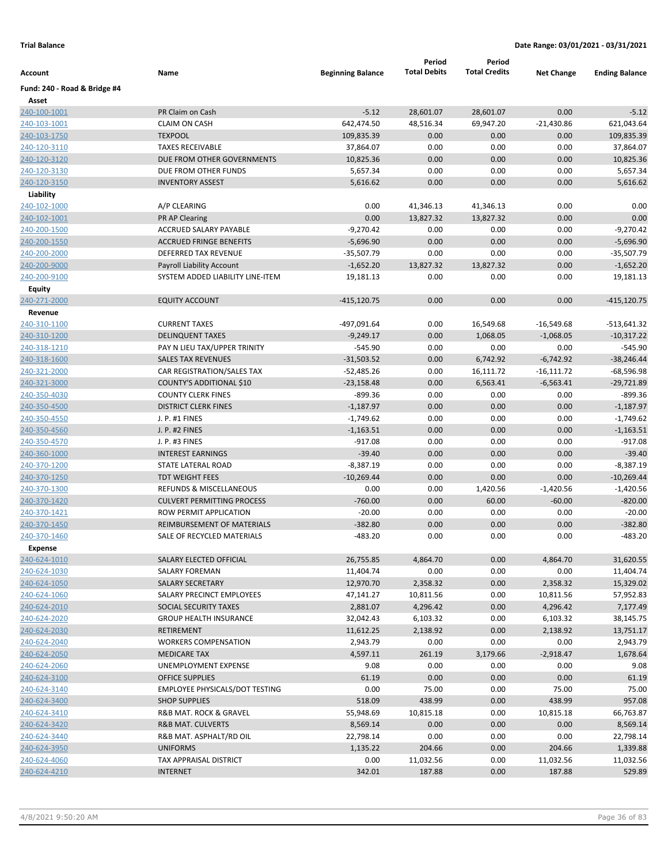|                              |                                       |                          | Period              | Period               |                   |                       |
|------------------------------|---------------------------------------|--------------------------|---------------------|----------------------|-------------------|-----------------------|
| Account                      | Name                                  | <b>Beginning Balance</b> | <b>Total Debits</b> | <b>Total Credits</b> | <b>Net Change</b> | <b>Ending Balance</b> |
| Fund: 240 - Road & Bridge #4 |                                       |                          |                     |                      |                   |                       |
| Asset                        |                                       |                          |                     |                      |                   |                       |
| 240-100-1001                 | PR Claim on Cash                      | $-5.12$                  | 28,601.07           | 28,601.07            | 0.00              | $-5.12$               |
| 240-103-1001                 | <b>CLAIM ON CASH</b>                  | 642,474.50               | 48,516.34           | 69,947.20            | $-21,430.86$      | 621,043.64            |
| 240-103-1750                 | <b>TEXPOOL</b>                        | 109,835.39               | 0.00                | 0.00                 | 0.00              | 109,835.39            |
| 240-120-3110                 | <b>TAXES RECEIVABLE</b>               | 37,864.07                | 0.00                | 0.00                 | 0.00              | 37,864.07             |
| 240-120-3120                 | DUE FROM OTHER GOVERNMENTS            | 10,825.36                | 0.00                | 0.00                 | 0.00              | 10,825.36             |
| 240-120-3130                 | DUE FROM OTHER FUNDS                  | 5,657.34                 | 0.00                | 0.00                 | 0.00              | 5,657.34              |
| 240-120-3150                 | <b>INVENTORY ASSEST</b>               | 5,616.62                 | 0.00                | 0.00                 | 0.00              | 5,616.62              |
| Liability                    |                                       |                          |                     |                      |                   |                       |
| 240-102-1000                 | A/P CLEARING                          | 0.00                     | 41,346.13           | 41,346.13            | 0.00              | 0.00                  |
| 240-102-1001                 | <b>PR AP Clearing</b>                 | 0.00                     | 13,827.32           | 13,827.32            | 0.00              | 0.00                  |
| 240-200-1500                 | ACCRUED SALARY PAYABLE                | $-9,270.42$              | 0.00                | 0.00                 | 0.00              | $-9,270.42$           |
| 240-200-1550                 | <b>ACCRUED FRINGE BENEFITS</b>        | $-5,696.90$              | 0.00                | 0.00                 | 0.00              | $-5,696.90$           |
| 240-200-2000                 | DEFERRED TAX REVENUE                  | $-35,507.79$             | 0.00                | 0.00                 | 0.00              | $-35,507.79$          |
| 240-200-9000                 | <b>Payroll Liability Account</b>      | $-1,652.20$              | 13,827.32           | 13,827.32            | 0.00              | $-1,652.20$           |
| 240-200-9100                 | SYSTEM ADDED LIABILITY LINE-ITEM      | 19,181.13                | 0.00                | 0.00                 | 0.00              | 19,181.13             |
| Equity                       |                                       |                          |                     |                      |                   |                       |
| 240-271-2000                 | <b>EQUITY ACCOUNT</b>                 | $-415, 120.75$           | 0.00                | 0.00                 | 0.00              | $-415, 120.75$        |
| Revenue                      |                                       |                          |                     |                      |                   |                       |
| 240-310-1100                 | <b>CURRENT TAXES</b>                  | -497,091.64              | 0.00                | 16,549.68            | $-16,549.68$      | $-513,641.32$         |
| 240-310-1200                 | <b>DELINQUENT TAXES</b>               | $-9,249.17$              | 0.00                | 1,068.05             | $-1,068.05$       | $-10,317.22$          |
| 240-318-1210                 | PAY N LIEU TAX/UPPER TRINITY          | $-545.90$                | 0.00                | 0.00                 | 0.00              | $-545.90$             |
| 240-318-1600                 | <b>SALES TAX REVENUES</b>             | $-31,503.52$             | 0.00                | 6,742.92             | $-6,742.92$       | $-38,246.44$          |
| 240-321-2000                 | CAR REGISTRATION/SALES TAX            | $-52,485.26$             | 0.00                | 16,111.72            | $-16,111.72$      | $-68,596.98$          |
| 240-321-3000                 | COUNTY'S ADDITIONAL \$10              | $-23,158.48$             | 0.00                | 6,563.41             | $-6,563.41$       | $-29,721.89$          |
| 240-350-4030                 | <b>COUNTY CLERK FINES</b>             | $-899.36$                | 0.00                | 0.00                 | 0.00              | $-899.36$             |
| 240-350-4500                 | <b>DISTRICT CLERK FINES</b>           | $-1,187.97$              | 0.00                | 0.00                 | 0.00              | $-1,187.97$           |
| 240-350-4550                 | J. P. #1 FINES                        | $-1,749.62$              | 0.00                | 0.00                 | 0.00              | $-1,749.62$           |
| 240-350-4560                 | J. P. #2 FINES                        | $-1,163.51$              | 0.00                | 0.00                 | 0.00              | $-1,163.51$           |
| 240-350-4570                 | J. P. #3 FINES                        | $-917.08$                | 0.00                | 0.00                 | 0.00              | $-917.08$             |
| 240-360-1000                 | <b>INTEREST EARNINGS</b>              | $-39.40$                 | 0.00                | 0.00                 | 0.00              | $-39.40$              |
| 240-370-1200                 | STATE LATERAL ROAD                    | $-8,387.19$              | 0.00                | 0.00                 | 0.00              | $-8,387.19$           |
| 240-370-1250                 | <b>TDT WEIGHT FEES</b>                | $-10,269.44$             | 0.00                | 0.00                 | 0.00              | $-10,269.44$          |
| 240-370-1300                 | REFUNDS & MISCELLANEOUS               | 0.00                     | 0.00                | 1,420.56             | $-1,420.56$       | $-1,420.56$           |
| 240-370-1420                 | <b>CULVERT PERMITTING PROCESS</b>     | $-760.00$                | 0.00                | 60.00                | $-60.00$          | $-820.00$             |
| 240-370-1421                 | ROW PERMIT APPLICATION                | $-20.00$                 | 0.00                | 0.00                 | 0.00              | $-20.00$              |
| 240-370-1450                 | REIMBURSEMENT OF MATERIALS            | $-382.80$                | 0.00                | 0.00                 | 0.00              | $-382.80$             |
| 240-370-1460                 | SALE OF RECYCLED MATERIALS            | $-483.20$                | 0.00                | 0.00                 | 0.00              | $-483.20$             |
| Expense                      |                                       |                          |                     |                      |                   |                       |
| 240-624-1010                 | SALARY ELECTED OFFICIAL               | 26,755.85                | 4,864.70            | 0.00                 | 4,864.70          | 31,620.55             |
| 240-624-1030                 | SALARY FOREMAN                        | 11,404.74                | 0.00                | 0.00                 | 0.00              | 11,404.74             |
| 240-624-1050                 | SALARY SECRETARY                      | 12,970.70                | 2,358.32            | 0.00                 | 2,358.32          | 15,329.02             |
| 240-624-1060                 | SALARY PRECINCT EMPLOYEES             | 47,141.27                | 10,811.56           | 0.00                 | 10,811.56         | 57,952.83             |
| 240-624-2010                 | SOCIAL SECURITY TAXES                 | 2,881.07                 | 4,296.42            | 0.00                 | 4,296.42          | 7,177.49              |
| 240-624-2020                 | <b>GROUP HEALTH INSURANCE</b>         | 32,042.43                | 6,103.32            | 0.00                 | 6,103.32          | 38,145.75             |
| 240-624-2030                 | RETIREMENT                            | 11,612.25                | 2,138.92            | 0.00                 | 2,138.92          | 13,751.17             |
| 240-624-2040                 | <b>WORKERS COMPENSATION</b>           | 2,943.79                 | 0.00                | 0.00                 | 0.00              | 2,943.79              |
| 240-624-2050                 | MEDICARE TAX                          | 4,597.11                 | 261.19              | 3,179.66             | $-2,918.47$       | 1,678.64              |
| 240-624-2060                 | UNEMPLOYMENT EXPENSE                  | 9.08                     | 0.00                | 0.00                 | 0.00              | 9.08                  |
| 240-624-3100                 | <b>OFFICE SUPPLIES</b>                | 61.19                    | 0.00                | 0.00                 | 0.00              | 61.19                 |
| 240-624-3140                 | <b>EMPLOYEE PHYSICALS/DOT TESTING</b> | 0.00                     | 75.00               | 0.00                 | 75.00             | 75.00                 |
| 240-624-3400                 | <b>SHOP SUPPLIES</b>                  | 518.09                   | 438.99              | 0.00                 | 438.99            | 957.08                |
| 240-624-3410                 | R&B MAT. ROCK & GRAVEL                | 55,948.69                | 10,815.18           | 0.00                 | 10,815.18         | 66,763.87             |
| 240-624-3420                 | <b>R&amp;B MAT. CULVERTS</b>          | 8,569.14                 | 0.00                | 0.00                 | 0.00              | 8,569.14              |
| 240-624-3440                 | R&B MAT. ASPHALT/RD OIL               | 22,798.14                | 0.00                | 0.00                 | 0.00              | 22,798.14             |
| 240-624-3950                 | <b>UNIFORMS</b>                       | 1,135.22                 | 204.66              | 0.00                 | 204.66            | 1,339.88              |
| 240-624-4060                 | TAX APPRAISAL DISTRICT                | 0.00                     | 11,032.56           | 0.00                 | 11,032.56         | 11,032.56             |
| 240-624-4210                 | <b>INTERNET</b>                       | 342.01                   | 187.88              | 0.00                 | 187.88            | 529.89                |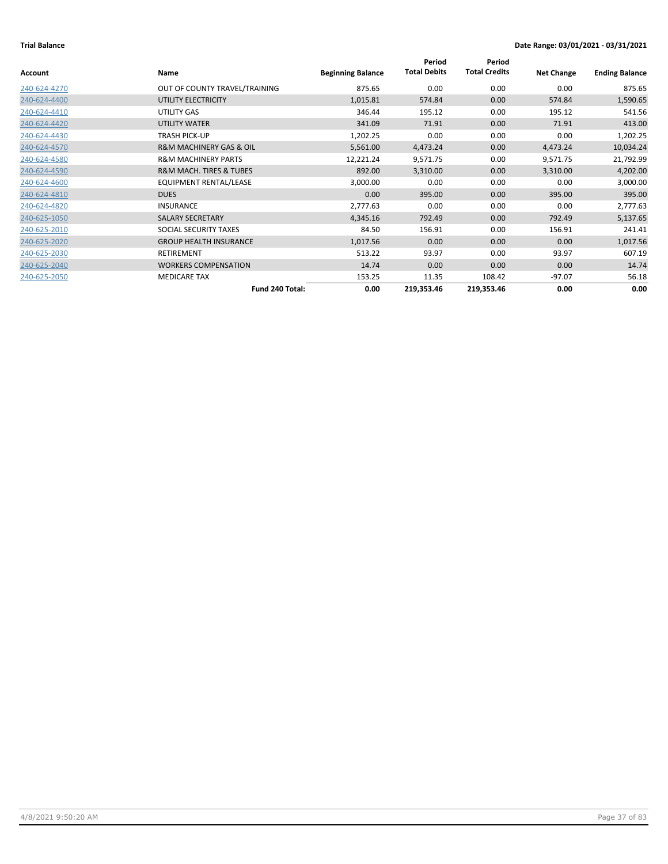|              |                                        |                          | Period              | Period               |                   |                       |
|--------------|----------------------------------------|--------------------------|---------------------|----------------------|-------------------|-----------------------|
| Account      | Name                                   | <b>Beginning Balance</b> | <b>Total Debits</b> | <b>Total Credits</b> | <b>Net Change</b> | <b>Ending Balance</b> |
| 240-624-4270 | OUT OF COUNTY TRAVEL/TRAINING          | 875.65                   | 0.00                | 0.00                 | 0.00              | 875.65                |
| 240-624-4400 | UTILITY ELECTRICITY                    | 1,015.81                 | 574.84              | 0.00                 | 574.84            | 1,590.65              |
| 240-624-4410 | UTILITY GAS                            | 346.44                   | 195.12              | 0.00                 | 195.12            | 541.56                |
| 240-624-4420 | UTILITY WATER                          | 341.09                   | 71.91               | 0.00                 | 71.91             | 413.00                |
| 240-624-4430 | <b>TRASH PICK-UP</b>                   | 1,202.25                 | 0.00                | 0.00                 | 0.00              | 1,202.25              |
| 240-624-4570 | <b>R&amp;M MACHINERY GAS &amp; OIL</b> | 5,561.00                 | 4,473.24            | 0.00                 | 4,473.24          | 10,034.24             |
| 240-624-4580 | <b>R&amp;M MACHINERY PARTS</b>         | 12,221.24                | 9,571.75            | 0.00                 | 9,571.75          | 21,792.99             |
| 240-624-4590 | <b>R&amp;M MACH. TIRES &amp; TUBES</b> | 892.00                   | 3,310.00            | 0.00                 | 3,310.00          | 4,202.00              |
| 240-624-4600 | EQUIPMENT RENTAL/LEASE                 | 3,000.00                 | 0.00                | 0.00                 | 0.00              | 3,000.00              |
| 240-624-4810 | <b>DUES</b>                            | 0.00                     | 395.00              | 0.00                 | 395.00            | 395.00                |
| 240-624-4820 | <b>INSURANCE</b>                       | 2,777.63                 | 0.00                | 0.00                 | 0.00              | 2,777.63              |
| 240-625-1050 | <b>SALARY SECRETARY</b>                | 4,345.16                 | 792.49              | 0.00                 | 792.49            | 5,137.65              |
| 240-625-2010 | SOCIAL SECURITY TAXES                  | 84.50                    | 156.91              | 0.00                 | 156.91            | 241.41                |
| 240-625-2020 | <b>GROUP HEALTH INSURANCE</b>          | 1,017.56                 | 0.00                | 0.00                 | 0.00              | 1,017.56              |
| 240-625-2030 | <b>RETIREMENT</b>                      | 513.22                   | 93.97               | 0.00                 | 93.97             | 607.19                |
| 240-625-2040 | <b>WORKERS COMPENSATION</b>            | 14.74                    | 0.00                | 0.00                 | 0.00              | 14.74                 |
| 240-625-2050 | <b>MEDICARE TAX</b>                    | 153.25                   | 11.35               | 108.42               | $-97.07$          | 56.18                 |
|              | Fund 240 Total:                        | 0.00                     | 219,353.46          | 219,353.46           | 0.00              | 0.00                  |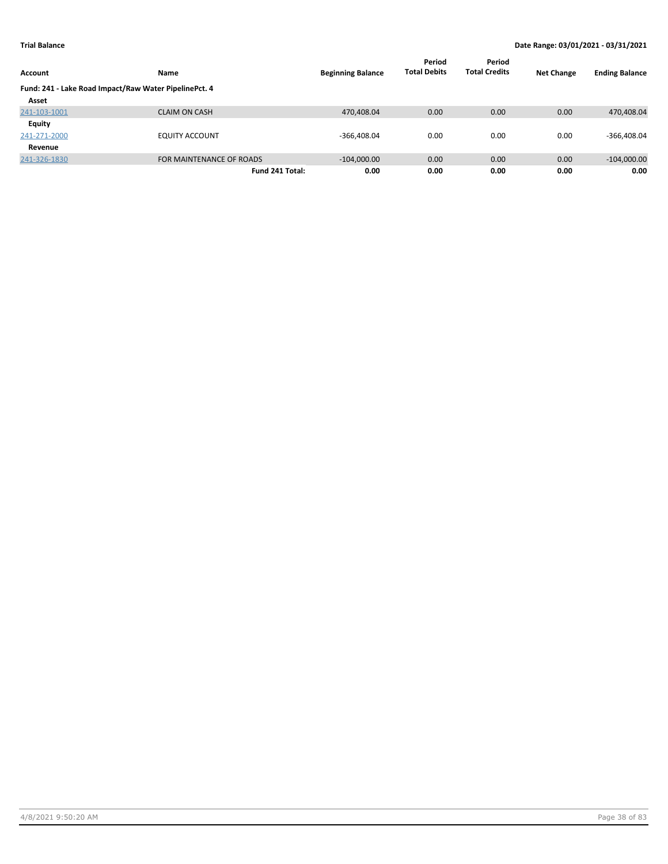|                                                       |                          |                          | Period              | Period               |                   |                       |
|-------------------------------------------------------|--------------------------|--------------------------|---------------------|----------------------|-------------------|-----------------------|
| <b>Account</b>                                        | Name                     | <b>Beginning Balance</b> | <b>Total Debits</b> | <b>Total Credits</b> | <b>Net Change</b> | <b>Ending Balance</b> |
| Fund: 241 - Lake Road Impact/Raw Water PipelinePct. 4 |                          |                          |                     |                      |                   |                       |
| Asset                                                 |                          |                          |                     |                      |                   |                       |
| 241-103-1001                                          | <b>CLAIM ON CASH</b>     | 470,408.04               | 0.00                | 0.00                 | 0.00              | 470,408.04            |
| <b>Equity</b>                                         |                          |                          |                     |                      |                   |                       |
| 241-271-2000                                          | <b>EQUITY ACCOUNT</b>    | $-366,408.04$            | 0.00                | 0.00                 | 0.00              | $-366,408.04$         |
| Revenue                                               |                          |                          |                     |                      |                   |                       |
| 241-326-1830                                          | FOR MAINTENANCE OF ROADS | $-104,000.00$            | 0.00                | 0.00                 | 0.00              | $-104,000.00$         |
|                                                       | Fund 241 Total:          | 0.00                     | 0.00                | 0.00                 | 0.00              | 0.00                  |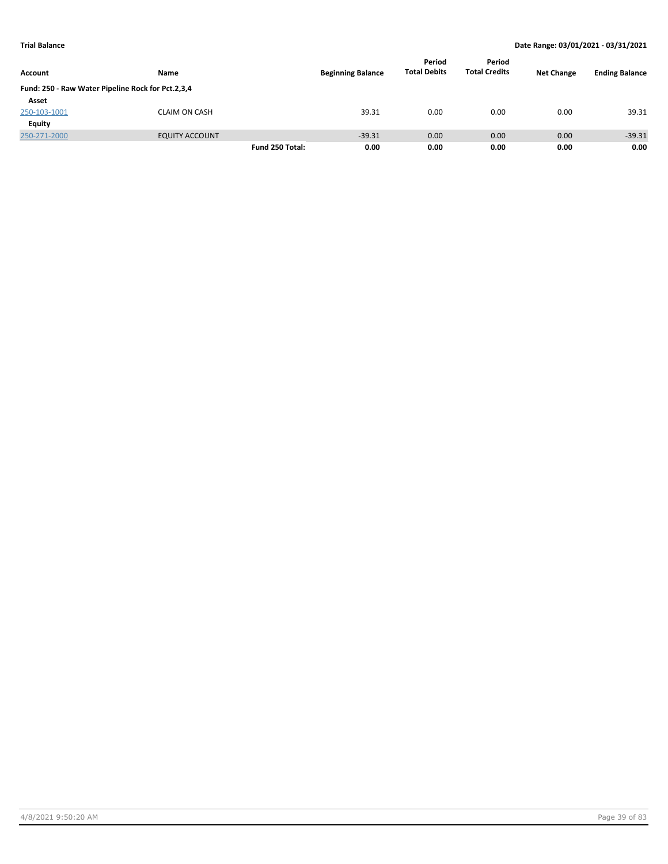|                                                   |                       |                 |                          | Period              | Period               |                   |                       |
|---------------------------------------------------|-----------------------|-----------------|--------------------------|---------------------|----------------------|-------------------|-----------------------|
| <b>Account</b>                                    | <b>Name</b>           |                 | <b>Beginning Balance</b> | <b>Total Debits</b> | <b>Total Credits</b> | <b>Net Change</b> | <b>Ending Balance</b> |
| Fund: 250 - Raw Water Pipeline Rock for Pct.2,3,4 |                       |                 |                          |                     |                      |                   |                       |
| Asset                                             |                       |                 |                          |                     |                      |                   |                       |
| 250-103-1001                                      | <b>CLAIM ON CASH</b>  |                 | 39.31                    | 0.00                | 0.00                 | 0.00              | 39.31                 |
| <b>Equity</b>                                     |                       |                 |                          |                     |                      |                   |                       |
| 250-271-2000                                      | <b>EQUITY ACCOUNT</b> |                 | $-39.31$                 | 0.00                | 0.00                 | 0.00              | $-39.31$              |
|                                                   |                       | Fund 250 Total: | 0.00                     | 0.00                | 0.00                 | 0.00              | 0.00                  |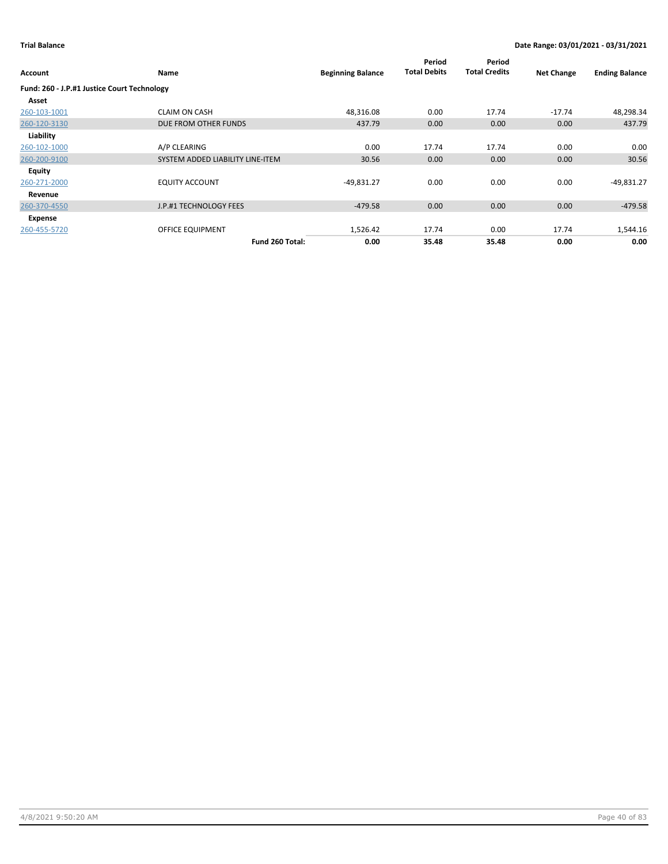| Account                                     | Name                             | <b>Beginning Balance</b> | Period<br><b>Total Debits</b> | Period<br><b>Total Credits</b> | <b>Net Change</b> | <b>Ending Balance</b> |
|---------------------------------------------|----------------------------------|--------------------------|-------------------------------|--------------------------------|-------------------|-----------------------|
| Fund: 260 - J.P.#1 Justice Court Technology |                                  |                          |                               |                                |                   |                       |
| Asset                                       |                                  |                          |                               |                                |                   |                       |
| 260-103-1001                                | <b>CLAIM ON CASH</b>             | 48,316.08                | 0.00                          | 17.74                          | $-17.74$          | 48,298.34             |
| 260-120-3130                                | DUE FROM OTHER FUNDS             | 437.79                   | 0.00                          | 0.00                           | 0.00              | 437.79                |
| Liability                                   |                                  |                          |                               |                                |                   |                       |
| 260-102-1000                                | A/P CLEARING                     | 0.00                     | 17.74                         | 17.74                          | 0.00              | 0.00                  |
| 260-200-9100                                | SYSTEM ADDED LIABILITY LINE-ITEM | 30.56                    | 0.00                          | 0.00                           | 0.00              | 30.56                 |
| Equity                                      |                                  |                          |                               |                                |                   |                       |
| 260-271-2000                                | <b>EQUITY ACCOUNT</b>            | $-49,831.27$             | 0.00                          | 0.00                           | 0.00              | $-49,831.27$          |
| Revenue                                     |                                  |                          |                               |                                |                   |                       |
| 260-370-4550                                | J.P.#1 TECHNOLOGY FEES           | $-479.58$                | 0.00                          | 0.00                           | 0.00              | $-479.58$             |
| Expense                                     |                                  |                          |                               |                                |                   |                       |
| 260-455-5720                                | <b>OFFICE EQUIPMENT</b>          | 1,526.42                 | 17.74                         | 0.00                           | 17.74             | 1,544.16              |
|                                             | Fund 260 Total:                  | 0.00                     | 35.48                         | 35.48                          | 0.00              | 0.00                  |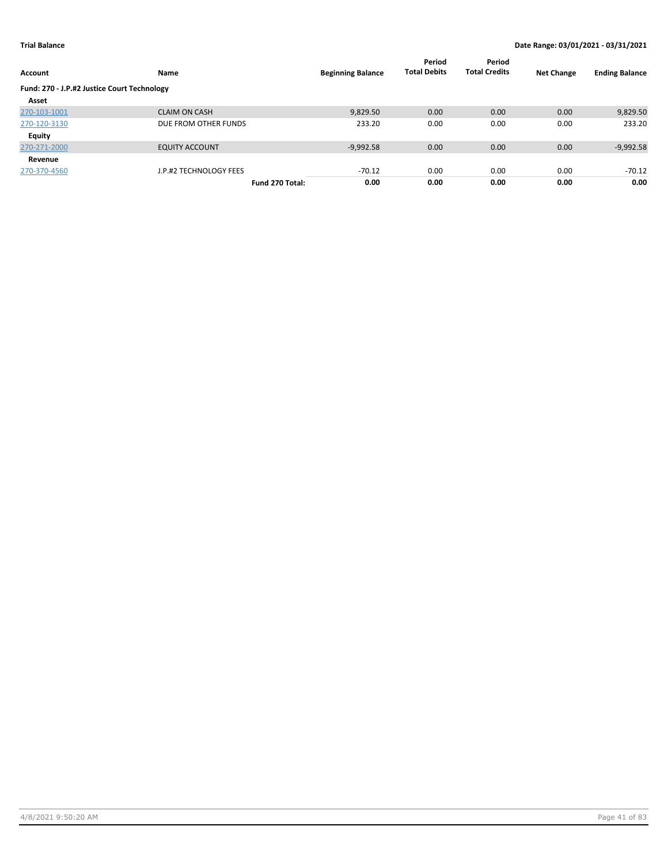| <b>Account</b>                              | Name                   | <b>Beginning Balance</b> | Period<br><b>Total Debits</b> | Period<br><b>Total Credits</b> | <b>Net Change</b> | <b>Ending Balance</b> |
|---------------------------------------------|------------------------|--------------------------|-------------------------------|--------------------------------|-------------------|-----------------------|
|                                             |                        |                          |                               |                                |                   |                       |
| Fund: 270 - J.P.#2 Justice Court Technology |                        |                          |                               |                                |                   |                       |
| Asset                                       |                        |                          |                               |                                |                   |                       |
| 270-103-1001                                | <b>CLAIM ON CASH</b>   | 9,829.50                 | 0.00                          | 0.00                           | 0.00              | 9,829.50              |
| 270-120-3130                                | DUE FROM OTHER FUNDS   | 233.20                   | 0.00                          | 0.00                           | 0.00              | 233.20                |
| Equity                                      |                        |                          |                               |                                |                   |                       |
| 270-271-2000                                | <b>EQUITY ACCOUNT</b>  | $-9,992.58$              | 0.00                          | 0.00                           | 0.00              | $-9,992.58$           |
| Revenue                                     |                        |                          |                               |                                |                   |                       |
| 270-370-4560                                | J.P.#2 TECHNOLOGY FEES | $-70.12$                 | 0.00                          | 0.00                           | 0.00              | $-70.12$              |
|                                             | Fund 270 Total:        | 0.00                     | 0.00                          | 0.00                           | 0.00              | 0.00                  |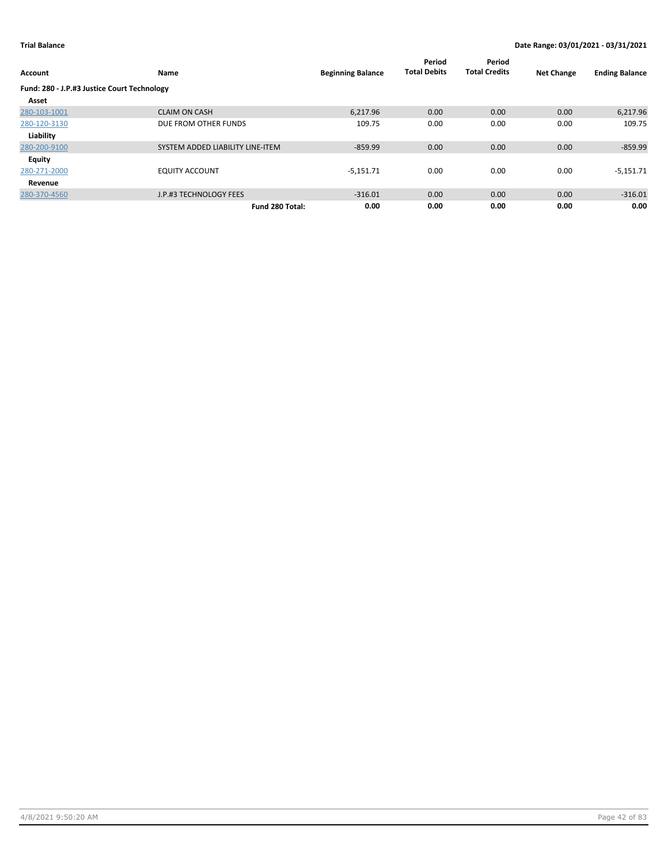| Account                                     | Name                             | <b>Beginning Balance</b> | Period<br><b>Total Debits</b> | Period<br><b>Total Credits</b> | <b>Net Change</b> | <b>Ending Balance</b> |
|---------------------------------------------|----------------------------------|--------------------------|-------------------------------|--------------------------------|-------------------|-----------------------|
| Fund: 280 - J.P.#3 Justice Court Technology |                                  |                          |                               |                                |                   |                       |
| Asset                                       |                                  |                          |                               |                                |                   |                       |
| 280-103-1001                                | <b>CLAIM ON CASH</b>             | 6,217.96                 | 0.00                          | 0.00                           | 0.00              | 6,217.96              |
| 280-120-3130                                | DUE FROM OTHER FUNDS             | 109.75                   | 0.00                          | 0.00                           | 0.00              | 109.75                |
| Liability                                   |                                  |                          |                               |                                |                   |                       |
| 280-200-9100                                | SYSTEM ADDED LIABILITY LINE-ITEM | $-859.99$                | 0.00                          | 0.00                           | 0.00              | $-859.99$             |
| Equity                                      |                                  |                          |                               |                                |                   |                       |
| 280-271-2000                                | <b>EQUITY ACCOUNT</b>            | $-5,151.71$              | 0.00                          | 0.00                           | 0.00              | $-5,151.71$           |
| Revenue                                     |                                  |                          |                               |                                |                   |                       |
| 280-370-4560                                | J.P.#3 TECHNOLOGY FEES           | $-316.01$                | 0.00                          | 0.00                           | 0.00              | $-316.01$             |
|                                             | Fund 280 Total:                  | 0.00                     | 0.00                          | 0.00                           | 0.00              | 0.00                  |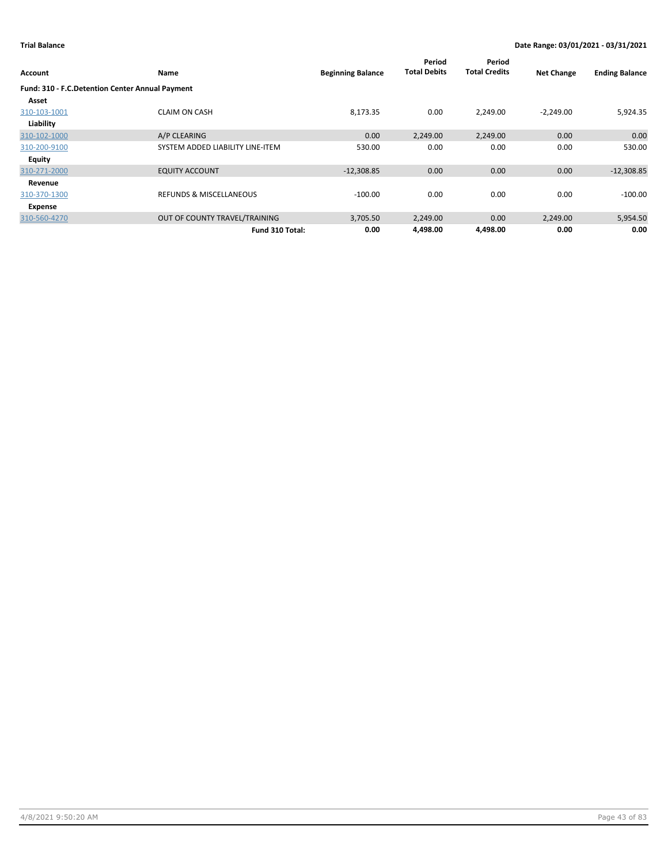|                                                 |                                    |                          | Period<br><b>Total Debits</b> | Period<br><b>Total Credits</b> |                   |                       |
|-------------------------------------------------|------------------------------------|--------------------------|-------------------------------|--------------------------------|-------------------|-----------------------|
| <b>Account</b>                                  | Name                               | <b>Beginning Balance</b> |                               |                                | <b>Net Change</b> | <b>Ending Balance</b> |
| Fund: 310 - F.C.Detention Center Annual Payment |                                    |                          |                               |                                |                   |                       |
| Asset                                           |                                    |                          |                               |                                |                   |                       |
| 310-103-1001                                    | <b>CLAIM ON CASH</b>               | 8,173.35                 | 0.00                          | 2,249.00                       | $-2,249.00$       | 5,924.35              |
| Liability                                       |                                    |                          |                               |                                |                   |                       |
| 310-102-1000                                    | A/P CLEARING                       | 0.00                     | 2,249.00                      | 2,249.00                       | 0.00              | 0.00                  |
| 310-200-9100                                    | SYSTEM ADDED LIABILITY LINE-ITEM   | 530.00                   | 0.00                          | 0.00                           | 0.00              | 530.00                |
| Equity                                          |                                    |                          |                               |                                |                   |                       |
| 310-271-2000                                    | <b>EQUITY ACCOUNT</b>              | $-12,308.85$             | 0.00                          | 0.00                           | 0.00              | $-12,308.85$          |
| Revenue                                         |                                    |                          |                               |                                |                   |                       |
| 310-370-1300                                    | <b>REFUNDS &amp; MISCELLANEOUS</b> | $-100.00$                | 0.00                          | 0.00                           | 0.00              | $-100.00$             |
| Expense                                         |                                    |                          |                               |                                |                   |                       |
| 310-560-4270                                    | OUT OF COUNTY TRAVEL/TRAINING      | 3,705.50                 | 2,249.00                      | 0.00                           | 2,249.00          | 5,954.50              |
|                                                 | Fund 310 Total:                    | 0.00                     | 4,498.00                      | 4,498.00                       | 0.00              | 0.00                  |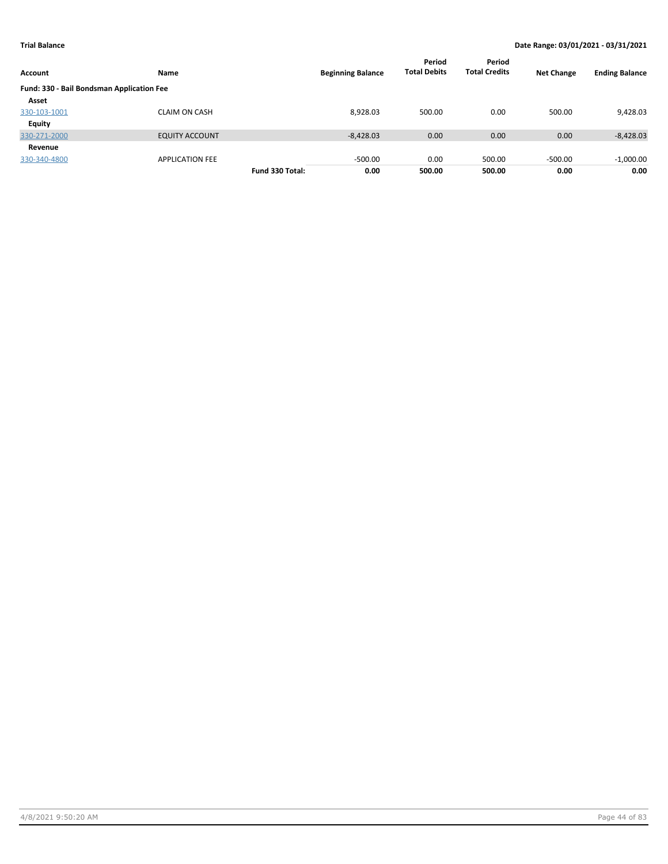| Account                                   | Name                   |                 | <b>Beginning Balance</b> | Period<br><b>Total Debits</b> | Period<br><b>Total Credits</b> | <b>Net Change</b> | <b>Ending Balance</b> |
|-------------------------------------------|------------------------|-----------------|--------------------------|-------------------------------|--------------------------------|-------------------|-----------------------|
| Fund: 330 - Bail Bondsman Application Fee |                        |                 |                          |                               |                                |                   |                       |
| Asset                                     |                        |                 |                          |                               |                                |                   |                       |
| 330-103-1001                              | <b>CLAIM ON CASH</b>   |                 | 8,928.03                 | 500.00                        | 0.00                           | 500.00            | 9,428.03              |
| Equity                                    |                        |                 |                          |                               |                                |                   |                       |
| 330-271-2000                              | <b>EQUITY ACCOUNT</b>  |                 | $-8,428.03$              | 0.00                          | 0.00                           | 0.00              | $-8,428.03$           |
| Revenue                                   |                        |                 |                          |                               |                                |                   |                       |
| 330-340-4800                              | <b>APPLICATION FEE</b> |                 | $-500.00$                | 0.00                          | 500.00                         | $-500.00$         | $-1,000.00$           |
|                                           |                        | Fund 330 Total: | 0.00                     | 500.00                        | 500.00                         | 0.00              | 0.00                  |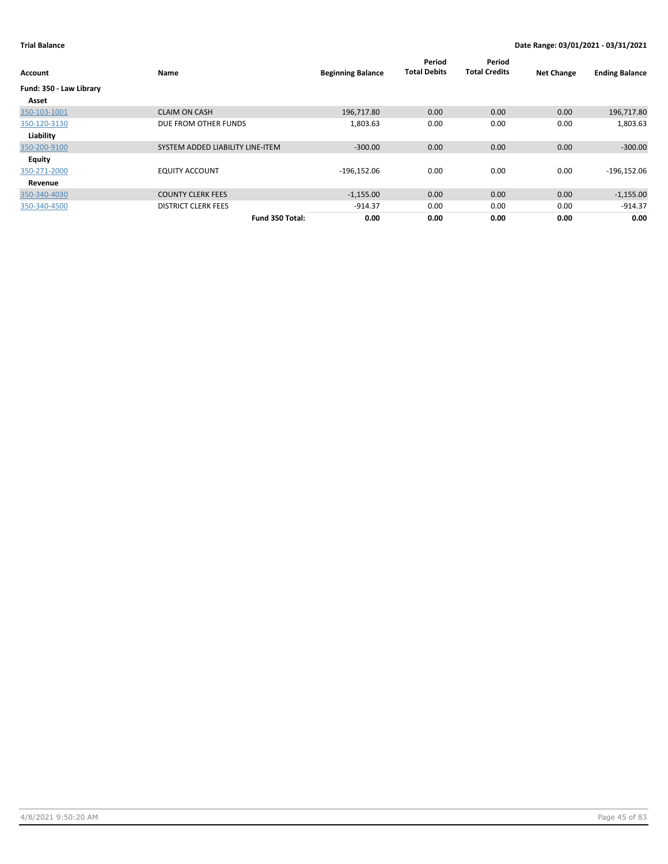| Account                 | Name                             | <b>Beginning Balance</b> | Period<br><b>Total Debits</b> | Period<br><b>Total Credits</b> | <b>Net Change</b> | <b>Ending Balance</b> |
|-------------------------|----------------------------------|--------------------------|-------------------------------|--------------------------------|-------------------|-----------------------|
| Fund: 350 - Law Library |                                  |                          |                               |                                |                   |                       |
| Asset                   |                                  |                          |                               |                                |                   |                       |
| 350-103-1001            | <b>CLAIM ON CASH</b>             | 196,717.80               | 0.00                          | 0.00                           | 0.00              | 196,717.80            |
| 350-120-3130            | DUE FROM OTHER FUNDS             | 1,803.63                 | 0.00                          | 0.00                           | 0.00              | 1,803.63              |
| Liability               |                                  |                          |                               |                                |                   |                       |
| 350-200-9100            | SYSTEM ADDED LIABILITY LINE-ITEM | $-300.00$                | 0.00                          | 0.00                           | 0.00              | $-300.00$             |
| Equity                  |                                  |                          |                               |                                |                   |                       |
| 350-271-2000            | <b>EQUITY ACCOUNT</b>            | $-196,152.06$            | 0.00                          | 0.00                           | 0.00              | $-196,152.06$         |
| Revenue                 |                                  |                          |                               |                                |                   |                       |
| 350-340-4030            | <b>COUNTY CLERK FEES</b>         | $-1,155.00$              | 0.00                          | 0.00                           | 0.00              | $-1,155.00$           |
| 350-340-4500            | <b>DISTRICT CLERK FEES</b>       | $-914.37$                | 0.00                          | 0.00                           | 0.00              | $-914.37$             |
|                         | Fund 350 Total:                  | 0.00                     | 0.00                          | 0.00                           | 0.00              | 0.00                  |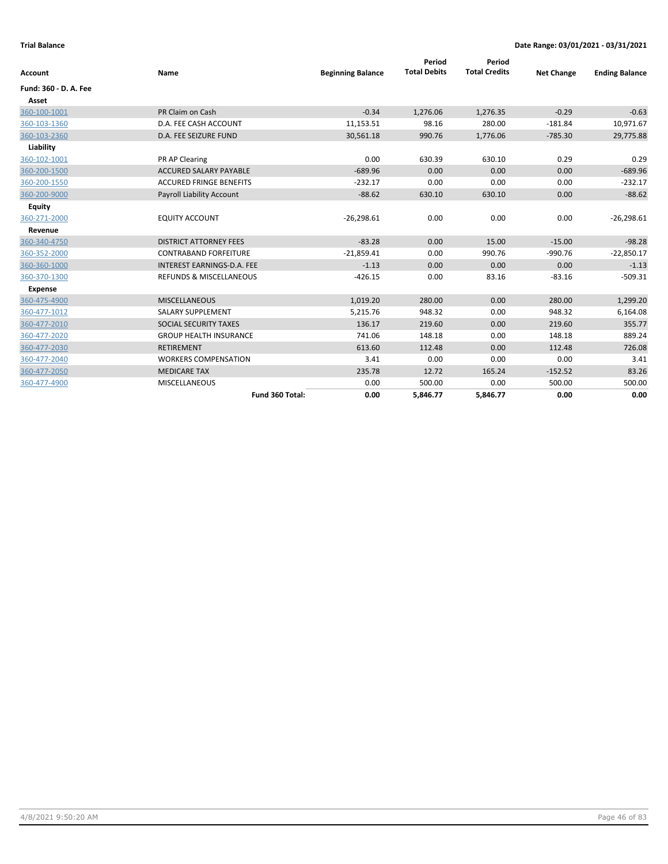| Account               | <b>Name</b>                        | <b>Beginning Balance</b> | Period<br><b>Total Debits</b> | Period<br><b>Total Credits</b> | <b>Net Change</b> | <b>Ending Balance</b> |
|-----------------------|------------------------------------|--------------------------|-------------------------------|--------------------------------|-------------------|-----------------------|
|                       |                                    |                          |                               |                                |                   |                       |
| Fund: 360 - D. A. Fee |                                    |                          |                               |                                |                   |                       |
| Asset                 |                                    |                          |                               |                                |                   |                       |
| 360-100-1001          | PR Claim on Cash                   | $-0.34$                  | 1,276.06                      | 1,276.35                       | $-0.29$           | $-0.63$               |
| 360-103-1360          | D.A. FEE CASH ACCOUNT              | 11,153.51                | 98.16                         | 280.00                         | $-181.84$         | 10,971.67             |
| 360-103-2360          | <b>D.A. FEE SEIZURE FUND</b>       | 30,561.18                | 990.76                        | 1,776.06                       | $-785.30$         | 29,775.88             |
| Liability             |                                    |                          |                               |                                |                   |                       |
| 360-102-1001          | PR AP Clearing                     | 0.00                     | 630.39                        | 630.10                         | 0.29              | 0.29                  |
| 360-200-1500          | <b>ACCURED SALARY PAYABLE</b>      | $-689.96$                | 0.00                          | 0.00                           | 0.00              | $-689.96$             |
| 360-200-1550          | <b>ACCURED FRINGE BENEFITS</b>     | $-232.17$                | 0.00                          | 0.00                           | 0.00              | $-232.17$             |
| 360-200-9000          | Payroll Liability Account          | $-88.62$                 | 630.10                        | 630.10                         | 0.00              | $-88.62$              |
| <b>Equity</b>         |                                    |                          |                               |                                |                   |                       |
| 360-271-2000          | <b>EQUITY ACCOUNT</b>              | $-26,298.61$             | 0.00                          | 0.00                           | 0.00              | $-26,298.61$          |
| Revenue               |                                    |                          |                               |                                |                   |                       |
| 360-340-4750          | <b>DISTRICT ATTORNEY FEES</b>      | $-83.28$                 | 0.00                          | 15.00                          | $-15.00$          | $-98.28$              |
| 360-352-2000          | <b>CONTRABAND FORFEITURE</b>       | $-21,859.41$             | 0.00                          | 990.76                         | $-990.76$         | $-22,850.17$          |
| 360-360-1000          | INTEREST EARNINGS-D.A. FEE         | $-1.13$                  | 0.00                          | 0.00                           | 0.00              | $-1.13$               |
| 360-370-1300          | <b>REFUNDS &amp; MISCELLANEOUS</b> | $-426.15$                | 0.00                          | 83.16                          | $-83.16$          | $-509.31$             |
| <b>Expense</b>        |                                    |                          |                               |                                |                   |                       |
| 360-475-4900          | <b>MISCELLANEOUS</b>               | 1,019.20                 | 280.00                        | 0.00                           | 280.00            | 1,299.20              |
| 360-477-1012          | <b>SALARY SUPPLEMENT</b>           | 5,215.76                 | 948.32                        | 0.00                           | 948.32            | 6,164.08              |
| 360-477-2010          | SOCIAL SECURITY TAXES              | 136.17                   | 219.60                        | 0.00                           | 219.60            | 355.77                |
| 360-477-2020          | <b>GROUP HEALTH INSURANCE</b>      | 741.06                   | 148.18                        | 0.00                           | 148.18            | 889.24                |
| 360-477-2030          | <b>RETIREMENT</b>                  | 613.60                   | 112.48                        | 0.00                           | 112.48            | 726.08                |
| 360-477-2040          | <b>WORKERS COMPENSATION</b>        | 3.41                     | 0.00                          | 0.00                           | 0.00              | 3.41                  |
| 360-477-2050          | <b>MEDICARE TAX</b>                | 235.78                   | 12.72                         | 165.24                         | $-152.52$         | 83.26                 |
| 360-477-4900          | <b>MISCELLANEOUS</b>               | 0.00                     | 500.00                        | 0.00                           | 500.00            | 500.00                |
|                       | Fund 360 Total:                    | 0.00                     | 5,846.77                      | 5,846.77                       | 0.00              | 0.00                  |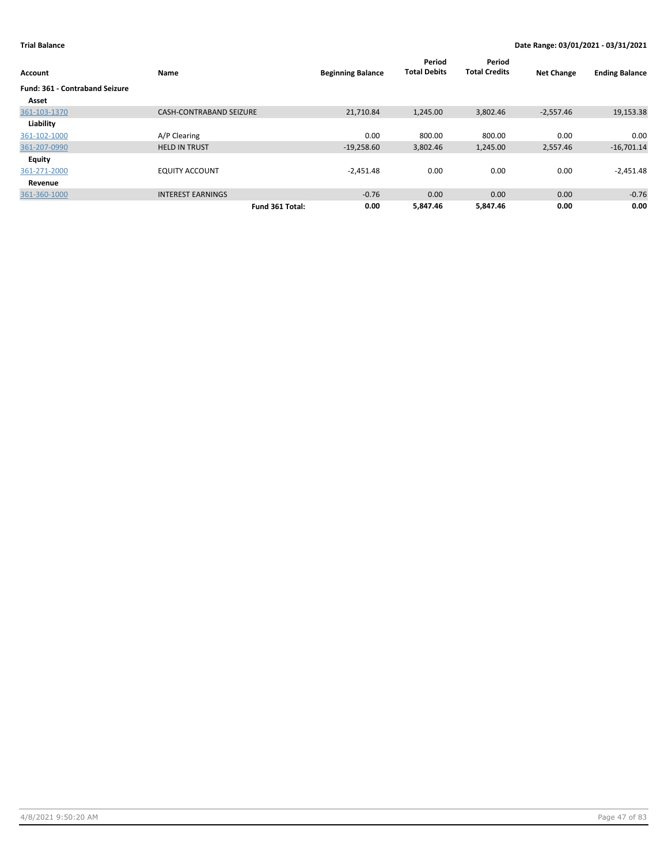| Account                               | Name                           | <b>Beginning Balance</b> | Period<br><b>Total Debits</b> | Period<br><b>Total Credits</b> | <b>Net Change</b> | <b>Ending Balance</b> |
|---------------------------------------|--------------------------------|--------------------------|-------------------------------|--------------------------------|-------------------|-----------------------|
| <b>Fund: 361 - Contraband Seizure</b> |                                |                          |                               |                                |                   |                       |
| Asset                                 |                                |                          |                               |                                |                   |                       |
| 361-103-1370                          | <b>CASH-CONTRABAND SEIZURE</b> | 21,710.84                | 1,245.00                      | 3,802.46                       | $-2,557.46$       | 19,153.38             |
| Liability                             |                                |                          |                               |                                |                   |                       |
| 361-102-1000                          | A/P Clearing                   | 0.00                     | 800.00                        | 800.00                         | 0.00              | 0.00                  |
| 361-207-0990                          | <b>HELD IN TRUST</b>           | $-19,258.60$             | 3,802.46                      | 1,245.00                       | 2,557.46          | $-16,701.14$          |
| Equity                                |                                |                          |                               |                                |                   |                       |
| 361-271-2000                          | <b>EQUITY ACCOUNT</b>          | $-2,451.48$              | 0.00                          | 0.00                           | 0.00              | $-2,451.48$           |
| Revenue                               |                                |                          |                               |                                |                   |                       |
| 361-360-1000                          | <b>INTEREST EARNINGS</b>       | $-0.76$                  | 0.00                          | 0.00                           | 0.00              | $-0.76$               |
|                                       | Fund 361 Total:                | 0.00                     | 5,847.46                      | 5.847.46                       | 0.00              | 0.00                  |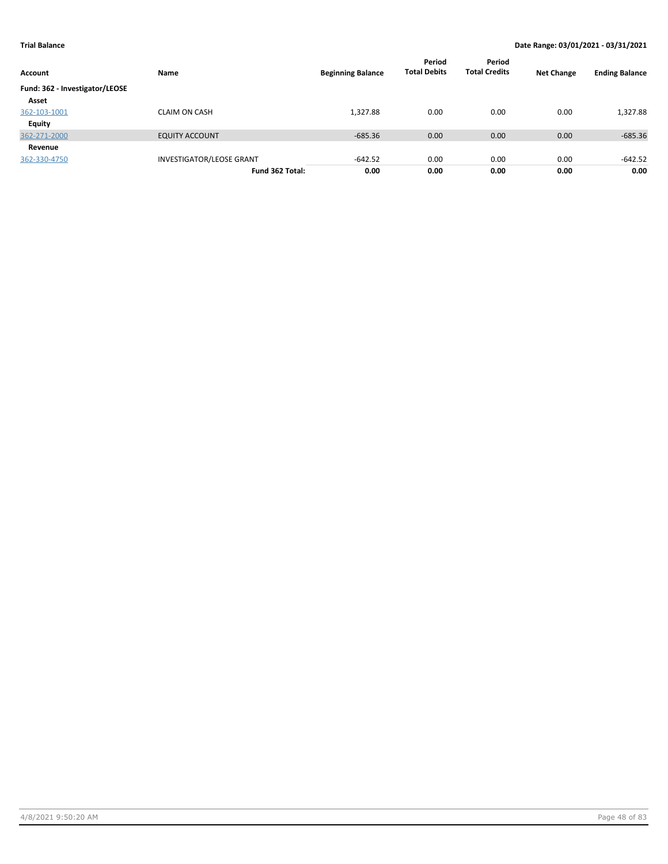| Account                        | Name                            | <b>Beginning Balance</b> | Period<br><b>Total Debits</b> | Period<br><b>Total Credits</b> | <b>Net Change</b> | <b>Ending Balance</b> |
|--------------------------------|---------------------------------|--------------------------|-------------------------------|--------------------------------|-------------------|-----------------------|
| Fund: 362 - Investigator/LEOSE |                                 |                          |                               |                                |                   |                       |
| Asset                          |                                 |                          |                               |                                |                   |                       |
| 362-103-1001                   | <b>CLAIM ON CASH</b>            | 1,327.88                 | 0.00                          | 0.00                           | 0.00              | 1,327.88              |
| Equity                         |                                 |                          |                               |                                |                   |                       |
| 362-271-2000                   | <b>EQUITY ACCOUNT</b>           | $-685.36$                | 0.00                          | 0.00                           | 0.00              | $-685.36$             |
| Revenue                        |                                 |                          |                               |                                |                   |                       |
| 362-330-4750                   | <b>INVESTIGATOR/LEOSE GRANT</b> | $-642.52$                | 0.00                          | 0.00                           | 0.00              | -642.52               |
|                                | Fund 362 Total:                 | 0.00                     | 0.00                          | 0.00                           | 0.00              | 0.00                  |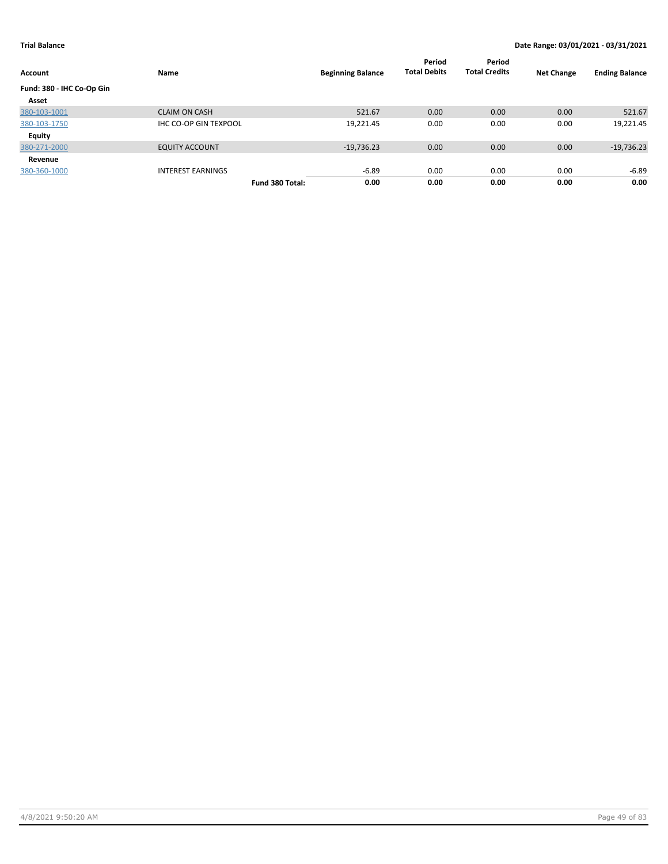| Account                   | Name                         |                 | <b>Beginning Balance</b> | Period<br><b>Total Debits</b> | Period<br><b>Total Credits</b> | <b>Net Change</b> | <b>Ending Balance</b> |
|---------------------------|------------------------------|-----------------|--------------------------|-------------------------------|--------------------------------|-------------------|-----------------------|
| Fund: 380 - IHC Co-Op Gin |                              |                 |                          |                               |                                |                   |                       |
| Asset                     |                              |                 |                          |                               |                                |                   |                       |
| 380-103-1001              | <b>CLAIM ON CASH</b>         |                 | 521.67                   | 0.00                          | 0.00                           | 0.00              | 521.67                |
| 380-103-1750              | <b>IHC CO-OP GIN TEXPOOL</b> |                 | 19,221.45                | 0.00                          | 0.00                           | 0.00              | 19,221.45             |
| Equity                    |                              |                 |                          |                               |                                |                   |                       |
| 380-271-2000              | <b>EQUITY ACCOUNT</b>        |                 | $-19,736.23$             | 0.00                          | 0.00                           | 0.00              | $-19,736.23$          |
| Revenue                   |                              |                 |                          |                               |                                |                   |                       |
| 380-360-1000              | <b>INTEREST EARNINGS</b>     |                 | -6.89                    | 0.00                          | 0.00                           | 0.00              | $-6.89$               |
|                           |                              | Fund 380 Total: | 0.00                     | 0.00                          | 0.00                           | 0.00              | 0.00                  |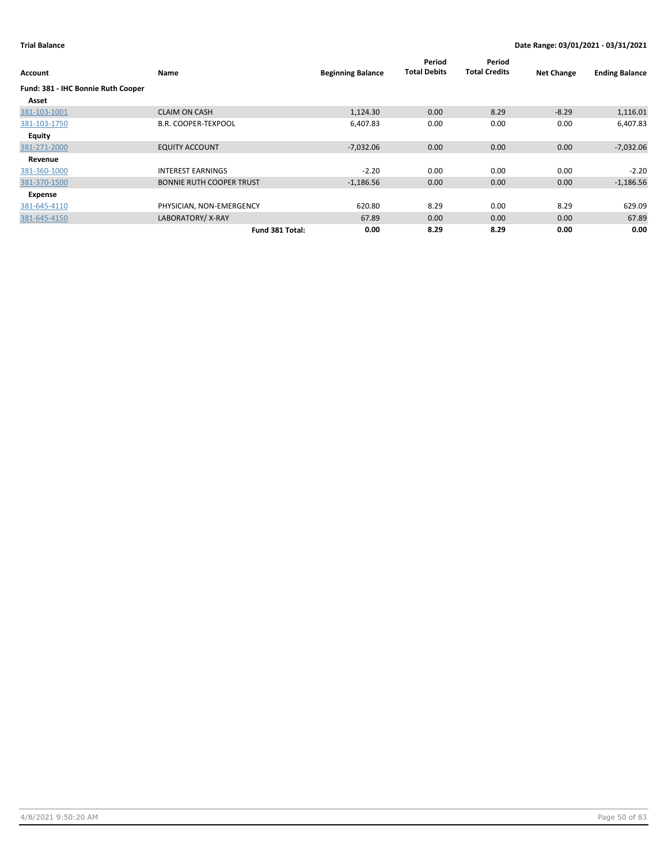| Account                                     | Name                            | <b>Beginning Balance</b> | Period<br><b>Total Debits</b> | Period<br><b>Total Credits</b> | <b>Net Change</b> | <b>Ending Balance</b> |
|---------------------------------------------|---------------------------------|--------------------------|-------------------------------|--------------------------------|-------------------|-----------------------|
| Fund: 381 - IHC Bonnie Ruth Cooper<br>Asset |                                 |                          |                               |                                |                   |                       |
| 381-103-1001                                | <b>CLAIM ON CASH</b>            | 1,124.30                 | 0.00                          | 8.29                           | $-8.29$           | 1,116.01              |
| 381-103-1750                                | <b>B.R. COOPER-TEXPOOL</b>      | 6,407.83                 | 0.00                          | 0.00                           | 0.00              | 6,407.83              |
| Equity                                      |                                 |                          |                               |                                |                   |                       |
| 381-271-2000                                | <b>EQUITY ACCOUNT</b>           | $-7,032.06$              | 0.00                          | 0.00                           | 0.00              | $-7,032.06$           |
| Revenue                                     |                                 |                          |                               |                                |                   |                       |
| 381-360-1000                                | <b>INTEREST EARNINGS</b>        | $-2.20$                  | 0.00                          | 0.00                           | 0.00              | $-2.20$               |
| 381-370-1500                                | <b>BONNIE RUTH COOPER TRUST</b> | $-1,186.56$              | 0.00                          | 0.00                           | 0.00              | $-1,186.56$           |
| Expense                                     |                                 |                          |                               |                                |                   |                       |
| 381-645-4110                                | PHYSICIAN, NON-EMERGENCY        | 620.80                   | 8.29                          | 0.00                           | 8.29              | 629.09                |
| 381-645-4150                                | LABORATORY/X-RAY                | 67.89                    | 0.00                          | 0.00                           | 0.00              | 67.89                 |
|                                             | Fund 381 Total:                 | 0.00                     | 8.29                          | 8.29                           | 0.00              | 0.00                  |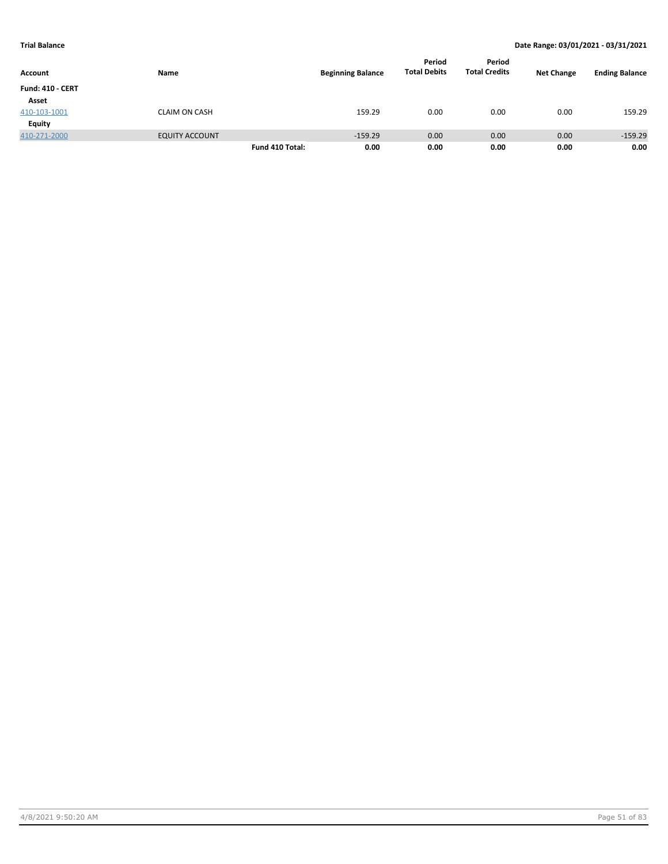|                         |                       |                 |                          | Period              | Period               |                   |                       |
|-------------------------|-----------------------|-----------------|--------------------------|---------------------|----------------------|-------------------|-----------------------|
| Account                 | Name                  |                 | <b>Beginning Balance</b> | <b>Total Debits</b> | <b>Total Credits</b> | <b>Net Change</b> | <b>Ending Balance</b> |
| <b>Fund: 410 - CERT</b> |                       |                 |                          |                     |                      |                   |                       |
| Asset                   |                       |                 |                          |                     |                      |                   |                       |
| 410-103-1001            | <b>CLAIM ON CASH</b>  |                 | 159.29                   | 0.00                | 0.00                 | 0.00              | 159.29                |
| <b>Equity</b>           |                       |                 |                          |                     |                      |                   |                       |
| 410-271-2000            | <b>EQUITY ACCOUNT</b> |                 | $-159.29$                | 0.00                | 0.00                 | 0.00              | $-159.29$             |
|                         |                       | Fund 410 Total: | 0.00                     | 0.00                | 0.00                 | 0.00              | 0.00                  |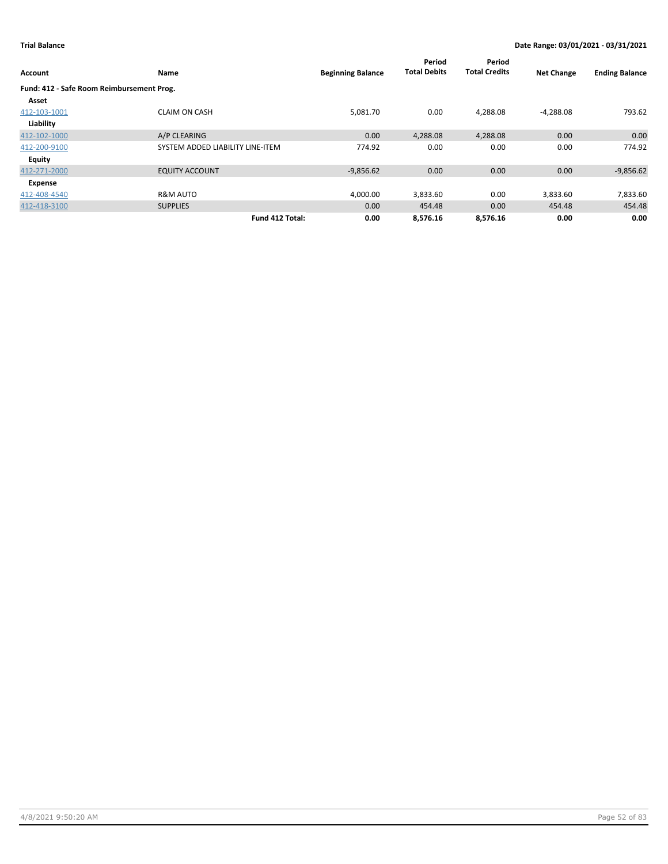| Account                                   | Name                             | <b>Beginning Balance</b> | Period<br><b>Total Debits</b> | Period<br><b>Total Credits</b> | <b>Net Change</b> | <b>Ending Balance</b> |
|-------------------------------------------|----------------------------------|--------------------------|-------------------------------|--------------------------------|-------------------|-----------------------|
| Fund: 412 - Safe Room Reimbursement Prog. |                                  |                          |                               |                                |                   |                       |
| Asset                                     |                                  |                          |                               |                                |                   |                       |
| 412-103-1001                              | <b>CLAIM ON CASH</b>             | 5,081.70                 | 0.00                          | 4,288.08                       | $-4,288.08$       | 793.62                |
| Liability                                 |                                  |                          |                               |                                |                   |                       |
| 412-102-1000                              | A/P CLEARING                     | 0.00                     | 4,288.08                      | 4,288.08                       | 0.00              | 0.00                  |
| 412-200-9100                              | SYSTEM ADDED LIABILITY LINE-ITEM | 774.92                   | 0.00                          | 0.00                           | 0.00              | 774.92                |
| Equity                                    |                                  |                          |                               |                                |                   |                       |
| 412-271-2000                              | <b>EQUITY ACCOUNT</b>            | $-9,856.62$              | 0.00                          | 0.00                           | 0.00              | $-9,856.62$           |
| Expense                                   |                                  |                          |                               |                                |                   |                       |
| 412-408-4540                              | <b>R&amp;M AUTO</b>              | 4,000.00                 | 3,833.60                      | 0.00                           | 3,833.60          | 7,833.60              |
| 412-418-3100                              | <b>SUPPLIES</b>                  | 0.00                     | 454.48                        | 0.00                           | 454.48            | 454.48                |
|                                           | Fund 412 Total:                  | 0.00                     | 8,576.16                      | 8,576.16                       | 0.00              | 0.00                  |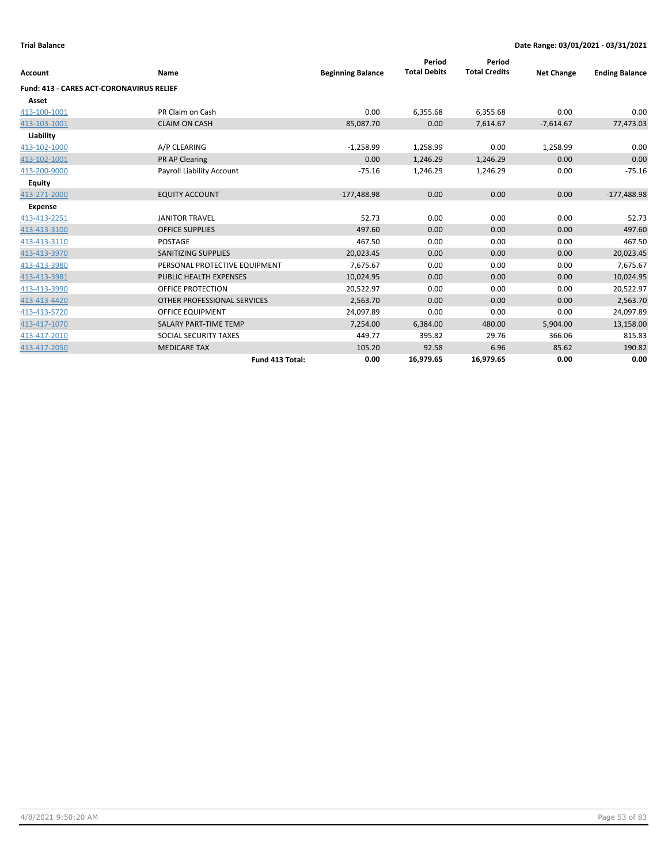| Account                                         | Name                          | <b>Beginning Balance</b> | Period<br><b>Total Debits</b> | Period<br><b>Total Credits</b> | <b>Net Change</b> | <b>Ending Balance</b> |
|-------------------------------------------------|-------------------------------|--------------------------|-------------------------------|--------------------------------|-------------------|-----------------------|
| <b>Fund: 413 - CARES ACT-CORONAVIRUS RELIEF</b> |                               |                          |                               |                                |                   |                       |
| Asset                                           |                               |                          |                               |                                |                   |                       |
| 413-100-1001                                    | PR Claim on Cash              | 0.00                     | 6,355.68                      | 6,355.68                       | 0.00              | 0.00                  |
| 413-103-1001                                    | <b>CLAIM ON CASH</b>          | 85,087.70                | 0.00                          | 7,614.67                       | $-7,614.67$       | 77,473.03             |
| Liability                                       |                               |                          |                               |                                |                   |                       |
| 413-102-1000                                    | A/P CLEARING                  | $-1,258.99$              | 1,258.99                      | 0.00                           | 1,258.99          | 0.00                  |
| 413-102-1001                                    | PR AP Clearing                | 0.00                     | 1,246.29                      | 1,246.29                       | 0.00              | 0.00                  |
| 413-200-9000                                    | Payroll Liability Account     | $-75.16$                 | 1,246.29                      | 1,246.29                       | 0.00              | $-75.16$              |
| Equity                                          |                               |                          |                               |                                |                   |                       |
| 413-271-2000                                    | <b>EQUITY ACCOUNT</b>         | $-177,488.98$            | 0.00                          | 0.00                           | 0.00              | $-177,488.98$         |
| <b>Expense</b>                                  |                               |                          |                               |                                |                   |                       |
| 413-413-2251                                    | <b>JANITOR TRAVEL</b>         | 52.73                    | 0.00                          | 0.00                           | 0.00              | 52.73                 |
| 413-413-3100                                    | <b>OFFICE SUPPLIES</b>        | 497.60                   | 0.00                          | 0.00                           | 0.00              | 497.60                |
| 413-413-3110                                    | POSTAGE                       | 467.50                   | 0.00                          | 0.00                           | 0.00              | 467.50                |
| 413-413-3970                                    | <b>SANITIZING SUPPLIES</b>    | 20,023.45                | 0.00                          | 0.00                           | 0.00              | 20,023.45             |
| 413-413-3980                                    | PERSONAL PROTECTIVE EQUIPMENT | 7,675.67                 | 0.00                          | 0.00                           | 0.00              | 7,675.67              |
| 413-413-3981                                    | PUBLIC HEALTH EXPENSES        | 10,024.95                | 0.00                          | 0.00                           | 0.00              | 10,024.95             |
| 413-413-3990                                    | OFFICE PROTECTION             | 20,522.97                | 0.00                          | 0.00                           | 0.00              | 20,522.97             |
| 413-413-4420                                    | OTHER PROFESSIONAL SERVICES   | 2,563.70                 | 0.00                          | 0.00                           | 0.00              | 2,563.70              |
| 413-413-5720                                    | <b>OFFICE EQUIPMENT</b>       | 24,097.89                | 0.00                          | 0.00                           | 0.00              | 24,097.89             |
| 413-417-1070                                    | <b>SALARY PART-TIME TEMP</b>  | 7,254.00                 | 6,384.00                      | 480.00                         | 5,904.00          | 13,158.00             |
| 413-417-2010                                    | SOCIAL SECURITY TAXES         | 449.77                   | 395.82                        | 29.76                          | 366.06            | 815.83                |
| 413-417-2050                                    | <b>MEDICARE TAX</b>           | 105.20                   | 92.58                         | 6.96                           | 85.62             | 190.82                |
|                                                 | Fund 413 Total:               | 0.00                     | 16,979.65                     | 16,979.65                      | 0.00              | 0.00                  |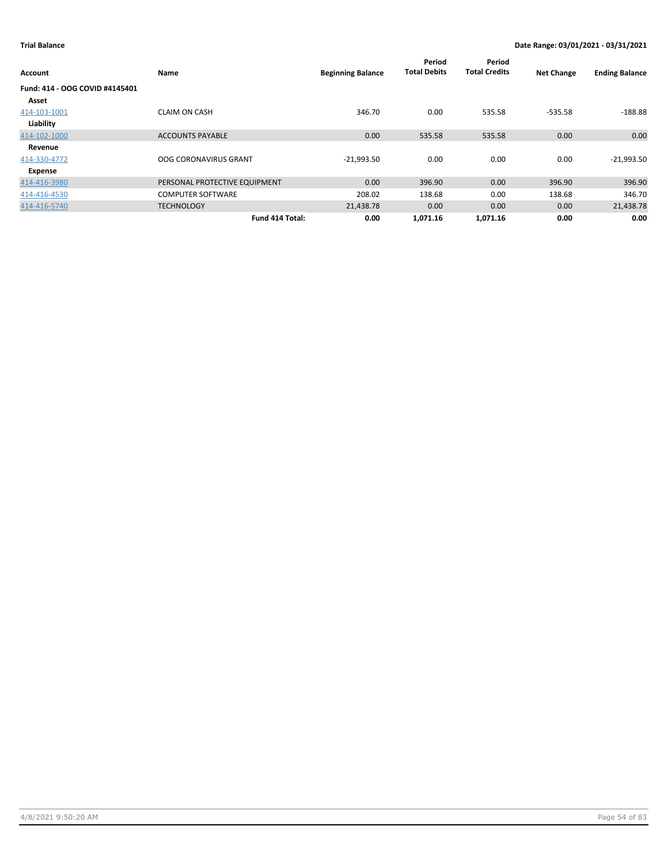| Account                        | Name                          | <b>Beginning Balance</b> | Period<br><b>Total Debits</b> | Period<br><b>Total Credits</b> | <b>Net Change</b> | <b>Ending Balance</b> |
|--------------------------------|-------------------------------|--------------------------|-------------------------------|--------------------------------|-------------------|-----------------------|
| Fund: 414 - OOG COVID #4145401 |                               |                          |                               |                                |                   |                       |
| Asset                          |                               |                          |                               |                                |                   |                       |
| 414-103-1001                   | <b>CLAIM ON CASH</b>          | 346.70                   | 0.00                          | 535.58                         | $-535.58$         | $-188.88$             |
| Liability                      |                               |                          |                               |                                |                   |                       |
| 414-102-1000                   | <b>ACCOUNTS PAYABLE</b>       | 0.00                     | 535.58                        | 535.58                         | 0.00              | 0.00                  |
| Revenue                        |                               |                          |                               |                                |                   |                       |
| 414-330-4772                   | <b>OOG CORONAVIRUS GRANT</b>  | $-21,993.50$             | 0.00                          | 0.00                           | 0.00              | $-21,993.50$          |
| Expense                        |                               |                          |                               |                                |                   |                       |
| 414-416-3980                   | PERSONAL PROTECTIVE EQUIPMENT | 0.00                     | 396.90                        | 0.00                           | 396.90            | 396.90                |
| 414-416-4530                   | <b>COMPUTER SOFTWARE</b>      | 208.02                   | 138.68                        | 0.00                           | 138.68            | 346.70                |
| 414-416-5740                   | <b>TECHNOLOGY</b>             | 21,438.78                | 0.00                          | 0.00                           | 0.00              | 21,438.78             |
|                                | Fund 414 Total:               | 0.00                     | 1,071.16                      | 1,071.16                       | 0.00              | 0.00                  |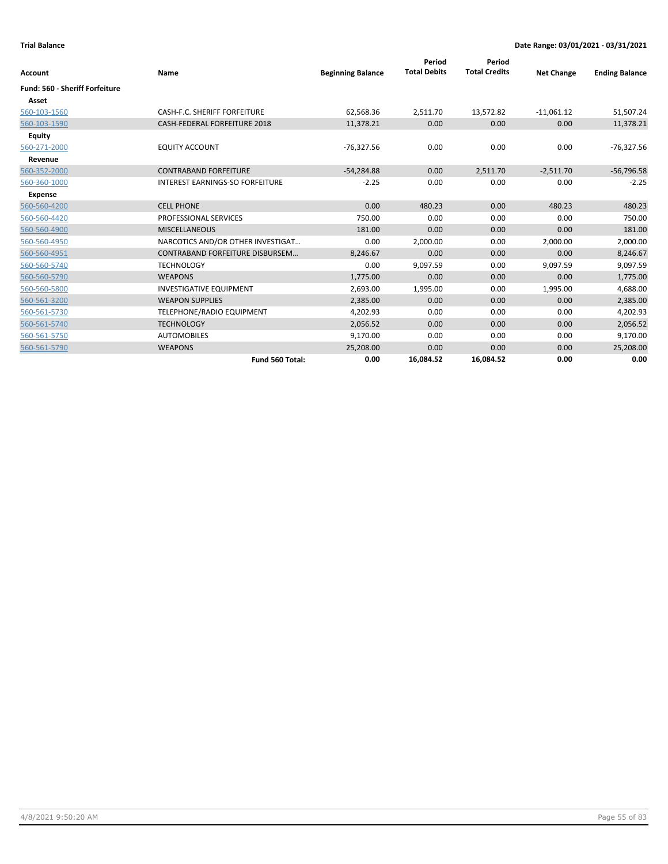| Account                               | Name                                   | <b>Beginning Balance</b> | Period<br><b>Total Debits</b> | Period<br><b>Total Credits</b> | <b>Net Change</b> | <b>Ending Balance</b> |
|---------------------------------------|----------------------------------------|--------------------------|-------------------------------|--------------------------------|-------------------|-----------------------|
| <b>Fund: 560 - Sheriff Forfeiture</b> |                                        |                          |                               |                                |                   |                       |
| Asset                                 |                                        |                          |                               |                                |                   |                       |
| 560-103-1560                          | CASH-F.C. SHERIFF FORFEITURE           | 62,568.36                | 2,511.70                      | 13,572.82                      | $-11,061.12$      | 51,507.24             |
| 560-103-1590                          | CASH-FEDERAL FORFEITURE 2018           | 11,378.21                | 0.00                          | 0.00                           | 0.00              | 11,378.21             |
| <b>Equity</b>                         |                                        |                          |                               |                                |                   |                       |
| 560-271-2000                          | <b>EQUITY ACCOUNT</b>                  | $-76,327.56$             | 0.00                          | 0.00                           | 0.00              | $-76,327.56$          |
| Revenue                               |                                        |                          |                               |                                |                   |                       |
| 560-352-2000                          | <b>CONTRABAND FORFEITURE</b>           | $-54,284.88$             | 0.00                          | 2,511.70                       | $-2,511.70$       | $-56,796.58$          |
| 560-360-1000                          | <b>INTEREST EARNINGS-SO FORFEITURE</b> | $-2.25$                  | 0.00                          | 0.00                           | 0.00              | $-2.25$               |
| <b>Expense</b>                        |                                        |                          |                               |                                |                   |                       |
| 560-560-4200                          | <b>CELL PHONE</b>                      | 0.00                     | 480.23                        | 0.00                           | 480.23            | 480.23                |
| 560-560-4420                          | PROFESSIONAL SERVICES                  | 750.00                   | 0.00                          | 0.00                           | 0.00              | 750.00                |
| 560-560-4900                          | <b>MISCELLANEOUS</b>                   | 181.00                   | 0.00                          | 0.00                           | 0.00              | 181.00                |
| 560-560-4950                          | NARCOTICS AND/OR OTHER INVESTIGAT      | 0.00                     | 2,000.00                      | 0.00                           | 2,000.00          | 2,000.00              |
| 560-560-4951                          | <b>CONTRABAND FORFEITURE DISBURSEM</b> | 8,246.67                 | 0.00                          | 0.00                           | 0.00              | 8,246.67              |
| 560-560-5740                          | <b>TECHNOLOGY</b>                      | 0.00                     | 9,097.59                      | 0.00                           | 9,097.59          | 9,097.59              |
| 560-560-5790                          | <b>WEAPONS</b>                         | 1,775.00                 | 0.00                          | 0.00                           | 0.00              | 1,775.00              |
| 560-560-5800                          | <b>INVESTIGATIVE EQUIPMENT</b>         | 2,693.00                 | 1,995.00                      | 0.00                           | 1,995.00          | 4,688.00              |
| 560-561-3200                          | <b>WEAPON SUPPLIES</b>                 | 2,385.00                 | 0.00                          | 0.00                           | 0.00              | 2,385.00              |
| 560-561-5730                          | TELEPHONE/RADIO EQUIPMENT              | 4,202.93                 | 0.00                          | 0.00                           | 0.00              | 4,202.93              |
| 560-561-5740                          | <b>TECHNOLOGY</b>                      | 2,056.52                 | 0.00                          | 0.00                           | 0.00              | 2,056.52              |
| 560-561-5750                          | <b>AUTOMOBILES</b>                     | 9,170.00                 | 0.00                          | 0.00                           | 0.00              | 9,170.00              |
| 560-561-5790                          | <b>WEAPONS</b>                         | 25,208.00                | 0.00                          | 0.00                           | 0.00              | 25,208.00             |
|                                       | Fund 560 Total:                        | 0.00                     | 16.084.52                     | 16,084.52                      | 0.00              | 0.00                  |

4/8/2021 9:50:20 AM Page 55 of 83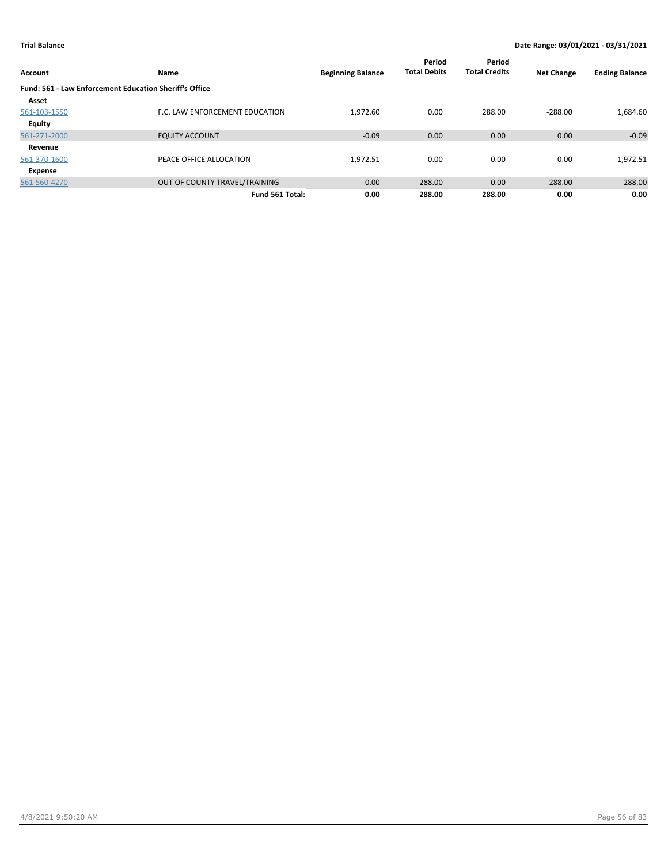| <b>Account</b>                                                | Name                           | <b>Beginning Balance</b> | Period<br><b>Total Debits</b> | Period<br><b>Total Credits</b> | <b>Net Change</b> | <b>Ending Balance</b> |
|---------------------------------------------------------------|--------------------------------|--------------------------|-------------------------------|--------------------------------|-------------------|-----------------------|
| <b>Fund: 561 - Law Enforcement Education Sheriff's Office</b> |                                |                          |                               |                                |                   |                       |
| Asset                                                         |                                |                          |                               |                                |                   |                       |
| 561-103-1550                                                  | F.C. LAW ENFORCEMENT EDUCATION | 1,972.60                 | 0.00                          | 288.00                         | $-288.00$         | 1,684.60              |
| <b>Equity</b>                                                 |                                |                          |                               |                                |                   |                       |
| 561-271-2000                                                  | <b>EQUITY ACCOUNT</b>          | $-0.09$                  | 0.00                          | 0.00                           | 0.00              | $-0.09$               |
| Revenue                                                       |                                |                          |                               |                                |                   |                       |
| 561-370-1600                                                  | PEACE OFFICE ALLOCATION        | $-1,972.51$              | 0.00                          | 0.00                           | 0.00              | $-1,972.51$           |
| Expense                                                       |                                |                          |                               |                                |                   |                       |
| 561-560-4270                                                  | OUT OF COUNTY TRAVEL/TRAINING  | 0.00                     | 288.00                        | 0.00                           | 288.00            | 288.00                |
|                                                               | Fund 561 Total:                | 0.00                     | 288.00                        | 288.00                         | 0.00              | 0.00                  |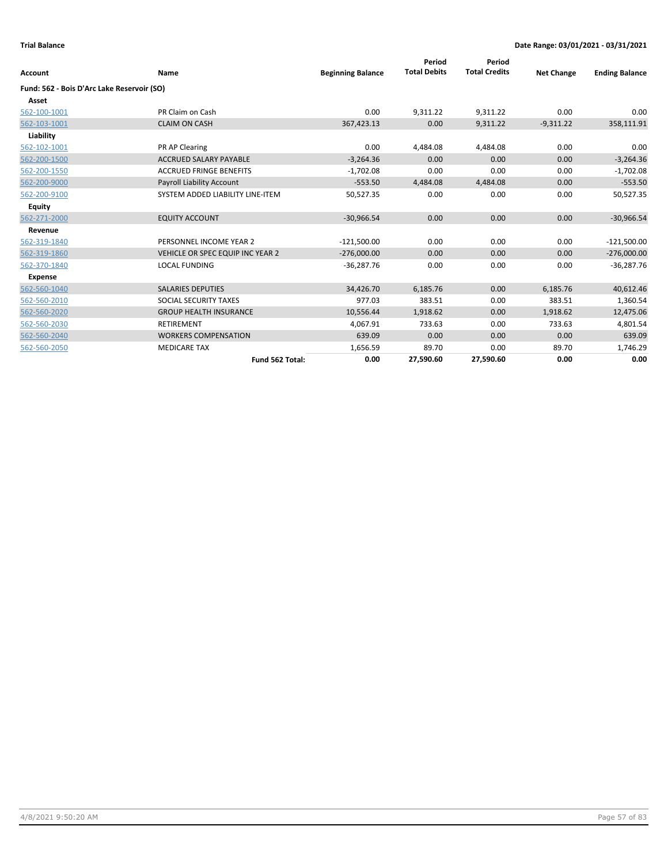| Account                                    | Name                             | <b>Beginning Balance</b> | Period<br><b>Total Debits</b> | Period<br><b>Total Credits</b> | <b>Net Change</b> | <b>Ending Balance</b> |
|--------------------------------------------|----------------------------------|--------------------------|-------------------------------|--------------------------------|-------------------|-----------------------|
| Fund: 562 - Bois D'Arc Lake Reservoir (SO) |                                  |                          |                               |                                |                   |                       |
| Asset                                      |                                  |                          |                               |                                |                   |                       |
| 562-100-1001                               | PR Claim on Cash                 | 0.00                     | 9,311.22                      | 9,311.22                       | 0.00              | 0.00                  |
| 562-103-1001                               | <b>CLAIM ON CASH</b>             | 367,423.13               | 0.00                          | 9,311.22                       | $-9,311.22$       | 358,111.91            |
| Liability                                  |                                  |                          |                               |                                |                   |                       |
| 562-102-1001                               | PR AP Clearing                   | 0.00                     | 4,484.08                      | 4,484.08                       | 0.00              | 0.00                  |
| 562-200-1500                               | <b>ACCRUED SALARY PAYABLE</b>    | $-3,264.36$              | 0.00                          | 0.00                           | 0.00              | $-3,264.36$           |
| 562-200-1550                               | <b>ACCRUED FRINGE BENEFITS</b>   | $-1,702.08$              | 0.00                          | 0.00                           | 0.00              | $-1,702.08$           |
| 562-200-9000                               | Payroll Liability Account        | $-553.50$                | 4,484.08                      | 4,484.08                       | 0.00              | $-553.50$             |
| 562-200-9100                               | SYSTEM ADDED LIABILITY LINE-ITEM | 50,527.35                | 0.00                          | 0.00                           | 0.00              | 50,527.35             |
| <b>Equity</b>                              |                                  |                          |                               |                                |                   |                       |
| 562-271-2000                               | <b>EQUITY ACCOUNT</b>            | $-30,966.54$             | 0.00                          | 0.00                           | 0.00              | $-30,966.54$          |
| Revenue                                    |                                  |                          |                               |                                |                   |                       |
| 562-319-1840                               | PERSONNEL INCOME YEAR 2          | $-121,500.00$            | 0.00                          | 0.00                           | 0.00              | $-121,500.00$         |
| 562-319-1860                               | VEHICLE OR SPEC EQUIP INC YEAR 2 | $-276,000.00$            | 0.00                          | 0.00                           | 0.00              | $-276,000.00$         |
| 562-370-1840                               | <b>LOCAL FUNDING</b>             | $-36,287.76$             | 0.00                          | 0.00                           | 0.00              | $-36,287.76$          |
| <b>Expense</b>                             |                                  |                          |                               |                                |                   |                       |
| 562-560-1040                               | <b>SALARIES DEPUTIES</b>         | 34,426.70                | 6,185.76                      | 0.00                           | 6,185.76          | 40,612.46             |
| 562-560-2010                               | SOCIAL SECURITY TAXES            | 977.03                   | 383.51                        | 0.00                           | 383.51            | 1,360.54              |
| 562-560-2020                               | <b>GROUP HEALTH INSURANCE</b>    | 10,556.44                | 1,918.62                      | 0.00                           | 1,918.62          | 12,475.06             |
| 562-560-2030                               | <b>RETIREMENT</b>                | 4,067.91                 | 733.63                        | 0.00                           | 733.63            | 4,801.54              |
| 562-560-2040                               | <b>WORKERS COMPENSATION</b>      | 639.09                   | 0.00                          | 0.00                           | 0.00              | 639.09                |
| 562-560-2050                               | <b>MEDICARE TAX</b>              | 1,656.59                 | 89.70                         | 0.00                           | 89.70             | 1,746.29              |
|                                            | Fund 562 Total:                  | 0.00                     | 27.590.60                     | 27,590.60                      | 0.00              | 0.00                  |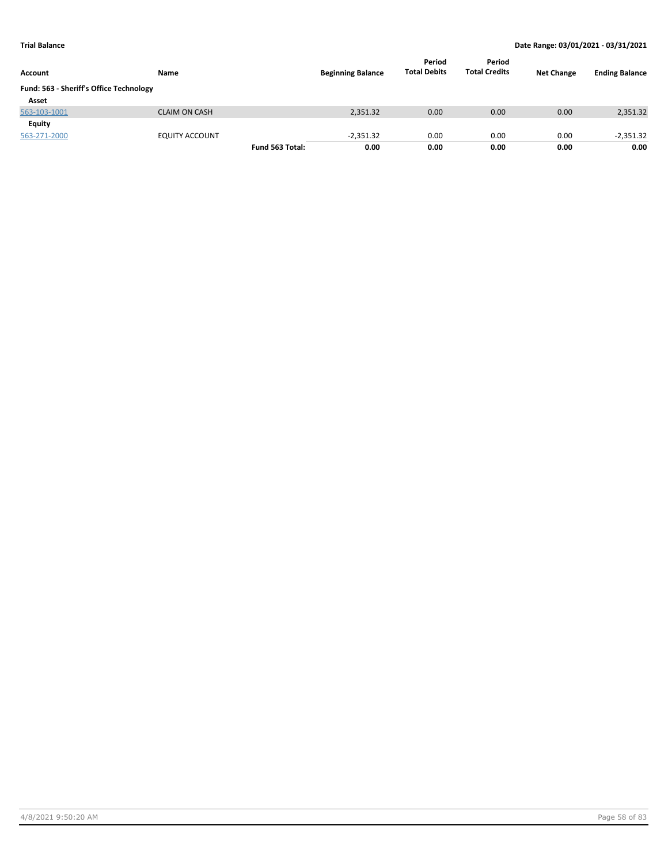| Account                                 | Name                  |                 | <b>Beginning Balance</b> | Period<br><b>Total Debits</b> | Period<br><b>Total Credits</b> | <b>Net Change</b> | <b>Ending Balance</b> |
|-----------------------------------------|-----------------------|-----------------|--------------------------|-------------------------------|--------------------------------|-------------------|-----------------------|
| Fund: 563 - Sheriff's Office Technology |                       |                 |                          |                               |                                |                   |                       |
| Asset                                   |                       |                 |                          |                               |                                |                   |                       |
| 563-103-1001                            | <b>CLAIM ON CASH</b>  |                 | 2,351.32                 | 0.00                          | 0.00                           | 0.00              | 2,351.32              |
| Equity                                  |                       |                 |                          |                               |                                |                   |                       |
| 563-271-2000                            | <b>EQUITY ACCOUNT</b> |                 | $-2,351.32$              | 0.00                          | 0.00                           | 0.00              | $-2,351.32$           |
|                                         |                       | Fund 563 Total: | 0.00                     | 0.00                          | 0.00                           | 0.00              | 0.00                  |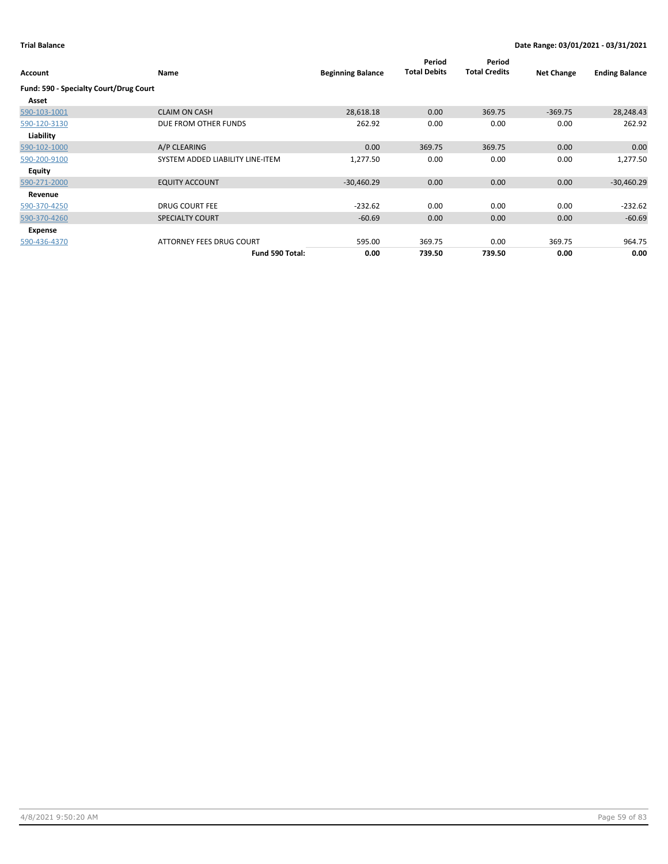| Account                                | <b>Name</b>                      | <b>Beginning Balance</b> | Period<br><b>Total Debits</b> | Period<br><b>Total Credits</b> | <b>Net Change</b> | <b>Ending Balance</b> |
|----------------------------------------|----------------------------------|--------------------------|-------------------------------|--------------------------------|-------------------|-----------------------|
| Fund: 590 - Specialty Court/Drug Court |                                  |                          |                               |                                |                   |                       |
| Asset                                  |                                  |                          |                               |                                |                   |                       |
| 590-103-1001                           | <b>CLAIM ON CASH</b>             | 28,618.18                | 0.00                          | 369.75                         | $-369.75$         | 28,248.43             |
| 590-120-3130                           | DUE FROM OTHER FUNDS             | 262.92                   | 0.00                          | 0.00                           | 0.00              | 262.92                |
| Liability                              |                                  |                          |                               |                                |                   |                       |
| 590-102-1000                           | A/P CLEARING                     | 0.00                     | 369.75                        | 369.75                         | 0.00              | 0.00                  |
| 590-200-9100                           | SYSTEM ADDED LIABILITY LINE-ITEM | 1,277.50                 | 0.00                          | 0.00                           | 0.00              | 1,277.50              |
| Equity                                 |                                  |                          |                               |                                |                   |                       |
| 590-271-2000                           | <b>EQUITY ACCOUNT</b>            | $-30,460.29$             | 0.00                          | 0.00                           | 0.00              | $-30,460.29$          |
| Revenue                                |                                  |                          |                               |                                |                   |                       |
| 590-370-4250                           | <b>DRUG COURT FEE</b>            | $-232.62$                | 0.00                          | 0.00                           | 0.00              | $-232.62$             |
| 590-370-4260                           | <b>SPECIALTY COURT</b>           | $-60.69$                 | 0.00                          | 0.00                           | 0.00              | $-60.69$              |
| Expense                                |                                  |                          |                               |                                |                   |                       |
| 590-436-4370                           | ATTORNEY FEES DRUG COURT         | 595.00                   | 369.75                        | 0.00                           | 369.75            | 964.75                |
|                                        | Fund 590 Total:                  | 0.00                     | 739.50                        | 739.50                         | 0.00              | 0.00                  |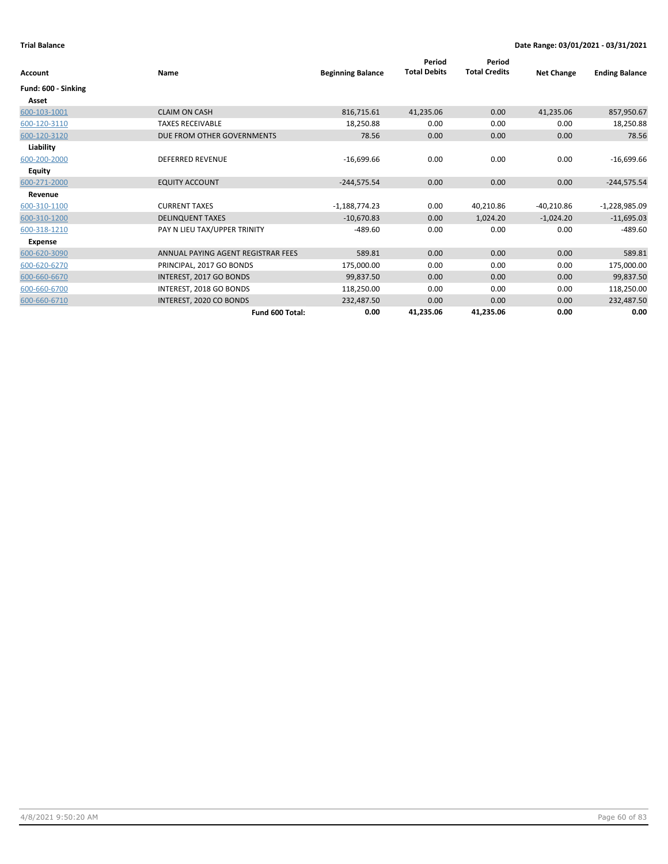| Account             | Name                               | <b>Beginning Balance</b> | Period<br><b>Total Debits</b> | Period<br><b>Total Credits</b> | <b>Net Change</b> | <b>Ending Balance</b> |
|---------------------|------------------------------------|--------------------------|-------------------------------|--------------------------------|-------------------|-----------------------|
| Fund: 600 - Sinking |                                    |                          |                               |                                |                   |                       |
| Asset               |                                    |                          |                               |                                |                   |                       |
| 600-103-1001        | <b>CLAIM ON CASH</b>               | 816,715.61               | 41,235.06                     | 0.00                           | 41,235.06         | 857,950.67            |
| 600-120-3110        | <b>TAXES RECEIVABLE</b>            | 18,250.88                | 0.00                          | 0.00                           | 0.00              | 18,250.88             |
| 600-120-3120        | DUE FROM OTHER GOVERNMENTS         | 78.56                    | 0.00                          | 0.00                           | 0.00              | 78.56                 |
| Liability           |                                    |                          |                               |                                |                   |                       |
| 600-200-2000        | <b>DEFERRED REVENUE</b>            | $-16,699.66$             | 0.00                          | 0.00                           | 0.00              | $-16,699.66$          |
| Equity              |                                    |                          |                               |                                |                   |                       |
| 600-271-2000        | <b>EQUITY ACCOUNT</b>              | $-244,575.54$            | 0.00                          | 0.00                           | 0.00              | $-244,575.54$         |
| Revenue             |                                    |                          |                               |                                |                   |                       |
| 600-310-1100        | <b>CURRENT TAXES</b>               | $-1,188,774.23$          | 0.00                          | 40,210.86                      | $-40,210.86$      | $-1,228,985.09$       |
| 600-310-1200        | <b>DELINQUENT TAXES</b>            | $-10,670.83$             | 0.00                          | 1,024.20                       | $-1,024.20$       | $-11,695.03$          |
| 600-318-1210        | PAY N LIEU TAX/UPPER TRINITY       | $-489.60$                | 0.00                          | 0.00                           | 0.00              | $-489.60$             |
| <b>Expense</b>      |                                    |                          |                               |                                |                   |                       |
| 600-620-3090        | ANNUAL PAYING AGENT REGISTRAR FEES | 589.81                   | 0.00                          | 0.00                           | 0.00              | 589.81                |
| 600-620-6270        | PRINCIPAL, 2017 GO BONDS           | 175,000.00               | 0.00                          | 0.00                           | 0.00              | 175,000.00            |
| 600-660-6670        | INTEREST, 2017 GO BONDS            | 99,837.50                | 0.00                          | 0.00                           | 0.00              | 99,837.50             |
| 600-660-6700        | INTEREST, 2018 GO BONDS            | 118,250.00               | 0.00                          | 0.00                           | 0.00              | 118,250.00            |
| 600-660-6710        | INTEREST, 2020 CO BONDS            | 232,487.50               | 0.00                          | 0.00                           | 0.00              | 232,487.50            |
|                     | Fund 600 Total:                    | 0.00                     | 41,235.06                     | 41,235.06                      | 0.00              | 0.00                  |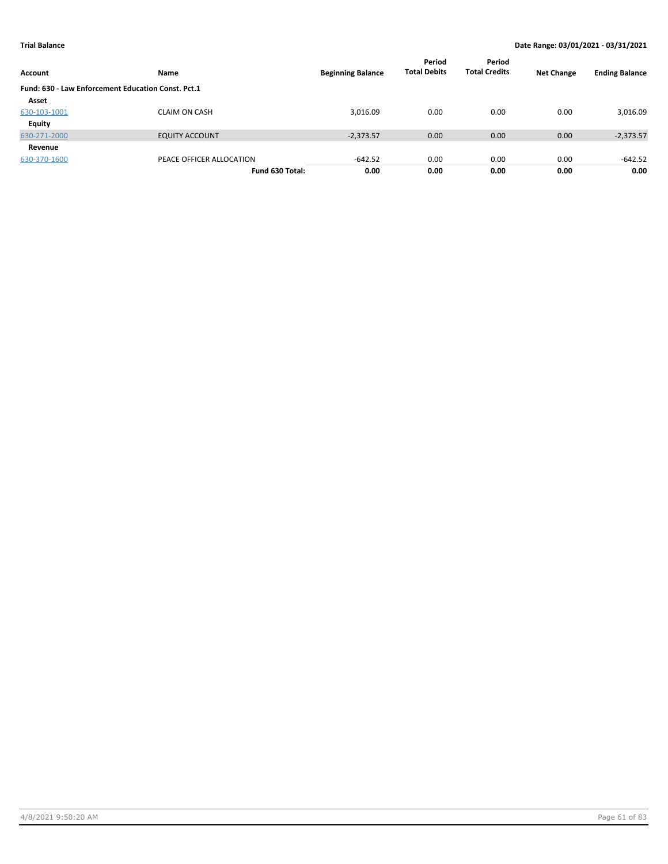| Account                                            | Name                     | <b>Beginning Balance</b> | Period<br><b>Total Debits</b> | Period<br><b>Total Credits</b> | <b>Net Change</b> | <b>Ending Balance</b> |
|----------------------------------------------------|--------------------------|--------------------------|-------------------------------|--------------------------------|-------------------|-----------------------|
| Fund: 630 - Law Enforcement Education Const. Pct.1 |                          |                          |                               |                                |                   |                       |
| Asset                                              |                          |                          |                               |                                |                   |                       |
| 630-103-1001                                       | <b>CLAIM ON CASH</b>     | 3,016.09                 | 0.00                          | 0.00                           | 0.00              | 3,016.09              |
| Equity                                             |                          |                          |                               |                                |                   |                       |
| 630-271-2000                                       | <b>EQUITY ACCOUNT</b>    | $-2,373.57$              | 0.00                          | 0.00                           | 0.00              | $-2,373.57$           |
| Revenue                                            |                          |                          |                               |                                |                   |                       |
| 630-370-1600                                       | PEACE OFFICER ALLOCATION | $-642.52$                | 0.00                          | 0.00                           | 0.00              | $-642.52$             |
|                                                    | Fund 630 Total:          | 0.00                     | 0.00                          | 0.00                           | 0.00              | 0.00                  |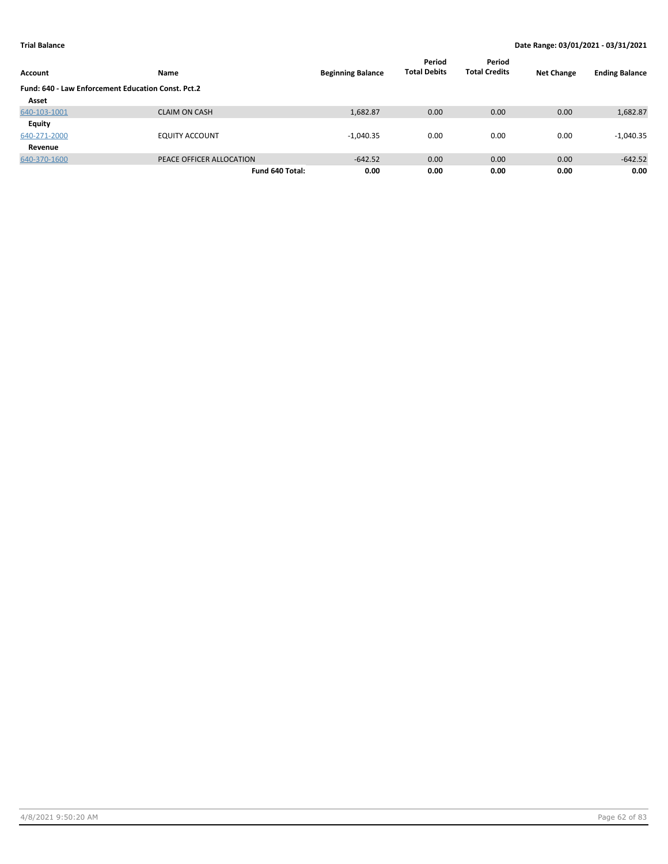| Account                                            | Name                     | <b>Beginning Balance</b> | Period<br><b>Total Debits</b> | Period<br><b>Total Credits</b> | <b>Net Change</b> | <b>Ending Balance</b> |
|----------------------------------------------------|--------------------------|--------------------------|-------------------------------|--------------------------------|-------------------|-----------------------|
| Fund: 640 - Law Enforcement Education Const. Pct.2 |                          |                          |                               |                                |                   |                       |
| Asset                                              |                          |                          |                               |                                |                   |                       |
| 640-103-1001                                       | <b>CLAIM ON CASH</b>     | 1,682.87                 | 0.00                          | 0.00                           | 0.00              | 1,682.87              |
| Equity                                             |                          |                          |                               |                                |                   |                       |
| 640-271-2000                                       | <b>EQUITY ACCOUNT</b>    | $-1,040.35$              | 0.00                          | 0.00                           | 0.00              | $-1,040.35$           |
| Revenue                                            |                          |                          |                               |                                |                   |                       |
| 640-370-1600                                       | PEACE OFFICER ALLOCATION | $-642.52$                | 0.00                          | 0.00                           | 0.00              | $-642.52$             |
|                                                    | Fund 640 Total:          | 0.00                     | 0.00                          | 0.00                           | 0.00              | 0.00                  |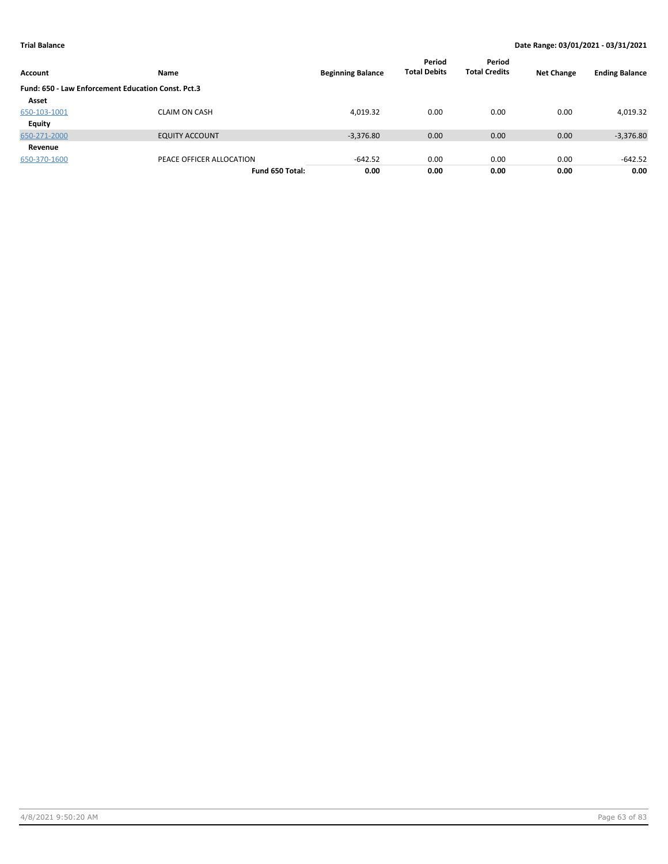| Account                                            | Name                     | <b>Beginning Balance</b> | Period<br><b>Total Debits</b> | Period<br><b>Total Credits</b> | <b>Net Change</b> | <b>Ending Balance</b> |
|----------------------------------------------------|--------------------------|--------------------------|-------------------------------|--------------------------------|-------------------|-----------------------|
| Fund: 650 - Law Enforcement Education Const. Pct.3 |                          |                          |                               |                                |                   |                       |
| Asset                                              |                          |                          |                               |                                |                   |                       |
| 650-103-1001                                       | <b>CLAIM ON CASH</b>     | 4,019.32                 | 0.00                          | 0.00                           | 0.00              | 4,019.32              |
| Equity                                             |                          |                          |                               |                                |                   |                       |
| 650-271-2000                                       | <b>EQUITY ACCOUNT</b>    | $-3,376.80$              | 0.00                          | 0.00                           | 0.00              | $-3,376.80$           |
| Revenue                                            |                          |                          |                               |                                |                   |                       |
| 650-370-1600                                       | PEACE OFFICER ALLOCATION | $-642.52$                | 0.00                          | 0.00                           | 0.00              | $-642.52$             |
|                                                    | Fund 650 Total:          | 0.00                     | 0.00                          | 0.00                           | 0.00              | 0.00                  |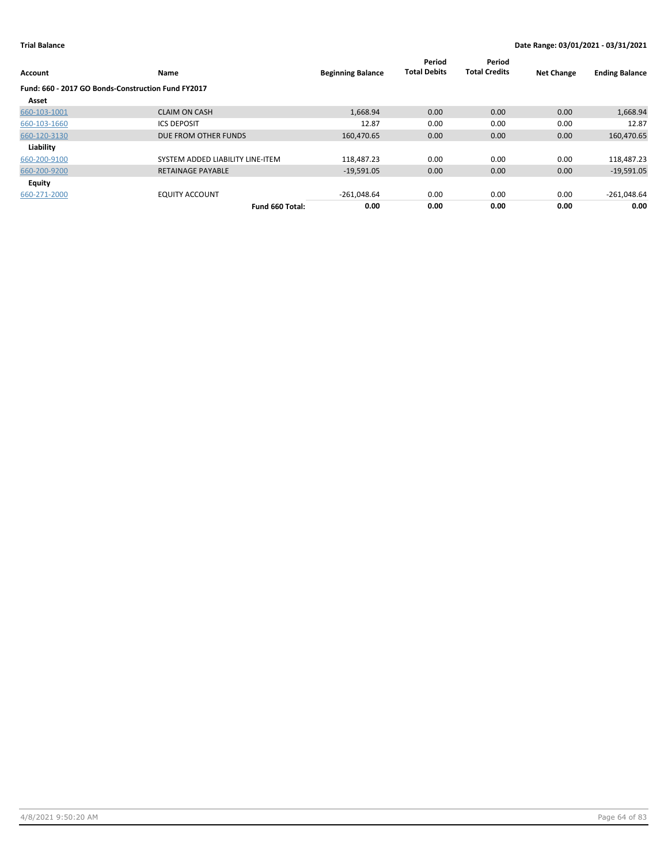| Account                                            | Name                             | <b>Beginning Balance</b> | Period<br><b>Total Debits</b> | Period<br><b>Total Credits</b> | <b>Net Change</b> | <b>Ending Balance</b> |
|----------------------------------------------------|----------------------------------|--------------------------|-------------------------------|--------------------------------|-------------------|-----------------------|
| Fund: 660 - 2017 GO Bonds-Construction Fund FY2017 |                                  |                          |                               |                                |                   |                       |
| Asset                                              |                                  |                          |                               |                                |                   |                       |
| 660-103-1001                                       | <b>CLAIM ON CASH</b>             | 1,668.94                 | 0.00                          | 0.00                           | 0.00              | 1,668.94              |
| 660-103-1660                                       | <b>ICS DEPOSIT</b>               | 12.87                    | 0.00                          | 0.00                           | 0.00              | 12.87                 |
| 660-120-3130                                       | DUE FROM OTHER FUNDS             | 160,470.65               | 0.00                          | 0.00                           | 0.00              | 160,470.65            |
| Liability                                          |                                  |                          |                               |                                |                   |                       |
| 660-200-9100                                       | SYSTEM ADDED LIABILITY LINE-ITEM | 118,487.23               | 0.00                          | 0.00                           | 0.00              | 118,487.23            |
| 660-200-9200                                       | <b>RETAINAGE PAYABLE</b>         | $-19,591.05$             | 0.00                          | 0.00                           | 0.00              | $-19,591.05$          |
| <b>Equity</b>                                      |                                  |                          |                               |                                |                   |                       |
| 660-271-2000                                       | <b>EQUITY ACCOUNT</b>            | $-261,048.64$            | 0.00                          | 0.00                           | 0.00              | $-261,048.64$         |
|                                                    | Fund 660 Total:                  | 0.00                     | 0.00                          | 0.00                           | 0.00              | 0.00                  |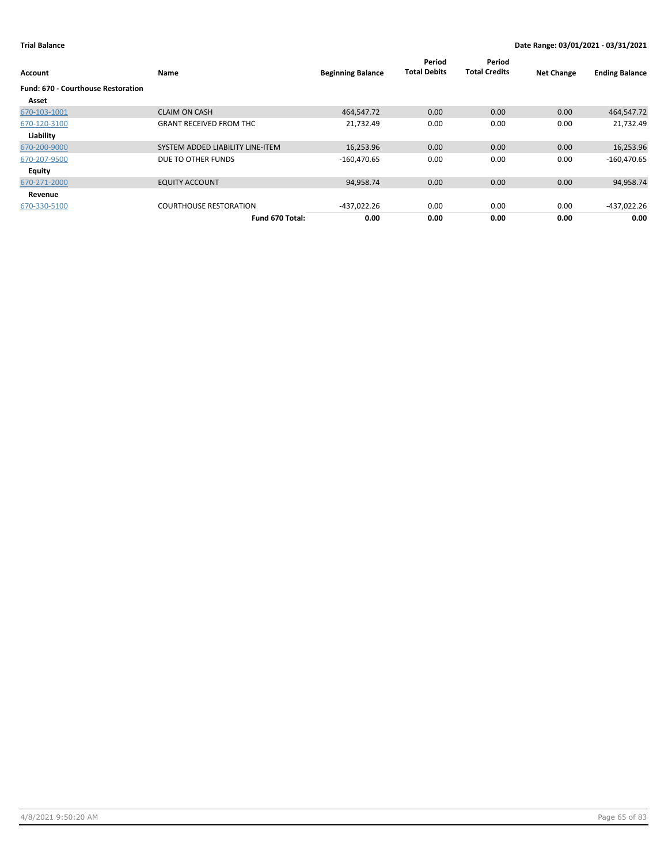| Account                                   | Name                             | <b>Beginning Balance</b> | Period<br><b>Total Debits</b> | Period<br><b>Total Credits</b> | <b>Net Change</b> | <b>Ending Balance</b> |
|-------------------------------------------|----------------------------------|--------------------------|-------------------------------|--------------------------------|-------------------|-----------------------|
| <b>Fund: 670 - Courthouse Restoration</b> |                                  |                          |                               |                                |                   |                       |
| Asset                                     |                                  |                          |                               |                                |                   |                       |
| 670-103-1001                              | <b>CLAIM ON CASH</b>             | 464,547.72               | 0.00                          | 0.00                           | 0.00              | 464,547.72            |
| 670-120-3100                              | <b>GRANT RECEIVED FROM THC</b>   | 21,732.49                | 0.00                          | 0.00                           | 0.00              | 21,732.49             |
| Liability                                 |                                  |                          |                               |                                |                   |                       |
| 670-200-9000                              | SYSTEM ADDED LIABILITY LINE-ITEM | 16,253.96                | 0.00                          | 0.00                           | 0.00              | 16,253.96             |
| 670-207-9500                              | DUE TO OTHER FUNDS               | $-160,470.65$            | 0.00                          | 0.00                           | 0.00              | $-160,470.65$         |
| Equity                                    |                                  |                          |                               |                                |                   |                       |
| 670-271-2000                              | <b>EQUITY ACCOUNT</b>            | 94,958.74                | 0.00                          | 0.00                           | 0.00              | 94,958.74             |
| Revenue                                   |                                  |                          |                               |                                |                   |                       |
| 670-330-5100                              | <b>COURTHOUSE RESTORATION</b>    | -437,022.26              | 0.00                          | 0.00                           | 0.00              | -437,022.26           |
|                                           | Fund 670 Total:                  | 0.00                     | 0.00                          | 0.00                           | 0.00              | 0.00                  |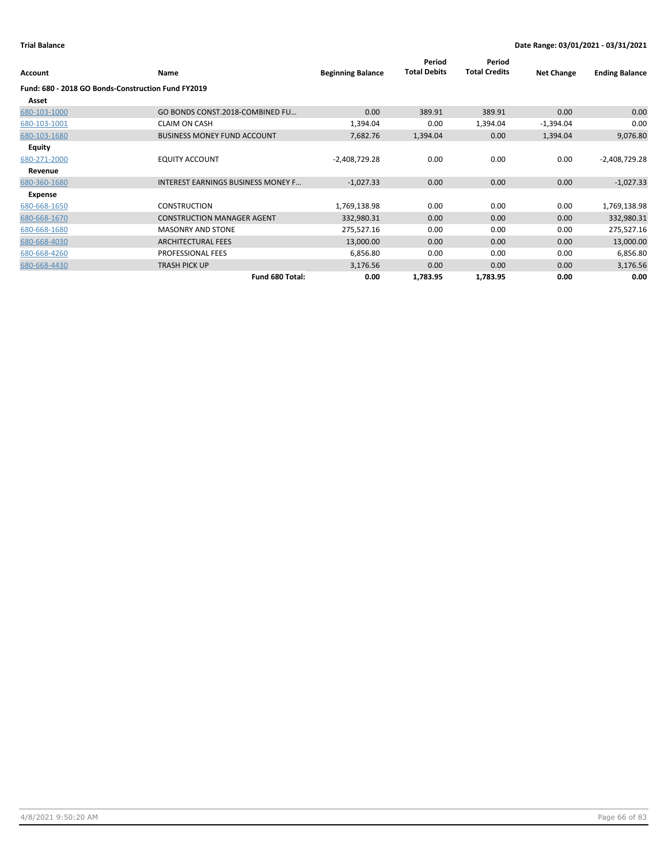|                                                    |                                           |                          | Period              | Period               |                   |                       |
|----------------------------------------------------|-------------------------------------------|--------------------------|---------------------|----------------------|-------------------|-----------------------|
| Account                                            | Name                                      | <b>Beginning Balance</b> | <b>Total Debits</b> | <b>Total Credits</b> | <b>Net Change</b> | <b>Ending Balance</b> |
| Fund: 680 - 2018 GO Bonds-Construction Fund FY2019 |                                           |                          |                     |                      |                   |                       |
| Asset                                              |                                           |                          |                     |                      |                   |                       |
| 680-103-1000                                       | GO BONDS CONST.2018-COMBINED FU           | 0.00                     | 389.91              | 389.91               | 0.00              | 0.00                  |
| 680-103-1001                                       | <b>CLAIM ON CASH</b>                      | 1,394.04                 | 0.00                | 1,394.04             | $-1,394.04$       | 0.00                  |
| 680-103-1680                                       | <b>BUSINESS MONEY FUND ACCOUNT</b>        | 7,682.76                 | 1,394.04            | 0.00                 | 1,394.04          | 9,076.80              |
| Equity                                             |                                           |                          |                     |                      |                   |                       |
| 680-271-2000                                       | <b>EQUITY ACCOUNT</b>                     | $-2,408,729.28$          | 0.00                | 0.00                 | 0.00              | $-2,408,729.28$       |
| Revenue                                            |                                           |                          |                     |                      |                   |                       |
| 680-360-1680                                       | <b>INTEREST EARNINGS BUSINESS MONEY F</b> | $-1,027.33$              | 0.00                | 0.00                 | 0.00              | $-1,027.33$           |
| Expense                                            |                                           |                          |                     |                      |                   |                       |
| 680-668-1650                                       | <b>CONSTRUCTION</b>                       | 1,769,138.98             | 0.00                | 0.00                 | 0.00              | 1,769,138.98          |
| 680-668-1670                                       | <b>CONSTRUCTION MANAGER AGENT</b>         | 332,980.31               | 0.00                | 0.00                 | 0.00              | 332,980.31            |
| 680-668-1680                                       | <b>MASONRY AND STONE</b>                  | 275,527.16               | 0.00                | 0.00                 | 0.00              | 275,527.16            |
| 680-668-4030                                       | <b>ARCHITECTURAL FEES</b>                 | 13,000.00                | 0.00                | 0.00                 | 0.00              | 13,000.00             |
| 680-668-4260                                       | PROFESSIONAL FEES                         | 6,856.80                 | 0.00                | 0.00                 | 0.00              | 6,856.80              |
| 680-668-4430                                       | <b>TRASH PICK UP</b>                      | 3,176.56                 | 0.00                | 0.00                 | 0.00              | 3,176.56              |
|                                                    | Fund 680 Total:                           | 0.00                     | 1,783.95            | 1,783.95             | 0.00              | 0.00                  |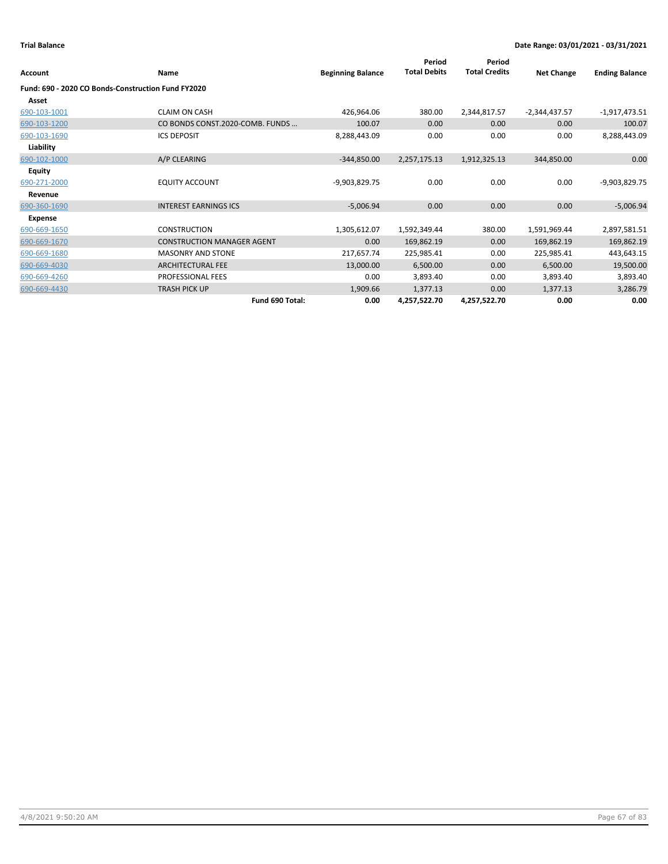| Account                                            | Name                              | <b>Beginning Balance</b> | Period<br><b>Total Debits</b> | Period<br><b>Total Credits</b> | <b>Net Change</b> | <b>Ending Balance</b> |
|----------------------------------------------------|-----------------------------------|--------------------------|-------------------------------|--------------------------------|-------------------|-----------------------|
| Fund: 690 - 2020 CO Bonds-Construction Fund FY2020 |                                   |                          |                               |                                |                   |                       |
| Asset                                              |                                   |                          |                               |                                |                   |                       |
| 690-103-1001                                       | <b>CLAIM ON CASH</b>              | 426,964.06               | 380.00                        | 2,344,817.57                   | $-2,344,437.57$   | $-1,917,473.51$       |
| 690-103-1200                                       | CO BONDS CONST.2020-COMB. FUNDS   | 100.07                   | 0.00                          | 0.00                           | 0.00              | 100.07                |
| 690-103-1690                                       | <b>ICS DEPOSIT</b>                | 8,288,443.09             | 0.00                          | 0.00                           | 0.00              | 8,288,443.09          |
| Liability                                          |                                   |                          |                               |                                |                   |                       |
| 690-102-1000                                       | A/P CLEARING                      | $-344,850.00$            | 2,257,175.13                  | 1,912,325.13                   | 344,850.00        | 0.00                  |
| <b>Equity</b>                                      |                                   |                          |                               |                                |                   |                       |
| 690-271-2000                                       | <b>EQUITY ACCOUNT</b>             | -9,903,829.75            | 0.00                          | 0.00                           | 0.00              | -9,903,829.75         |
| Revenue                                            |                                   |                          |                               |                                |                   |                       |
| 690-360-1690                                       | <b>INTEREST EARNINGS ICS</b>      | $-5,006.94$              | 0.00                          | 0.00                           | 0.00              | $-5,006.94$           |
| Expense                                            |                                   |                          |                               |                                |                   |                       |
| 690-669-1650                                       | <b>CONSTRUCTION</b>               | 1,305,612.07             | 1,592,349.44                  | 380.00                         | 1,591,969.44      | 2,897,581.51          |
| 690-669-1670                                       | <b>CONSTRUCTION MANAGER AGENT</b> | 0.00                     | 169,862.19                    | 0.00                           | 169,862.19        | 169,862.19            |
| 690-669-1680                                       | <b>MASONRY AND STONE</b>          | 217,657.74               | 225,985.41                    | 0.00                           | 225,985.41        | 443,643.15            |
| 690-669-4030                                       | <b>ARCHITECTURAL FEE</b>          | 13,000.00                | 6,500.00                      | 0.00                           | 6,500.00          | 19,500.00             |
| 690-669-4260                                       | PROFESSIONAL FEES                 | 0.00                     | 3,893.40                      | 0.00                           | 3,893.40          | 3,893.40              |
| 690-669-4430                                       | <b>TRASH PICK UP</b>              | 1,909.66                 | 1,377.13                      | 0.00                           | 1,377.13          | 3,286.79              |
|                                                    | Fund 690 Total:                   | 0.00                     | 4,257,522.70                  | 4,257,522.70                   | 0.00              | 0.00                  |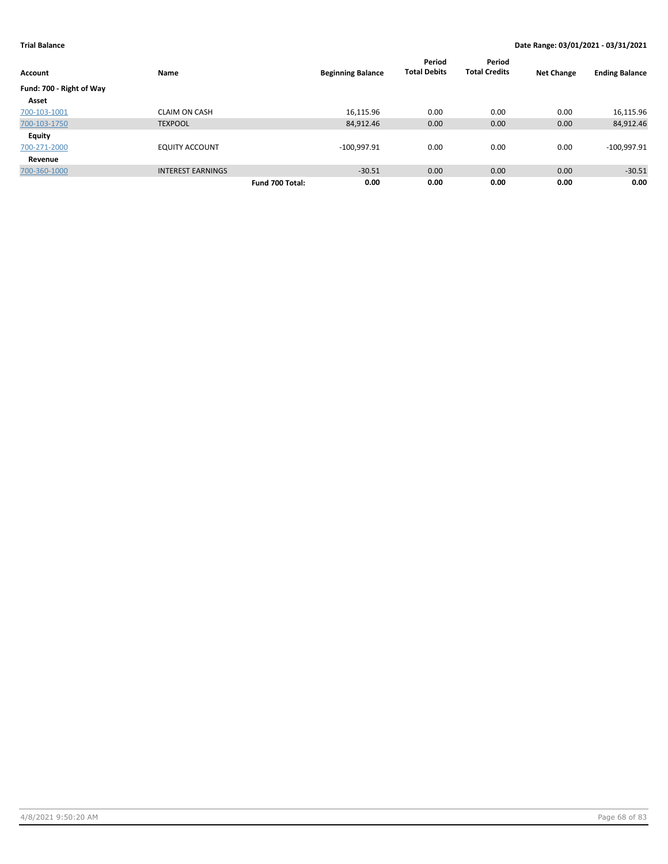| <b>Account</b>           | Name                     | <b>Beginning Balance</b> | Period<br><b>Total Debits</b> | Period<br><b>Total Credits</b> | <b>Net Change</b> | <b>Ending Balance</b> |
|--------------------------|--------------------------|--------------------------|-------------------------------|--------------------------------|-------------------|-----------------------|
| Fund: 700 - Right of Way |                          |                          |                               |                                |                   |                       |
| Asset                    |                          |                          |                               |                                |                   |                       |
| 700-103-1001             | <b>CLAIM ON CASH</b>     | 16,115.96                | 0.00                          | 0.00                           | 0.00              | 16,115.96             |
| 700-103-1750             | <b>TEXPOOL</b>           | 84,912.46                | 0.00                          | 0.00                           | 0.00              | 84,912.46             |
| <b>Equity</b>            |                          |                          |                               |                                |                   |                       |
| 700-271-2000             | <b>EQUITY ACCOUNT</b>    | $-100,997.91$            | 0.00                          | 0.00                           | 0.00              | $-100,997.91$         |
| Revenue                  |                          |                          |                               |                                |                   |                       |
| 700-360-1000             | <b>INTEREST EARNINGS</b> | $-30.51$                 | 0.00                          | 0.00                           | 0.00              | $-30.51$              |
|                          |                          | 0.00<br>Fund 700 Total:  | 0.00                          | 0.00                           | 0.00              | 0.00                  |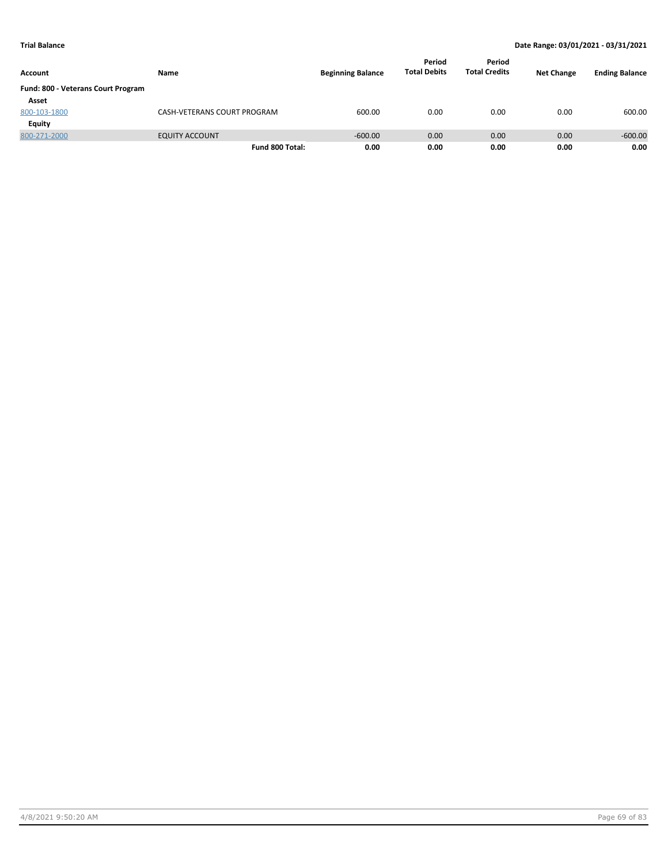| Account                            | Name                        | <b>Beginning Balance</b> | Period<br><b>Total Debits</b> | Period<br><b>Total Credits</b> | <b>Net Change</b> | <b>Ending Balance</b> |
|------------------------------------|-----------------------------|--------------------------|-------------------------------|--------------------------------|-------------------|-----------------------|
| Fund: 800 - Veterans Court Program |                             |                          |                               |                                |                   |                       |
| Asset                              |                             |                          |                               |                                |                   |                       |
| 800-103-1800                       | CASH-VETERANS COURT PROGRAM | 600.00                   | 0.00                          | 0.00                           | 0.00              | 600.00                |
| Equity                             |                             |                          |                               |                                |                   |                       |
| 800-271-2000                       | <b>EQUITY ACCOUNT</b>       | $-600.00$                | 0.00                          | 0.00                           | 0.00              | $-600.00$             |
|                                    | Fund 800 Total:             | 0.00                     | 0.00                          | 0.00                           | 0.00              | 0.00                  |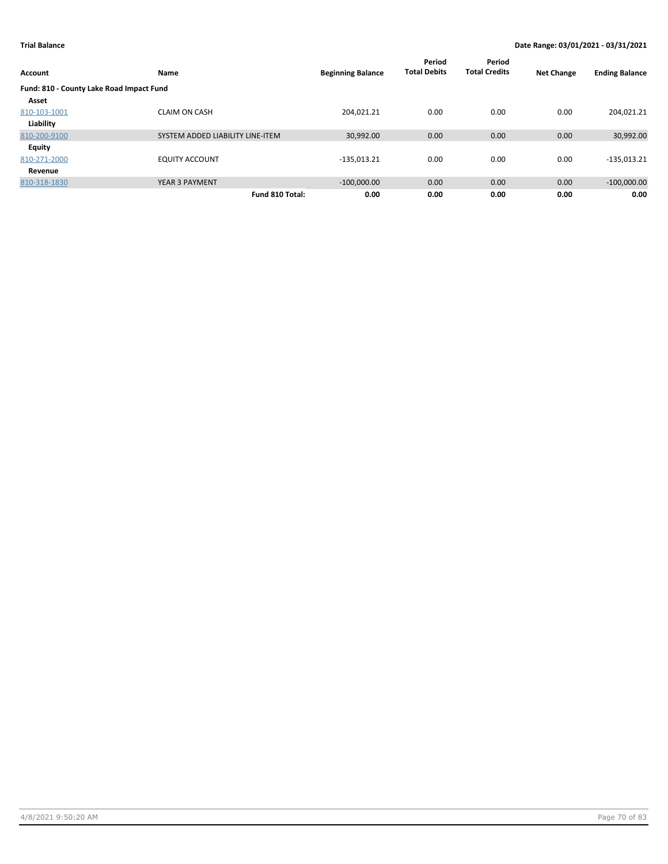| <b>Account</b>                           | Name                             | <b>Beginning Balance</b> | Period<br><b>Total Debits</b> | Period<br><b>Total Credits</b> | <b>Net Change</b> | <b>Ending Balance</b> |
|------------------------------------------|----------------------------------|--------------------------|-------------------------------|--------------------------------|-------------------|-----------------------|
| Fund: 810 - County Lake Road Impact Fund |                                  |                          |                               |                                |                   |                       |
| Asset                                    |                                  |                          |                               |                                |                   |                       |
| 810-103-1001                             | <b>CLAIM ON CASH</b>             | 204.021.21               | 0.00                          | 0.00                           | 0.00              | 204,021.21            |
| Liability                                |                                  |                          |                               |                                |                   |                       |
| 810-200-9100                             | SYSTEM ADDED LIABILITY LINE-ITEM | 30,992.00                | 0.00                          | 0.00                           | 0.00              | 30,992.00             |
| Equity                                   |                                  |                          |                               |                                |                   |                       |
| 810-271-2000                             | <b>EQUITY ACCOUNT</b>            | $-135,013.21$            | 0.00                          | 0.00                           | 0.00              | $-135,013.21$         |
| Revenue                                  |                                  |                          |                               |                                |                   |                       |
| 810-318-1830                             | <b>YEAR 3 PAYMENT</b>            | $-100,000.00$            | 0.00                          | 0.00                           | 0.00              | $-100,000.00$         |
|                                          | Fund 810 Total:                  | 0.00                     | 0.00                          | 0.00                           | 0.00              | 0.00                  |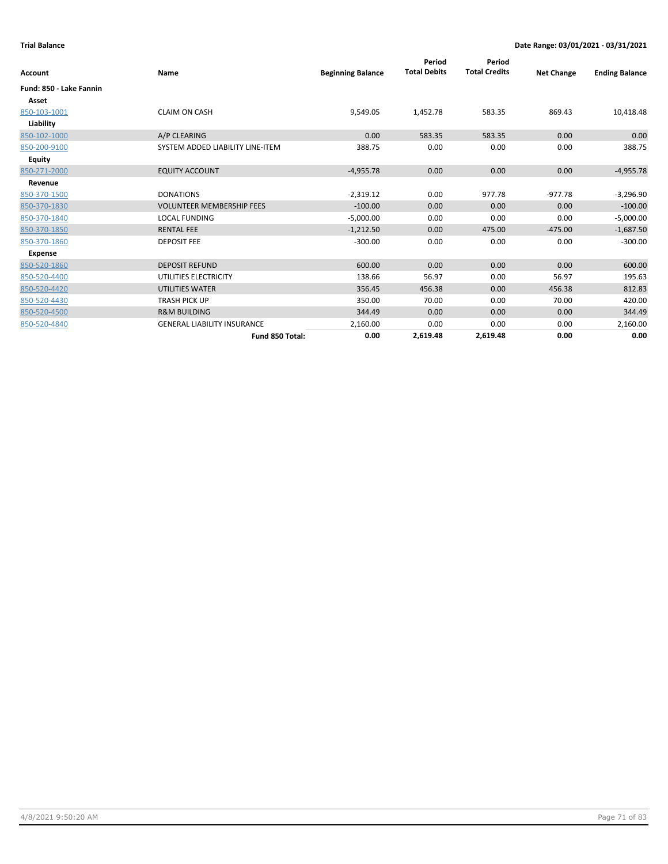| Account                 | Name                               | <b>Beginning Balance</b> | Period<br><b>Total Debits</b> | Period<br><b>Total Credits</b> | <b>Net Change</b> | <b>Ending Balance</b> |
|-------------------------|------------------------------------|--------------------------|-------------------------------|--------------------------------|-------------------|-----------------------|
| Fund: 850 - Lake Fannin |                                    |                          |                               |                                |                   |                       |
| Asset                   |                                    |                          |                               |                                |                   |                       |
| 850-103-1001            | <b>CLAIM ON CASH</b>               | 9,549.05                 | 1,452.78                      | 583.35                         | 869.43            | 10,418.48             |
| Liability               |                                    |                          |                               |                                |                   |                       |
| 850-102-1000            | A/P CLEARING                       | 0.00                     | 583.35                        | 583.35                         | 0.00              | 0.00                  |
| 850-200-9100            | SYSTEM ADDED LIABILITY LINE-ITEM   | 388.75                   | 0.00                          | 0.00                           | 0.00              | 388.75                |
| Equity                  |                                    |                          |                               |                                |                   |                       |
| 850-271-2000            | <b>EQUITY ACCOUNT</b>              | $-4,955.78$              | 0.00                          | 0.00                           | 0.00              | $-4,955.78$           |
| Revenue                 |                                    |                          |                               |                                |                   |                       |
| 850-370-1500            | <b>DONATIONS</b>                   | $-2,319.12$              | 0.00                          | 977.78                         | $-977.78$         | $-3,296.90$           |
| 850-370-1830            | <b>VOLUNTEER MEMBERSHIP FEES</b>   | $-100.00$                | 0.00                          | 0.00                           | 0.00              | $-100.00$             |
| 850-370-1840            | <b>LOCAL FUNDING</b>               | $-5,000.00$              | 0.00                          | 0.00                           | 0.00              | $-5,000.00$           |
| 850-370-1850            | <b>RENTAL FEE</b>                  | $-1,212.50$              | 0.00                          | 475.00                         | $-475.00$         | $-1,687.50$           |
| 850-370-1860            | <b>DEPOSIT FEE</b>                 | $-300.00$                | 0.00                          | 0.00                           | 0.00              | $-300.00$             |
| Expense                 |                                    |                          |                               |                                |                   |                       |
| 850-520-1860            | <b>DEPOSIT REFUND</b>              | 600.00                   | 0.00                          | 0.00                           | 0.00              | 600.00                |
| 850-520-4400            | UTILITIES ELECTRICITY              | 138.66                   | 56.97                         | 0.00                           | 56.97             | 195.63                |
| 850-520-4420            | <b>UTILITIES WATER</b>             | 356.45                   | 456.38                        | 0.00                           | 456.38            | 812.83                |
| 850-520-4430            | <b>TRASH PICK UP</b>               | 350.00                   | 70.00                         | 0.00                           | 70.00             | 420.00                |
| 850-520-4500            | <b>R&amp;M BUILDING</b>            | 344.49                   | 0.00                          | 0.00                           | 0.00              | 344.49                |
| 850-520-4840            | <b>GENERAL LIABILITY INSURANCE</b> | 2,160.00                 | 0.00                          | 0.00                           | 0.00              | 2,160.00              |
|                         | Fund 850 Total:                    | 0.00                     | 2,619.48                      | 2,619.48                       | 0.00              | 0.00                  |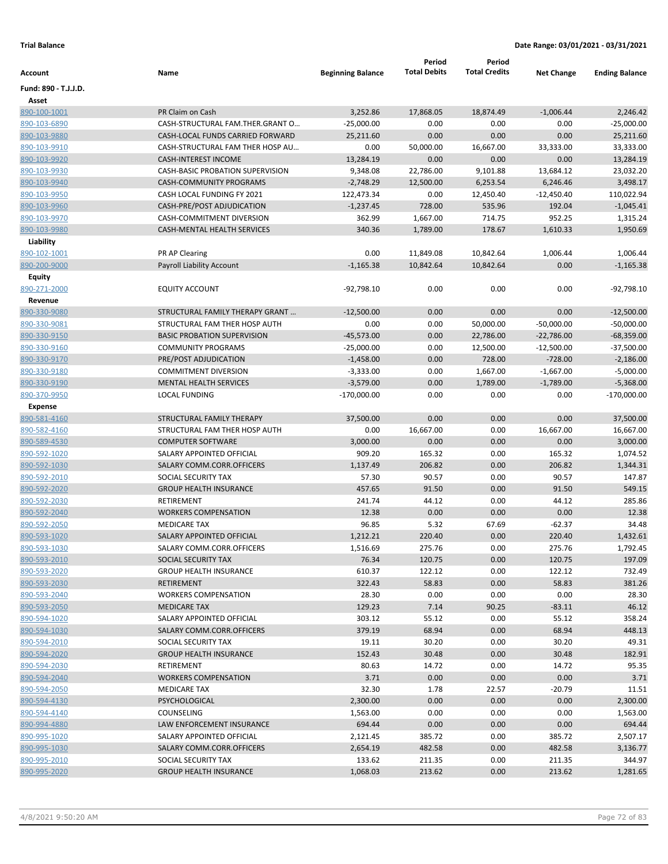|                              |                                    |                          | Period              | Period                 |                              |                              |
|------------------------------|------------------------------------|--------------------------|---------------------|------------------------|------------------------------|------------------------------|
| Account                      | Name                               | <b>Beginning Balance</b> | <b>Total Debits</b> | <b>Total Credits</b>   | <b>Net Change</b>            | <b>Ending Balance</b>        |
| Fund: 890 - T.J.J.D.         |                                    |                          |                     |                        |                              |                              |
| Asset                        |                                    |                          |                     |                        |                              |                              |
| 890-100-1001                 | PR Claim on Cash                   | 3,252.86                 | 17,868.05           | 18,874.49              | $-1,006.44$                  | 2,246.42                     |
| 890-103-6890                 | CASH-STRUCTURAL FAM.THER.GRANT O   | $-25,000.00$             | 0.00                | 0.00                   | 0.00                         | $-25,000.00$                 |
| 890-103-9880                 | CASH-LOCAL FUNDS CARRIED FORWARD   | 25,211.60                | 0.00                | 0.00                   | 0.00                         | 25,211.60                    |
| 890-103-9910                 | CASH-STRUCTURAL FAM THER HOSP AU   | 0.00                     | 50,000.00           | 16,667.00              | 33,333.00                    | 33,333.00                    |
| 890-103-9920                 | <b>CASH-INTEREST INCOME</b>        | 13,284.19                | 0.00                | 0.00                   | 0.00                         | 13,284.19                    |
| 890-103-9930                 | CASH-BASIC PROBATION SUPERVISION   | 9,348.08                 | 22,786.00           | 9,101.88               | 13,684.12                    | 23,032.20                    |
| 890-103-9940                 | <b>CASH-COMMUNITY PROGRAMS</b>     | $-2,748.29$              | 12,500.00           | 6,253.54               | 6,246.46                     | 3,498.17                     |
| 890-103-9950                 | CASH LOCAL FUNDING FY 2021         | 122,473.34               | 0.00                | 12,450.40              | $-12,450.40$                 | 110,022.94                   |
| 890-103-9960                 | CASH-PRE/POST ADJUDICATION         | $-1,237.45$              | 728.00              | 535.96                 | 192.04                       | $-1,045.41$                  |
| 890-103-9970                 | CASH-COMMITMENT DIVERSION          | 362.99                   | 1,667.00            | 714.75                 | 952.25                       | 1,315.24                     |
| 890-103-9980                 | CASH-MENTAL HEALTH SERVICES        | 340.36                   | 1,789.00            | 178.67                 | 1,610.33                     | 1,950.69                     |
| Liability                    |                                    |                          |                     |                        |                              |                              |
| 890-102-1001                 | PR AP Clearing                     | 0.00                     | 11,849.08           | 10,842.64              | 1,006.44                     | 1,006.44                     |
| 890-200-9000                 | Payroll Liability Account          | $-1,165.38$              | 10,842.64           | 10,842.64              | 0.00                         | $-1,165.38$                  |
| Equity                       |                                    |                          |                     |                        |                              |                              |
| 890-271-2000                 | <b>EQUITY ACCOUNT</b>              | $-92,798.10$             | 0.00                | 0.00                   | 0.00                         | $-92,798.10$                 |
| Revenue                      | STRUCTURAL FAMILY THERAPY GRANT    |                          |                     |                        |                              |                              |
| 890-330-9080<br>890-330-9081 | STRUCTURAL FAM THER HOSP AUTH      | $-12,500.00$<br>0.00     | 0.00<br>0.00        | 0.00                   | 0.00                         | $-12,500.00$<br>$-50,000.00$ |
| 890-330-9150                 | <b>BASIC PROBATION SUPERVISION</b> | $-45,573.00$             | 0.00                | 50,000.00<br>22,786.00 | $-50,000.00$<br>$-22,786.00$ | $-68,359.00$                 |
|                              | <b>COMMUNITY PROGRAMS</b>          | $-25,000.00$             | 0.00                |                        |                              |                              |
| 890-330-9160<br>890-330-9170 | PRE/POST ADJUDICATION              | $-1,458.00$              | 0.00                | 12,500.00<br>728.00    | $-12,500.00$<br>$-728.00$    | $-37,500.00$<br>$-2,186.00$  |
| 890-330-9180                 | <b>COMMITMENT DIVERSION</b>        | $-3,333.00$              | 0.00                | 1,667.00               | $-1,667.00$                  | $-5,000.00$                  |
| 890-330-9190                 | MENTAL HEALTH SERVICES             | $-3,579.00$              | 0.00                | 1,789.00               | $-1,789.00$                  | $-5,368.00$                  |
| 890-370-9950                 | <b>LOCAL FUNDING</b>               | $-170,000.00$            | 0.00                | 0.00                   | 0.00                         | $-170,000.00$                |
| <b>Expense</b>               |                                    |                          |                     |                        |                              |                              |
| 890-581-4160                 | STRUCTURAL FAMILY THERAPY          | 37,500.00                | 0.00                | 0.00                   | 0.00                         | 37,500.00                    |
| 890-582-4160                 | STRUCTURAL FAM THER HOSP AUTH      | 0.00                     | 16,667.00           | 0.00                   | 16,667.00                    | 16,667.00                    |
| 890-589-4530                 | <b>COMPUTER SOFTWARE</b>           | 3,000.00                 | 0.00                | 0.00                   | 0.00                         | 3,000.00                     |
| 890-592-1020                 | SALARY APPOINTED OFFICIAL          | 909.20                   | 165.32              | 0.00                   | 165.32                       | 1,074.52                     |
| 890-592-1030                 | SALARY COMM.CORR.OFFICERS          | 1,137.49                 | 206.82              | 0.00                   | 206.82                       | 1,344.31                     |
| 890-592-2010                 | SOCIAL SECURITY TAX                | 57.30                    | 90.57               | 0.00                   | 90.57                        | 147.87                       |
| 890-592-2020                 | <b>GROUP HEALTH INSURANCE</b>      | 457.65                   | 91.50               | 0.00                   | 91.50                        | 549.15                       |
| 890-592-2030                 | RETIREMENT                         | 241.74                   | 44.12               | 0.00                   | 44.12                        | 285.86                       |
| 890-592-2040                 | <b>WORKERS COMPENSATION</b>        | 12.38                    | 0.00                | 0.00                   | 0.00                         | 12.38                        |
| 890-592-2050                 | <b>MEDICARE TAX</b>                | 96.85                    | 5.32                | 67.69                  | $-62.37$                     | 34.48                        |
| 890-593-1020                 | SALARY APPOINTED OFFICIAL          | 1,212.21                 | 220.40              | 0.00                   | 220.40                       | 1,432.61                     |
| 890-593-1030                 | SALARY COMM.CORR.OFFICERS          | 1,516.69                 | 275.76              | 0.00                   | 275.76                       | 1,792.45                     |
| 890-593-2010                 | SOCIAL SECURITY TAX                | 76.34                    | 120.75              | 0.00                   | 120.75                       | 197.09                       |
| 890-593-2020                 | <b>GROUP HEALTH INSURANCE</b>      | 610.37                   | 122.12              | 0.00                   | 122.12                       | 732.49                       |
| 890-593-2030                 | <b>RETIREMENT</b>                  | 322.43                   | 58.83               | 0.00                   | 58.83                        | 381.26                       |
| 890-593-2040                 | <b>WORKERS COMPENSATION</b>        | 28.30                    | 0.00                | 0.00                   | 0.00                         | 28.30                        |
| 890-593-2050                 | <b>MEDICARE TAX</b>                | 129.23                   | 7.14                | 90.25                  | $-83.11$                     | 46.12                        |
| 890-594-1020                 | SALARY APPOINTED OFFICIAL          | 303.12                   | 55.12               | 0.00                   | 55.12                        | 358.24                       |
| 890-594-1030                 | SALARY COMM.CORR.OFFICERS          | 379.19                   | 68.94               | 0.00                   | 68.94                        | 448.13                       |
| 890-594-2010                 | SOCIAL SECURITY TAX                | 19.11                    | 30.20               | 0.00                   | 30.20                        | 49.31                        |
| 890-594-2020                 | <b>GROUP HEALTH INSURANCE</b>      | 152.43                   | 30.48               | 0.00                   | 30.48                        | 182.91                       |
| 890-594-2030                 | RETIREMENT                         | 80.63                    | 14.72               | 0.00                   | 14.72                        | 95.35                        |
| 890-594-2040                 | <b>WORKERS COMPENSATION</b>        | 3.71                     | 0.00                | 0.00                   | 0.00                         | 3.71                         |
| 890-594-2050                 | <b>MEDICARE TAX</b>                | 32.30                    | 1.78                | 22.57                  | $-20.79$                     | 11.51                        |
| 890-594-4130                 | PSYCHOLOGICAL                      | 2,300.00                 | 0.00                | 0.00                   | 0.00                         | 2,300.00                     |
| 890-594-4140                 | COUNSELING                         | 1,563.00                 | 0.00                | 0.00                   | 0.00                         | 1,563.00                     |
| 890-994-4880                 | LAW ENFORCEMENT INSURANCE          | 694.44                   | 0.00                | 0.00                   | 0.00                         | 694.44                       |
| 890-995-1020                 | SALARY APPOINTED OFFICIAL          | 2,121.45                 | 385.72              | 0.00                   | 385.72                       | 2,507.17                     |
| 890-995-1030                 | SALARY COMM.CORR.OFFICERS          | 2,654.19                 | 482.58              | 0.00                   | 482.58                       | 3,136.77                     |
| 890-995-2010                 | SOCIAL SECURITY TAX                | 133.62                   | 211.35              | 0.00                   | 211.35                       | 344.97                       |
| 890-995-2020                 | <b>GROUP HEALTH INSURANCE</b>      | 1,068.03                 | 213.62              | 0.00                   | 213.62                       | 1,281.65                     |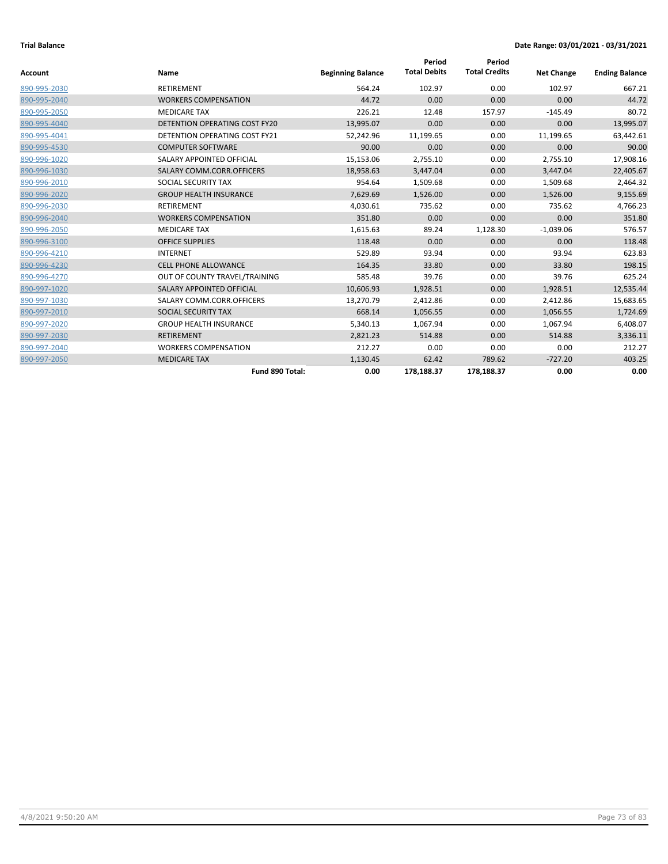| <b>Account</b> | Name                                 | <b>Beginning Balance</b> | Period<br><b>Total Debits</b> | Period<br><b>Total Credits</b> | <b>Net Change</b> | <b>Ending Balance</b> |
|----------------|--------------------------------------|--------------------------|-------------------------------|--------------------------------|-------------------|-----------------------|
|                |                                      |                          |                               |                                |                   |                       |
| 890-995-2030   | <b>RETIREMENT</b>                    | 564.24                   | 102.97                        | 0.00                           | 102.97            | 667.21                |
| 890-995-2040   | <b>WORKERS COMPENSATION</b>          | 44.72                    | 0.00                          | 0.00                           | 0.00              | 44.72                 |
| 890-995-2050   | <b>MEDICARE TAX</b>                  | 226.21                   | 12.48                         | 157.97                         | $-145.49$         | 80.72                 |
| 890-995-4040   | <b>DETENTION OPERATING COST FY20</b> | 13,995.07                | 0.00                          | 0.00                           | 0.00              | 13,995.07             |
| 890-995-4041   | <b>DETENTION OPERATING COST FY21</b> | 52,242.96                | 11,199.65                     | 0.00                           | 11,199.65         | 63,442.61             |
| 890-995-4530   | <b>COMPUTER SOFTWARE</b>             | 90.00                    | 0.00                          | 0.00                           | 0.00              | 90.00                 |
| 890-996-1020   | SALARY APPOINTED OFFICIAL            | 15,153.06                | 2,755.10                      | 0.00                           | 2,755.10          | 17,908.16             |
| 890-996-1030   | SALARY COMM.CORR.OFFICERS            | 18,958.63                | 3,447.04                      | 0.00                           | 3,447.04          | 22,405.67             |
| 890-996-2010   | SOCIAL SECURITY TAX                  | 954.64                   | 1,509.68                      | 0.00                           | 1,509.68          | 2,464.32              |
| 890-996-2020   | <b>GROUP HEALTH INSURANCE</b>        | 7,629.69                 | 1,526.00                      | 0.00                           | 1,526.00          | 9,155.69              |
| 890-996-2030   | <b>RETIREMENT</b>                    | 4,030.61                 | 735.62                        | 0.00                           | 735.62            | 4,766.23              |
| 890-996-2040   | <b>WORKERS COMPENSATION</b>          | 351.80                   | 0.00                          | 0.00                           | 0.00              | 351.80                |
| 890-996-2050   | <b>MEDICARE TAX</b>                  | 1,615.63                 | 89.24                         | 1,128.30                       | $-1,039.06$       | 576.57                |
| 890-996-3100   | <b>OFFICE SUPPLIES</b>               | 118.48                   | 0.00                          | 0.00                           | 0.00              | 118.48                |
| 890-996-4210   | <b>INTERNET</b>                      | 529.89                   | 93.94                         | 0.00                           | 93.94             | 623.83                |
| 890-996-4230   | <b>CELL PHONE ALLOWANCE</b>          | 164.35                   | 33.80                         | 0.00                           | 33.80             | 198.15                |
| 890-996-4270   | OUT OF COUNTY TRAVEL/TRAINING        | 585.48                   | 39.76                         | 0.00                           | 39.76             | 625.24                |
| 890-997-1020   | SALARY APPOINTED OFFICIAL            | 10,606.93                | 1,928.51                      | 0.00                           | 1,928.51          | 12,535.44             |
| 890-997-1030   | SALARY COMM.CORR.OFFICERS            | 13,270.79                | 2,412.86                      | 0.00                           | 2,412.86          | 15,683.65             |
| 890-997-2010   | SOCIAL SECURITY TAX                  | 668.14                   | 1,056.55                      | 0.00                           | 1,056.55          | 1,724.69              |
| 890-997-2020   | <b>GROUP HEALTH INSURANCE</b>        | 5,340.13                 | 1,067.94                      | 0.00                           | 1,067.94          | 6,408.07              |
| 890-997-2030   | <b>RETIREMENT</b>                    | 2,821.23                 | 514.88                        | 0.00                           | 514.88            | 3,336.11              |
| 890-997-2040   | <b>WORKERS COMPENSATION</b>          | 212.27                   | 0.00                          | 0.00                           | 0.00              | 212.27                |
| 890-997-2050   | <b>MEDICARE TAX</b>                  | 1,130.45                 | 62.42                         | 789.62                         | $-727.20$         | 403.25                |
|                | Fund 890 Total:                      | 0.00                     | 178,188.37                    | 178,188.37                     | 0.00              | 0.00                  |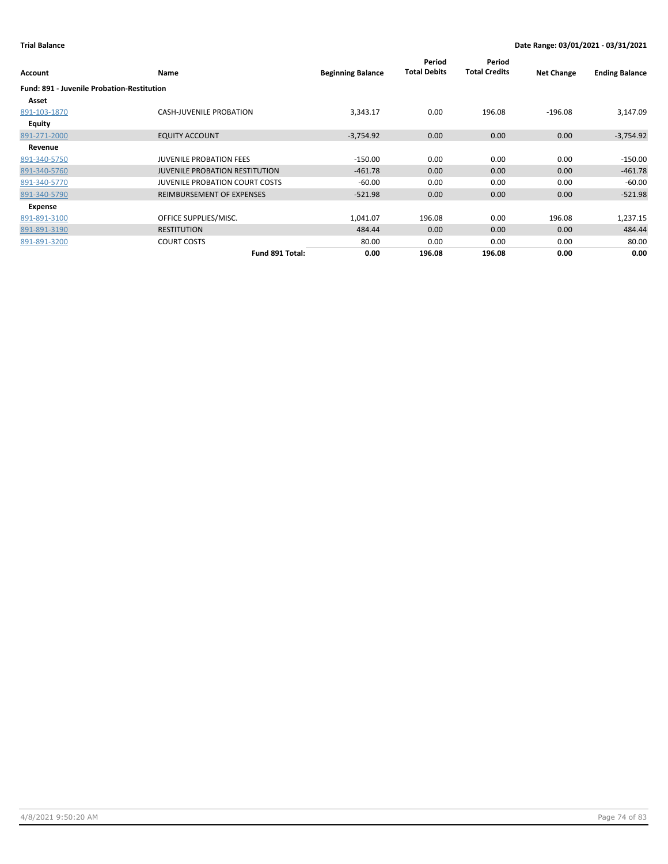| Account                                           | Name                                  | <b>Beginning Balance</b> | Period<br><b>Total Debits</b> | Period<br><b>Total Credits</b> | <b>Net Change</b> | <b>Ending Balance</b> |
|---------------------------------------------------|---------------------------------------|--------------------------|-------------------------------|--------------------------------|-------------------|-----------------------|
| <b>Fund: 891 - Juvenile Probation-Restitution</b> |                                       |                          |                               |                                |                   |                       |
| Asset                                             |                                       |                          |                               |                                |                   |                       |
| 891-103-1870                                      | <b>CASH-JUVENILE PROBATION</b>        | 3,343.17                 | 0.00                          | 196.08                         | $-196.08$         | 3,147.09              |
| Equity                                            |                                       |                          |                               |                                |                   |                       |
| 891-271-2000                                      | <b>EQUITY ACCOUNT</b>                 | $-3,754.92$              | 0.00                          | 0.00                           | 0.00              | $-3,754.92$           |
| Revenue                                           |                                       |                          |                               |                                |                   |                       |
| 891-340-5750                                      | <b>JUVENILE PROBATION FEES</b>        | $-150.00$                | 0.00                          | 0.00                           | 0.00              | $-150.00$             |
| 891-340-5760                                      | <b>JUVENILE PROBATION RESTITUTION</b> | $-461.78$                | 0.00                          | 0.00                           | 0.00              | $-461.78$             |
| 891-340-5770                                      | <b>JUVENILE PROBATION COURT COSTS</b> | $-60.00$                 | 0.00                          | 0.00                           | 0.00              | $-60.00$              |
| 891-340-5790                                      | REIMBURSEMENT OF EXPENSES             | $-521.98$                | 0.00                          | 0.00                           | 0.00              | $-521.98$             |
| Expense                                           |                                       |                          |                               |                                |                   |                       |
| 891-891-3100                                      | OFFICE SUPPLIES/MISC.                 | 1,041.07                 | 196.08                        | 0.00                           | 196.08            | 1,237.15              |
| 891-891-3190                                      | <b>RESTITUTION</b>                    | 484.44                   | 0.00                          | 0.00                           | 0.00              | 484.44                |
| 891-891-3200                                      | <b>COURT COSTS</b>                    | 80.00                    | 0.00                          | 0.00                           | 0.00              | 80.00                 |
|                                                   | Fund 891 Total:                       | 0.00                     | 196.08                        | 196.08                         | 0.00              | 0.00                  |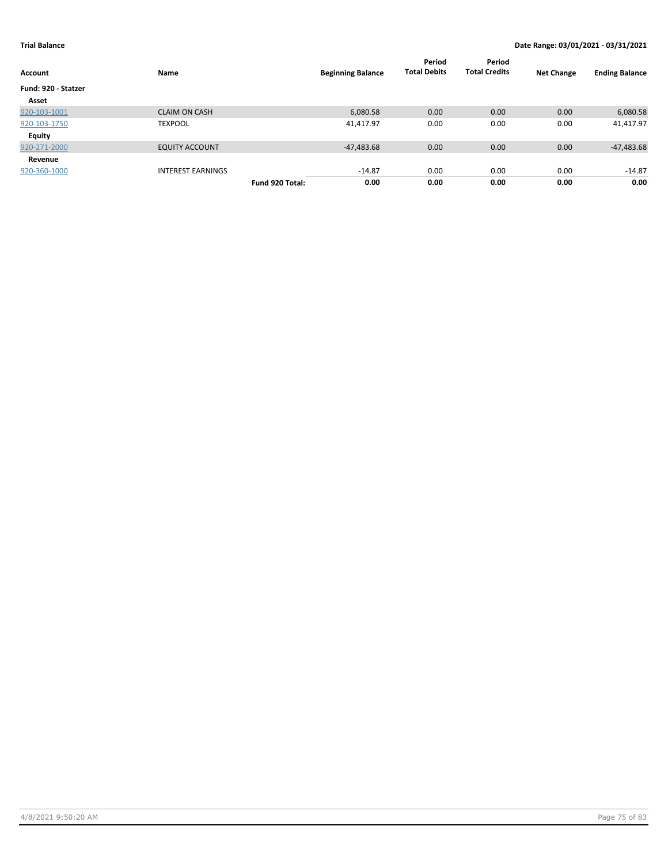| Account             | Name                     |                 | <b>Beginning Balance</b> | Period<br><b>Total Debits</b> | Period<br><b>Total Credits</b> | <b>Net Change</b> | <b>Ending Balance</b> |
|---------------------|--------------------------|-----------------|--------------------------|-------------------------------|--------------------------------|-------------------|-----------------------|
| Fund: 920 - Statzer |                          |                 |                          |                               |                                |                   |                       |
| Asset               |                          |                 |                          |                               |                                |                   |                       |
| 920-103-1001        | <b>CLAIM ON CASH</b>     |                 | 6,080.58                 | 0.00                          | 0.00                           | 0.00              | 6,080.58              |
| 920-103-1750        | <b>TEXPOOL</b>           |                 | 41,417.97                | 0.00                          | 0.00                           | 0.00              | 41,417.97             |
| <b>Equity</b>       |                          |                 |                          |                               |                                |                   |                       |
| 920-271-2000        | <b>EQUITY ACCOUNT</b>    |                 | $-47,483.68$             | 0.00                          | 0.00                           | 0.00              | $-47,483.68$          |
| Revenue             |                          |                 |                          |                               |                                |                   |                       |
| 920-360-1000        | <b>INTEREST EARNINGS</b> |                 | $-14.87$                 | 0.00                          | 0.00                           | 0.00              | $-14.87$              |
|                     |                          | Fund 920 Total: | 0.00                     | 0.00                          | 0.00                           | 0.00              | 0.00                  |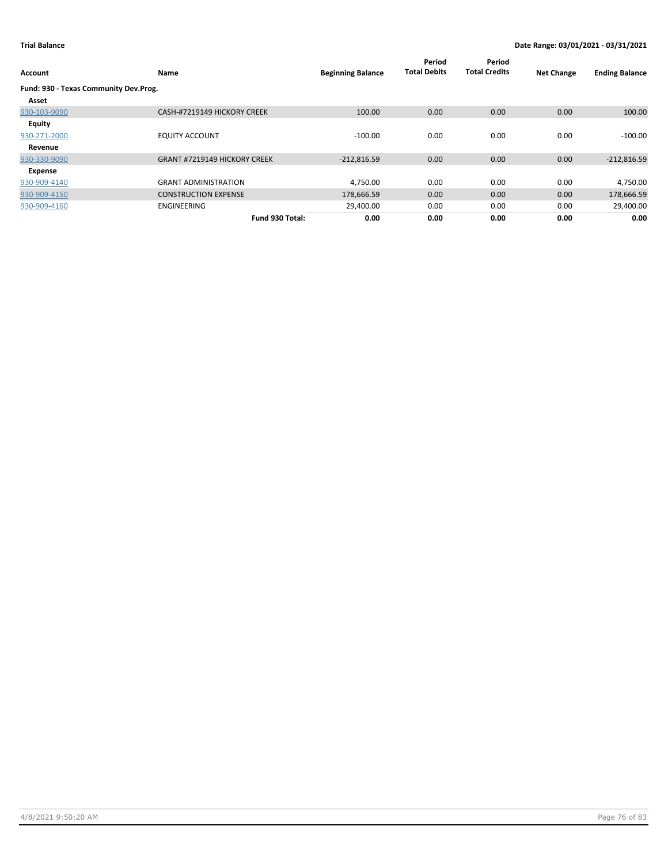| Account                               | <b>Name</b>                         | <b>Beginning Balance</b> | Period<br><b>Total Debits</b> | Period<br><b>Total Credits</b> | <b>Net Change</b> | <b>Ending Balance</b> |
|---------------------------------------|-------------------------------------|--------------------------|-------------------------------|--------------------------------|-------------------|-----------------------|
| Fund: 930 - Texas Community Dev.Prog. |                                     |                          |                               |                                |                   |                       |
| Asset                                 |                                     |                          |                               |                                |                   |                       |
| 930-103-9090                          | CASH-#7219149 HICKORY CREEK         | 100.00                   | 0.00                          | 0.00                           | 0.00              | 100.00                |
| <b>Equity</b>                         |                                     |                          |                               |                                |                   |                       |
| 930-271-2000                          | <b>EQUITY ACCOUNT</b>               | $-100.00$                | 0.00                          | 0.00                           | 0.00              | $-100.00$             |
| Revenue                               |                                     |                          |                               |                                |                   |                       |
| 930-330-9090                          | <b>GRANT #7219149 HICKORY CREEK</b> | $-212,816.59$            | 0.00                          | 0.00                           | 0.00              | $-212,816.59$         |
| Expense                               |                                     |                          |                               |                                |                   |                       |
| 930-909-4140                          | <b>GRANT ADMINISTRATION</b>         | 4,750.00                 | 0.00                          | 0.00                           | 0.00              | 4,750.00              |
| 930-909-4150                          | <b>CONSTRUCTION EXPENSE</b>         | 178,666.59               | 0.00                          | 0.00                           | 0.00              | 178,666.59            |
| 930-909-4160                          | ENGINEERING                         | 29,400.00                | 0.00                          | 0.00                           | 0.00              | 29,400.00             |
|                                       | Fund 930 Total:                     | 0.00                     | 0.00                          | 0.00                           | 0.00              | 0.00                  |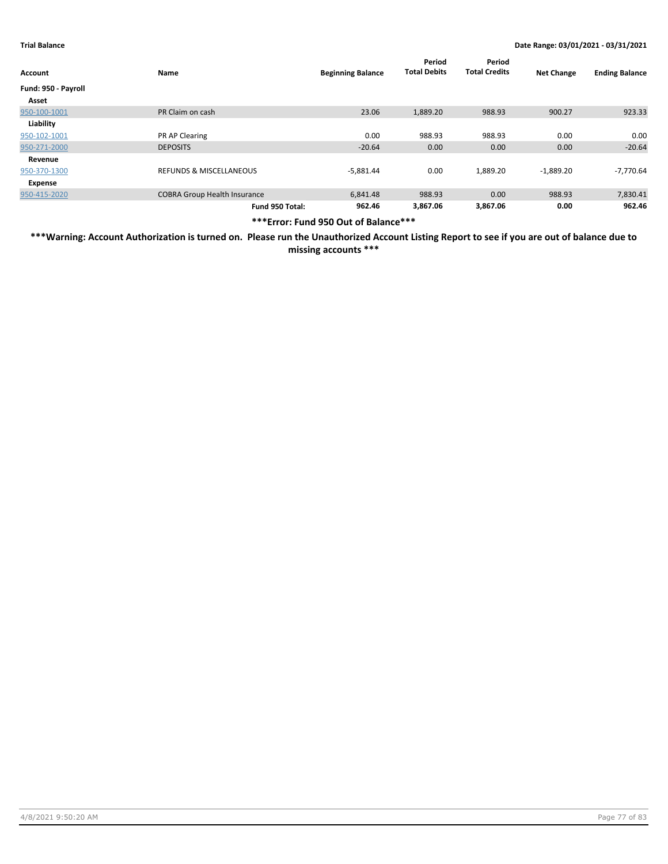| Account             | Name                                | <b>Beginning Balance</b> | Period<br><b>Total Debits</b> | Period<br><b>Total Credits</b> | <b>Net Change</b> | <b>Ending Balance</b> |
|---------------------|-------------------------------------|--------------------------|-------------------------------|--------------------------------|-------------------|-----------------------|
| Fund: 950 - Payroll |                                     |                          |                               |                                |                   |                       |
| Asset               |                                     |                          |                               |                                |                   |                       |
| 950-100-1001        | PR Claim on cash                    | 23.06                    | 1,889.20                      | 988.93                         | 900.27            | 923.33                |
| Liability           |                                     |                          |                               |                                |                   |                       |
| 950-102-1001        | PR AP Clearing                      | 0.00                     | 988.93                        | 988.93                         | 0.00              | 0.00                  |
| 950-271-2000        | <b>DEPOSITS</b>                     | $-20.64$                 | 0.00                          | 0.00                           | 0.00              | $-20.64$              |
| Revenue             |                                     |                          |                               |                                |                   |                       |
| 950-370-1300        | <b>REFUNDS &amp; MISCELLANEOUS</b>  | $-5,881.44$              | 0.00                          | 1,889.20                       | $-1,889.20$       | -7,770.64             |
| Expense             |                                     |                          |                               |                                |                   |                       |
| 950-415-2020        | <b>COBRA Group Health Insurance</b> | 6,841.48                 | 988.93                        | 0.00                           | 988.93            | 7,830.41              |
|                     | Fund 950 Total:                     | 962.46                   | 3,867.06                      | 3.867.06                       | 0.00              | 962.46                |

**\*\*\*Error: Fund 950 Out of Balance\*\*\***

**\*\*\*Warning: Account Authorization is turned on. Please run the Unauthorized Account Listing Report to see if you are out of balance due to missing accounts \*\*\***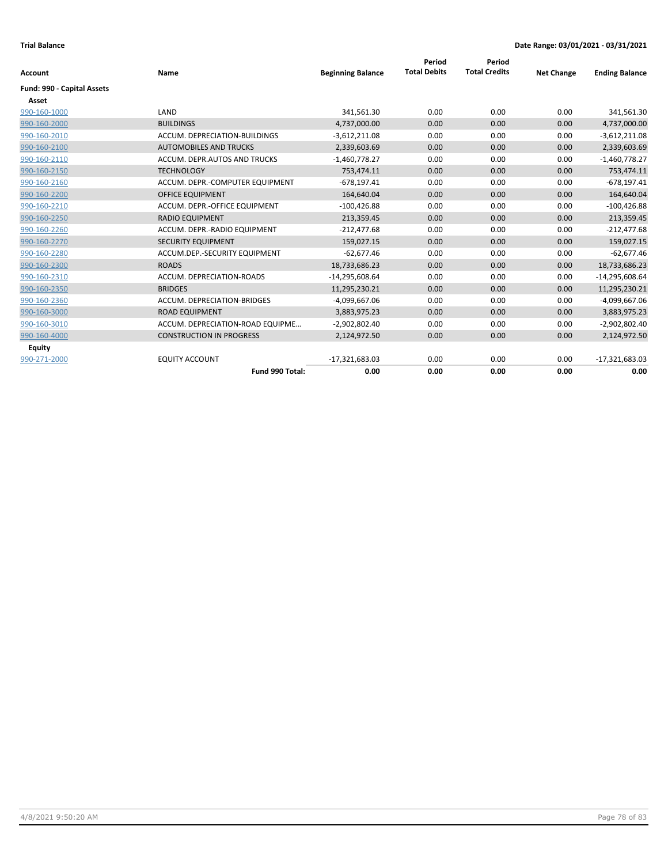|                            |                                  |                          | Period              | Period               |                   |                       |
|----------------------------|----------------------------------|--------------------------|---------------------|----------------------|-------------------|-----------------------|
| <b>Account</b>             | Name                             | <b>Beginning Balance</b> | <b>Total Debits</b> | <b>Total Credits</b> | <b>Net Change</b> | <b>Ending Balance</b> |
| Fund: 990 - Capital Assets |                                  |                          |                     |                      |                   |                       |
| Asset                      |                                  |                          |                     |                      |                   |                       |
| 990-160-1000               | LAND                             | 341,561.30               | 0.00                | 0.00                 | 0.00              | 341,561.30            |
| 990-160-2000               | <b>BUILDINGS</b>                 | 4,737,000.00             | 0.00                | 0.00                 | 0.00              | 4,737,000.00          |
| 990-160-2010               | ACCUM. DEPRECIATION-BUILDINGS    | $-3,612,211.08$          | 0.00                | 0.00                 | 0.00              | $-3,612,211.08$       |
| 990-160-2100               | <b>AUTOMOBILES AND TRUCKS</b>    | 2,339,603.69             | 0.00                | 0.00                 | 0.00              | 2,339,603.69          |
| 990-160-2110               | ACCUM. DEPR.AUTOS AND TRUCKS     | $-1,460,778.27$          | 0.00                | 0.00                 | 0.00              | $-1,460,778.27$       |
| 990-160-2150               | <b>TECHNOLOGY</b>                | 753,474.11               | 0.00                | 0.00                 | 0.00              | 753,474.11            |
| 990-160-2160               | ACCUM. DEPR.-COMPUTER EQUIPMENT  | $-678,197.41$            | 0.00                | 0.00                 | 0.00              | $-678, 197.41$        |
| 990-160-2200               | <b>OFFICE EQUIPMENT</b>          | 164,640.04               | 0.00                | 0.00                 | 0.00              | 164,640.04            |
| 990-160-2210               | ACCUM. DEPR.-OFFICE EQUIPMENT    | $-100,426.88$            | 0.00                | 0.00                 | 0.00              | $-100,426.88$         |
| 990-160-2250               | <b>RADIO EQUIPMENT</b>           | 213,359.45               | 0.00                | 0.00                 | 0.00              | 213,359.45            |
| 990-160-2260               | ACCUM. DEPR.-RADIO EQUIPMENT     | $-212,477.68$            | 0.00                | 0.00                 | 0.00              | $-212,477.68$         |
| 990-160-2270               | <b>SECURITY EQUIPMENT</b>        | 159,027.15               | 0.00                | 0.00                 | 0.00              | 159,027.15            |
| 990-160-2280               | ACCUM.DEP.-SECURITY EQUIPMENT    | $-62,677.46$             | 0.00                | 0.00                 | 0.00              | $-62,677.46$          |
| 990-160-2300               | <b>ROADS</b>                     | 18,733,686.23            | 0.00                | 0.00                 | 0.00              | 18,733,686.23         |
| 990-160-2310               | ACCUM. DEPRECIATION-ROADS        | $-14,295,608.64$         | 0.00                | 0.00                 | 0.00              | $-14,295,608.64$      |
| 990-160-2350               | <b>BRIDGES</b>                   | 11,295,230.21            | 0.00                | 0.00                 | 0.00              | 11,295,230.21         |
| 990-160-2360               | ACCUM. DEPRECIATION-BRIDGES      | $-4,099,667.06$          | 0.00                | 0.00                 | 0.00              | -4,099,667.06         |
| 990-160-3000               | <b>ROAD EQUIPMENT</b>            | 3,883,975.23             | 0.00                | 0.00                 | 0.00              | 3,883,975.23          |
| 990-160-3010               | ACCUM. DEPRECIATION-ROAD EQUIPME | -2,902,802.40            | 0.00                | 0.00                 | 0.00              | $-2,902,802.40$       |
| 990-160-4000               | <b>CONSTRUCTION IN PROGRESS</b>  | 2,124,972.50             | 0.00                | 0.00                 | 0.00              | 2,124,972.50          |
| Equity                     |                                  |                          |                     |                      |                   |                       |
| 990-271-2000               | <b>EQUITY ACCOUNT</b>            | $-17,321,683.03$         | 0.00                | 0.00                 | 0.00              | $-17,321,683.03$      |
|                            | Fund 990 Total:                  | 0.00                     | 0.00                | 0.00                 | 0.00              | 0.00                  |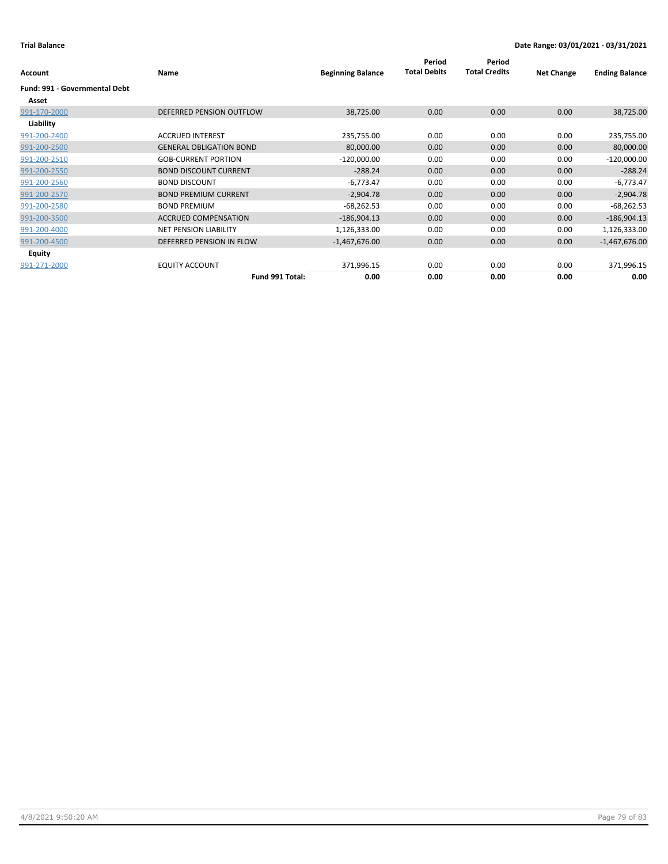| Account                       | Name                           | <b>Beginning Balance</b> | Period<br><b>Total Debits</b> | Period<br><b>Total Credits</b> | <b>Net Change</b> | <b>Ending Balance</b> |
|-------------------------------|--------------------------------|--------------------------|-------------------------------|--------------------------------|-------------------|-----------------------|
| Fund: 991 - Governmental Debt |                                |                          |                               |                                |                   |                       |
|                               |                                |                          |                               |                                |                   |                       |
| Asset                         |                                |                          |                               |                                |                   |                       |
| 991-170-2000                  | DEFERRED PENSION OUTFLOW       | 38,725.00                | 0.00                          | 0.00                           | 0.00              | 38,725.00             |
| Liability                     |                                |                          |                               |                                |                   |                       |
| 991-200-2400                  | <b>ACCRUED INTEREST</b>        | 235,755.00               | 0.00                          | 0.00                           | 0.00              | 235,755.00            |
| 991-200-2500                  | <b>GENERAL OBLIGATION BOND</b> | 80,000.00                | 0.00                          | 0.00                           | 0.00              | 80,000.00             |
| 991-200-2510                  | <b>GOB-CURRENT PORTION</b>     | $-120,000.00$            | 0.00                          | 0.00                           | 0.00              | $-120,000.00$         |
| 991-200-2550                  | <b>BOND DISCOUNT CURRENT</b>   | $-288.24$                | 0.00                          | 0.00                           | 0.00              | $-288.24$             |
| 991-200-2560                  | <b>BOND DISCOUNT</b>           | $-6,773.47$              | 0.00                          | 0.00                           | 0.00              | $-6,773.47$           |
| 991-200-2570                  | <b>BOND PREMIUM CURRENT</b>    | $-2,904.78$              | 0.00                          | 0.00                           | 0.00              | $-2,904.78$           |
| 991-200-2580                  | <b>BOND PREMIUM</b>            | $-68,262.53$             | 0.00                          | 0.00                           | 0.00              | $-68,262.53$          |
| 991-200-3500                  | <b>ACCRUED COMPENSATION</b>    | $-186,904.13$            | 0.00                          | 0.00                           | 0.00              | $-186,904.13$         |
| 991-200-4000                  | NET PENSION LIABILITY          | 1,126,333.00             | 0.00                          | 0.00                           | 0.00              | 1,126,333.00          |
| 991-200-4500                  | DEFERRED PENSION IN FLOW       | $-1,467,676.00$          | 0.00                          | 0.00                           | 0.00              | $-1,467,676.00$       |
| <b>Equity</b>                 |                                |                          |                               |                                |                   |                       |
| 991-271-2000                  | <b>EQUITY ACCOUNT</b>          | 371,996.15               | 0.00                          | 0.00                           | 0.00              | 371,996.15            |
|                               | Fund 991 Total:                | 0.00                     | 0.00                          | 0.00                           | 0.00              | 0.00                  |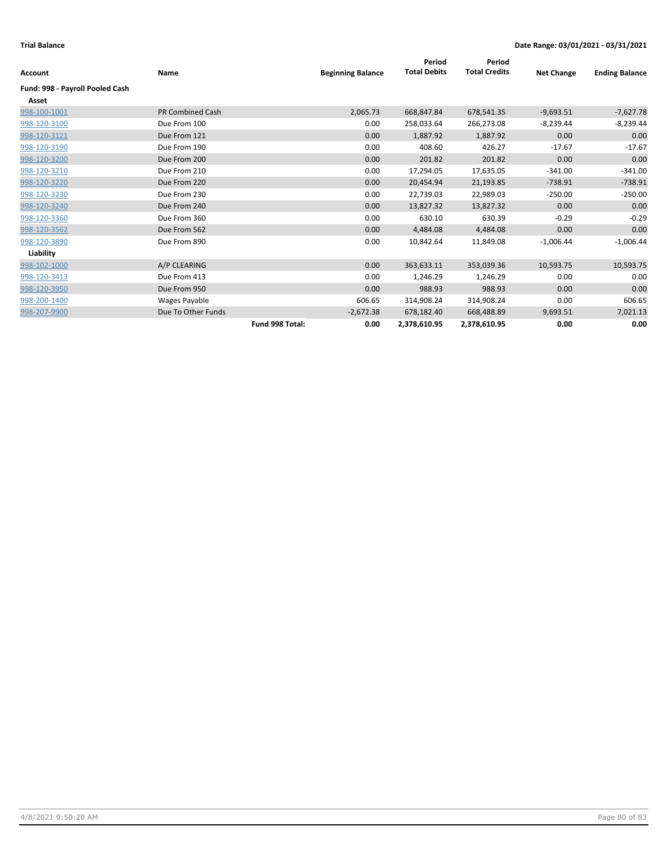| Account                         | Name                    |                 | <b>Beginning Balance</b> | Period<br><b>Total Debits</b> | Period<br><b>Total Credits</b> | <b>Net Change</b> | <b>Ending Balance</b> |
|---------------------------------|-------------------------|-----------------|--------------------------|-------------------------------|--------------------------------|-------------------|-----------------------|
| Fund: 998 - Payroll Pooled Cash |                         |                 |                          |                               |                                |                   |                       |
| Asset                           |                         |                 |                          |                               |                                |                   |                       |
| 998-100-1001                    | <b>PR Combined Cash</b> |                 | 2,065.73                 | 668,847.84                    | 678,541.35                     | $-9,693.51$       | $-7,627.78$           |
| 998-120-3100                    | Due From 100            |                 | 0.00                     | 258,033.64                    | 266,273.08                     | $-8,239.44$       | $-8,239.44$           |
| 998-120-3121                    | Due From 121            |                 | 0.00                     | 1,887.92                      | 1,887.92                       | 0.00              | 0.00                  |
| 998-120-3190                    | Due From 190            |                 | 0.00                     | 408.60                        | 426.27                         | $-17.67$          | $-17.67$              |
| 998-120-3200                    | Due From 200            |                 | 0.00                     | 201.82                        | 201.82                         | 0.00              | 0.00                  |
| 998-120-3210                    | Due From 210            |                 | 0.00                     | 17,294.05                     | 17,635.05                      | $-341.00$         | $-341.00$             |
| 998-120-3220                    | Due From 220            |                 | 0.00                     | 20,454.94                     | 21,193.85                      | $-738.91$         | $-738.91$             |
| 998-120-3230                    | Due From 230            |                 | 0.00                     | 22,739.03                     | 22,989.03                      | $-250.00$         | $-250.00$             |
| 998-120-3240                    | Due From 240            |                 | 0.00                     | 13,827.32                     | 13,827.32                      | 0.00              | 0.00                  |
| 998-120-3360                    | Due From 360            |                 | 0.00                     | 630.10                        | 630.39                         | $-0.29$           | $-0.29$               |
| 998-120-3562                    | Due From 562            |                 | 0.00                     | 4,484.08                      | 4,484.08                       | 0.00              | 0.00                  |
| 998-120-3890                    | Due From 890            |                 | 0.00                     | 10,842.64                     | 11,849.08                      | $-1,006.44$       | $-1,006.44$           |
| Liability                       |                         |                 |                          |                               |                                |                   |                       |
| 998-102-1000                    | A/P CLEARING            |                 | 0.00                     | 363,633.11                    | 353,039.36                     | 10,593.75         | 10,593.75             |
| 998-120-3413                    | Due From 413            |                 | 0.00                     | 1,246.29                      | 1,246.29                       | 0.00              | 0.00                  |
| 998-120-3950                    | Due From 950            |                 | 0.00                     | 988.93                        | 988.93                         | 0.00              | 0.00                  |
| 998-200-1400                    | Wages Payable           |                 | 606.65                   | 314,908.24                    | 314,908.24                     | 0.00              | 606.65                |
| 998-207-9900                    | Due To Other Funds      |                 | $-2,672.38$              | 678,182.40                    | 668,488.89                     | 9,693.51          | 7,021.13              |
|                                 |                         | Fund 998 Total: | 0.00                     | 2,378,610.95                  | 2,378,610.95                   | 0.00              | 0.00                  |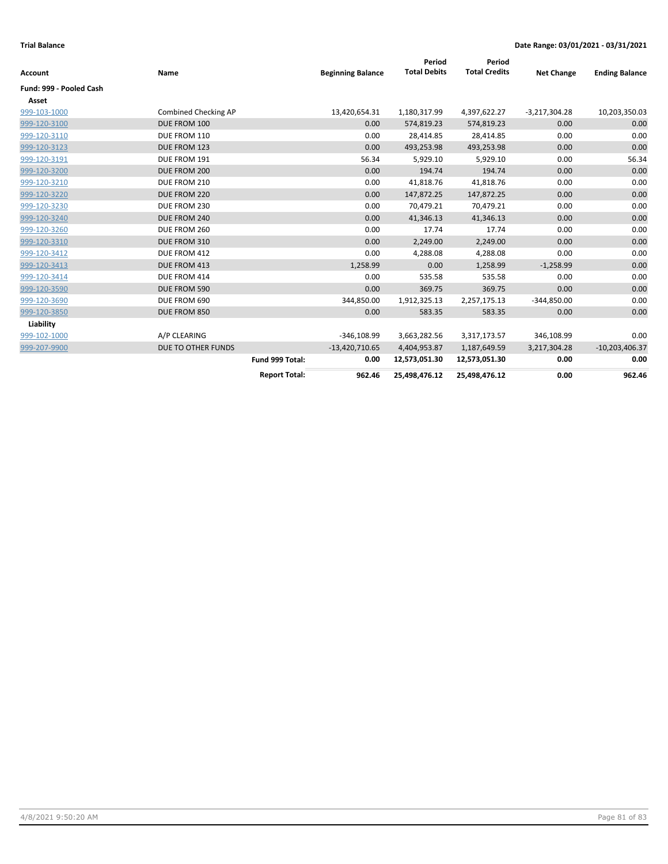| Account                 | Name                 |                      | <b>Beginning Balance</b> | Period<br><b>Total Debits</b> | Period<br><b>Total Credits</b> | <b>Net Change</b> | <b>Ending Balance</b> |
|-------------------------|----------------------|----------------------|--------------------------|-------------------------------|--------------------------------|-------------------|-----------------------|
| Fund: 999 - Pooled Cash |                      |                      |                          |                               |                                |                   |                       |
| Asset                   |                      |                      |                          |                               |                                |                   |                       |
| 999-103-1000            | Combined Checking AP |                      | 13,420,654.31            | 1,180,317.99                  | 4,397,622.27                   | $-3,217,304.28$   | 10,203,350.03         |
| 999-120-3100            | DUE FROM 100         |                      | 0.00                     | 574,819.23                    | 574,819.23                     | 0.00              | 0.00                  |
| 999-120-3110            | DUE FROM 110         |                      | 0.00                     | 28,414.85                     | 28,414.85                      | 0.00              | 0.00                  |
| 999-120-3123            | DUE FROM 123         |                      | 0.00                     | 493,253.98                    | 493,253.98                     | 0.00              | 0.00                  |
| 999-120-3191            | DUE FROM 191         |                      | 56.34                    | 5,929.10                      | 5,929.10                       | 0.00              | 56.34                 |
| 999-120-3200            | DUE FROM 200         |                      | 0.00                     | 194.74                        | 194.74                         | 0.00              | 0.00                  |
| 999-120-3210            | DUE FROM 210         |                      | 0.00                     | 41,818.76                     | 41,818.76                      | 0.00              | 0.00                  |
| 999-120-3220            | DUE FROM 220         |                      | 0.00                     | 147,872.25                    | 147,872.25                     | 0.00              | 0.00                  |
| 999-120-3230            | DUE FROM 230         |                      | 0.00                     | 70,479.21                     | 70,479.21                      | 0.00              | 0.00                  |
| 999-120-3240            | DUE FROM 240         |                      | 0.00                     | 41,346.13                     | 41,346.13                      | 0.00              | 0.00                  |
| 999-120-3260            | DUE FROM 260         |                      | 0.00                     | 17.74                         | 17.74                          | 0.00              | 0.00                  |
| 999-120-3310            | DUE FROM 310         |                      | 0.00                     | 2,249.00                      | 2,249.00                       | 0.00              | 0.00                  |
| 999-120-3412            | DUE FROM 412         |                      | 0.00                     | 4,288.08                      | 4,288.08                       | 0.00              | 0.00                  |
| 999-120-3413            | DUE FROM 413         |                      | 1,258.99                 | 0.00                          | 1,258.99                       | $-1,258.99$       | 0.00                  |
| 999-120-3414            | DUE FROM 414         |                      | 0.00                     | 535.58                        | 535.58                         | 0.00              | 0.00                  |
| 999-120-3590            | DUE FROM 590         |                      | 0.00                     | 369.75                        | 369.75                         | 0.00              | 0.00                  |
| 999-120-3690            | DUE FROM 690         |                      | 344,850.00               | 1,912,325.13                  | 2,257,175.13                   | $-344,850.00$     | 0.00                  |
| 999-120-3850            | DUE FROM 850         |                      | 0.00                     | 583.35                        | 583.35                         | 0.00              | 0.00                  |
| Liability               |                      |                      |                          |                               |                                |                   |                       |
| 999-102-1000            | A/P CLEARING         |                      | $-346,108.99$            | 3,663,282.56                  | 3,317,173.57                   | 346,108.99        | 0.00                  |
| 999-207-9900            | DUE TO OTHER FUNDS   |                      | $-13,420,710.65$         | 4,404,953.87                  | 1,187,649.59                   | 3,217,304.28      | $-10,203,406.37$      |
|                         |                      | Fund 999 Total:      | 0.00                     | 12,573,051.30                 | 12,573,051.30                  | 0.00              | 0.00                  |
|                         |                      | <b>Report Total:</b> | 962.46                   | 25,498,476.12                 | 25,498,476.12                  | 0.00              | 962.46                |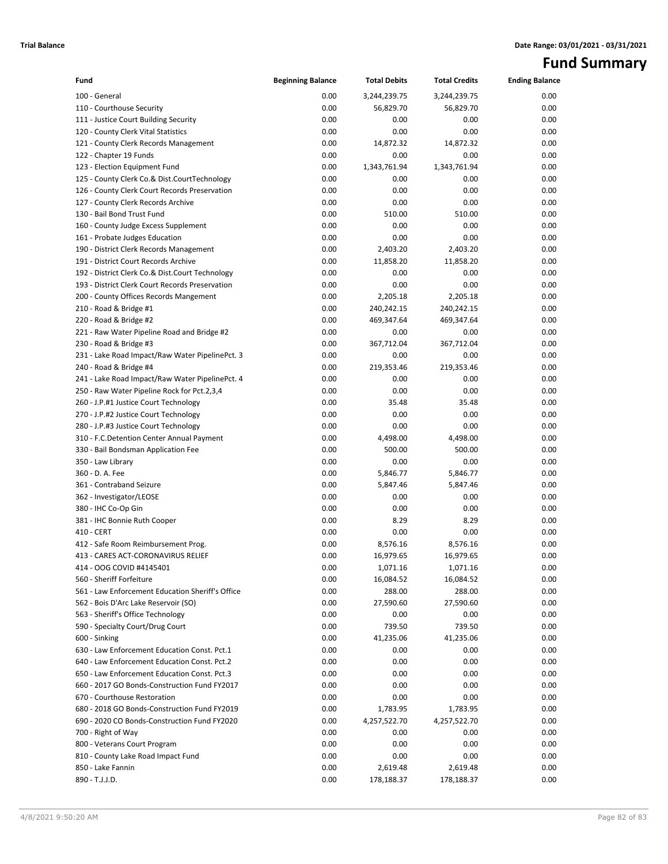# **Fund Summary**

| Fund                                             | <b>Beginning Balance</b> | <b>Total Debits</b> | <b>Total Credits</b> | <b>Ending Balance</b> |
|--------------------------------------------------|--------------------------|---------------------|----------------------|-----------------------|
| 100 - General                                    | 0.00                     | 3,244,239.75        | 3,244,239.75         | 0.00                  |
| 110 - Courthouse Security                        | 0.00                     | 56,829.70           | 56,829.70            | 0.00                  |
| 111 - Justice Court Building Security            | 0.00                     | 0.00                | 0.00                 | 0.00                  |
| 120 - County Clerk Vital Statistics              | 0.00                     | 0.00                | 0.00                 | 0.00                  |
| 121 - County Clerk Records Management            | 0.00                     | 14,872.32           | 14,872.32            | 0.00                  |
| 122 - Chapter 19 Funds                           | 0.00                     | 0.00                | 0.00                 | 0.00                  |
| 123 - Election Equipment Fund                    | 0.00                     | 1,343,761.94        | 1,343,761.94         | 0.00                  |
| 125 - County Clerk Co.& Dist.CourtTechnology     | 0.00                     | 0.00                | 0.00                 | 0.00                  |
| 126 - County Clerk Court Records Preservation    | 0.00                     | 0.00                | 0.00                 | 0.00                  |
| 127 - County Clerk Records Archive               | 0.00                     | 0.00                | 0.00                 | 0.00                  |
| 130 - Bail Bond Trust Fund                       | 0.00                     | 510.00              | 510.00               | 0.00                  |
| 160 - County Judge Excess Supplement             | 0.00                     | 0.00                | 0.00                 | 0.00                  |
| 161 - Probate Judges Education                   | 0.00                     | 0.00                | 0.00                 | 0.00                  |
| 190 - District Clerk Records Management          | 0.00                     | 2,403.20            | 2,403.20             | 0.00                  |
| 191 - District Court Records Archive             | 0.00                     | 11,858.20           | 11,858.20            | 0.00                  |
| 192 - District Clerk Co.& Dist.Court Technology  | 0.00                     | 0.00                | 0.00                 | 0.00                  |
| 193 - District Clerk Court Records Preservation  | 0.00                     | 0.00                | 0.00                 | 0.00                  |
| 200 - County Offices Records Mangement           | 0.00                     | 2,205.18            | 2,205.18             | 0.00                  |
| 210 - Road & Bridge #1                           | 0.00                     | 240,242.15          | 240,242.15           | 0.00                  |
| 220 - Road & Bridge #2                           | 0.00                     | 469,347.64          | 469,347.64           | 0.00                  |
| 221 - Raw Water Pipeline Road and Bridge #2      | 0.00                     | 0.00                | 0.00                 | 0.00                  |
| 230 - Road & Bridge #3                           | 0.00                     | 367,712.04          | 367,712.04           | 0.00                  |
| 231 - Lake Road Impact/Raw Water PipelinePct. 3  | 0.00                     | 0.00                | 0.00                 | 0.00                  |
| 240 - Road & Bridge #4                           | 0.00                     | 219,353.46          | 219,353.46           | 0.00                  |
| 241 - Lake Road Impact/Raw Water PipelinePct. 4  | 0.00                     | 0.00                | 0.00                 | 0.00                  |
| 250 - Raw Water Pipeline Rock for Pct.2,3,4      | 0.00                     | 0.00                | 0.00                 | 0.00                  |
| 260 - J.P.#1 Justice Court Technology            | 0.00                     | 35.48               | 35.48                | 0.00                  |
| 270 - J.P.#2 Justice Court Technology            | 0.00                     | 0.00                | 0.00                 | 0.00                  |
| 280 - J.P.#3 Justice Court Technology            | 0.00                     | 0.00                | 0.00                 | 0.00                  |
| 310 - F.C.Detention Center Annual Payment        | 0.00                     | 4,498.00            | 4,498.00             | 0.00                  |
| 330 - Bail Bondsman Application Fee              | 0.00                     | 500.00              | 500.00               | 0.00                  |
| 350 - Law Library                                | 0.00                     | 0.00                | 0.00                 | 0.00                  |
| 360 - D. A. Fee                                  | 0.00                     | 5,846.77            | 5,846.77             | 0.00                  |
| 361 - Contraband Seizure                         | 0.00                     | 5,847.46            | 5,847.46             | 0.00                  |
| 362 - Investigator/LEOSE                         | 0.00                     | 0.00                | 0.00                 | 0.00                  |
| 380 - IHC Co-Op Gin                              | 0.00                     | 0.00                | 0.00                 | 0.00                  |
| 381 - IHC Bonnie Ruth Cooper                     | 0.00                     | 8.29                | 8.29                 | 0.00                  |
| 410 - CERT                                       | 0.00                     | 0.00                | 0.00                 | 0.00                  |
| 412 - Safe Room Reimbursement Prog.              | 0.00                     | 8,576.16            | 8,576.16             | 0.00                  |
| 413 - CARES ACT-CORONAVIRUS RELIEF               | 0.00                     | 16,979.65           | 16,979.65            | 0.00                  |
| 414 - OOG COVID #4145401                         | 0.00                     | 1,071.16            | 1,071.16             | 0.00                  |
| 560 - Sheriff Forfeiture                         | 0.00                     | 16,084.52           | 16,084.52            | 0.00                  |
| 561 - Law Enforcement Education Sheriff's Office | 0.00                     | 288.00              | 288.00               | 0.00                  |
| 562 - Bois D'Arc Lake Reservoir (SO)             | 0.00                     | 27,590.60           | 27,590.60            | 0.00                  |
| 563 - Sheriff's Office Technology                | 0.00                     | 0.00                | 0.00                 | 0.00                  |
| 590 - Specialty Court/Drug Court                 | 0.00                     | 739.50              | 739.50               | 0.00                  |
| 600 - Sinking                                    | 0.00                     | 41,235.06           | 41,235.06            | 0.00                  |
| 630 - Law Enforcement Education Const. Pct.1     | 0.00                     | 0.00                | 0.00                 | 0.00                  |
| 640 - Law Enforcement Education Const. Pct.2     | 0.00                     | 0.00                | 0.00                 | 0.00                  |
| 650 - Law Enforcement Education Const. Pct.3     | 0.00                     | 0.00                | 0.00                 | 0.00                  |
| 660 - 2017 GO Bonds-Construction Fund FY2017     | 0.00                     | 0.00                | 0.00                 | 0.00                  |
| 670 - Courthouse Restoration                     | 0.00                     | 0.00                | 0.00                 | 0.00                  |
| 680 - 2018 GO Bonds-Construction Fund FY2019     | 0.00                     | 1,783.95            | 1,783.95             | 0.00                  |
| 690 - 2020 CO Bonds-Construction Fund FY2020     | 0.00                     | 4,257,522.70        | 4,257,522.70         | 0.00                  |
| 700 - Right of Way                               | 0.00                     | 0.00                | 0.00                 | 0.00                  |
| 800 - Veterans Court Program                     | 0.00                     | 0.00                | 0.00                 | 0.00                  |
| 810 - County Lake Road Impact Fund               | 0.00                     | 0.00                | 0.00                 | 0.00                  |
| 850 - Lake Fannin                                | 0.00                     | 2,619.48            | 2,619.48             | 0.00                  |
| 890 - T.J.J.D.                                   | 0.00                     | 178,188.37          | 178,188.37           | 0.00                  |